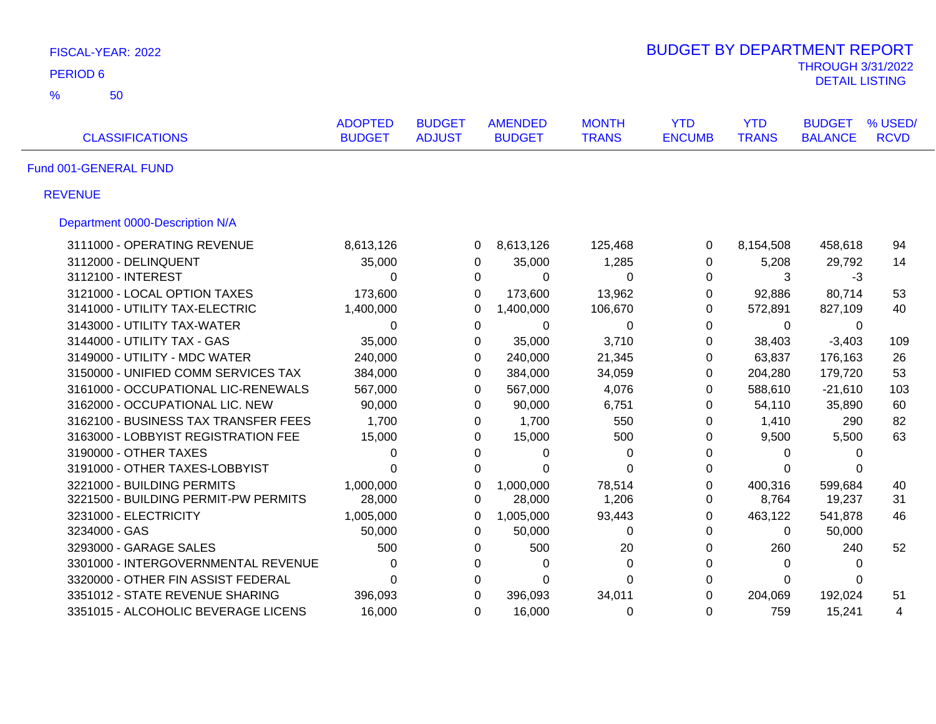| <b>BUDGET BY DEPARTMENT REPORT</b><br>FISCAL-YEAR: 2022 |                                 |                                |                                 |                              |                             |                            |                                 |                        |
|---------------------------------------------------------|---------------------------------|--------------------------------|---------------------------------|------------------------------|-----------------------------|----------------------------|---------------------------------|------------------------|
| <b>PERIOD 6</b>                                         |                                 |                                |                                 |                              |                             |                            | <b>THROUGH 3/31/2022</b>        |                        |
| 50<br>$\frac{9}{6}$                                     |                                 |                                |                                 |                              |                             |                            | <b>DETAIL LISTING</b>           |                        |
|                                                         |                                 |                                |                                 |                              |                             |                            |                                 |                        |
| <b>CLASSIFICATIONS</b>                                  | <b>ADOPTED</b><br><b>BUDGET</b> | <b>BUDGET</b><br><b>ADJUST</b> | <b>AMENDED</b><br><b>BUDGET</b> | <b>MONTH</b><br><b>TRANS</b> | <b>YTD</b><br><b>ENCUMB</b> | <b>YTD</b><br><b>TRANS</b> | <b>BUDGET</b><br><b>BALANCE</b> | % USED/<br><b>RCVD</b> |
| Fund 001-GENERAL FUND                                   |                                 |                                |                                 |                              |                             |                            |                                 |                        |
| <b>REVENUE</b>                                          |                                 |                                |                                 |                              |                             |                            |                                 |                        |
| Department 0000-Description N/A                         |                                 |                                |                                 |                              |                             |                            |                                 |                        |
| 3111000 - OPERATING REVENUE                             | 8,613,126                       |                                | 8,613,126<br>0                  | 125,468                      | 0                           | 8,154,508                  | 458,618                         | 94                     |
| 3112000 - DELINQUENT                                    | 35,000                          |                                | 35,000<br>0                     | 1,285                        | $\mathbf 0$                 | 5,208                      | 29,792                          | 14                     |
| 3112100 - INTEREST                                      | $\Omega$                        |                                | $\Omega$<br>$\Omega$            | $\Omega$                     | $\Omega$                    | 3                          | $-3$                            |                        |
| 3121000 - LOCAL OPTION TAXES                            | 173,600                         |                                | 0<br>173,600                    | 13,962                       | $\Omega$                    | 92,886                     | 80,714                          | 53                     |
| 3141000 - UTILITY TAX-ELECTRIC                          | 1,400,000                       |                                | 1,400,000<br>0                  | 106,670                      | 0                           | 572,891                    | 827,109                         | 40                     |
| 3143000 - UTILITY TAX-WATER                             | 0                               |                                | $\Omega$<br>$\mathbf{0}$        | $\Omega$                     | 0                           | $\mathbf 0$                | 0                               |                        |
| 3144000 - UTILITY TAX - GAS                             | 35,000                          |                                | 35,000<br>$\Omega$              | 3,710                        | $\mathbf{0}$                | 38,403                     | $-3,403$                        | 109                    |
| 3149000 - UTILITY - MDC WATER                           | 240,000                         |                                | $\mathbf 0$<br>240,000          | 21,345                       | 0                           | 63,837                     | 176,163                         | 26                     |
| 3150000 - UNIFIED COMM SERVICES TAX                     | 384,000                         |                                | 384,000<br>0                    | 34,059                       | 0                           | 204,280                    | 179,720                         | 53                     |
| 3161000 - OCCUPATIONAL LIC-RENEWALS                     | 567,000                         |                                | 567,000<br>0                    | 4,076                        | 0                           | 588,610                    | $-21,610$                       | 103                    |
| 3162000 - OCCUPATIONAL LIC. NEW                         | 90,000                          |                                | 0<br>90,000                     | 6,751                        | 0                           | 54,110                     | 35,890                          | 60                     |
| 3162100 - BUSINESS TAX TRANSFER FEES                    | 1,700                           |                                | 1,700<br>0                      | 550                          | 0                           | 1,410                      | 290                             | 82                     |
| 3163000 - LOBBYIST REGISTRATION FEE                     | 15,000                          |                                | 0<br>15,000                     | 500                          | 0                           | 9,500                      | 5,500                           | 63                     |
| 3190000 - OTHER TAXES                                   | 0                               |                                | 0<br>0                          | 0                            | 0                           | 0                          | 0                               |                        |
| 3191000 - OTHER TAXES-LOBBYIST                          | $\Omega$                        |                                | 0<br>$\Omega$                   | $\Omega$                     | 0                           | $\Omega$                   | $\Omega$                        |                        |
| 3221000 - BUILDING PERMITS                              | 1,000,000                       |                                | 0<br>1,000,000                  | 78,514                       | 0                           | 400,316                    | 599,684                         | 40                     |
| 3221500 - BUILDING PERMIT-PW PERMITS                    | 28,000                          |                                | 28,000<br>0                     | 1,206                        | 0                           | 8,764                      | 19,237                          | 31                     |
| 3231000 - ELECTRICITY                                   | 1,005,000                       |                                | 1,005,000<br>0                  | 93,443                       | $\Omega$                    | 463,122                    | 541,878                         | 46                     |
| 3234000 - GAS                                           | 50,000                          |                                | 50,000<br>0                     | $\Omega$                     | 0                           | $\Omega$                   | 50,000                          |                        |
| 3293000 - GARAGE SALES                                  | 500                             |                                | 0<br>500                        | 20                           | $\Omega$                    | 260                        | 240                             | 52                     |
| 3301000 - INTERGOVERNMENTAL REVENUE                     | $\Omega$                        |                                | 0<br>0                          | $\Omega$                     | $\Omega$                    | $\mathbf 0$                | $\Omega$                        |                        |
| 3320000 - OTHER FIN ASSIST FEDERAL                      | $\Omega$                        |                                | 0<br>0                          | 0                            | 0                           | $\Omega$                   | $\Omega$                        |                        |
| 3351012 - STATE REVENUE SHARING                         | 396,093                         |                                | 0<br>396,093                    | 34,011                       | $\Omega$                    | 204,069                    | 192,024                         | 51                     |
| 3351015 - ALCOHOLIC BEVERAGE LICENS                     | 16,000                          |                                | 16,000<br>0                     | 0                            | $\Omega$                    | 759                        | 15,241                          | 4                      |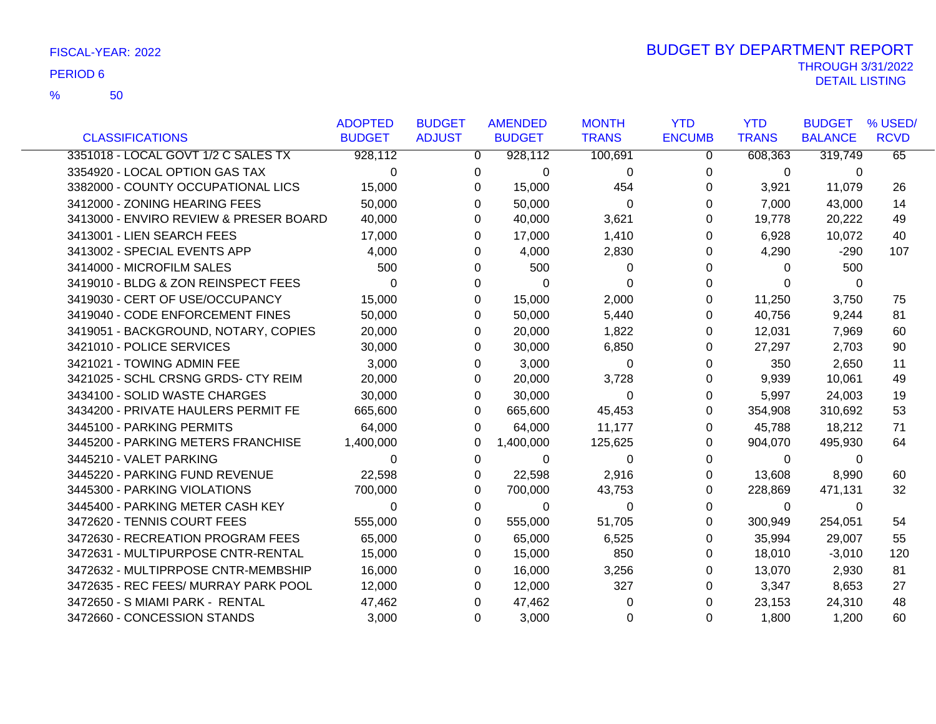|                                        | <b>ADOPTED</b> | <b>BUDGET</b> | <b>AMENDED</b> | <b>MONTH</b> | <b>YTD</b>    | <b>YTD</b>   | <b>BUDGET</b>  | % USED/     |
|----------------------------------------|----------------|---------------|----------------|--------------|---------------|--------------|----------------|-------------|
| <b>CLASSIFICATIONS</b>                 | <b>BUDGET</b>  | <b>ADJUST</b> | <b>BUDGET</b>  | <b>TRANS</b> | <b>ENCUMB</b> | <b>TRANS</b> | <b>BALANCE</b> | <b>RCVD</b> |
| 3351018 - LOCAL GOVT 1/2 C SALES TX    | 928,112        | 0             | 928,112        | 100,691      | 0             | 608,363      | 319,749        | 65          |
| 3354920 - LOCAL OPTION GAS TAX         | $\Omega$       | 0             | 0              | $\Omega$     | 0             | $\mathbf 0$  | $\Omega$       |             |
| 3382000 - COUNTY OCCUPATIONAL LICS     | 15,000         | 0             | 15,000         | 454          | 0             | 3,921        | 11,079         | 26          |
| 3412000 - ZONING HEARING FEES          | 50,000         | 0             | 50,000         | $\Omega$     | 0             | 7,000        | 43,000         | 14          |
| 3413000 - ENVIRO REVIEW & PRESER BOARD | 40,000         | 0             | 40,000         | 3,621        | 0             | 19,778       | 20,222         | 49          |
| 3413001 - LIEN SEARCH FEES             | 17,000         | $\Omega$      | 17,000         | 1,410        | 0             | 6,928        | 10,072         | 40          |
| 3413002 - SPECIAL EVENTS APP           | 4,000          | 0             | 4,000          | 2,830        | 0             | 4,290        | $-290$         | 107         |
| 3414000 - MICROFILM SALES              | 500            | 0             | 500            | $\Omega$     | 0             | $\Omega$     | 500            |             |
| 3419010 - BLDG & ZON REINSPECT FEES    | $\Omega$       | 0             | $\Omega$       | $\Omega$     | $\Omega$      | $\Omega$     | $\Omega$       |             |
| 3419030 - CERT OF USE/OCCUPANCY        | 15,000         | 0             | 15,000         | 2,000        | 0             | 11,250       | 3,750          | 75          |
| 3419040 - CODE ENFORCEMENT FINES       | 50,000         | 0             | 50,000         | 5,440        | 0             | 40,756       | 9,244          | 81          |
| 3419051 - BACKGROUND, NOTARY, COPIES   | 20,000         | 0             | 20,000         | 1,822        | 0             | 12,031       | 7,969          | 60          |
| 3421010 - POLICE SERVICES              | 30,000         | 0             | 30,000         | 6,850        | 0             | 27,297       | 2,703          | 90          |
| 3421021 - TOWING ADMIN FEE             | 3,000          | 0             | 3,000          | $\Omega$     | 0             | 350          | 2,650          | 11          |
| 3421025 - SCHL CRSNG GRDS- CTY REIM    | 20,000         | 0             | 20,000         | 3,728        | 0             | 9,939        | 10,061         | 49          |
| 3434100 - SOLID WASTE CHARGES          | 30,000         | 0             | 30,000         | $\Omega$     | 0             | 5,997        | 24,003         | 19          |
| 3434200 - PRIVATE HAULERS PERMIT FE    | 665,600        | 0             | 665,600        | 45,453       | 0             | 354,908      | 310,692        | 53          |
| 3445100 - PARKING PERMITS              | 64,000         | 0             | 64,000         | 11,177       | 0             | 45,788       | 18,212         | 71          |
| 3445200 - PARKING METERS FRANCHISE     | 1,400,000      | 0             | 1,400,000      | 125,625      | 0             | 904,070      | 495,930        | 64          |
| 3445210 - VALET PARKING                | 0              | 0             | 0              | $\Omega$     | 0             | $\Omega$     | $\Omega$       |             |
| 3445220 - PARKING FUND REVENUE         | 22,598         | 0             | 22,598         | 2,916        | 0             | 13,608       | 8,990          | 60          |
| 3445300 - PARKING VIOLATIONS           | 700,000        | 0             | 700,000        | 43,753       | 0             | 228,869      | 471,131        | 32          |
| 3445400 - PARKING METER CASH KEY       | $\Omega$       | 0             | $\Omega$       | $\Omega$     | 0             | $\Omega$     | $\Omega$       |             |
| 3472620 - TENNIS COURT FEES            | 555,000        | 0             | 555,000        | 51,705       | 0             | 300,949      | 254,051        | 54          |
| 3472630 - RECREATION PROGRAM FEES      | 65,000         | 0             | 65,000         | 6,525        | 0             | 35,994       | 29,007         | 55          |
| 3472631 - MULTIPURPOSE CNTR-RENTAL     | 15,000         | 0             | 15,000         | 850          | 0             | 18,010       | $-3,010$       | 120         |
| 3472632 - MULTIPRPOSE CNTR-MEMBSHIP    | 16,000         | 0             | 16,000         | 3,256        | 0             | 13,070       | 2,930          | 81          |
| 3472635 - REC FEES/ MURRAY PARK POOL   | 12,000         | 0             | 12,000         | 327          | 0             | 3,347        | 8,653          | 27          |
| 3472650 - S MIAMI PARK - RENTAL        | 47,462         | 0             | 47,462         | 0            | 0             | 23,153       | 24,310         | 48          |
| 3472660 - CONCESSION STANDS            | 3,000          | 0             | 3,000          | $\Omega$     | 0             | 1,800        | 1,200          | 60          |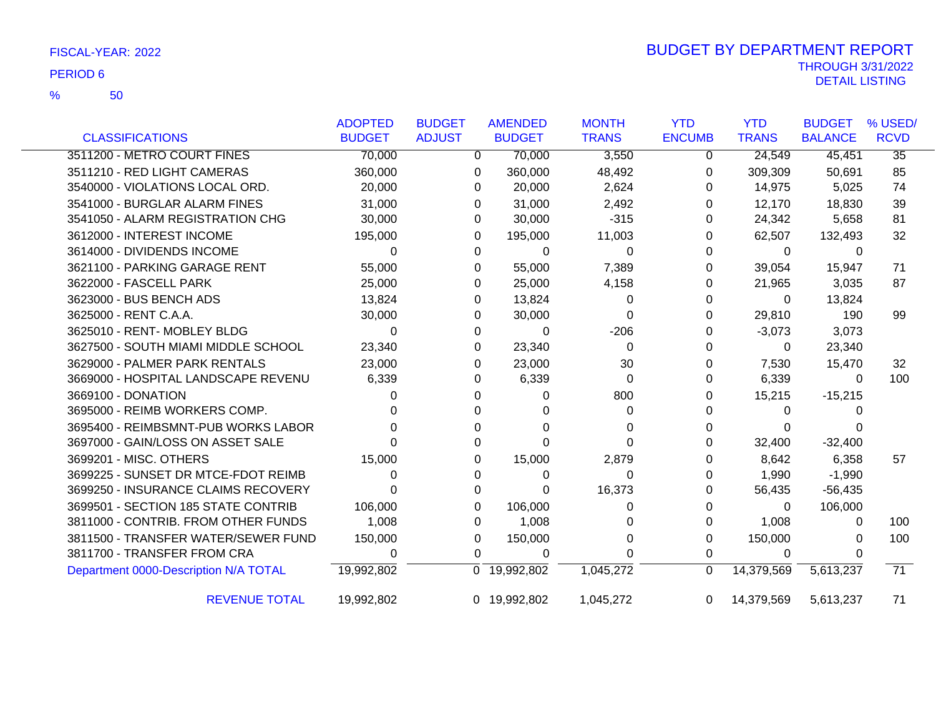|                                       | <b>ADOPTED</b> | <b>BUDGET</b> | <b>AMENDED</b> |               | <b>MONTH</b> | <b>YTD</b>    | <b>YTD</b>   | <b>BUDGET</b>  | % USED/         |
|---------------------------------------|----------------|---------------|----------------|---------------|--------------|---------------|--------------|----------------|-----------------|
| <b>CLASSIFICATIONS</b>                | <b>BUDGET</b>  | <b>ADJUST</b> |                | <b>BUDGET</b> | <b>TRANS</b> | <b>ENCUMB</b> | <b>TRANS</b> | <b>BALANCE</b> | <b>RCVD</b>     |
| 3511200 - METRO COURT FINES           | 70,000         |               | $\overline{0}$ | 70,000        | 3,550        | 0             | 24,549       | 45,451         | $\overline{35}$ |
| 3511210 - RED LIGHT CAMERAS           | 360,000        |               | 0              | 360,000       | 48,492       | 0             | 309,309      | 50,691         | 85              |
| 3540000 - VIOLATIONS LOCAL ORD.       | 20,000         |               | 0              | 20,000        | 2,624        | 0             | 14,975       | 5,025          | 74              |
| 3541000 - BURGLAR ALARM FINES         | 31,000         |               | 0              | 31,000        | 2,492        | 0             | 12,170       | 18,830         | 39              |
| 3541050 - ALARM REGISTRATION CHG      | 30,000         |               | 0              | 30,000        | $-315$       | 0             | 24,342       | 5,658          | 81              |
| 3612000 - INTEREST INCOME             | 195,000        |               | 0              | 195,000       | 11,003       | 0             | 62,507       | 132,493        | 32              |
| 3614000 - DIVIDENDS INCOME            | 0              |               | $\Omega$       | 0             | 0            | 0             | 0            | 0              |                 |
| 3621100 - PARKING GARAGE RENT         | 55,000         |               | $\Omega$       | 55,000        | 7,389        | 0             | 39,054       | 15,947         | 71              |
| 3622000 - FASCELL PARK                | 25,000         |               | 0              | 25,000        | 4,158        | 0             | 21,965       | 3,035          | 87              |
| 3623000 - BUS BENCH ADS               | 13,824         |               | 0              | 13,824        | 0            | 0             | 0            | 13,824         |                 |
| 3625000 - RENT C.A.A.                 | 30,000         |               | 0              | 30,000        | 0            | 0             | 29,810       | 190            | 99              |
| 3625010 - RENT- MOBLEY BLDG           | 0              |               | 0              | 0             | $-206$       | 0             | $-3,073$     | 3,073          |                 |
| 3627500 - SOUTH MIAMI MIDDLE SCHOOL   | 23,340         |               | $\Omega$       | 23,340        | $\Omega$     | 0             | 0            | 23,340         |                 |
| 3629000 - PALMER PARK RENTALS         | 23,000         |               | 0              | 23,000        | 30           | 0             | 7,530        | 15,470         | 32              |
| 3669000 - HOSPITAL LANDSCAPE REVENU   | 6,339          |               | 0              | 6,339         | $\Omega$     | 0             | 6,339        | $\mathbf{0}$   | 100             |
| 3669100 - DONATION                    | U              |               | $\Omega$       | $\Omega$      | 800          |               | 15,215       | $-15,215$      |                 |
| 3695000 - REIMB WORKERS COMP.         |                |               | 0              | 0             | $\Omega$     |               | 0            |                |                 |
| 3695400 - REIMBSMNT-PUB WORKS LABOR   |                |               | 0              | 0             | O            | 0             | 0            |                |                 |
| 3697000 - GAIN/LOSS ON ASSET SALE     |                |               | $\Omega$       | $\Omega$      | 0            | 0             | 32,400       | $-32,400$      |                 |
| 3699201 - MISC, OTHERS                | 15,000         |               | 0              | 15,000        | 2,879        | 0             | 8,642        | 6,358          | 57              |
| 3699225 - SUNSET DR MTCE-FDOT REIMB   | 0              |               | 0              | 0             | $\Omega$     | 0             | 1,990        | $-1,990$       |                 |
| 3699250 - INSURANCE CLAIMS RECOVERY   | 0              |               | 0              | 0             | 16,373       | 0             | 56,435       | $-56,435$      |                 |
| 3699501 - SECTION 185 STATE CONTRIB   | 106,000        |               | 0              | 106,000       | $\Omega$     | 0             | 0            | 106,000        |                 |
| 3811000 - CONTRIB. FROM OTHER FUNDS   | 1,008          |               | 0              | 1,008         | O            | 0             | 1,008        | 0              | 100             |
| 3811500 - TRANSFER WATER/SEWER FUND   | 150,000        |               | 0              | 150,000       | 0            | 0             | 150,000      | $\Omega$       | 100             |
| 3811700 - TRANSFER FROM CRA           | 0              |               | $\Omega$       | 0             | 0            | 0             | 0            | <sup>0</sup>   |                 |
| Department 0000-Description N/A TOTAL | 19,992,802     |               | 0 19,992,802   |               | 1,045,272    | $\Omega$      | 14,379,569   | 5,613,237      | $\overline{71}$ |
| <b>REVENUE TOTAL</b>                  | 19,992,802     |               | 0 19,992,802   |               | 1,045,272    | $\Omega$      | 14,379,569   | 5,613,237      | 71              |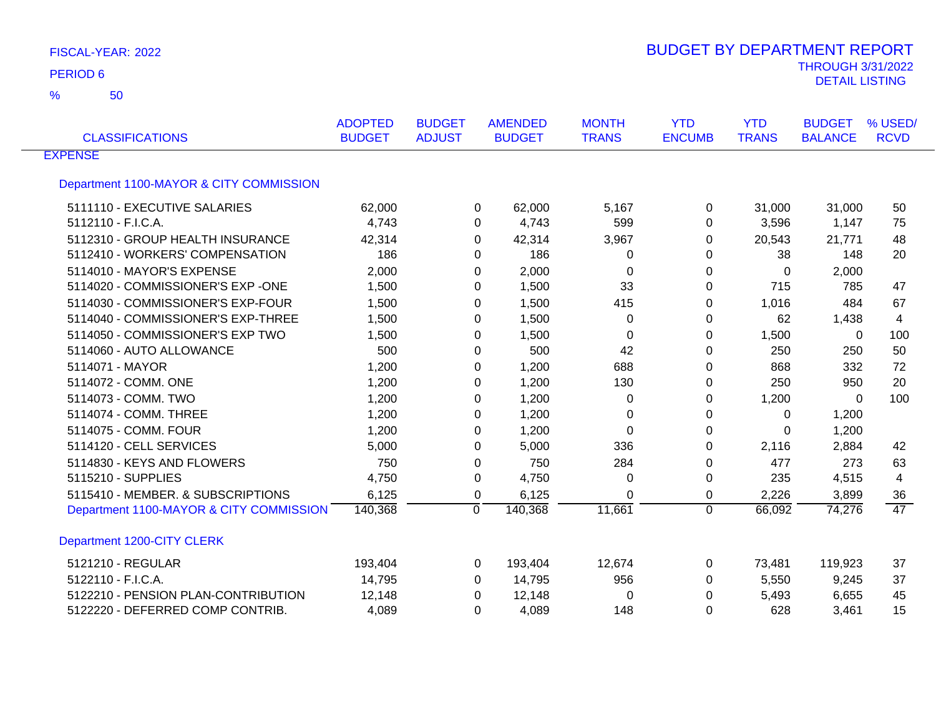| <b>CLASSIFICATIONS</b>                  | <b>ADOPTED</b><br><b>BUDGET</b> | <b>BUDGET</b><br><b>ADJUST</b> | <b>AMENDED</b><br><b>BUDGET</b> | <b>MONTH</b><br><b>TRANS</b> | <b>YTD</b><br><b>ENCUMB</b> | <b>YTD</b><br><b>TRANS</b> | <b>BUDGET</b><br><b>BALANCE</b> | % USED/<br><b>RCVD</b> |
|-----------------------------------------|---------------------------------|--------------------------------|---------------------------------|------------------------------|-----------------------------|----------------------------|---------------------------------|------------------------|
| <b>EXPENSE</b>                          |                                 |                                |                                 |                              |                             |                            |                                 |                        |
| Department 1100-MAYOR & CITY COMMISSION |                                 |                                |                                 |                              |                             |                            |                                 |                        |
| 5111110 - EXECUTIVE SALARIES            | 62,000                          |                                | 62,000<br>0                     | 5,167                        | 0                           | 31,000                     | 31,000                          | 50                     |
| 5112110 - F.I.C.A.                      | 4,743                           |                                | 4,743<br>0                      | 599                          | 0                           | 3,596                      | 1,147                           | 75                     |
| 5112310 - GROUP HEALTH INSURANCE        | 42,314                          |                                | 42,314<br>0                     | 3,967                        | 0                           | 20,543                     | 21,771                          | 48                     |
| 5112410 - WORKERS' COMPENSATION         | 186                             |                                | 186<br>0                        | 0                            | 0                           | 38                         | 148                             | 20                     |
| 5114010 - MAYOR'S EXPENSE               | 2,000                           |                                | 2,000<br>0                      | 0                            | 0                           | 0                          | 2,000                           |                        |
| 5114020 - COMMISSIONER'S EXP -ONE       | 1,500                           |                                | 1,500<br>0                      | 33                           | 0                           | 715                        | 785                             | 47                     |
| 5114030 - COMMISSIONER'S EXP-FOUR       | 1,500                           |                                | 1,500<br>0                      | 415                          | 0                           | 1,016                      | 484                             | 67                     |
| 5114040 - COMMISSIONER'S EXP-THREE      | 1,500                           |                                | 1,500<br>$\Omega$               | 0                            | 0                           | 62                         | 1,438                           | 4                      |
| 5114050 - COMMISSIONER'S EXP TWO        | 1,500                           |                                | 1,500<br>0                      | 0                            | 0                           | 1,500                      | $\Omega$                        | 100                    |
| 5114060 - AUTO ALLOWANCE                | 500                             |                                | 500<br>0                        | 42                           | 0                           | 250                        | 250                             | 50                     |
| 5114071 - MAYOR                         | 1,200                           |                                | 1,200<br>0                      | 688                          | 0                           | 868                        | 332                             | 72                     |
| 5114072 - COMM. ONE                     | 1,200                           |                                | 1,200<br>0                      | 130                          | 0                           | 250                        | 950                             | 20                     |
| 5114073 - COMM. TWO                     | 1,200                           |                                | 0<br>1,200                      | 0                            | 0                           | 1,200                      | 0                               | 100                    |
| 5114074 - COMM. THREE                   | 1,200                           |                                | 1,200<br>0                      | 0                            | 0                           | 0                          | 1,200                           |                        |
| 5114075 - COMM, FOUR                    | 1,200                           |                                | 1,200<br>0                      | $\Omega$                     | 0                           | 0                          | 1,200                           |                        |
| 5114120 - CELL SERVICES                 | 5,000                           |                                | 5,000<br>$\Omega$               | 336                          | 0                           | 2,116                      | 2,884                           | 42                     |
| 5114830 - KEYS AND FLOWERS              | 750                             |                                | 750<br>0                        | 284                          | 0                           | 477                        | 273                             | 63                     |
| 5115210 - SUPPLIES                      | 4,750                           |                                | 4,750<br>0                      | 0                            | 0                           | 235                        | 4,515                           | 4                      |
| 5115410 - MEMBER, & SUBSCRIPTIONS       | 6,125                           |                                | 6,125<br>0                      | $\Omega$                     | 0                           | 2,226                      | 3,899                           | 36                     |
| Department 1100-MAYOR & CITY COMMISSION | 140,368                         |                                | 140,368<br>0                    | 11,661                       | 0                           | 66,092                     | 74,276                          | 47                     |
| Department 1200-CITY CLERK              |                                 |                                |                                 |                              |                             |                            |                                 |                        |
| 5121210 - REGULAR                       | 193,404                         |                                | 193,404<br>0                    | 12,674                       | 0                           | 73,481                     | 119,923                         | 37                     |
| 5122110 - F.I.C.A.                      | 14,795                          |                                | 14,795<br>0                     | 956                          | 0                           | 5,550                      | 9,245                           | 37                     |
| 5122210 - PENSION PLAN-CONTRIBUTION     | 12,148                          |                                | 12,148<br>$\Omega$              | 0                            | 0                           | 5,493                      | 6,655                           | 45                     |
| 5122220 - DEFERRED COMP CONTRIB.        | 4,089                           |                                | 4,089<br>0                      | 148                          | 0                           | 628                        | 3,461                           | 15                     |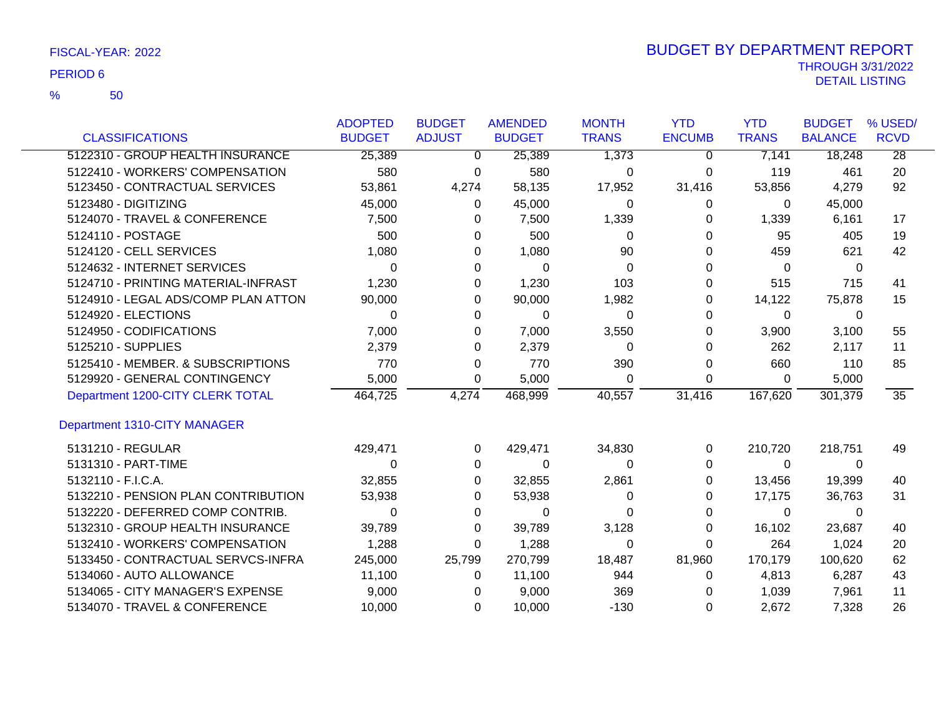|                                     | <b>ADOPTED</b> | <b>BUDGET</b> | <b>AMENDED</b> | <b>MONTH</b> | <b>YTD</b>    | <b>YTD</b>   | <b>BUDGET</b>  | % USED/         |
|-------------------------------------|----------------|---------------|----------------|--------------|---------------|--------------|----------------|-----------------|
| <b>CLASSIFICATIONS</b>              | <b>BUDGET</b>  | <b>ADJUST</b> | <b>BUDGET</b>  | <b>TRANS</b> | <b>ENCUMB</b> | <b>TRANS</b> | <b>BALANCE</b> | <b>RCVD</b>     |
| 5122310 - GROUP HEALTH INSURANCE    | 25,389         | $\mathbf 0$   | 25,389         | 1,373        | 0             | 7,141        | 18,248         | $\overline{28}$ |
| 5122410 - WORKERS' COMPENSATION     | 580            | $\Omega$      | 580            | 0            | 0             | 119          | 461            | 20              |
| 5123450 - CONTRACTUAL SERVICES      | 53,861         | 4,274         | 58,135         | 17,952       | 31,416        | 53,856       | 4,279          | 92              |
| 5123480 - DIGITIZING                | 45,000         | $\Omega$      | 45,000         | $\Omega$     | 0             | $\Omega$     | 45,000         |                 |
| 5124070 - TRAVEL & CONFERENCE       | 7,500          | 0             | 7,500          | 1,339        | 0             | 1,339        | 6,161          | 17              |
| 5124110 - POSTAGE                   | 500            | 0             | 500            | 0            | 0             | 95           | 405            | 19              |
| 5124120 - CELL SERVICES             | 1,080          | 0             | 1,080          | 90           | 0             | 459          | 621            | 42              |
| 5124632 - INTERNET SERVICES         | 0              | 0             | $\Omega$       | 0            | 0             | $\Omega$     | 0              |                 |
| 5124710 - PRINTING MATERIAL-INFRAST | 1,230          | 0             | 1,230          | 103          | 0             | 515          | 715            | 41              |
| 5124910 - LEGAL ADS/COMP PLAN ATTON | 90,000         | 0             | 90,000         | 1,982        | 0             | 14,122       | 75,878         | 15              |
| 5124920 - ELECTIONS                 | 0              | 0             | 0              | 0            | 0             | $\Omega$     | 0              |                 |
| 5124950 - CODIFICATIONS             | 7,000          | 0             | 7,000          | 3,550        | 0             | 3,900        | 3,100          | 55              |
| 5125210 - SUPPLIES                  | 2,379          | 0             | 2,379          | $\Omega$     | 0             | 262          | 2,117          | 11              |
| 5125410 - MEMBER. & SUBSCRIPTIONS   | 770            | 0             | 770            | 390          | 0             | 660          | 110            | 85              |
| 5129920 - GENERAL CONTINGENCY       | 5,000          | 0             | 5,000          | $\Omega$     | 0             | 0            | 5,000          |                 |
| Department 1200-CITY CLERK TOTAL    | 464,725        | 4,274         | 468,999        | 40,557       | 31,416        | 167,620      | 301,379        | $\overline{35}$ |
| Department 1310-CITY MANAGER        |                |               |                |              |               |              |                |                 |
| 5131210 - REGULAR                   | 429,471        | $\Omega$      | 429,471        | 34,830       | 0             | 210,720      | 218,751        | 49              |
| 5131310 - PART-TIME                 | 0              | $\Omega$      | 0              | $\Omega$     | 0             | 0            | 0              |                 |
| 5132110 - F.I.C.A.                  | 32,855         | 0             | 32,855         | 2,861        | 0             | 13,456       | 19,399         | 40              |
| 5132210 - PENSION PLAN CONTRIBUTION | 53,938         | 0             | 53,938         | 0            | 0             | 17,175       | 36,763         | 31              |
| 5132220 - DEFERRED COMP CONTRIB.    | 0              | 0             | 0              | 0            | 0             | 0            | 0              |                 |
| 5132310 - GROUP HEALTH INSURANCE    | 39,789         | 0             | 39,789         | 3,128        | 0             | 16,102       | 23,687         | 40              |
| 5132410 - WORKERS' COMPENSATION     | 1,288          | $\Omega$      | 1,288          | 0            | 0             | 264          | 1,024          | 20              |
| 5133450 - CONTRACTUAL SERVCS-INFRA  | 245,000        | 25,799        | 270,799        | 18,487       | 81,960        | 170,179      | 100,620        | 62              |
| 5134060 - AUTO ALLOWANCE            | 11,100         | 0             | 11,100         | 944          | 0             | 4,813        | 6,287          | 43              |
| 5134065 - CITY MANAGER'S EXPENSE    | 9,000          | 0             | 9,000          | 369          | 0             | 1,039        | 7,961          | 11              |
| 5134070 - TRAVEL & CONFERENCE       | 10,000         | $\Omega$      | 10,000         | $-130$       | 0             | 2,672        | 7,328          | 26              |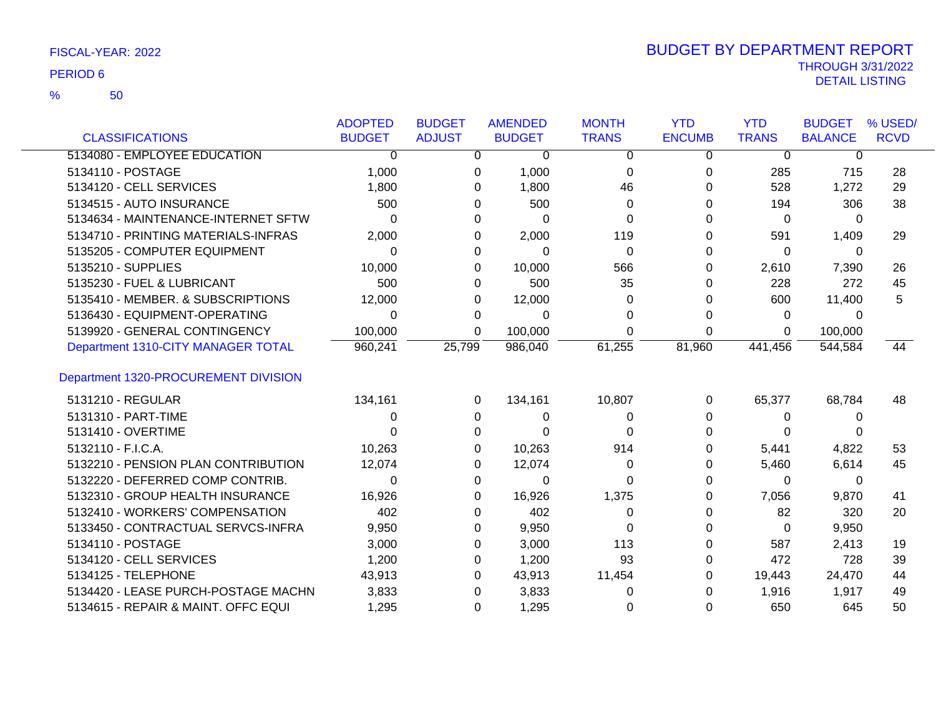50 %

|                                      | <b>ADOPTED</b> | <b>BUDGET</b> | <b>AMENDED</b> | <b>MONTH</b> | <b>YTD</b>    | <b>YTD</b>   | <b>BUDGET</b>  | % USED/     |
|--------------------------------------|----------------|---------------|----------------|--------------|---------------|--------------|----------------|-------------|
| <b>CLASSIFICATIONS</b>               | <b>BUDGET</b>  | <b>ADJUST</b> | <b>BUDGET</b>  | <b>TRANS</b> | <b>ENCUMB</b> | <b>TRANS</b> | <b>BALANCE</b> | <b>RCVD</b> |
| 5134080 - EMPLOYEE EDUCATION         | $\Omega$       | 0             | $\Omega$       | 0            | 0             | $\mathbf 0$  | 0              |             |
| 5134110 - POSTAGE                    | 1,000          | 0             | 1,000          | $\Omega$     | 0             | 285          | 715            | 28          |
| 5134120 - CELL SERVICES              | 1,800          | 0             | 1,800          | 46           |               | 528          | 1,272          | 29          |
| 5134515 - AUTO INSURANCE             | 500            | 0             | 500            | 0            |               | 194          | 306            | 38          |
| 5134634 - MAINTENANCE-INTERNET SFTW  | 0              | 0             | $\Omega$       | 0            |               | $\Omega$     | $\mathbf{0}$   |             |
| 5134710 - PRINTING MATERIALS-INFRAS  | 2,000          | 0             | 2,000          | 119          |               | 591          | 1,409          | 29          |
| 5135205 - COMPUTER EQUIPMENT         | 0              | 0             | $\Omega$       | $\Omega$     | U             | 0            | 0              |             |
| 5135210 - SUPPLIES                   | 10,000         | 0             | 10,000         | 566          | 0             | 2,610        | 7,390          | 26          |
| 5135230 - FUEL & LUBRICANT           | 500            | 0             | 500            | 35           | O             | 228          | 272            | 45          |
| 5135410 - MEMBER. & SUBSCRIPTIONS    | 12,000         | 0             | 12,000         | 0            |               | 600          | 11,400         | 5           |
| 5136430 - EQUIPMENT-OPERATING        | $\Omega$       | 0             | 0              | 0            | 0             | 0            | $\Omega$       |             |
| 5139920 - GENERAL CONTINGENCY        | 100,000        | 0             | 100,000        | 0            | 0             | 0            | 100,000        |             |
| Department 1310-CITY MANAGER TOTAL   | 960,241        | 25,799        | 986,040        | 61,255       | 81,960        | 441,456      | 544,584        | 44          |
| Department 1320-PROCUREMENT DIVISION |                |               |                |              |               |              |                |             |
| 5131210 - REGULAR                    | 134,161        | 0             | 134,161        | 10,807       | 0             | 65,377       | 68,784         | 48          |
| 5131310 - PART-TIME                  | 0              | 0             | 0              | $\Omega$     | O             | 0            | $\Omega$       |             |
| 5131410 - OVERTIME                   | ი              | 0             | 0              |              |               | 0            |                |             |
| 5132110 - F.I.C.A.                   | 10,263         | 0             | 10,263         | 914          |               | 5,441        | 4,822          | 53          |
| 5132210 - PENSION PLAN CONTRIBUTION  | 12,074         | 0             | 12,074         | 0            | O             | 5,460        | 6,614          | 45          |
| 5132220 - DEFERRED COMP CONTRIB.     | 0              | 0             | $\Omega$       | 0            | 0             | $\Omega$     | $\Omega$       |             |
| 5132310 - GROUP HEALTH INSURANCE     | 16,926         | 0             | 16,926         | 1,375        | O             | 7,056        | 9,870          | 41          |
| 5132410 - WORKERS' COMPENSATION      | 402            | 0             | 402            | 0            |               | 82           | 320            | 20          |
| 5133450 - CONTRACTUAL SERVCS-INFRA   | 9,950          | 0             | 9,950          | 0            |               | 0            | 9,950          |             |
| 5134110 - POSTAGE                    | 3,000          | 0             | 3,000          | 113          |               | 587          | 2,413          | 19          |
| 5134120 - CELL SERVICES              | 1,200          | 0             | 1,200          | 93           | U             | 472          | 728            | 39          |
| 5134125 - TELEPHONE                  | 43,913         | 0             | 43,913         | 11,454       | O             | 19,443       | 24,470         | 44          |
| 5134420 - LEASE PURCH-POSTAGE MACHN  | 3,833          | 0             | 3,833          | O            |               | 1,916        | 1,917          | 49          |
| 5134615 - REPAIR & MAINT. OFFC EQUI  | 1,295          | $\Omega$      | 1,295          | 0            | 0             | 650          | 645            | 50          |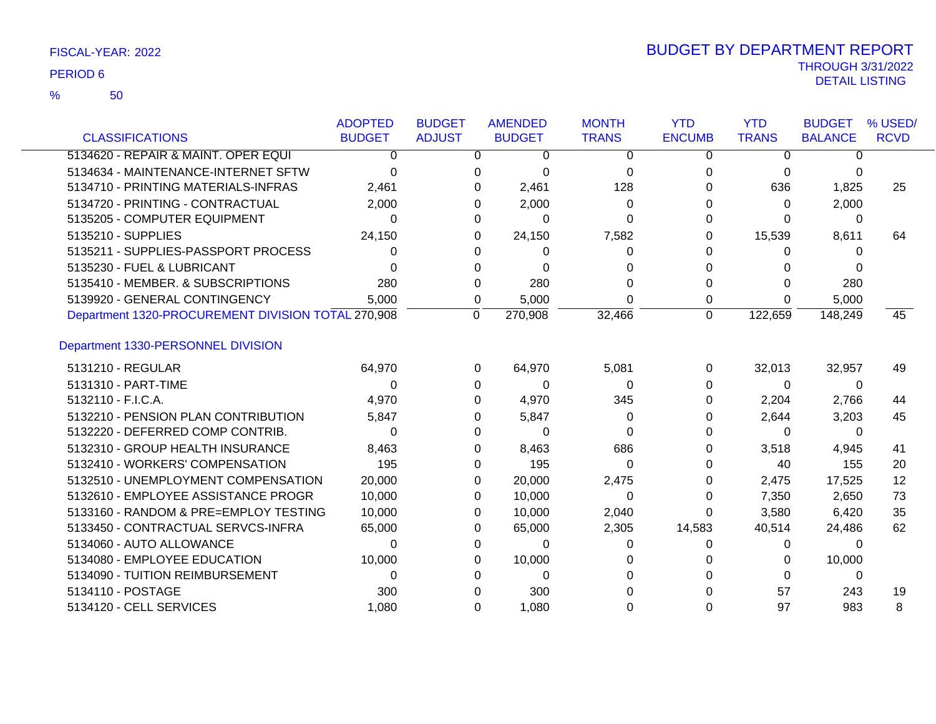### 50 %

|                                                    | <b>ADOPTED</b> | <b>BUDGET</b> | <b>AMENDED</b>           | <b>MONTH</b> | <b>YTD</b>     | <b>YTD</b>   | <b>BUDGET</b>  | % USED/     |
|----------------------------------------------------|----------------|---------------|--------------------------|--------------|----------------|--------------|----------------|-------------|
| <b>CLASSIFICATIONS</b>                             | <b>BUDGET</b>  | <b>ADJUST</b> | <b>BUDGET</b>            | <b>TRANS</b> | <b>ENCUMB</b>  | <b>TRANS</b> | <b>BALANCE</b> | <b>RCVD</b> |
| 5134620 - REPAIR & MAINT. OPER EQUI                | 0              | 0             | 0                        | 0            | 0              | 0            |                |             |
| 5134634 - MAINTENANCE-INTERNET SFTW                | 0              | 0             | 0                        | 0            | 0              | 0            | O              |             |
| 5134710 - PRINTING MATERIALS-INFRAS                | 2,461          | 0             | 2,461                    | 128          | ი              | 636          | 1,825          | 25          |
| 5134720 - PRINTING - CONTRACTUAL                   | 2,000          | 0             | 2,000                    | 0            | 0              | $\Omega$     | 2,000          |             |
| 5135205 - COMPUTER EQUIPMENT                       | 0              | 0             | 0                        | O            | 0              | 0            | 0              |             |
| 5135210 - SUPPLIES                                 | 24,150         | 0             | 24,150                   | 7,582        | 0              | 15,539       | 8,611          | 64          |
| 5135211 - SUPPLIES-PASSPORT PROCESS                | 0              | O             | 0                        | 0            | O              | 0            | $\Omega$       |             |
| 5135230 - FUEL & LUBRICANT                         | 0              | O             | 0                        |              |                | 0            | 0              |             |
| 5135410 - MEMBER. & SUBSCRIPTIONS                  | 280            | 0             | 280                      | O            | 0              | 0            | 280            |             |
| 5139920 - GENERAL CONTINGENCY                      | 5,000          | 0             | 5,000                    | O            | 0              | 0            | 5,000          |             |
| Department 1320-PROCUREMENT DIVISION TOTAL 270,908 |                | 0             | 270,908                  | 32,466       | $\overline{0}$ | 122,659      | 148,249        | 45          |
| Department 1330-PERSONNEL DIVISION                 |                |               |                          |              |                |              |                |             |
| 5131210 - REGULAR                                  | 64,970         |               | 64,970<br>$\overline{0}$ | 5,081        | 0              | 32,013       | 32,957         | 49          |
| 5131310 - PART-TIME                                | 0              |               | 0<br>0                   | 0            | 0              | 0            | 0              |             |
| 5132110 - F.I.C.A.                                 | 4,970          | 0             | 4,970                    | 345          | 0              | 2,204        | 2,766          | 44          |
| 5132210 - PENSION PLAN CONTRIBUTION                | 5,847          | 0             | 5,847                    | $\Omega$     | 0              | 2,644        | 3,203          | 45          |
| 5132220 - DEFERRED COMP CONTRIB.                   | 0              | $\Omega$      | 0                        | O            | 0              | 0            | $\Omega$       |             |
| 5132310 - GROUP HEALTH INSURANCE                   | 8,463          | 0             | 8,463                    | 686          | 0              | 3,518        | 4,945          | 41          |
| 5132410 - WORKERS' COMPENSATION                    | 195            | 0             | 195                      | 0            | 0              | 40           | 155            | 20          |
| 5132510 - UNEMPLOYMENT COMPENSATION                | 20,000         |               | 20,000<br>0              | 2,475        | 0              | 2,475        | 17,525         | 12          |
| 5132610 - EMPLOYEE ASSISTANCE PROGR                | 10,000         | 0             | 10,000                   | $\Omega$     | 0              | 7,350        | 2,650          | 73          |
| 5133160 - RANDOM & PRE=EMPLOY TESTING              | 10,000         |               | 10,000<br>0              | 2,040        | 0              | 3,580        | 6,420          | 35          |
| 5133450 - CONTRACTUAL SERVCS-INFRA                 | 65,000         |               | 65,000<br>0              | 2,305        | 14,583         | 40,514       | 24,486         | 62          |
| 5134060 - AUTO ALLOWANCE                           | 0              | 0             | $\Omega$                 | 0            | $\Omega$       | 0            | $\Omega$       |             |
| 5134080 - EMPLOYEE EDUCATION                       | 10,000         | 0             | 10,000                   |              |                | 0            | 10,000         |             |
| 5134090 - TUITION REIMBURSEMENT                    | 0              | $\Omega$      | 0                        | 0            |                | 0            | 0              |             |
| 5134110 - POSTAGE                                  | 300            |               | 300                      |              |                | 57           | 243            | 19          |
| 5134120 - CELL SERVICES                            | 1,080          | 0             | 1,080                    | 0            | 0              | 97           | 983            | 8           |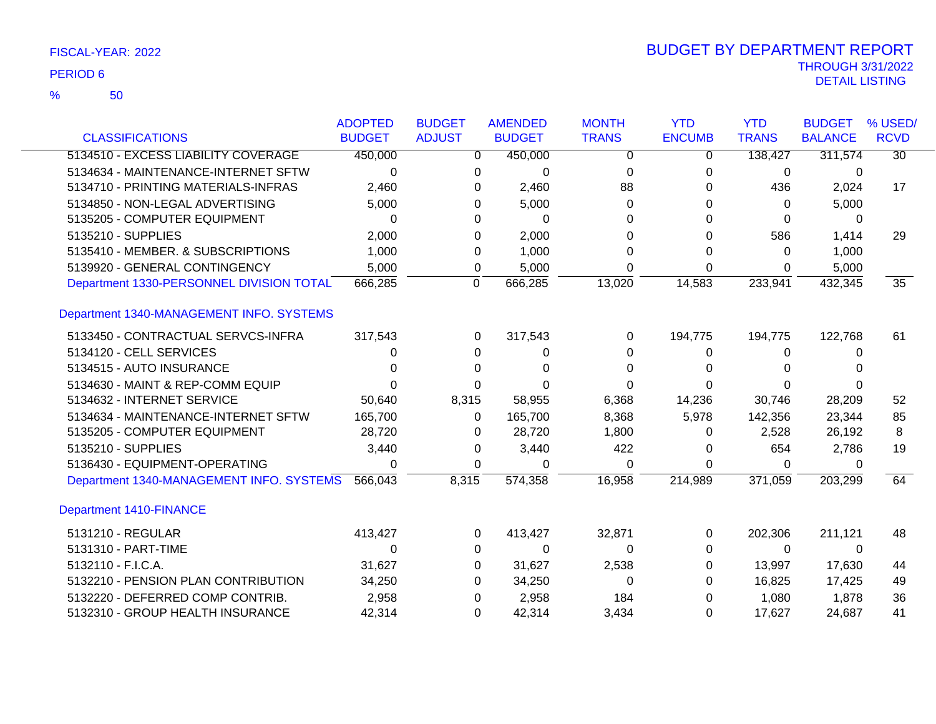|                                          | <b>ADOPTED</b> | <b>BUDGET</b> | <b>AMENDED</b>      | <b>MONTH</b> | <b>YTD</b>    | <b>YTD</b>   | <b>BUDGET</b>  | % USED/         |
|------------------------------------------|----------------|---------------|---------------------|--------------|---------------|--------------|----------------|-----------------|
| <b>CLASSIFICATIONS</b>                   | <b>BUDGET</b>  | <b>ADJUST</b> | <b>BUDGET</b>       | <b>TRANS</b> | <b>ENCUMB</b> | <b>TRANS</b> | <b>BALANCE</b> | <b>RCVD</b>     |
| 5134510 - EXCESS LIABILITY COVERAGE      | 450,000        |               | 450,000<br>$\Omega$ | 0            | 0             | 138,427      | 311,574        | $\overline{30}$ |
| 5134634 - MAINTENANCE-INTERNET SFTW      | $\Omega$       |               | 0<br>0              | $\Omega$     | 0             | 0            | 0              |                 |
| 5134710 - PRINTING MATERIALS-INFRAS      | 2,460          |               | 2,460<br>0          | 88           | 0             | 436          | 2,024          | 17              |
| 5134850 - NON-LEGAL ADVERTISING          | 5,000          |               | 5,000<br>0          | 0            | 0             | 0            | 5,000          |                 |
| 5135205 - COMPUTER EQUIPMENT             | $\Omega$       |               | $\Omega$<br>0       | 0            | U             | $\Omega$     | 0              |                 |
| 5135210 - SUPPLIES                       | 2,000          |               | 2,000<br>0          | 0            | 0             | 586          | 1,414          | 29              |
| 5135410 - MEMBER. & SUBSCRIPTIONS        | 1,000          |               | 1,000<br>0          | $\Omega$     | 0             | 0            | 1,000          |                 |
| 5139920 - GENERAL CONTINGENCY            | 5,000          | 0             | 5,000               | $\Omega$     | 0             | 0            | 5,000          |                 |
| Department 1330-PERSONNEL DIVISION TOTAL | 666,285        | 0             | 666,285             | 13,020       | 14,583        | 233,941      | 432,345        | $\overline{35}$ |
| Department 1340-MANAGEMENT INFO. SYSTEMS |                |               |                     |              |               |              |                |                 |
| 5133450 - CONTRACTUAL SERVCS-INFRA       | 317,543        |               | 317,543<br>0        | 0            | 194,775       | 194,775      | 122,768        | 61              |
| 5134120 - CELL SERVICES                  | 0              |               | 0<br>0              | 0            | 0             | 0            | 0              |                 |
| 5134515 - AUTO INSURANCE                 | ∩              |               | 0<br>$\Omega$       | 0            | 0             | 0            |                |                 |
| 5134630 - MAINT & REP-COMM EQUIP         | U              | 0             | O                   | 0            |               | 0            |                |                 |
| 5134632 - INTERNET SERVICE               | 50,640         | 8,315         | 58,955              | 6,368        | 14,236        | 30,746       | 28,209         | 52              |
| 5134634 - MAINTENANCE-INTERNET SFTW      | 165,700        |               | 165,700<br>0        | 8,368        | 5,978         | 142,356      | 23,344         | 85              |
| 5135205 - COMPUTER EQUIPMENT             | 28,720         |               | 28,720<br>0         | 1,800        | 0             | 2,528        | 26,192         | 8               |
| 5135210 - SUPPLIES                       | 3,440          |               | 3,440<br>0          | 422          | 0             | 654          | 2,786          | 19              |
| 5136430 - EQUIPMENT-OPERATING            | 0              |               | 0<br>$\Omega$       | 0            | 0             | 0            | $\Omega$       |                 |
| Department 1340-MANAGEMENT INFO. SYSTEMS | 566,043        | 8,315         | 574,358             | 16,958       | 214,989       | 371,059      | 203,299        | 64              |
| <b>Department 1410-FINANCE</b>           |                |               |                     |              |               |              |                |                 |
| 5131210 - REGULAR                        | 413,427        |               | 413,427<br>0        | 32,871       | 0             | 202,306      | 211,121        | 48              |
| 5131310 - PART-TIME                      | 0              |               | $\Omega$<br>0       | 0            | 0             | 0            | 0              |                 |
| 5132110 - F.I.C.A.                       | 31,627         |               | 31,627<br>0         | 2,538        | 0             | 13,997       | 17,630         | 44              |
| 5132210 - PENSION PLAN CONTRIBUTION      | 34,250         |               | 34,250<br>0         | $\Omega$     | 0             | 16,825       | 17,425         | 49              |
| 5132220 - DEFERRED COMP CONTRIB.         | 2,958          |               | 2,958<br>0          | 184          | 0             | 1,080        | 1,878          | 36              |
| 5132310 - GROUP HEALTH INSURANCE         | 42,314         |               | 42,314<br>0         | 3,434        | 0             | 17,627       | 24,687         | 41              |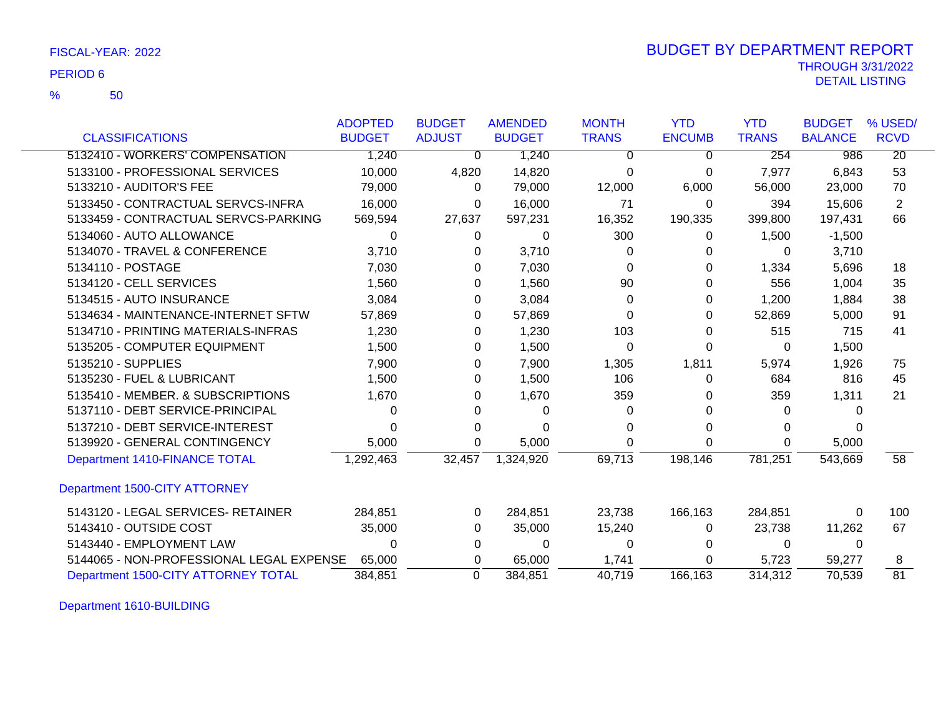50 %

| FISCAL-YEAR: 2022 | <b>BUDGET BY DEPARTMENT REPORT</b> |
|-------------------|------------------------------------|
|                   | <b>THROUGH 3/31/2022</b>           |
| <b>PERIOD 6</b>   | DETAIL LISTING                     |

|                                          | <b>ADOPTED</b> | <b>BUDGET</b> | <b>AMENDED</b> | <b>MONTH</b> | <b>YTD</b>    | <b>YTD</b>   | <b>BUDGET</b>  | % USED/         |
|------------------------------------------|----------------|---------------|----------------|--------------|---------------|--------------|----------------|-----------------|
| <b>CLASSIFICATIONS</b>                   | <b>BUDGET</b>  | <b>ADJUST</b> | <b>BUDGET</b>  | <b>TRANS</b> | <b>ENCUMB</b> | <b>TRANS</b> | <b>BALANCE</b> | <b>RCVD</b>     |
| 5132410 - WORKERS' COMPENSATION          | 1,240          | $\Omega$      | 1,240          | 0            | 0             | 254          | 986            | $\overline{20}$ |
| 5133100 - PROFESSIONAL SERVICES          | 10,000         | 4,820         | 14,820         | 0            | 0             | 7,977        | 6,843          | 53              |
| 5133210 - AUDITOR'S FEE                  | 79,000         | 0             | 79,000         | 12,000       | 6,000         | 56,000       | 23,000         | 70              |
| 5133450 - CONTRACTUAL SERVCS-INFRA       | 16,000         | 0             | 16,000         | 71           | 0             | 394          | 15,606         | 2               |
| 5133459 - CONTRACTUAL SERVCS-PARKING     | 569,594        | 27,637        | 597,231        | 16,352       | 190,335       | 399,800      | 197,431        | 66              |
| 5134060 - AUTO ALLOWANCE                 | 0              | 0             | 0              | 300          | 0             | 1,500        | $-1,500$       |                 |
| 5134070 - TRAVEL & CONFERENCE            | 3,710          | 0             | 3,710          | 0            | 0             | 0            | 3,710          |                 |
| 5134110 - POSTAGE                        | 7,030          | 0             | 7,030          | 0            | 0             | 1,334        | 5,696          | 18              |
| 5134120 - CELL SERVICES                  | 1,560          | 0             | 1,560          | 90           | 0             | 556          | 1,004          | 35              |
| 5134515 - AUTO INSURANCE                 | 3,084          | 0             | 3,084          | 0            | 0             | 1,200        | 1,884          | 38              |
| 5134634 - MAINTENANCE-INTERNET SFTW      | 57,869         | 0             | 57,869         | 0            | 0             | 52,869       | 5,000          | 91              |
| 5134710 - PRINTING MATERIALS-INFRAS      | 1,230          | 0             | 1,230          | 103          | 0             | 515          | 715            | 41              |
| 5135205 - COMPUTER EQUIPMENT             | 1,500          | 0             | 1,500          | 0            | 0             | 0            | 1,500          |                 |
| 5135210 - SUPPLIES                       | 7,900          | 0             | 7,900          | 1,305        | 1,811         | 5,974        | 1,926          | 75              |
| 5135230 - FUEL & LUBRICANT               | 1,500          | 0             | 1,500          | 106          | 0             | 684          | 816            | 45              |
| 5135410 - MEMBER, & SUBSCRIPTIONS        | 1,670          | 0             | 1,670          | 359          | 0             | 359          | 1,311          | 21              |
| 5137110 - DEBT SERVICE-PRINCIPAL         | 0              | 0             | 0              | 0            | 0             | 0            | O              |                 |
| 5137210 - DEBT SERVICE-INTEREST          |                | 0             | 0              | 0            | 0             | 0            |                |                 |
| 5139920 - GENERAL CONTINGENCY            | 5,000          | 0             | 5,000          | 0            | 0             | 0            | 5,000          |                 |
| Department 1410-FINANCE TOTAL            | 1,292,463      | 32,457        | 1,324,920      | 69,713       | 198,146       | 781,251      | 543,669        | 58              |
| Department 1500-CITY ATTORNEY            |                |               |                |              |               |              |                |                 |
| 5143120 - LEGAL SERVICES- RETAINER       | 284,851        | 0             | 284,851        | 23,738       | 166,163       | 284,851      | 0              | 100             |
| 5143410 - OUTSIDE COST                   | 35,000         | 0             | 35,000         | 15,240       | $\Omega$      | 23,738       | 11,262         | 67              |
| 5143440 - EMPLOYMENT LAW                 | $\Omega$       | 0             | $\Omega$       | 0            | 0             | $\Omega$     | $\Omega$       |                 |
| 5144065 - NON-PROFESSIONAL LEGAL EXPENSE | 65,000         | 0             | 65,000         | 1,741        | 0             | 5,723        | 59,277         | 8               |
| Department 1500-CITY ATTORNEY TOTAL      | 384,851        | $\Omega$      | 384,851        | 40.719       | 166,163       | 314,312      | 70,539         | 81              |

Department 1610-BUILDING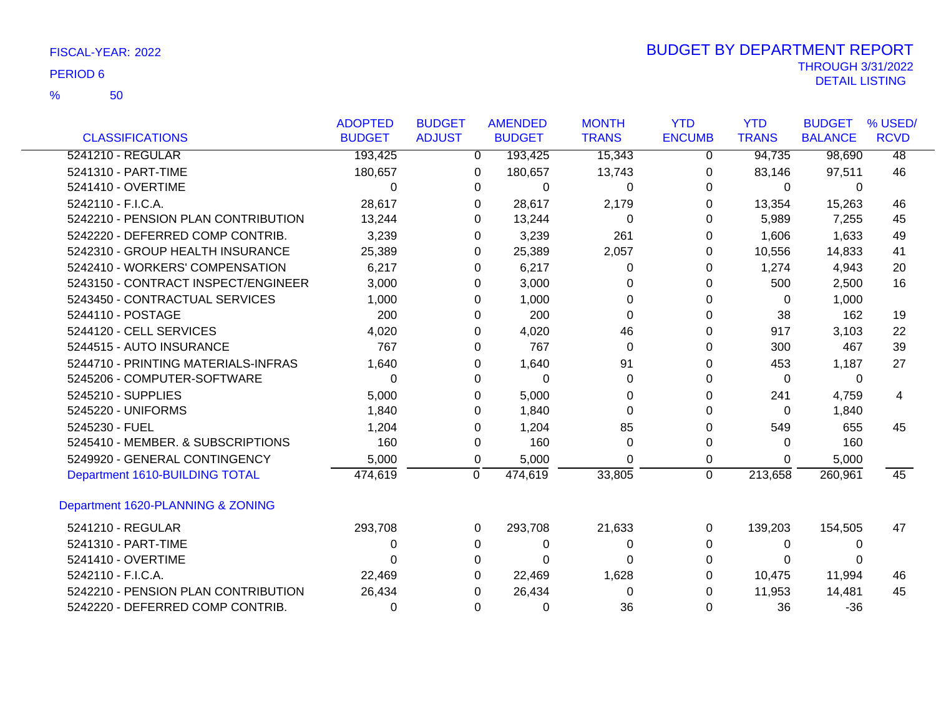50 %

|                                     | <b>ADOPTED</b> | <b>BUDGET</b> |                | <b>AMENDED</b> | <b>MONTH</b> | <b>YTD</b>    | <b>YTD</b>   | <b>BUDGET</b>  | % USED/         |
|-------------------------------------|----------------|---------------|----------------|----------------|--------------|---------------|--------------|----------------|-----------------|
| <b>CLASSIFICATIONS</b>              | <b>BUDGET</b>  | <b>ADJUST</b> |                | <b>BUDGET</b>  | <b>TRANS</b> | <b>ENCUMB</b> | <b>TRANS</b> | <b>BALANCE</b> | <b>RCVD</b>     |
| 5241210 - REGULAR                   | 193,425        |               | 0              | 193,425        | 15,343       | 0             | 94,735       | 98,690         | $\overline{48}$ |
| 5241310 - PART-TIME                 | 180,657        |               | 0              | 180,657        | 13,743       | 0             | 83,146       | 97,511         | 46              |
| 5241410 - OVERTIME                  | $\Omega$       |               | 0              | 0              | 0            | $\Omega$      | $\mathbf{0}$ | $\Omega$       |                 |
| 5242110 - F.I.C.A.                  | 28,617         |               | 0              | 28,617         | 2,179        | 0             | 13,354       | 15,263         | 46              |
| 5242210 - PENSION PLAN CONTRIBUTION | 13,244         |               | 0              | 13,244         | 0            | 0             | 5,989        | 7,255          | 45              |
| 5242220 - DEFERRED COMP CONTRIB.    | 3,239          |               | 0              | 3,239          | 261          | 0             | 1,606        | 1,633          | 49              |
| 5242310 - GROUP HEALTH INSURANCE    | 25,389         |               | 0              | 25,389         | 2,057        | 0             | 10,556       | 14,833         | 41              |
| 5242410 - WORKERS' COMPENSATION     | 6,217          |               | 0              | 6,217          | 0            | 0             | 1,274        | 4,943          | 20              |
| 5243150 - CONTRACT INSPECT/ENGINEER | 3,000          |               | 0              | 3,000          | 0            | 0             | 500          | 2,500          | 16              |
| 5243450 - CONTRACTUAL SERVICES      | 1,000          |               | 0              | 1,000          | 0            | 0             | $\mathbf 0$  | 1,000          |                 |
| 5244110 - POSTAGE                   | 200            |               | 0              | 200            | 0            | 0             | 38           | 162            | 19              |
| 5244120 - CELL SERVICES             | 4,020          |               | 0              | 4,020          | 46           | 0             | 917          | 3,103          | 22              |
| 5244515 - AUTO INSURANCE            | 767            |               | 0              | 767            | 0            | $\Omega$      | 300          | 467            | 39              |
| 5244710 - PRINTING MATERIALS-INFRAS | 1,640          |               | 0              | 1,640          | 91           | 0             | 453          | 1,187          | 27              |
| 5245206 - COMPUTER-SOFTWARE         | 0              |               | 0              | $\Omega$       | 0            | 0             | $\mathbf{0}$ | $\Omega$       |                 |
| 5245210 - SUPPLIES                  | 5,000          |               | 0              | 5,000          | 0            | 0             | 241          | 4,759          | 4               |
| 5245220 - UNIFORMS                  | 1,840          |               | 0              | 1,840          | 0            | 0             | $\Omega$     | 1,840          |                 |
| 5245230 - FUEL                      | 1,204          |               | 0              | 1,204          | 85           | $\Omega$      | 549          | 655            | 45              |
| 5245410 - MEMBER. & SUBSCRIPTIONS   | 160            |               | 0              | 160            | 0            | 0             | $\Omega$     | 160            |                 |
| 5249920 - GENERAL CONTINGENCY       | 5,000          |               | 0              | 5,000          | 0            | 0             | 0            | 5,000          |                 |
| Department 1610-BUILDING TOTAL      | 474,619        |               | $\overline{0}$ | 474,619        | 33,805       | $\mathbf 0$   | 213,658      | 260,961        | 45              |
| Department 1620-PLANNING & ZONING   |                |               |                |                |              |               |              |                |                 |
| 5241210 - REGULAR                   | 293,708        |               | 0              | 293,708        | 21,633       | 0             | 139,203      | 154,505        | 47              |
| 5241310 - PART-TIME                 | 0              |               | 0              | 0              | 0            | 0             | 0            | $\Omega$       |                 |
| 5241410 - OVERTIME                  | 0              |               | 0              | $\Omega$       | $\Omega$     | $\Omega$      | $\Omega$     | 0              |                 |
| 5242110 - F.I.C.A.                  | 22,469         |               | 0              | 22,469         | 1,628        | 0             | 10,475       | 11,994         | 46              |
| 5242210 - PENSION PLAN CONTRIBUTION | 26,434         |               | 0              | 26,434         | 0            | 0             | 11,953       | 14,481         | 45              |
| 5242220 - DEFERRED COMP CONTRIB.    | 0              |               | 0              | 0              | 36           | $\Omega$      | 36           | $-36$          |                 |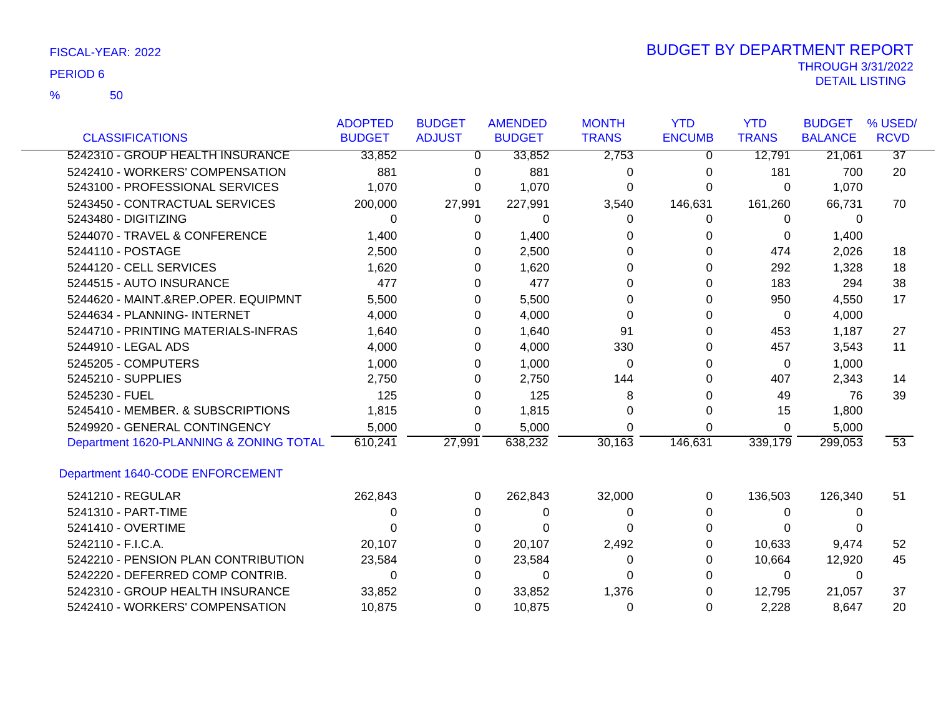|                                         | <b>ADOPTED</b> | <b>BUDGET</b> | <b>AMENDED</b> | <b>MONTH</b> | <b>YTD</b>    | <b>YTD</b>   | <b>BUDGET</b>  | % USED/         |
|-----------------------------------------|----------------|---------------|----------------|--------------|---------------|--------------|----------------|-----------------|
| <b>CLASSIFICATIONS</b>                  | <b>BUDGET</b>  | <b>ADJUST</b> | <b>BUDGET</b>  | <b>TRANS</b> | <b>ENCUMB</b> | <b>TRANS</b> | <b>BALANCE</b> | <b>RCVD</b>     |
| 5242310 - GROUP HEALTH INSURANCE        | 33,852         | 0             | 33,852         | 2,753        | 0             | 12,791       | 21,061         | $\overline{37}$ |
| 5242410 - WORKERS' COMPENSATION         | 881            | 0             | 881            | 0            | 0             | 181          | 700            | 20              |
| 5243100 - PROFESSIONAL SERVICES         | 1,070          | 0             | 1,070          | 0            | 0             | 0            | 1,070          |                 |
| 5243450 - CONTRACTUAL SERVICES          | 200,000        | 27,991        | 227,991        | 3,540        | 146,631       | 161,260      | 66,731         | 70              |
| 5243480 - DIGITIZING                    | 0              | 0             | 0              | $\Omega$     | 0             | $\Omega$     | 0              |                 |
| 5244070 - TRAVEL & CONFERENCE           | 1,400          | 0             | 1,400          | 0            | 0             | 0            | 1,400          |                 |
| 5244110 - POSTAGE                       | 2,500          | 0             | 2,500          | 0            | 0             | 474          | 2,026          | 18              |
| 5244120 - CELL SERVICES                 | 1,620          | 0             | 1,620          | 0            | O             | 292          | 1,328          | 18              |
| 5244515 - AUTO INSURANCE                | 477            | 0             | 477            | 0            | 0             | 183          | 294            | 38              |
| 5244620 - MAINT.&REP.OPER. EQUIPMNT     | 5,500          | 0             | 5,500          | 0            | 0             | 950          | 4,550          | 17              |
| 5244634 - PLANNING- INTERNET            | 4,000          | 0             | 4,000          | $\Omega$     | 0             | 0            | 4,000          |                 |
| 5244710 - PRINTING MATERIALS-INFRAS     | 1,640          | 0             | 1,640          | 91           | 0             | 453          | 1,187          | 27              |
| 5244910 - LEGAL ADS                     | 4,000          | 0             | 4,000          | 330          | O             | 457          | 3,543          | 11              |
| 5245205 - COMPUTERS                     | 1,000          | 0             | 1,000          | 0            | ი             | 0            | 1,000          |                 |
| 5245210 - SUPPLIES                      | 2,750          | 0             | 2,750          | 144          | 0             | 407          | 2,343          | 14              |
| 5245230 - FUEL                          | 125            | 0             | 125            | 8            | 0             | 49           | 76             | 39              |
| 5245410 - MEMBER. & SUBSCRIPTIONS       | 1,815          | 0             | 1,815          | 0            | 0             | 15           | 1,800          |                 |
| 5249920 - GENERAL CONTINGENCY           | 5,000          | 0             | 5,000          | 0            | 0             | $\Omega$     | 5,000          |                 |
| Department 1620-PLANNING & ZONING TOTAL | 610,241        | 27,991        | 638,232        | 30,163       | 146,631       | 339,179      | 299,053        | $\overline{53}$ |
| Department 1640-CODE ENFORCEMENT        |                |               |                |              |               |              |                |                 |
| 5241210 - REGULAR                       | 262,843        | 0             | 262,843        | 32,000       | 0             | 136,503      | 126,340        | 51              |
| 5241310 - PART-TIME                     | 0              | $\Omega$      | 0              | 0            | 0             | $\Omega$     | 0              |                 |
| 5241410 - OVERTIME                      | 0              | 0             | $\Omega$       | 0            | 0             | 0            |                |                 |
| 5242110 - F.I.C.A.                      | 20,107         | 0             | 20,107         | 2,492        | 0             | 10,633       | 9,474          | 52              |
| 5242210 - PENSION PLAN CONTRIBUTION     | 23,584         | 0             | 23,584         | 0            | 0             | 10,664       | 12,920         | 45              |
| 5242220 - DEFERRED COMP CONTRIB.        | 0              | 0             | 0              | 0            | 0             | $\Omega$     | $\Omega$       |                 |
| 5242310 - GROUP HEALTH INSURANCE        | 33,852         | 0             | 33,852         | 1,376        | 0             | 12,795       | 21,057         | 37              |
| 5242410 - WORKERS' COMPENSATION         | 10,875         | 0             | 10,875         | $\Omega$     | 0             | 2,228        | 8,647          | 20              |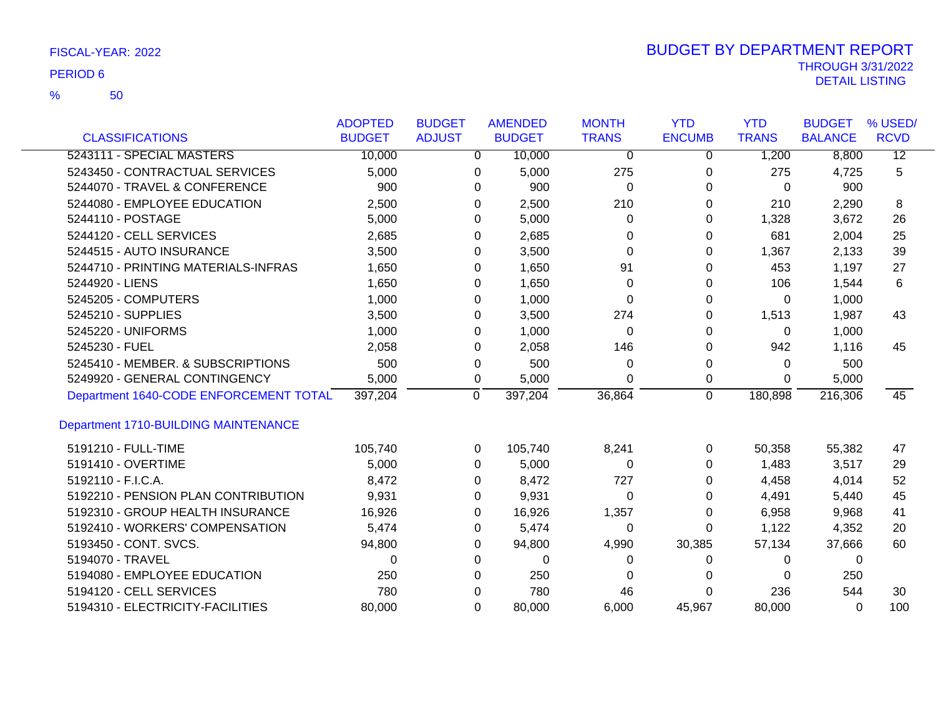|                                        | <b>ADOPTED</b> | <b>BUDGET</b> |          | <b>AMENDED</b> | <b>MONTH</b> | <b>YTD</b>    | <b>YTD</b>   | <b>BUDGET</b>  | % USED/         |
|----------------------------------------|----------------|---------------|----------|----------------|--------------|---------------|--------------|----------------|-----------------|
| <b>CLASSIFICATIONS</b>                 | <b>BUDGET</b>  | <b>ADJUST</b> |          | <b>BUDGET</b>  | <b>TRANS</b> | <b>ENCUMB</b> | <b>TRANS</b> | <b>BALANCE</b> | <b>RCVD</b>     |
| 5243111 - SPECIAL MASTERS              | 10,000         |               | 0        | 10,000         | $\Omega$     | 0             | 1,200        | 8,800          | $\overline{12}$ |
| 5243450 - CONTRACTUAL SERVICES         | 5,000          |               | 0        | 5,000          | 275          | 0             | 275          | 4,725          | 5               |
| 5244070 - TRAVEL & CONFERENCE          | 900            |               | 0        | 900            | $\Omega$     | 0             | $\mathbf{0}$ | 900            |                 |
| 5244080 - EMPLOYEE EDUCATION           | 2,500          |               | 0        | 2,500          | 210          | 0             | 210          | 2,290          | 8               |
| 5244110 - POSTAGE                      | 5,000          |               | 0        | 5,000          | 0            | 0             | 1,328        | 3,672          | 26              |
| 5244120 - CELL SERVICES                | 2,685          |               | 0        | 2,685          | 0            | 0             | 681          | 2,004          | 25              |
| 5244515 - AUTO INSURANCE               | 3,500          |               | 0        | 3,500          | $\Omega$     | 0             | 1,367        | 2,133          | 39              |
| 5244710 - PRINTING MATERIALS-INFRAS    | 1,650          |               | 0        | 1,650          | 91           | 0             | 453          | 1,197          | 27              |
| 5244920 - LIENS                        | 1,650          |               | 0        | 1,650          | 0            | 0             | 106          | 1,544          | 6               |
| 5245205 - COMPUTERS                    | 1,000          |               | 0        | 1,000          | 0            | 0             | 0            | 1,000          |                 |
| 5245210 - SUPPLIES                     | 3,500          |               | 0        | 3,500          | 274          | 0             | 1,513        | 1,987          | 43              |
| 5245220 - UNIFORMS                     | 1,000          |               | 0        | 1,000          | 0            | 0             | 0            | 1,000          |                 |
| 5245230 - FUEL                         | 2,058          |               | 0        | 2,058          | 146          | 0             | 942          | 1,116          | 45              |
| 5245410 - MEMBER. & SUBSCRIPTIONS      | 500            |               | 0        | 500            | 0            | 0             | 0            | 500            |                 |
| 5249920 - GENERAL CONTINGENCY          | 5,000          |               | 0        | 5,000          | 0            | 0             | 0            | 5,000          |                 |
| Department 1640-CODE ENFORCEMENT TOTAL | 397,204        |               | $\Omega$ | 397,204        | 36,864       | $\mathbf 0$   | 180,898      | 216,306        | 45              |
| Department 1710-BUILDING MAINTENANCE   |                |               |          |                |              |               |              |                |                 |
| 5191210 - FULL-TIME                    | 105,740        |               | 0        | 105,740        | 8,241        | 0             | 50,358       | 55,382         | 47              |
| 5191410 - OVERTIME                     | 5,000          |               | $\Omega$ | 5,000          | 0            | 0             | 1,483        | 3,517          | 29              |
| 5192110 - F.I.C.A.                     | 8,472          |               | 0        | 8,472          | 727          | 0             | 4,458        | 4,014          | 52              |
| 5192210 - PENSION PLAN CONTRIBUTION    | 9,931          |               | 0        | 9,931          | 0            | 0             | 4,491        | 5,440          | 45              |
| 5192310 - GROUP HEALTH INSURANCE       | 16,926         |               | 0        | 16,926         | 1,357        | 0             | 6,958        | 9,968          | 41              |
| 5192410 - WORKERS' COMPENSATION        | 5,474          |               | 0        | 5,474          | 0            | 0             | 1,122        | 4,352          | 20              |
| 5193450 - CONT. SVCS.                  | 94,800         |               | 0        | 94,800         | 4,990        | 30,385        | 57,134       | 37,666         | 60              |
| 5194070 - TRAVEL                       | 0              |               | 0        | 0              | 0            | 0             | 0            | 0              |                 |
| 5194080 - EMPLOYEE EDUCATION           | 250            |               | 0        | 250            | 0            | 0             | $\Omega$     | 250            |                 |
| 5194120 - CELL SERVICES                | 780            |               | 0        | 780            | 46           | 0             | 236          | 544            | 30              |
| 5194310 - ELECTRICITY-FACILITIES       | 80,000         |               | $\Omega$ | 80,000         | 6,000        | 45,967        | 80,000       | $\Omega$       | 100             |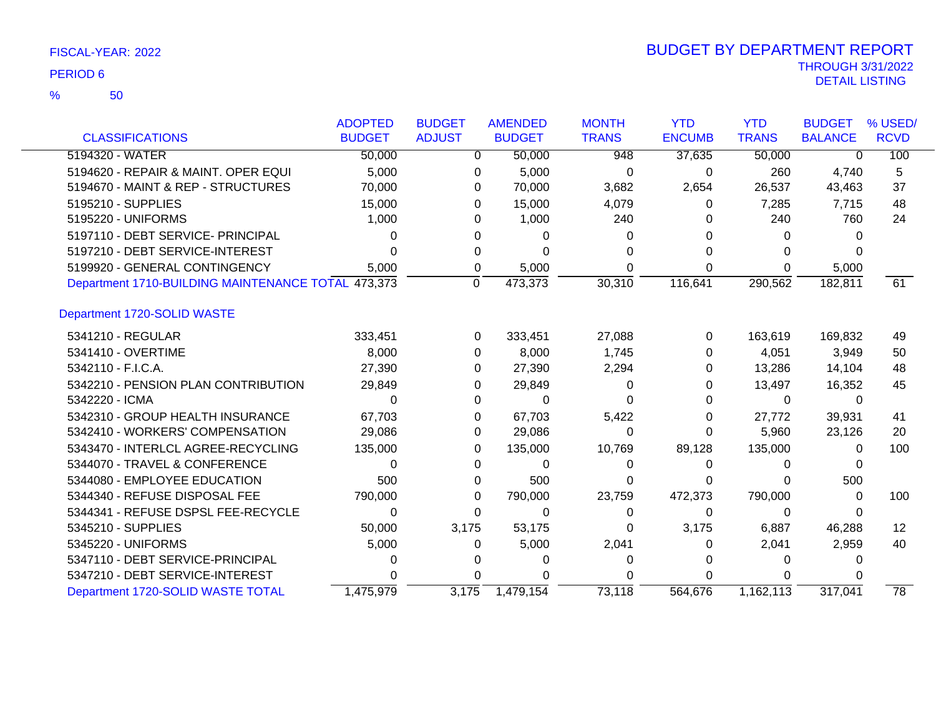|                                                    | <b>ADOPTED</b> | <b>BUDGET</b> | <b>AMENDED</b> | <b>MONTH</b> | <b>YTD</b>    | <b>YTD</b>   | <b>BUDGET</b>  | % USED/         |
|----------------------------------------------------|----------------|---------------|----------------|--------------|---------------|--------------|----------------|-----------------|
| <b>CLASSIFICATIONS</b>                             | <b>BUDGET</b>  | <b>ADJUST</b> | <b>BUDGET</b>  | <b>TRANS</b> | <b>ENCUMB</b> | <b>TRANS</b> | <b>BALANCE</b> | <b>RCVD</b>     |
| 5194320 - WATER                                    | 50,000         | $\Omega$      | 50,000         | 948          | 37,635        | 50,000       | 0              | 100             |
| 5194620 - REPAIR & MAINT. OPER EQUI                | 5,000          | 0             | 5,000          | 0            | 0             | 260          | 4,740          | 5               |
| 5194670 - MAINT & REP - STRUCTURES                 | 70,000         | 0             | 70,000         | 3,682        | 2,654         | 26,537       | 43,463         | 37              |
| 5195210 - SUPPLIES                                 | 15,000         | 0             | 15,000         | 4,079        | 0             | 7,285        | 7,715          | 48              |
| 5195220 - UNIFORMS                                 | 1,000          | 0             | 1,000          | 240          | 0             | 240          | 760            | 24              |
| 5197110 - DEBT SERVICE- PRINCIPAL                  | 0              |               | 0              |              |               | 0            |                |                 |
| 5197210 - DEBT SERVICE-INTEREST                    | ი              | 0             | 0              |              |               | 0            |                |                 |
| 5199920 - GENERAL CONTINGENCY                      | 5,000          | 0             | 5,000          | 0            | 0             | 0            | 5,000          |                 |
| Department 1710-BUILDING MAINTENANCE TOTAL 473,373 |                | 0             | 473,373        | 30,310       | 116,641       | 290,562      | 182,811        | 61              |
| Department 1720-SOLID WASTE                        |                |               |                |              |               |              |                |                 |
| 5341210 - REGULAR                                  | 333,451        | 0             | 333,451        | 27,088       | 0             | 163,619      | 169,832        | 49              |
| 5341410 - OVERTIME                                 | 8,000          | 0             | 8,000          | 1,745        | 0             | 4,051        | 3,949          | 50              |
| 5342110 - F.I.C.A.                                 | 27,390         | 0             | 27,390         | 2,294        | 0             | 13,286       | 14,104         | 48              |
| 5342210 - PENSION PLAN CONTRIBUTION                | 29,849         | 0             | 29,849         | 0            | 0             | 13,497       | 16,352         | 45              |
| 5342220 - ICMA                                     | 0              | 0             | 0              |              | 0             | 0            | $\Omega$       |                 |
| 5342310 - GROUP HEALTH INSURANCE                   | 67,703         | 0             | 67,703         | 5,422        | 0             | 27,772       | 39,931         | 41              |
| 5342410 - WORKERS' COMPENSATION                    | 29,086         | 0             | 29,086         | 0            | 0             | 5,960        | 23,126         | 20              |
| 5343470 - INTERLCL AGREE-RECYCLING                 | 135,000        | 0             | 135,000        | 10,769       | 89,128        | 135,000      | 0              | 100             |
| 5344070 - TRAVEL & CONFERENCE                      | 0              | 0             | 0              | 0            | 0             | 0            |                |                 |
| 5344080 - EMPLOYEE EDUCATION                       | 500            | 0             | 500            | O            | 0             | 0            | 500            |                 |
| 5344340 - REFUSE DISPOSAL FEE                      | 790,000        | 0             | 790,000        | 23,759       | 472,373       | 790,000      | 0              | 100             |
| 5344341 - REFUSE DSPSL FEE-RECYCLE                 | 0              | 0             | 0              | 0            | 0             | 0            |                |                 |
| 5345210 - SUPPLIES                                 | 50,000         | 3,175         | 53,175         | O            | 3,175         | 6,887        | 46,288         | 12              |
| 5345220 - UNIFORMS                                 | 5,000          | 0             | 5,000          | 2,041        | 0             | 2,041        | 2,959          | 40              |
| 5347110 - DEBT SERVICE-PRINCIPAL                   |                |               |                |              |               | 0            |                |                 |
| 5347210 - DEBT SERVICE-INTEREST                    |                |               |                |              | 0             | 0            |                |                 |
| Department 1720-SOLID WASTE TOTAL                  | 1,475,979      | 3,175         | 1,479,154      | 73.118       | 564.676       | 1,162,113    | 317,041        | $\overline{78}$ |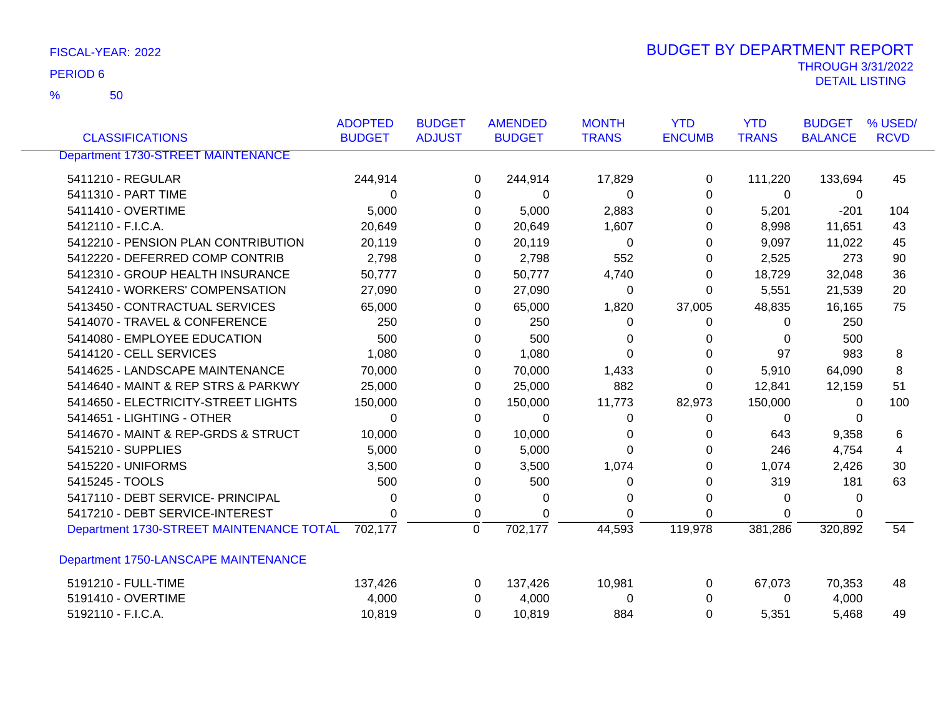| FISCAL-YEAR: 2022 | <b>BUDGET BY DEPARTMENT REPORT</b> |
|-------------------|------------------------------------|
|                   | <b>THROUGH 3/31/2022</b>           |
| <b>PERIOD 6</b>   | DETAIL LISTING                     |

|                                           | <b>ADOPTED</b> | <b>BUDGET</b> | <b>AMENDED</b>            | <b>MONTH</b> | <b>YTD</b>    | <b>YTD</b>   | <b>BUDGET</b>  | % USED/         |
|-------------------------------------------|----------------|---------------|---------------------------|--------------|---------------|--------------|----------------|-----------------|
| <b>CLASSIFICATIONS</b>                    | <b>BUDGET</b>  | <b>ADJUST</b> | <b>BUDGET</b>             | <b>TRANS</b> | <b>ENCUMB</b> | <b>TRANS</b> | <b>BALANCE</b> | <b>RCVD</b>     |
| <b>Department 1730-STREET MAINTENANCE</b> |                |               |                           |              |               |              |                |                 |
| 5411210 - REGULAR                         | 244,914        |               | 244,914<br>0              | 17,829       | 0             | 111,220      | 133,694        | 45              |
| 5411310 - PART TIME                       | $\Omega$       |               | $\Omega$<br>0             | 0            | 0             | $\Omega$     | 0              |                 |
| 5411410 - OVERTIME                        | 5,000          |               | 5,000<br>0                | 2,883        | 0             | 5,201        | $-201$         | 104             |
| 5412110 - F.I.C.A.                        | 20,649         |               | 20,649<br>0               | 1,607        | 0             | 8,998        | 11,651         | 43              |
| 5412210 - PENSION PLAN CONTRIBUTION       | 20,119         |               | 20,119<br>0               | $\Omega$     | 0             | 9,097        | 11,022         | 45              |
| 5412220 - DEFERRED COMP CONTRIB           | 2,798          |               | 2,798<br>0                | 552          | 0             | 2,525        | 273            | 90              |
| 5412310 - GROUP HEALTH INSURANCE          | 50,777         |               | 50,777<br>0               | 4,740        | 0             | 18,729       | 32,048         | 36              |
| 5412410 - WORKERS' COMPENSATION           | 27,090         |               | 27,090<br>0               | 0            | 0             | 5,551        | 21,539         | 20              |
| 5413450 - CONTRACTUAL SERVICES            | 65,000         |               | 65,000<br>0               | 1,820        | 37,005        | 48,835       | 16,165         | 75              |
| 5414070 - TRAVEL & CONFERENCE             | 250            |               | 250<br>0                  | 0            | 0             | 0            | 250            |                 |
| 5414080 - EMPLOYEE EDUCATION              | 500            |               | 500<br>0                  | 0            | 0             | 0            | 500            |                 |
| 5414120 - CELL SERVICES                   | 1,080          |               | 1,080<br>0                | 0            | 0             | 97           | 983            | 8               |
| 5414625 - LANDSCAPE MAINTENANCE           | 70,000         |               | 70,000<br>0               | 1,433        | 0             | 5,910        | 64,090         | 8               |
| 5414640 - MAINT & REP STRS & PARKWY       | 25,000         |               | 25,000<br>0               | 882          | 0             | 12,841       | 12,159         | 51              |
| 5414650 - ELECTRICITY-STREET LIGHTS       | 150,000        |               | 150,000<br>0              | 11,773       | 82,973        | 150,000      | $\Omega$       | 100             |
| 5414651 - LIGHTING - OTHER                | $\Omega$       |               | 0<br>0                    | 0            | 0             | 0            | 0              |                 |
| 5414670 - MAINT & REP-GRDS & STRUCT       | 10,000         |               | 10,000<br>0               | 0            | 0             | 643          | 9,358          | 6               |
| 5415210 - SUPPLIES                        | 5,000          |               | 5,000<br>0                | $\Omega$     | 0             | 246          | 4,754          | 4               |
| 5415220 - UNIFORMS                        | 3,500          |               | 3,500<br>0                | 1,074        | 0             | 1,074        | 2,426          | 30              |
| 5415245 - TOOLS                           | 500            |               | 500<br>0                  | 0            | 0             | 319          | 181            | 63              |
| 5417110 - DEBT SERVICE- PRINCIPAL         | 0              |               | 0<br>0                    | 0            | 0             | 0            | 0              |                 |
| 5417210 - DEBT SERVICE-INTEREST           | 0              |               | 0<br>0                    | 0            | 0             | $\Omega$     |                |                 |
| Department 1730-STREET MAINTENANCE TOTAL  | 702,177        |               | $\overline{0}$<br>702,177 | 44,593       | 119,978       | 381,286      | 320,892        | $\overline{54}$ |
| Department 1750-LANSCAPE MAINTENANCE      |                |               |                           |              |               |              |                |                 |
| 5191210 - FULL-TIME                       | 137,426        |               | 137,426<br>$\Omega$       | 10,981       | 0             | 67,073       | 70,353         | 48              |
| 5191410 - OVERTIME                        | 4,000          |               | 4,000<br>$\Omega$         | 0            | 0             | 0            | 4,000          |                 |
| 5192110 - F.I.C.A.                        | 10,819         |               | 10,819<br>$\Omega$        | 884          | 0             | 5,351        | 5,468          | 49              |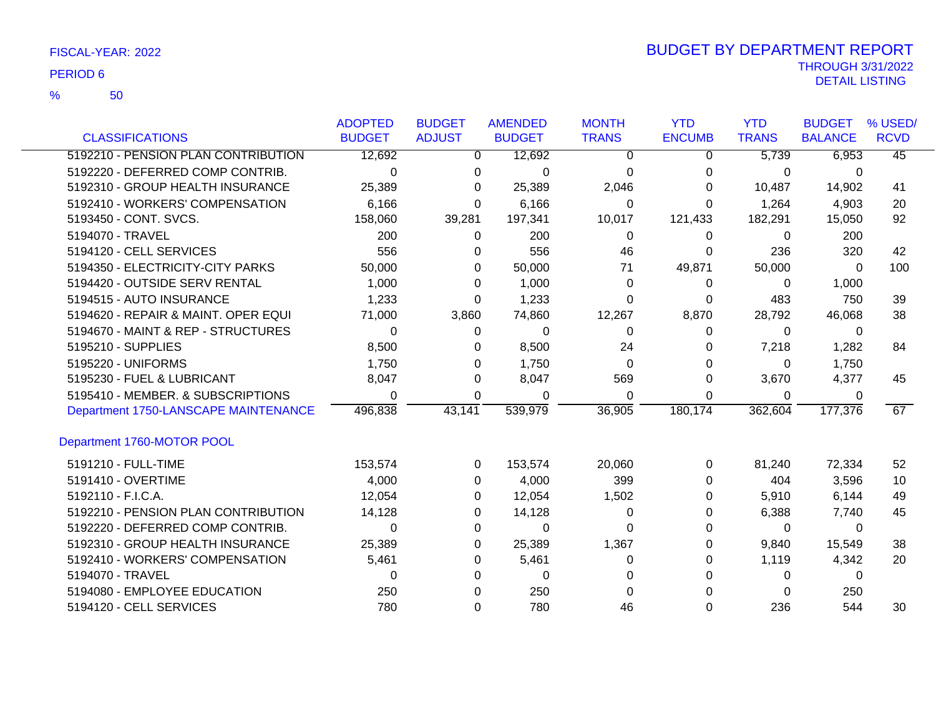50 %

|                                      | <b>ADOPTED</b> | <b>BUDGET</b> | <b>AMENDED</b> | <b>MONTH</b> | <b>YTD</b>    | <b>YTD</b>   | <b>BUDGET</b>  | % USED/         |
|--------------------------------------|----------------|---------------|----------------|--------------|---------------|--------------|----------------|-----------------|
| <b>CLASSIFICATIONS</b>               | <b>BUDGET</b>  | <b>ADJUST</b> | <b>BUDGET</b>  | <b>TRANS</b> | <b>ENCUMB</b> | <b>TRANS</b> | <b>BALANCE</b> | <b>RCVD</b>     |
| 5192210 - PENSION PLAN CONTRIBUTION  | 12,692         | 0             | 12,692         | 0            | 0             | 5,739        | 6,953          | $\overline{45}$ |
| 5192220 - DEFERRED COMP CONTRIB.     | 0              | 0             | 0              | 0            | 0             | 0            | 0              |                 |
| 5192310 - GROUP HEALTH INSURANCE     | 25,389         | 0             | 25,389         | 2,046        | 0             | 10,487       | 14,902         | 41              |
| 5192410 - WORKERS' COMPENSATION      | 6,166          | 0             | 6,166          | 0            | 0             | 1,264        | 4,903          | 20              |
| 5193450 - CONT. SVCS.                | 158,060        | 39,281        | 197,341        | 10,017       | 121,433       | 182,291      | 15,050         | 92              |
| 5194070 - TRAVEL                     | 200            | 0             | 200            | 0            | 0             | 0            | 200            |                 |
| 5194120 - CELL SERVICES              | 556            | 0             | 556            | 46           | 0             | 236          | 320            | 42              |
| 5194350 - ELECTRICITY-CITY PARKS     | 50,000         | 0             | 50,000         | 71           | 49,871        | 50,000       | $\Omega$       | 100             |
| 5194420 - OUTSIDE SERV RENTAL        | 1,000          | 0             | 1,000          | 0            | 0             | 0            | 1,000          |                 |
| 5194515 - AUTO INSURANCE             | 1,233          | 0             | 1,233          | 0            | 0             | 483          | 750            | 39              |
| 5194620 - REPAIR & MAINT. OPER EQUI  | 71,000         | 3,860         | 74,860         | 12,267       | 8,870         | 28,792       | 46,068         | 38              |
| 5194670 - MAINT & REP - STRUCTURES   | 0              | $\Omega$      | 0              | 0            | 0             | 0            | 0              |                 |
| 5195210 - SUPPLIES                   | 8,500          | 0             | 8,500          | 24           | 0             | 7,218        | 1,282          | 84              |
| 5195220 - UNIFORMS                   | 1,750          | 0             | 1,750          | $\Omega$     | 0             | $\Omega$     | 1,750          |                 |
| 5195230 - FUEL & LUBRICANT           | 8,047          | 0             | 8,047          | 569          | 0             | 3,670        | 4,377          | 45              |
| 5195410 - MEMBER. & SUBSCRIPTIONS    | 0              | $\Omega$      | 0              | $\Omega$     | 0             | $\Omega$     | $\Omega$       |                 |
| Department 1750-LANSCAPE MAINTENANCE | 496,838        | 43,141        | 539,979        | 36,905       | 180,174       | 362,604      | 177,376        | 67              |
| Department 1760-MOTOR POOL           |                |               |                |              |               |              |                |                 |
| 5191210 - FULL-TIME                  | 153,574        | $\Omega$      | 153,574        | 20,060       | 0             | 81,240       | 72,334         | 52              |
| 5191410 - OVERTIME                   | 4,000          | 0             | 4,000          | 399          | 0             | 404          | 3,596          | 10              |
| 5192110 - F.I.C.A.                   | 12,054         | 0             | 12,054         | 1,502        | 0             | 5,910        | 6,144          | 49              |
| 5192210 - PENSION PLAN CONTRIBUTION  | 14,128         | 0             | 14,128         | 0            | 0             | 6,388        | 7,740          | 45              |
| 5192220 - DEFERRED COMP CONTRIB.     | 0              | 0             | 0              | 0            | 0             | 0            | 0              |                 |
| 5192310 - GROUP HEALTH INSURANCE     | 25,389         | 0             | 25,389         | 1,367        | 0             | 9,840        | 15,549         | 38              |
| 5192410 - WORKERS' COMPENSATION      | 5,461          | 0             | 5,461          | 0            | 0             | 1,119        | 4,342          | 20              |
| 5194070 - TRAVEL                     | 0              | 0             | 0              | O            | 0             | 0            | 0              |                 |
| 5194080 - EMPLOYEE EDUCATION         | 250            | O             | 250            | O            |               | 0            | 250            |                 |
| 5194120 - CELL SERVICES              | 780            | $\Omega$      | 780            | 46           | 0             | 236          | 544            | 30              |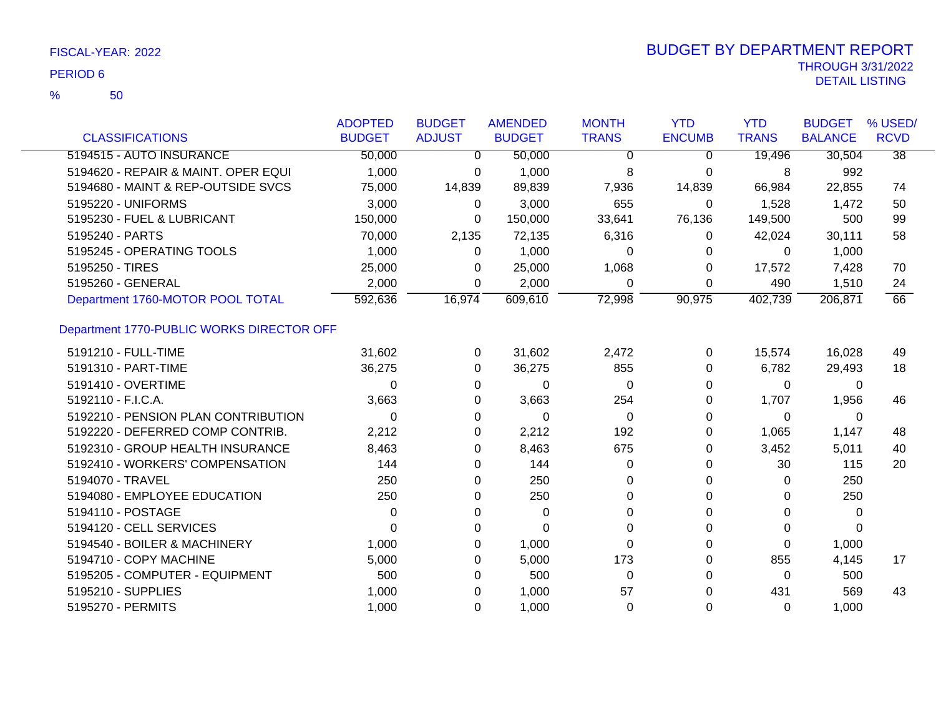| <b>CLASSIFICATIONS</b>                    | <b>ADOPTED</b><br><b>BUDGET</b> | <b>BUDGET</b><br><b>ADJUST</b> | <b>AMENDED</b><br><b>BUDGET</b> | <b>MONTH</b><br><b>TRANS</b> | <b>YTD</b><br><b>ENCUMB</b> | <b>YTD</b><br><b>TRANS</b> | <b>BUDGET</b><br><b>BALANCE</b> | % USED/<br><b>RCVD</b> |
|-------------------------------------------|---------------------------------|--------------------------------|---------------------------------|------------------------------|-----------------------------|----------------------------|---------------------------------|------------------------|
|                                           |                                 |                                |                                 |                              |                             |                            |                                 |                        |
| 5194515 - AUTO INSURANCE                  | 50,000                          | $\Omega$                       | 50,000                          | 0                            | $\Omega$                    | 19,496                     | 30,504                          | $\overline{38}$        |
| 5194620 - REPAIR & MAINT. OPER EQUI       | 1,000                           | 0                              | 1,000                           | 8                            | 0                           | 8                          | 992                             |                        |
| 5194680 - MAINT & REP-OUTSIDE SVCS        | 75,000                          | 14,839                         | 89,839                          | 7,936                        | 14,839                      | 66,984                     | 22,855                          | 74                     |
| 5195220 - UNIFORMS                        | 3,000                           | $\Omega$                       | 3,000                           | 655                          | 0                           | 1,528                      | 1,472                           | 50                     |
| 5195230 - FUEL & LUBRICANT                | 150,000                         | 0                              | 150,000                         | 33,641                       | 76,136                      | 149,500                    | 500                             | 99                     |
| 5195240 - PARTS                           | 70,000                          | 2,135                          | 72,135                          | 6,316                        | 0                           | 42,024                     | 30,111                          | 58                     |
| 5195245 - OPERATING TOOLS                 | 1,000                           | $\Omega$                       | 1,000                           | 0                            | 0                           | $\Omega$                   | 1,000                           |                        |
| 5195250 - TIRES                           | 25,000                          | 0                              | 25,000                          | 1,068                        | 0                           | 17,572                     | 7,428                           | 70                     |
| 5195260 - GENERAL                         | 2,000                           | 0                              | 2,000                           | $\Omega$                     | 0                           | 490                        | 1,510                           | 24                     |
| Department 1760-MOTOR POOL TOTAL          | 592,636                         | 16,974                         | 609,610                         | 72,998                       | 90,975                      | 402,739                    | 206,871                         | $\overline{66}$        |
| Department 1770-PUBLIC WORKS DIRECTOR OFF |                                 |                                |                                 |                              |                             |                            |                                 |                        |
| 5191210 - FULL-TIME                       | 31,602                          | 0                              | 31,602                          | 2,472                        | $\mathbf 0$                 | 15,574                     | 16,028                          | 49                     |
| 5191310 - PART-TIME                       | 36,275                          | 0                              | 36,275                          | 855                          | 0                           | 6,782                      | 29,493                          | 18                     |
| 5191410 - OVERTIME                        | 0                               | 0                              | $\Omega$                        | 0                            | 0                           | $\Omega$                   | 0                               |                        |
| 5192110 - F.I.C.A.                        | 3,663                           | 0                              | 3,663                           | 254                          | 0                           | 1,707                      | 1,956                           | 46                     |
| 5192210 - PENSION PLAN CONTRIBUTION       | 0                               | 0                              | 0                               | 0                            | 0                           | 0                          | 0                               |                        |
| 5192220 - DEFERRED COMP CONTRIB.          | 2,212                           | 0                              | 2,212                           | 192                          | 0                           | 1,065                      | 1,147                           | 48                     |
| 5192310 - GROUP HEALTH INSURANCE          | 8,463                           | 0                              | 8,463                           | 675                          | 0                           | 3,452                      | 5,011                           | 40                     |
| 5192410 - WORKERS' COMPENSATION           | 144                             | 0                              | 144                             | 0                            | 0                           | 30                         | 115                             | 20                     |
| 5194070 - TRAVEL                          | 250                             | 0                              | 250                             | 0                            | 0                           | 0                          | 250                             |                        |
| 5194080 - EMPLOYEE EDUCATION              | 250                             | 0                              | 250                             | $\Omega$                     | 0                           | 0                          | 250                             |                        |
| 5194110 - POSTAGE                         | 0                               | 0                              | 0                               | 0                            | 0                           | 0                          | 0                               |                        |
| 5194120 - CELL SERVICES                   | 0                               | 0                              | 0                               | 0                            |                             | 0                          | 0                               |                        |
| 5194540 - BOILER & MACHINERY              | 1,000                           | 0                              | 1,000                           | $\Omega$                     | 0                           | $\Omega$                   | 1,000                           |                        |
| 5194710 - COPY MACHINE                    | 5,000                           | 0                              | 5,000                           | 173                          | 0                           | 855                        | 4,145                           | 17                     |
| 5195205 - COMPUTER - EQUIPMENT            | 500                             | 0                              | 500                             | $\Omega$                     | 0                           | $\Omega$                   | 500                             |                        |
| 5195210 - SUPPLIES                        | 1,000                           | 0                              | 1,000                           | 57                           | 0                           | 431                        | 569                             | 43                     |
| 5195270 - PERMITS                         | 1,000                           | 0                              | 1,000                           | 0                            | 0                           | $\Omega$                   | 1,000                           |                        |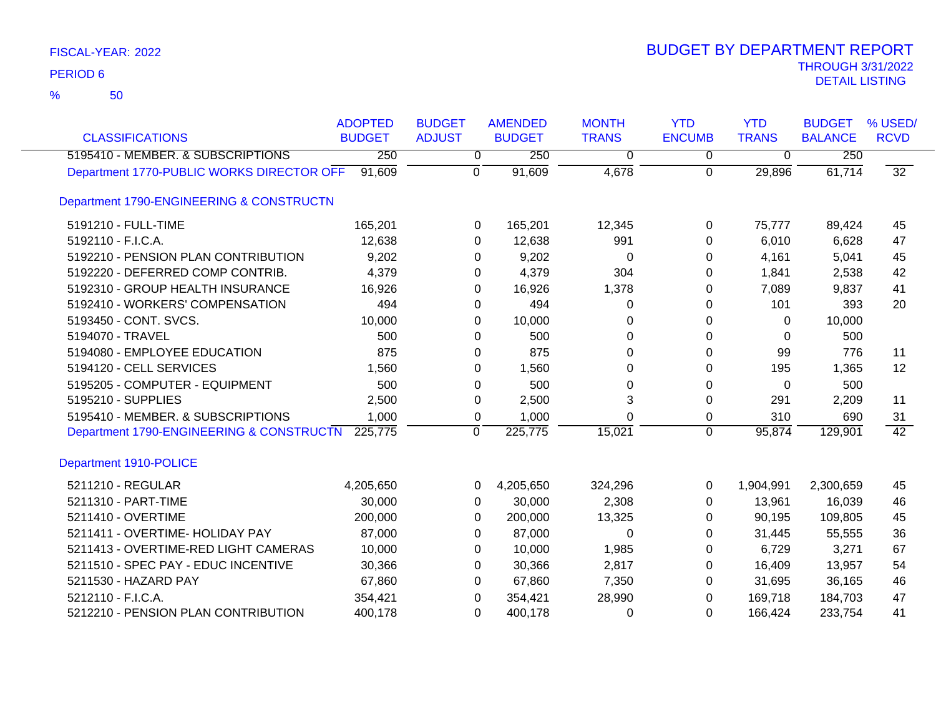| <b>CLASSIFICATIONS</b>                    | <b>ADOPTED</b><br><b>BUDGET</b> | <b>BUDGET</b><br><b>ADJUST</b> | <b>AMENDED</b><br><b>BUDGET</b> | <b>MONTH</b><br><b>TRANS</b> | <b>YTD</b><br><b>ENCUMB</b> | <b>YTD</b><br><b>TRANS</b> | <b>BUDGET</b><br><b>BALANCE</b> | % USED/<br><b>RCVD</b> |
|-------------------------------------------|---------------------------------|--------------------------------|---------------------------------|------------------------------|-----------------------------|----------------------------|---------------------------------|------------------------|
| 5195410 - MEMBER. & SUBSCRIPTIONS         | 250                             | 0                              | 250                             | $\Omega$                     | 0                           | 0                          | 250                             |                        |
| Department 1770-PUBLIC WORKS DIRECTOR OFF | 91,609                          | $\overline{0}$                 | 91,609                          | 4,678                        | $\mathbf 0$                 | 29,896                     | 61,714                          | $\overline{32}$        |
| Department 1790-ENGINEERING & CONSTRUCTN  |                                 |                                |                                 |                              |                             |                            |                                 |                        |
| 5191210 - FULL-TIME                       | 165,201                         | 0                              | 165,201                         | 12,345                       | 0                           | 75,777                     | 89,424                          | 45                     |
| 5192110 - F.I.C.A.                        | 12,638                          | $\Omega$                       | 12,638                          | 991                          | 0                           | 6,010                      | 6,628                           | 47                     |
| 5192210 - PENSION PLAN CONTRIBUTION       | 9,202                           | $\Omega$                       | 9,202                           | $\Omega$                     | 0                           | 4,161                      | 5,041                           | 45                     |
| 5192220 - DEFERRED COMP CONTRIB.          | 4,379                           | 0                              | 4,379                           | 304                          | 0                           | 1,841                      | 2,538                           | 42                     |
| 5192310 - GROUP HEALTH INSURANCE          | 16,926                          | 0                              | 16,926                          | 1,378                        | 0                           | 7,089                      | 9,837                           | 41                     |
| 5192410 - WORKERS' COMPENSATION           | 494                             | $\Omega$                       | 494                             | $\Omega$                     | 0                           | 101                        | 393                             | 20                     |
| 5193450 - CONT. SVCS.                     | 10,000                          | 0                              | 10,000                          | $\Omega$                     | 0                           | 0                          | 10,000                          |                        |
| 5194070 - TRAVEL                          | 500                             | 0                              | 500                             | $\Omega$                     | 0                           | 0                          | 500                             |                        |
| 5194080 - EMPLOYEE EDUCATION              | 875                             | 0                              | 875                             | $\Omega$                     | 0                           | 99                         | 776                             | 11                     |
| 5194120 - CELL SERVICES                   | 1,560                           | 0                              | 1,560                           | $\Omega$                     | 0                           | 195                        | 1,365                           | 12                     |
| 5195205 - COMPUTER - EQUIPMENT            | 500                             | 0                              | 500                             | $\Omega$                     | 0                           | $\Omega$                   | 500                             |                        |
| 5195210 - SUPPLIES                        | 2,500                           | 0                              | 2,500                           | 3                            | 0                           | 291                        | 2,209                           | 11                     |
| 5195410 - MEMBER. & SUBSCRIPTIONS         | 1,000                           | $\mathbf 0$                    | 1,000                           | $\Omega$                     | 0                           | 310                        | 690                             | 31                     |
| Department 1790-ENGINEERING & CONSTRUCTN  | 225,775                         | $\mathbf 0$                    | 225,775                         | 15,021                       | $\mathbf 0$                 | 95,874                     | 129,901                         | $\overline{42}$        |
| Department 1910-POLICE                    |                                 |                                |                                 |                              |                             |                            |                                 |                        |
| 5211210 - REGULAR                         | 4,205,650                       | $\Omega$                       | 4,205,650                       | 324,296                      | 0                           | 1,904,991                  | 2,300,659                       | 45                     |
| 5211310 - PART-TIME                       | 30,000                          | 0                              | 30,000                          | 2,308                        | 0                           | 13,961                     | 16,039                          | 46                     |
| 5211410 - OVERTIME                        | 200,000                         | $\Omega$                       | 200,000                         | 13,325                       | 0                           | 90,195                     | 109,805                         | 45                     |
| 5211411 - OVERTIME- HOLIDAY PAY           | 87,000                          | $\Omega$                       | 87,000                          | 0                            | 0                           | 31,445                     | 55,555                          | 36                     |
| 5211413 - OVERTIME-RED LIGHT CAMERAS      | 10,000                          | 0                              | 10,000                          | 1,985                        | 0                           | 6,729                      | 3,271                           | 67                     |
| 5211510 - SPEC PAY - EDUC INCENTIVE       | 30,366                          | 0                              | 30,366                          | 2,817                        | 0                           | 16,409                     | 13,957                          | 54                     |
| 5211530 - HAZARD PAY                      | 67,860                          | 0                              | 67,860                          | 7,350                        | 0                           | 31,695                     | 36,165                          | 46                     |
| 5212110 - F.I.C.A.                        | 354,421                         | 0                              | 354,421                         | 28,990                       | 0                           | 169,718                    | 184,703                         | 47                     |
| 5212210 - PENSION PLAN CONTRIBUTION       | 400,178                         | $\Omega$                       | 400,178                         | 0                            | 0                           | 166,424                    | 233,754                         | 41                     |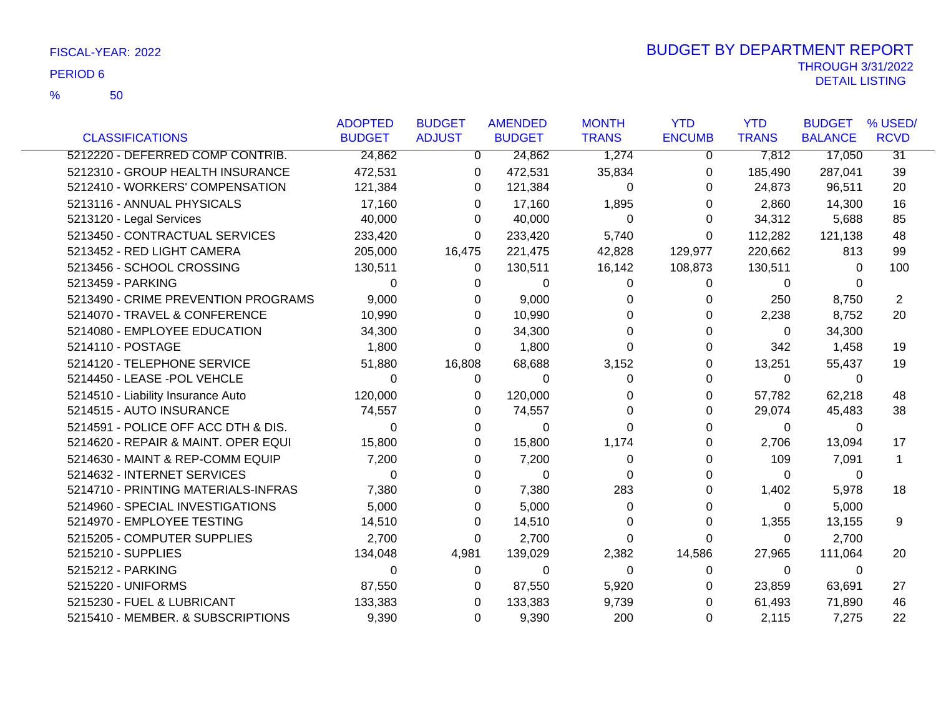|                                     | <b>ADOPTED</b> | <b>BUDGET</b> | <b>AMENDED</b> | <b>MONTH</b> | <b>YTD</b>    | <b>YTD</b>   | <b>BUDGET</b>  | % USED/         |
|-------------------------------------|----------------|---------------|----------------|--------------|---------------|--------------|----------------|-----------------|
| <b>CLASSIFICATIONS</b>              | <b>BUDGET</b>  | <b>ADJUST</b> | <b>BUDGET</b>  | <b>TRANS</b> | <b>ENCUMB</b> | <b>TRANS</b> | <b>BALANCE</b> | <b>RCVD</b>     |
| 5212220 - DEFERRED COMP CONTRIB.    | 24,862         | $\Omega$      | 24,862         | 1,274        | 0             | 7,812        | 17,050         | $\overline{31}$ |
| 5212310 - GROUP HEALTH INSURANCE    | 472,531        | 0             | 472,531        | 35,834       | 0             | 185,490      | 287,041        | 39              |
| 5212410 - WORKERS' COMPENSATION     | 121,384        | 0             | 121,384        | $\Omega$     | 0             | 24,873       | 96,511         | 20              |
| 5213116 - ANNUAL PHYSICALS          | 17,160         | 0             | 17,160         | 1,895        | 0             | 2,860        | 14,300         | 16              |
| 5213120 - Legal Services            | 40,000         | $\Omega$      | 40,000         | $\Omega$     | 0             | 34,312       | 5,688          | 85              |
| 5213450 - CONTRACTUAL SERVICES      | 233,420        | $\Omega$      | 233,420        | 5,740        | 0             | 112,282      | 121,138        | 48              |
| 5213452 - RED LIGHT CAMERA          | 205,000        | 16,475        | 221,475        | 42,828       | 129,977       | 220,662      | 813            | 99              |
| 5213456 - SCHOOL CROSSING           | 130,511        | 0             | 130,511        | 16,142       | 108,873       | 130,511      | $\Omega$       | 100             |
| 5213459 - PARKING                   | 0              | 0             | $\Omega$       | 0            | 0             | 0            | 0              |                 |
| 5213490 - CRIME PREVENTION PROGRAMS | 9,000          | $\Omega$      | 9,000          | 0            | 0             | 250          | 8,750          | 2               |
| 5214070 - TRAVEL & CONFERENCE       | 10,990         | 0             | 10,990         | 0            | 0             | 2,238        | 8,752          | 20              |
| 5214080 - EMPLOYEE EDUCATION        | 34,300         | 0             | 34,300         | 0            | 0             | $\Omega$     | 34,300         |                 |
| 5214110 - POSTAGE                   | 1,800          | 0             | 1,800          | 0            | 0             | 342          | 1,458          | 19              |
| 5214120 - TELEPHONE SERVICE         | 51,880         | 16,808        | 68,688         | 3,152        | 0             | 13,251       | 55,437         | 19              |
| 5214450 - LEASE -POL VEHCLE         | 0              | $\Omega$      | $\Omega$       | 0            | 0             | 0            | 0              |                 |
| 5214510 - Liability Insurance Auto  | 120,000        | 0             | 120,000        | 0            | 0             | 57,782       | 62,218         | 48              |
| 5214515 - AUTO INSURANCE            | 74,557         | 0             | 74,557         | 0            | 0             | 29,074       | 45,483         | 38              |
| 5214591 - POLICE OFF ACC DTH & DIS. | $\Omega$       | 0             | 0              | 0            | 0             | 0            | 0              |                 |
| 5214620 - REPAIR & MAINT. OPER EQUI | 15,800         | 0             | 15,800         | 1,174        | 0             | 2,706        | 13,094         | 17              |
| 5214630 - MAINT & REP-COMM EQUIP    | 7,200          | 0             | 7,200          | 0            | 0             | 109          | 7,091          | 1               |
| 5214632 - INTERNET SERVICES         | $\Omega$       | $\Omega$      | $\Omega$       | 0            | O             | $\Omega$     | 0              |                 |
| 5214710 - PRINTING MATERIALS-INFRAS | 7,380          | 0             | 7,380          | 283          | 0             | 1,402        | 5,978          | 18              |
| 5214960 - SPECIAL INVESTIGATIONS    | 5,000          | 0             | 5,000          | 0            | 0             | 0            | 5,000          |                 |
| 5214970 - EMPLOYEE TESTING          | 14,510         | 0             | 14,510         | 0            | 0             | 1,355        | 13,155         | 9               |
| 5215205 - COMPUTER SUPPLIES         | 2,700          | $\Omega$      | 2,700          | 0            | 0             | 0            | 2,700          |                 |
| 5215210 - SUPPLIES                  | 134,048        | 4,981         | 139,029        | 2,382        | 14,586        | 27,965       | 111,064        | 20              |
| 5215212 - PARKING                   | 0              | 0             | $\Omega$       | 0            | 0             | 0            | 0              |                 |
| 5215220 - UNIFORMS                  | 87,550         | 0             | 87,550         | 5,920        | 0             | 23,859       | 63,691         | 27              |
| 5215230 - FUEL & LUBRICANT          | 133,383        | $\Omega$      | 133,383        | 9,739        | 0             | 61,493       | 71,890         | 46              |
| 5215410 - MEMBER. & SUBSCRIPTIONS   | 9,390          | $\Omega$      | 9,390          | 200          | 0             | 2,115        | 7,275          | 22              |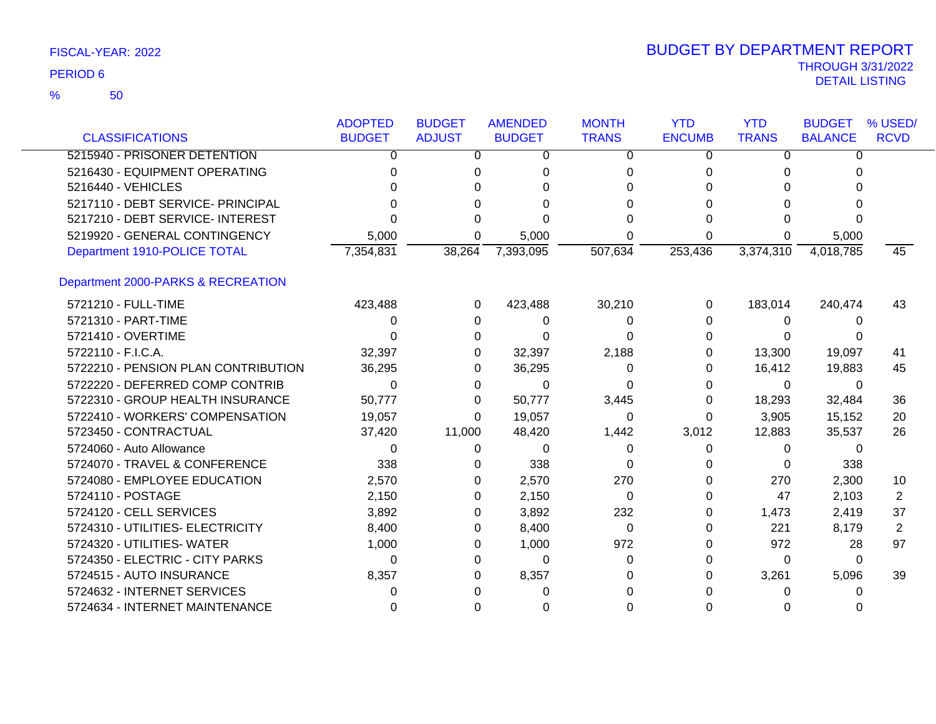| <b>CLASSIFICATIONS</b>              | <b>ADOPTED</b><br><b>BUDGET</b> | <b>BUDGET</b><br><b>ADJUST</b> | <b>AMENDED</b><br><b>BUDGET</b> | <b>MONTH</b><br><b>TRANS</b> | <b>YTD</b><br><b>ENCUMB</b> | <b>YTD</b><br><b>TRANS</b> | <b>BUDGET</b><br><b>BALANCE</b> | % USED/<br><b>RCVD</b> |
|-------------------------------------|---------------------------------|--------------------------------|---------------------------------|------------------------------|-----------------------------|----------------------------|---------------------------------|------------------------|
| 5215940 - PRISONER DETENTION        | 0                               | 0                              | 0                               | 0                            | 0                           | $\Omega$                   | $\Omega$                        |                        |
| 5216430 - EQUIPMENT OPERATING       | 0                               | 0                              | 0                               | 0                            | 0                           | 0                          | 0                               |                        |
| 5216440 - VEHICLES                  | O                               |                                |                                 |                              |                             | 0                          |                                 |                        |
| 5217110 - DEBT SERVICE- PRINCIPAL   |                                 |                                |                                 |                              |                             | 0                          |                                 |                        |
| 5217210 - DEBT SERVICE- INTEREST    | 0                               |                                |                                 |                              |                             | 0                          | ი                               |                        |
| 5219920 - GENERAL CONTINGENCY       | 5,000                           | 0                              | 5,000                           | 0                            | 0                           | 0                          | 5,000                           |                        |
| Department 1910-POLICE TOTAL        | 7,354,831                       | 38,264                         | 7,393,095                       | 507,634                      | 253,436                     | 3,374,310                  | 4,018,785                       | 45                     |
| Department 2000-PARKS & RECREATION  |                                 |                                |                                 |                              |                             |                            |                                 |                        |
| 5721210 - FULL-TIME                 | 423,488                         | 0                              | 423,488                         | 30,210                       | 0                           | 183,014                    | 240,474                         | 43                     |
| 5721310 - PART-TIME                 | 0                               | 0                              | $\Omega$                        | 0                            | 0                           | 0                          | 0                               |                        |
| 5721410 - OVERTIME                  | 0                               | 0                              | 0                               | ∩                            | O.                          | $\Omega$                   |                                 |                        |
| 5722110 - F.I.C.A.                  | 32,397                          | 0                              | 32,397                          | 2,188                        | 0                           | 13,300                     | 19,097                          | 41                     |
| 5722210 - PENSION PLAN CONTRIBUTION | 36,295                          | 0                              | 36,295                          | 0                            | 0                           | 16,412                     | 19,883                          | 45                     |
| 5722220 - DEFERRED COMP CONTRIB     | 0                               | 0                              | $\Omega$                        | 0                            | 0                           | $\Omega$                   | $\Omega$                        |                        |
| 5722310 - GROUP HEALTH INSURANCE    | 50,777                          | 0                              | 50,777                          | 3,445                        | 0                           | 18,293                     | 32,484                          | 36                     |
| 5722410 - WORKERS' COMPENSATION     | 19,057                          | 0                              | 19,057                          | 0                            | 0                           | 3,905                      | 15,152                          | 20                     |
| 5723450 - CONTRACTUAL               | 37,420                          | 11,000                         | 48,420                          | 1,442                        | 3,012                       | 12,883                     | 35,537                          | 26                     |
| 5724060 - Auto Allowance            | 0                               | 0                              | 0                               | 0                            | 0                           | 0                          | 0                               |                        |
| 5724070 - TRAVEL & CONFERENCE       | 338                             | 0                              | 338                             | 0                            | O                           | 0                          | 338                             |                        |
| 5724080 - EMPLOYEE EDUCATION        | 2,570                           | 0                              | 2,570                           | 270                          | 0                           | 270                        | 2,300                           | 10                     |
| 5724110 - POSTAGE                   | 2,150                           | 0                              | 2,150                           | $\Omega$                     | 0                           | 47                         | 2,103                           | 2                      |
| 5724120 - CELL SERVICES             | 3,892                           | 0                              | 3,892                           | 232                          | 0                           | 1,473                      | 2,419                           | 37                     |
| 5724310 - UTILITIES- ELECTRICITY    | 8,400                           | 0                              | 8,400                           | 0                            | 0                           | 221                        | 8,179                           | $\overline{c}$         |
| 5724320 - UTILITIES- WATER          | 1,000                           | 0                              | 1,000                           | 972                          | 0                           | 972                        | 28                              | 97                     |
| 5724350 - ELECTRIC - CITY PARKS     | $\Omega$                        | 0                              | $\Omega$                        | 0                            | 0                           | $\Omega$                   | $\Omega$                        |                        |
| 5724515 - AUTO INSURANCE            | 8,357                           | 0                              | 8,357                           | O                            | 0                           | 3,261                      | 5,096                           | 39                     |
| 5724632 - INTERNET SERVICES         | 0                               |                                | U                               |                              |                             | 0                          | 0                               |                        |
| 5724634 - INTERNET MAINTENANCE      | 0                               |                                |                                 |                              |                             | 0                          |                                 |                        |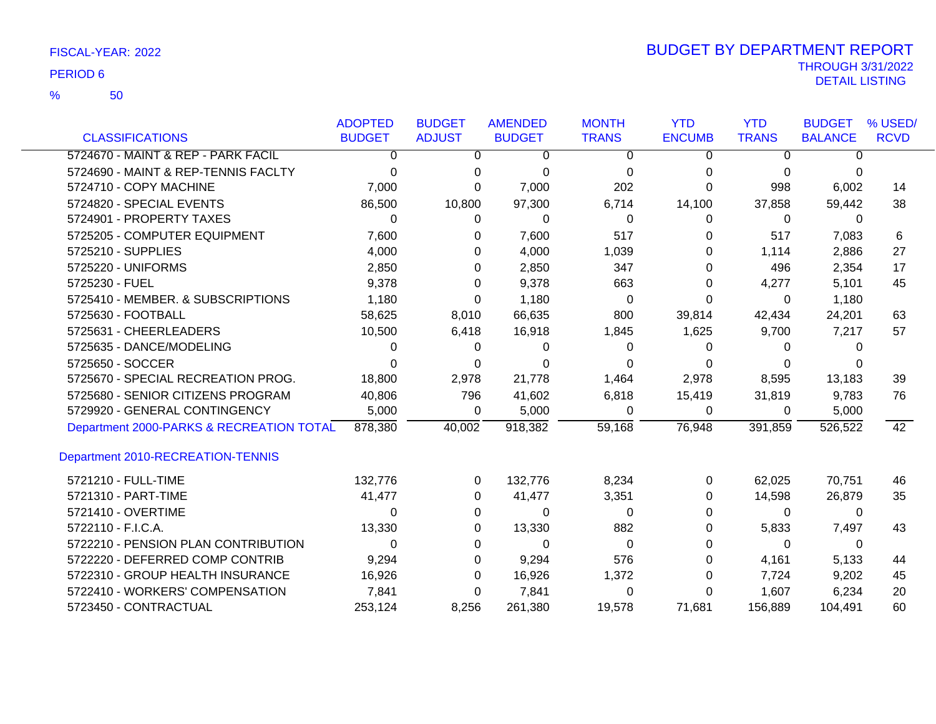|                                          | <b>ADOPTED</b> | <b>BUDGET</b> | <b>AMENDED</b> | <b>MONTH</b> | <b>YTD</b>    | <b>YTD</b>   | <b>BUDGET</b>  | % USED/     |
|------------------------------------------|----------------|---------------|----------------|--------------|---------------|--------------|----------------|-------------|
| <b>CLASSIFICATIONS</b>                   | <b>BUDGET</b>  | <b>ADJUST</b> | <b>BUDGET</b>  | <b>TRANS</b> | <b>ENCUMB</b> | <b>TRANS</b> | <b>BALANCE</b> | <b>RCVD</b> |
| 5724670 - MAINT & REP - PARK FACIL       | 0              | 0             | 0              | 0            | 0             | 0            | 0              |             |
| 5724690 - MAINT & REP-TENNIS FACLTY      | 0              | 0             | 0              | 0            | 0             | 0            | 0              |             |
| 5724710 - COPY MACHINE                   | 7,000          | $\Omega$      | 7,000          | 202          | 0             | 998          | 6,002          | 14          |
| 5724820 - SPECIAL EVENTS                 | 86,500         | 10,800        | 97,300         | 6,714        | 14,100        | 37,858       | 59,442         | 38          |
| 5724901 - PROPERTY TAXES                 | $\Omega$       | 0             | 0              | 0            | 0             | 0            | 0              |             |
| 5725205 - COMPUTER EQUIPMENT             | 7,600          | 0             | 7,600          | 517          | 0             | 517          | 7,083          | 6           |
| 5725210 - SUPPLIES                       | 4,000          | 0             | 4,000          | 1,039        | 0             | 1,114        | 2,886          | 27          |
| 5725220 - UNIFORMS                       | 2,850          | $\Omega$      | 2,850          | 347          | 0             | 496          | 2,354          | 17          |
| 5725230 - FUEL                           | 9,378          | 0             | 9,378          | 663          | 0             | 4,277        | 5,101          | 45          |
| 5725410 - MEMBER. & SUBSCRIPTIONS        | 1,180          | 0             | 1,180          | 0            | 0             | 0            | 1,180          |             |
| 5725630 - FOOTBALL                       | 58,625         | 8,010         | 66,635         | 800          | 39,814        | 42,434       | 24,201         | 63          |
| 5725631 - CHEERLEADERS                   | 10,500         | 6,418         | 16,918         | 1,845        | 1,625         | 9,700        | 7,217          | 57          |
| 5725635 - DANCE/MODELING                 | 0              | 0             | 0              | 0            | 0             | 0            | 0              |             |
| 5725650 - SOCCER                         | 0              | 0             | $\Omega$       | $\Omega$     | 0             | 0            | $\Omega$       |             |
| 5725670 - SPECIAL RECREATION PROG.       | 18,800         | 2,978         | 21,778         | 1,464        | 2,978         | 8,595        | 13,183         | 39          |
| 5725680 - SENIOR CITIZENS PROGRAM        | 40,806         | 796           | 41,602         | 6,818        | 15,419        | 31,819       | 9,783          | 76          |
| 5729920 - GENERAL CONTINGENCY            | 5,000          | 0             | 5,000          | 0            | 0             | 0            | 5,000          |             |
| Department 2000-PARKS & RECREATION TOTAL | 878,380        | 40,002        | 918,382        | 59,168       | 76,948        | 391,859      | 526,522        | 42          |
| Department 2010-RECREATION-TENNIS        |                |               |                |              |               |              |                |             |
| 5721210 - FULL-TIME                      | 132,776        | 0             | 132,776        | 8,234        | 0             | 62,025       | 70,751         | 46          |
| 5721310 - PART-TIME                      | 41,477         | 0             | 41,477         | 3,351        | 0             | 14,598       | 26,879         | 35          |
| 5721410 - OVERTIME                       | 0              | 0             | 0              | 0            | 0             | 0            | 0              |             |
| 5722110 - F.I.C.A.                       | 13,330         | 0             | 13,330         | 882          | 0             | 5,833        | 7,497          | 43          |
| 5722210 - PENSION PLAN CONTRIBUTION      | 0              | $\Omega$      | $\Omega$       | $\Omega$     | 0             | 0            | 0              |             |
| 5722220 - DEFERRED COMP CONTRIB          | 9,294          | 0             | 9,294          | 576          | 0             | 4,161        | 5,133          | 44          |
| 5722310 - GROUP HEALTH INSURANCE         | 16,926         | 0             | 16,926         | 1,372        | 0             | 7,724        | 9,202          | 45          |
| 5722410 - WORKERS' COMPENSATION          | 7,841          | $\Omega$      | 7,841          | 0            | 0             | 1,607        | 6,234          | 20          |
| 5723450 - CONTRACTUAL                    | 253,124        | 8,256         | 261,380        | 19,578       | 71,681        | 156,889      | 104,491        | 60          |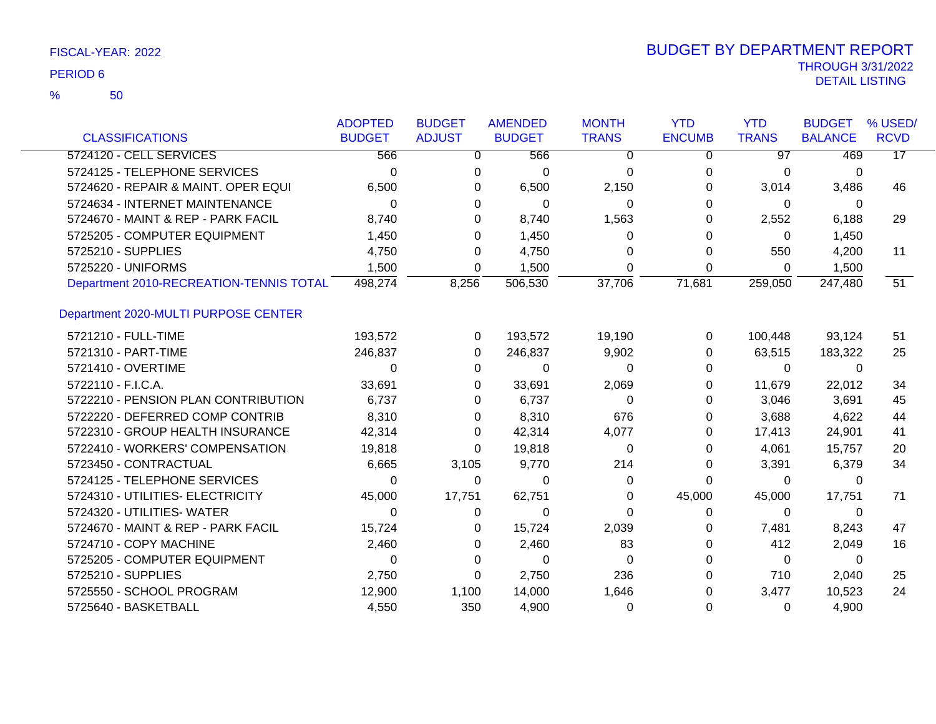|                                         | <b>ADOPTED</b> | <b>BUDGET</b> | <b>AMENDED</b> | <b>MONTH</b> | <b>YTD</b>    | <b>YTD</b>      | <b>BUDGET</b>  | % USED/         |
|-----------------------------------------|----------------|---------------|----------------|--------------|---------------|-----------------|----------------|-----------------|
| <b>CLASSIFICATIONS</b>                  | <b>BUDGET</b>  | <b>ADJUST</b> | <b>BUDGET</b>  | <b>TRANS</b> | <b>ENCUMB</b> | <b>TRANS</b>    | <b>BALANCE</b> | <b>RCVD</b>     |
| 5724120 - CELL SERVICES                 | 566            | $\Omega$      | 566            | 0            | 0             | $\overline{97}$ | 469            | $\overline{17}$ |
| 5724125 - TELEPHONE SERVICES            | 0              | 0             | $\Omega$       | 0            | 0             | 0               | 0              |                 |
| 5724620 - REPAIR & MAINT. OPER EQUI     | 6,500          | 0             | 6,500          | 2,150        | 0             | 3,014           | 3,486          | 46              |
| 5724634 - INTERNET MAINTENANCE          | $\Omega$       | 0             | $\Omega$       | 0            | 0             | $\Omega$        | 0              |                 |
| 5724670 - MAINT & REP - PARK FACIL      | 8,740          | 0             | 8,740          | 1,563        | 0             | 2,552           | 6,188          | 29              |
| 5725205 - COMPUTER EQUIPMENT            | 1,450          | 0             | 1,450          | 0            | O             | $\Omega$        | 1,450          |                 |
| 5725210 - SUPPLIES                      | 4,750          | 0             | 4,750          | 0            | 0             | 550             | 4,200          | 11              |
| 5725220 - UNIFORMS                      | 1,500          | 0             | 1,500          | 0            | 0             | $\overline{0}$  | 1,500          |                 |
| Department 2010-RECREATION-TENNIS TOTAL | 498,274        | 8,256         | 506,530        | 37,706       | 71,681        | 259,050         | 247,480        | 51              |
| Department 2020-MULTI PURPOSE CENTER    |                |               |                |              |               |                 |                |                 |
| 5721210 - FULL-TIME                     | 193,572        | 0             | 193,572        | 19,190       | 0             | 100,448         | 93,124         | 51              |
| 5721310 - PART-TIME                     | 246,837        | 0             | 246,837        | 9,902        | 0             | 63,515          | 183,322        | 25              |
| 5721410 - OVERTIME                      | 0              | 0             | 0              | 0            | 0             | $\Omega$        | $\Omega$       |                 |
| 5722110 - F.I.C.A.                      | 33,691         | 0             | 33,691         | 2,069        | 0             | 11,679          | 22,012         | 34              |
| 5722210 - PENSION PLAN CONTRIBUTION     | 6,737          | 0             | 6,737          | 0            | 0             | 3,046           | 3,691          | 45              |
| 5722220 - DEFERRED COMP CONTRIB         | 8,310          | 0             | 8,310          | 676          | 0             | 3,688           | 4,622          | 44              |
| 5722310 - GROUP HEALTH INSURANCE        | 42,314         | 0             | 42,314         | 4,077        | 0             | 17,413          | 24,901         | 41              |
| 5722410 - WORKERS' COMPENSATION         | 19,818         | 0             | 19,818         | 0            | 0             | 4,061           | 15,757         | 20              |
| 5723450 - CONTRACTUAL                   | 6,665          | 3,105         | 9,770          | 214          | 0             | 3,391           | 6,379          | 34              |
| 5724125 - TELEPHONE SERVICES            | 0              | $\Omega$      | $\Omega$       | 0            | 0             | $\Omega$        | $\Omega$       |                 |
| 5724310 - UTILITIES- ELECTRICITY        | 45,000         | 17,751        | 62,751         | 0            | 45,000        | 45,000          | 17,751         | 71              |
| 5724320 - UTILITIES- WATER              | 0              | 0             | 0              | 0            | 0             | $\Omega$        | 0              |                 |
| 5724670 - MAINT & REP - PARK FACIL      | 15,724         | 0             | 15,724         | 2,039        | 0             | 7,481           | 8,243          | 47              |
| 5724710 - COPY MACHINE                  | 2,460          | 0             | 2,460          | 83           | 0             | 412             | 2,049          | 16              |
| 5725205 - COMPUTER EQUIPMENT            | 0              | 0             | $\Omega$       | 0            | ი             | 0               | 0              |                 |
| 5725210 - SUPPLIES                      | 2,750          | 0             | 2,750          | 236          | 0             | 710             | 2,040          | 25              |
| 5725550 - SCHOOL PROGRAM                | 12,900         | 1,100         | 14,000         | 1,646        | 0             | 3,477           | 10,523         | 24              |
| 5725640 - BASKETBALL                    | 4,550          | 350           | 4,900          | $\Omega$     | 0             | $\Omega$        | 4,900          |                 |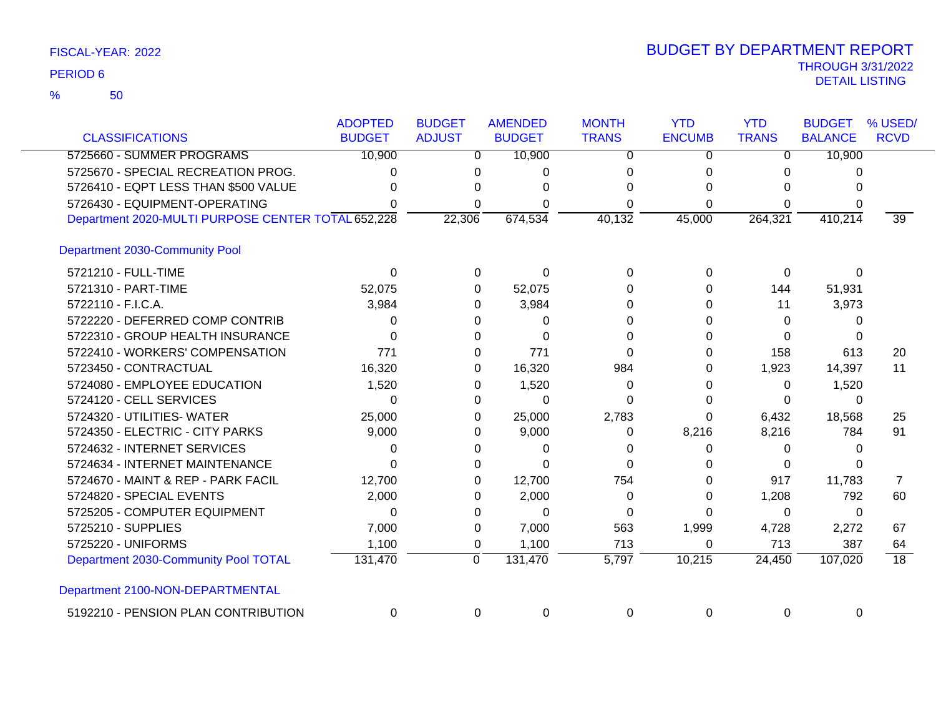| <b>CLASSIFICATIONS</b>                             | <b>ADOPTED</b><br><b>BUDGET</b> | <b>BUDGET</b><br><b>ADJUST</b> | <b>AMENDED</b><br><b>BUDGET</b> | <b>MONTH</b><br><b>TRANS</b> | <b>YTD</b><br><b>ENCUMB</b> | <b>YTD</b><br><b>TRANS</b> | <b>BUDGET</b><br><b>BALANCE</b> | % USED/<br><b>RCVD</b> |
|----------------------------------------------------|---------------------------------|--------------------------------|---------------------------------|------------------------------|-----------------------------|----------------------------|---------------------------------|------------------------|
| 5725660 - SUMMER PROGRAMS                          | 10,900                          | $\Omega$                       | 10,900                          | $\Omega$                     | $\Omega$                    | 0                          | 10,900                          |                        |
| 5725670 - SPECIAL RECREATION PROG.                 | 0                               | $\Omega$                       | 0                               | 0                            | 0                           | 0                          | 0                               |                        |
| 5726410 - EQPT LESS THAN \$500 VALUE               | ი                               | 0                              | 0                               | 0                            | 0                           | 0                          |                                 |                        |
| 5726430 - EQUIPMENT-OPERATING                      |                                 | 0                              | 0                               | 0                            | 0                           | 0                          |                                 |                        |
| Department 2020-MULTI PURPOSE CENTER TOTAL 652,228 |                                 | 22,306                         | 674,534                         | 40,132                       | 45,000                      | 264,321                    | 410,214                         | 39                     |
| Department 2030-Community Pool                     |                                 |                                |                                 |                              |                             |                            |                                 |                        |
| 5721210 - FULL-TIME                                | 0                               | 0                              | $\Omega$                        | 0                            | 0                           | 0                          | 0                               |                        |
| 5721310 - PART-TIME                                | 52,075                          | 0                              | 52,075                          | 0                            | 0                           | 144                        | 51,931                          |                        |
| 5722110 - F.I.C.A.                                 | 3,984                           | 0                              | 3,984                           | 0                            | 0                           | 11                         | 3,973                           |                        |
| 5722220 - DEFERRED COMP CONTRIB                    | 0                               | $\Omega$                       | 0                               | 0                            | $\Omega$                    | 0                          | 0                               |                        |
| 5722310 - GROUP HEALTH INSURANCE                   | 0                               | 0                              | $\Omega$                        | 0                            | 0                           | 0                          | 0                               |                        |
| 5722410 - WORKERS' COMPENSATION                    | 771                             | $\Omega$                       | 771                             | 0                            | 0                           | 158                        | 613                             | 20                     |
| 5723450 - CONTRACTUAL                              | 16,320                          | 0                              | 16,320                          | 984                          | 0                           | 1,923                      | 14,397                          | 11                     |
| 5724080 - EMPLOYEE EDUCATION                       | 1,520                           | 0                              | 1,520                           | 0                            | 0                           | 0                          | 1,520                           |                        |
| 5724120 - CELL SERVICES                            | $\Omega$                        | 0                              | $\Omega$                        | 0                            | 0                           | 0                          | 0                               |                        |
| 5724320 - UTILITIES- WATER                         | 25,000                          | 0                              | 25,000                          | 2,783                        | 0                           | 6,432                      | 18,568                          | 25                     |
| 5724350 - ELECTRIC - CITY PARKS                    | 9,000                           | 0                              | 9,000                           | 0                            | 8,216                       | 8,216                      | 784                             | 91                     |
| 5724632 - INTERNET SERVICES                        | 0                               | $\Omega$                       | $\Omega$                        | 0                            | 0                           | 0                          | 0                               |                        |
| 5724634 - INTERNET MAINTENANCE                     | 0                               | 0                              | $\Omega$                        | 0                            | 0                           | 0                          |                                 |                        |
| 5724670 - MAINT & REP - PARK FACIL                 | 12,700                          | 0                              | 12,700                          | 754                          | 0                           | 917                        | 11,783                          | 7                      |
| 5724820 - SPECIAL EVENTS                           | 2,000                           | $\Omega$                       | 2,000                           | 0                            | 0                           | 1,208                      | 792                             | 60                     |
| 5725205 - COMPUTER EQUIPMENT                       | $\Omega$                        | $\Omega$                       | $\Omega$                        | 0                            | $\Omega$                    | $\Omega$                   | $\mathbf{0}$                    |                        |
| 5725210 - SUPPLIES                                 | 7,000                           | 0                              | 7,000                           | 563                          | 1,999                       | 4,728                      | 2,272                           | 67                     |
| 5725220 - UNIFORMS                                 | 1,100                           | 0                              | 1,100                           | 713                          | 0                           | 713                        | 387                             | 64                     |
| Department 2030-Community Pool TOTAL               | 131,470                         | 0                              | 131,470                         | 5,797                        | 10,215                      | 24,450                     | 107,020                         | $\overline{18}$        |
| Department 2100-NON-DEPARTMENTAL                   |                                 |                                |                                 |                              |                             |                            |                                 |                        |
| 5192210 - PENSION PLAN CONTRIBUTION                | 0                               | 0                              | 0                               | 0                            | 0                           | 0                          | 0                               |                        |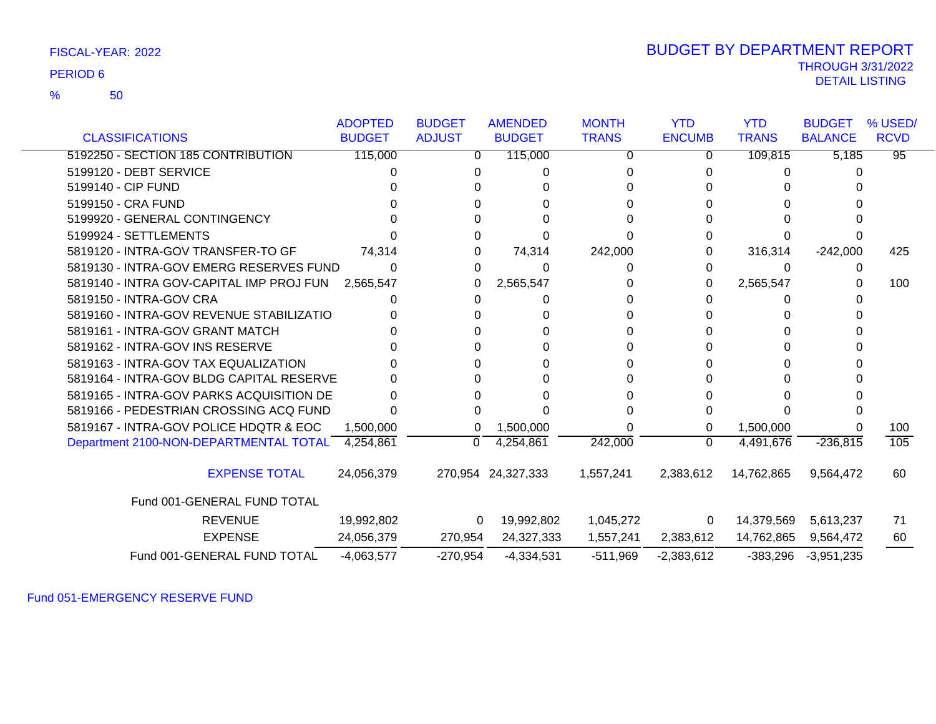50 %

| <b>CLASSIFICATIONS</b>                   | <b>ADOPTED</b><br><b>BUDGET</b> | <b>BUDGET</b><br><b>ADJUST</b> | <b>AMENDED</b><br><b>BUDGET</b> | <b>MONTH</b><br><b>TRANS</b> | <b>YTD</b><br><b>ENCUMB</b> | <b>YTD</b><br><b>TRANS</b> | <b>BUDGET</b><br><b>BALANCE</b> | % USED/<br><b>RCVD</b> |
|------------------------------------------|---------------------------------|--------------------------------|---------------------------------|------------------------------|-----------------------------|----------------------------|---------------------------------|------------------------|
| 5192250 - SECTION 185 CONTRIBUTION       | 115,000                         | 0                              | 115,000                         | 0                            | 0                           | 109,815                    | 5,185                           | $\overline{95}$        |
| 5199120 - DEBT SERVICE                   |                                 |                                |                                 |                              |                             |                            |                                 |                        |
|                                          |                                 |                                |                                 |                              |                             | O                          |                                 |                        |
| 5199140 - CIP FUND                       |                                 |                                |                                 |                              |                             |                            |                                 |                        |
| 5199150 - CRA FUND                       |                                 |                                |                                 |                              |                             |                            |                                 |                        |
| 5199920 - GENERAL CONTINGENCY            |                                 |                                |                                 |                              |                             |                            |                                 |                        |
| 5199924 - SETTLEMENTS                    |                                 |                                |                                 |                              |                             |                            |                                 |                        |
| 5819120 - INTRA-GOV TRANSFER-TO GF       | 74,314                          | 0                              | 74,314                          | 242,000                      |                             | 316,314                    | $-242,000$                      | 425                    |
| 5819130 - INTRA-GOV EMERG RESERVES FUND  |                                 | 0                              | O                               |                              | 0                           | 0                          |                                 |                        |
| 5819140 - INTRA GOV-CAPITAL IMP PROJ FUN | 2,565,547                       | 0                              | 2,565,547                       |                              | 0                           | 2,565,547                  |                                 | 100                    |
| 5819150 - INTRA-GOV CRA                  |                                 |                                |                                 |                              |                             | 0                          |                                 |                        |
| 5819160 - INTRA-GOV REVENUE STABILIZATIO |                                 | O                              |                                 | O.                           |                             | O                          |                                 |                        |
| 5819161 - INTRA-GOV GRANT MATCH          |                                 |                                |                                 |                              |                             |                            |                                 |                        |
| 5819162 - INTRA-GOV INS RESERVE          |                                 |                                |                                 |                              |                             |                            |                                 |                        |
| 5819163 - INTRA-GOV TAX EQUALIZATION     |                                 |                                |                                 |                              |                             |                            |                                 |                        |
| 5819164 - INTRA-GOV BLDG CAPITAL RESERVE |                                 |                                |                                 |                              |                             |                            |                                 |                        |
| 5819165 - INTRA-GOV PARKS ACQUISITION DE |                                 |                                |                                 |                              |                             |                            |                                 |                        |
| 5819166 - PEDESTRIAN CROSSING ACQ FUND   |                                 | 0                              |                                 |                              | 0                           |                            |                                 |                        |
| 5819167 - INTRA-GOV POLICE HDQTR & EOC   | 1,500,000                       | 0                              | 1,500,000                       |                              | 0                           | 1,500,000                  |                                 | 100                    |
| Department 2100-NON-DEPARTMENTAL TOTAL   | 4,254,861                       | 0                              | 4,254,861                       | 242,000                      | $\Omega$                    | 4,491,676                  | $-236,815$                      | 105                    |
| <b>EXPENSE TOTAL</b>                     | 24,056,379                      |                                | 270,954 24,327,333              | 1,557,241                    | 2,383,612                   | 14,762,865                 | 9,564,472                       | 60                     |
| Fund 001-GENERAL FUND TOTAL              |                                 |                                |                                 |                              |                             |                            |                                 |                        |
| <b>REVENUE</b>                           | 19,992,802                      | $\mathbf{0}$                   | 19,992,802                      | 1,045,272                    | $\mathbf{0}$                | 14,379,569                 | 5,613,237                       | 71                     |
| <b>EXPENSE</b>                           | 24,056,379                      | 270,954                        | 24,327,333                      | 1,557,241                    | 2,383,612                   | 14,762,865                 | 9,564,472                       | 60                     |
| Fund 001-GENERAL FUND TOTAL              | $-4,063,577$                    | $-270,954$                     | $-4,334,531$                    | $-511,969$                   | $-2,383,612$                | $-383,296$                 | $-3,951,235$                    |                        |

Fund 051-EMERGENCY RESERVE FUND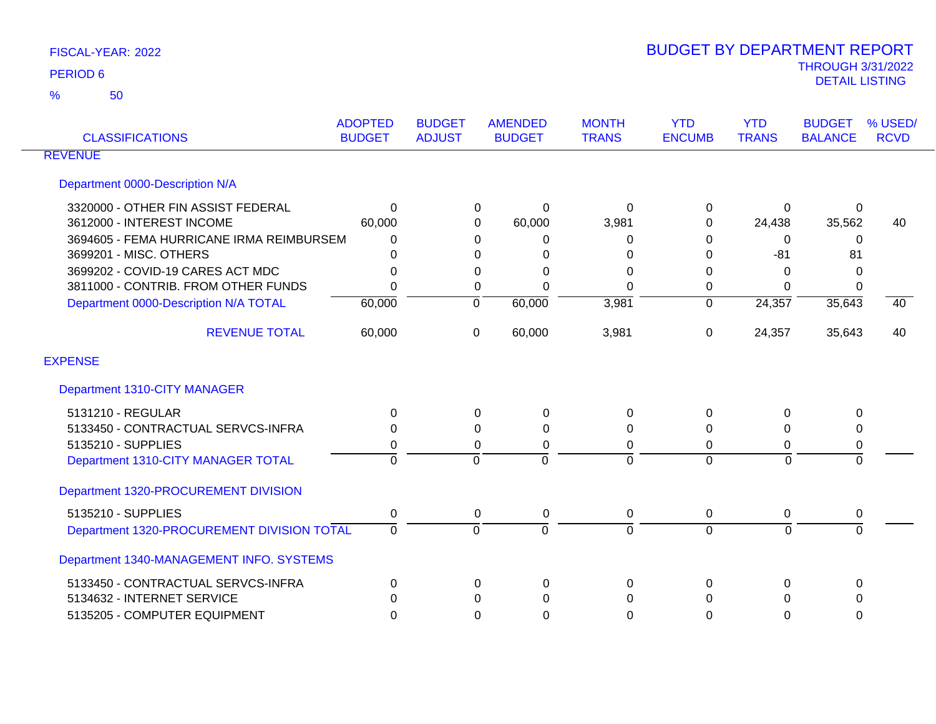| <b>CLASSIFICATIONS</b>                     | <b>ADOPTED</b><br><b>BUDGET</b> | <b>BUDGET</b><br><b>ADJUST</b> | <b>AMENDED</b><br><b>BUDGET</b> | <b>MONTH</b><br><b>TRANS</b> | <b>YTD</b><br><b>ENCUMB</b> | <b>YTD</b><br><b>TRANS</b> | <b>BUDGET</b><br><b>BALANCE</b> | % USED/<br><b>RCVD</b> |
|--------------------------------------------|---------------------------------|--------------------------------|---------------------------------|------------------------------|-----------------------------|----------------------------|---------------------------------|------------------------|
| <b>REVENUE</b>                             |                                 |                                |                                 |                              |                             |                            |                                 |                        |
| Department 0000-Description N/A            |                                 |                                |                                 |                              |                             |                            |                                 |                        |
| 3320000 - OTHER FIN ASSIST FEDERAL         | 0                               |                                | 0<br>0                          | 0                            | 0                           | 0                          | 0                               |                        |
| 3612000 - INTEREST INCOME                  | 60,000                          |                                | 60,000<br>$\Omega$              | 3,981                        | $\mathbf{0}$                | 24,438                     | 35,562                          | 40                     |
| 3694605 - FEMA HURRICANE IRMA REIMBURSEM   | 0                               |                                | $\Omega$<br>0                   | 0                            | 0                           | $\Omega$                   | $\Omega$                        |                        |
| 3699201 - MISC. OTHERS                     | 0                               |                                | 0<br>0                          | 0                            | 0                           | $-81$                      | 81                              |                        |
| 3699202 - COVID-19 CARES ACT MDC           | $\Omega$                        |                                | $\Omega$<br>$\Omega$            | $\Omega$                     | $\Omega$                    | 0                          | $\Omega$                        |                        |
| 3811000 - CONTRIB. FROM OTHER FUNDS        | 0                               |                                | 0<br>$\Omega$                   | 0                            | 0                           | 0                          | 0                               |                        |
| Department 0000-Description N/A TOTAL      | 60,000                          |                                | 60,000<br>$\overline{0}$        | 3,981                        | $\overline{0}$              | 24,357                     | 35,643                          | 40                     |
| <b>REVENUE TOTAL</b>                       | 60,000                          | 0                              | 60,000                          | 3,981                        | $\mathbf 0$                 | 24,357                     | 35,643                          | 40                     |
| <b>EXPENSE</b>                             |                                 |                                |                                 |                              |                             |                            |                                 |                        |
| Department 1310-CITY MANAGER               |                                 |                                |                                 |                              |                             |                            |                                 |                        |
| 5131210 - REGULAR                          | 0                               |                                | 0<br>$\Omega$                   | 0                            | $\Omega$                    | $\Omega$                   | $\Omega$                        |                        |
| 5133450 - CONTRACTUAL SERVCS-INFRA         | 0                               |                                | $\Omega$<br>$\Omega$            | 0                            | $\Omega$                    | 0                          | $\Omega$                        |                        |
| 5135210 - SUPPLIES                         | 0                               |                                | $\Omega$<br>$\Omega$            | $\pmb{0}$                    | $\Omega$                    | 0                          | 0                               |                        |
| Department 1310-CITY MANAGER TOTAL         | $\Omega$                        | $\Omega$                       | $\Omega$                        | $\overline{0}$               | $\Omega$                    | $\Omega$                   | $\overline{0}$                  |                        |
| Department 1320-PROCUREMENT DIVISION       |                                 |                                |                                 |                              |                             |                            |                                 |                        |
| 5135210 - SUPPLIES                         | 0                               |                                | 0<br>$\mathbf 0$                | $\pmb{0}$                    | $\mathbf 0$                 | $\pmb{0}$                  | 0                               |                        |
| Department 1320-PROCUREMENT DIVISION TOTAL | $\Omega$                        | $\Omega$                       | $\Omega$                        | $\Omega$                     | $\Omega$                    | $\Omega$                   | $\Omega$                        |                        |
| Department 1340-MANAGEMENT INFO. SYSTEMS   |                                 |                                |                                 |                              |                             |                            |                                 |                        |
| 5133450 - CONTRACTUAL SERVCS-INFRA         | 0                               |                                | 0<br>0                          | $\pmb{0}$                    | 0                           | 0                          | 0                               |                        |
| 5134632 - INTERNET SERVICE                 | $\Omega$                        |                                | $\Omega$<br>$\Omega$            | 0                            | 0                           | 0                          | 0                               |                        |
| 5135205 - COMPUTER EQUIPMENT               | 0                               |                                | $\Omega$<br>$\Omega$            | 0                            | $\Omega$                    | 0                          | 0                               |                        |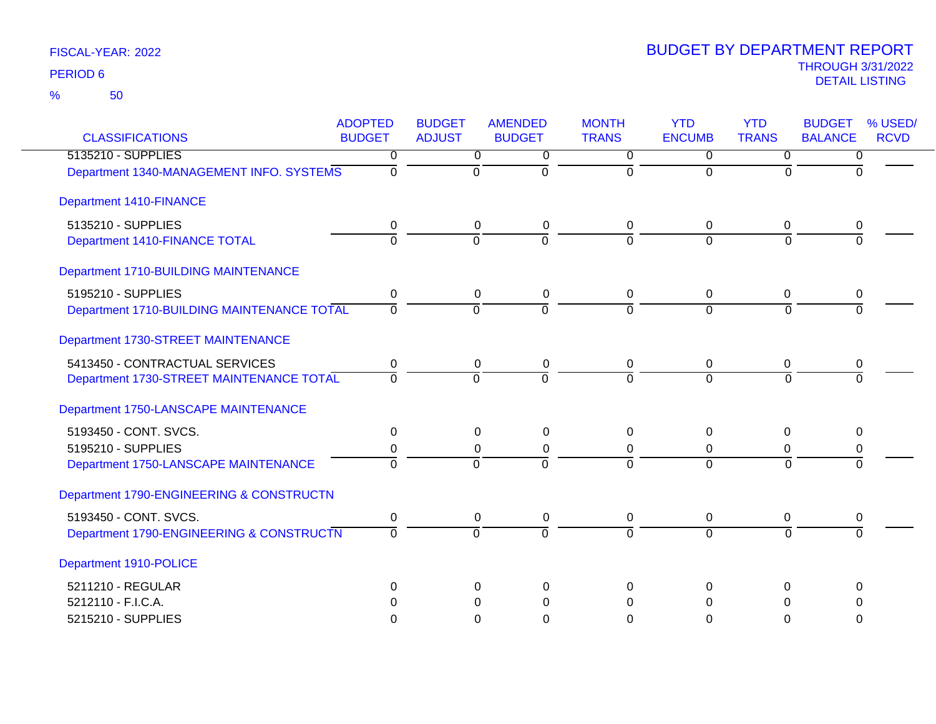| <b>CLASSIFICATIONS</b>                     | <b>ADOPTED</b><br><b>BUDGET</b> | <b>BUDGET</b><br><b>ADJUST</b> | <b>AMENDED</b><br><b>BUDGET</b> | <b>MONTH</b><br><b>TRANS</b> | <b>YTD</b><br><b>ENCUMB</b> | <b>YTD</b><br><b>TRANS</b> | <b>BUDGET</b><br>% USED/<br><b>BALANCE</b><br><b>RCVD</b> |
|--------------------------------------------|---------------------------------|--------------------------------|---------------------------------|------------------------------|-----------------------------|----------------------------|-----------------------------------------------------------|
| 5135210 - SUPPLIES                         | $\Omega$                        | 0                              | 0                               | 0                            | $\overline{0}$              | $\mathbf 0$                | 0                                                         |
| Department 1340-MANAGEMENT INFO. SYSTEMS   | $\mathbf 0$                     | ō                              | $\overline{0}$                  | $\Omega$                     | $\Omega$                    | $\Omega$                   | $\Omega$                                                  |
| <b>Department 1410-FINANCE</b>             |                                 |                                |                                 |                              |                             |                            |                                                           |
| 5135210 - SUPPLIES                         | 0                               | 0                              | 0                               | 0                            | $\mathbf 0$                 | $\mathbf 0$                | 0                                                         |
| Department 1410-FINANCE TOTAL              | $\overline{0}$                  | $\Omega$                       | $\overline{0}$                  | $\Omega$                     | $\Omega$                    | $\Omega$                   |                                                           |
| Department 1710-BUILDING MAINTENANCE       |                                 |                                |                                 |                              |                             |                            |                                                           |
| 5195210 - SUPPLIES                         | 0                               | 0                              | 0                               | 0                            | $\mathbf 0$                 | 0                          | 0                                                         |
| Department 1710-BUILDING MAINTENANCE TOTAL | $\Omega$                        | $\Omega$                       | $\Omega$                        | $\Omega$                     | $\Omega$                    | $\Omega$                   |                                                           |
| Department 1730-STREET MAINTENANCE         |                                 |                                |                                 |                              |                             |                            |                                                           |
| 5413450 - CONTRACTUAL SERVICES             | 0                               | $\mathbf 0$                    | $\mathbf 0$                     | 0                            | $\overline{0}$              | 0                          | 0                                                         |
| Department 1730-STREET MAINTENANCE TOTAL   | $\Omega$                        | $\Omega$                       | $\Omega$                        | $\Omega$                     | $\Omega$                    | $\Omega$                   | ∩                                                         |
| Department 1750-LANSCAPE MAINTENANCE       |                                 |                                |                                 |                              |                             |                            |                                                           |
| 5193450 - CONT. SVCS.                      | 0                               | 0                              | 0                               | 0                            | 0                           | 0                          | $\Omega$                                                  |
| 5195210 - SUPPLIES                         | 0                               | 0                              | 0                               | 0                            | 0                           | 0                          | 0                                                         |
| Department 1750-LANSCAPE MAINTENANCE       | $\Omega$                        | $\Omega$                       | $\Omega$                        | $\Omega$                     | $\Omega$                    | $\Omega$                   | $\Omega$                                                  |
| Department 1790-ENGINEERING & CONSTRUCTN   |                                 |                                |                                 |                              |                             |                            |                                                           |
| 5193450 - CONT. SVCS.                      | 0                               | 0                              | 0                               | 0                            | $\mathbf 0$                 | 0                          | 0                                                         |
| Department 1790-ENGINEERING & CONSTRUCTN   | $\Omega$                        | $\overline{0}$                 | ō                               | 0                            | $\overline{0}$              | $\overline{0}$             | $\Omega$                                                  |
| Department 1910-POLICE                     |                                 |                                |                                 |                              |                             |                            |                                                           |
| 5211210 - REGULAR                          | 0                               | $\Omega$                       | 0                               | $\Omega$                     | 0                           | 0                          | $\Omega$                                                  |
| 5212110 - F.I.C.A.                         | 0                               | 0                              | $\Omega$                        | $\Omega$                     | 0                           | $\Omega$                   | 0                                                         |
| 5215210 - SUPPLIES                         | 0                               | $\Omega$                       | $\Omega$                        | $\Omega$                     | $\Omega$                    | 0                          | $\Omega$                                                  |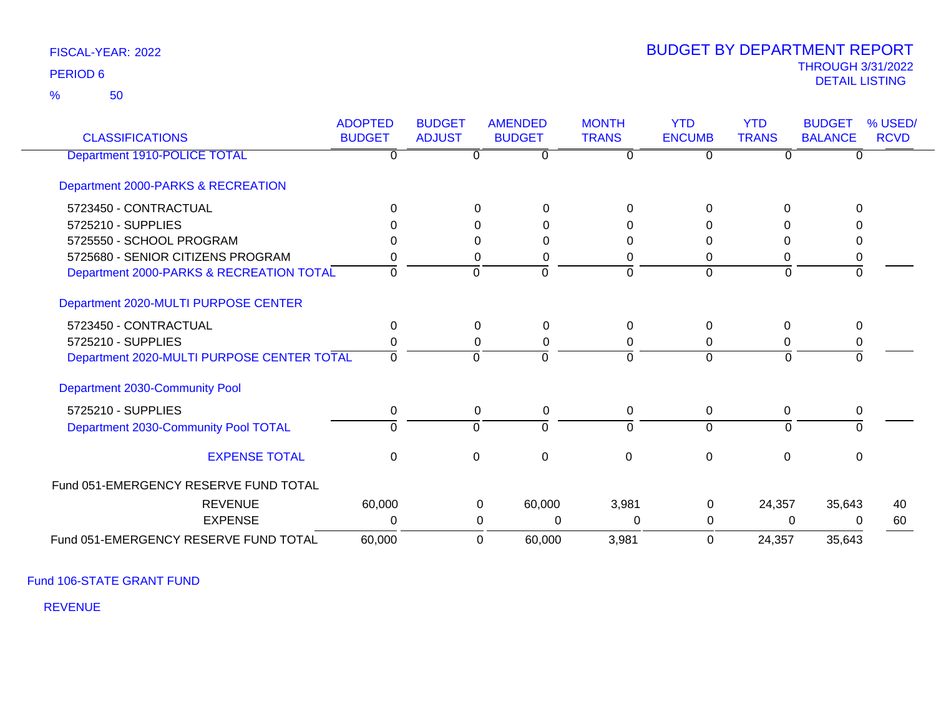50 %

# THROUGH 3/31/2022 DETAIL LISTING PERIOD <sup>6</sup> BUDGET BY DEPARTMENT REPORT

| <b>CLASSIFICATIONS</b>                     | <b>ADOPTED</b><br><b>BUDGET</b> | <b>BUDGET</b><br><b>ADJUST</b> | <b>AMENDED</b><br><b>BUDGET</b> | <b>MONTH</b><br><b>TRANS</b> | <b>YTD</b><br><b>ENCUMB</b> | <b>YTD</b><br><b>TRANS</b> | <b>BUDGET</b><br><b>BALANCE</b> | % USED/<br><b>RCVD</b> |
|--------------------------------------------|---------------------------------|--------------------------------|---------------------------------|------------------------------|-----------------------------|----------------------------|---------------------------------|------------------------|
| Department 1910-POLICE TOTAL               |                                 | <sup>0</sup>                   | $\Omega$                        | 0                            | <sup>0</sup>                |                            | 0                               |                        |
| Department 2000-PARKS & RECREATION         |                                 |                                |                                 |                              |                             |                            |                                 |                        |
| 5723450 - CONTRACTUAL                      | ∩                               |                                | $\Omega$<br>0                   | 0                            | 0                           | 0                          | $\Omega$                        |                        |
| 5725210 - SUPPLIES                         |                                 |                                | 0                               | 0                            |                             |                            |                                 |                        |
| 5725550 - SCHOOL PROGRAM                   |                                 |                                | $\Omega$<br>0                   | 0                            | 0                           | 0                          | 0                               |                        |
| 5725680 - SENIOR CITIZENS PROGRAM          |                                 |                                | 0<br>0                          | 0                            | 0                           | 0                          | 0                               |                        |
| Department 2000-PARKS & RECREATION TOTAL   | $\Omega$                        | $\Omega$                       | $\Omega$                        | $\Omega$                     | $\Omega$                    | $\Omega$                   | $\Omega$                        |                        |
| Department 2020-MULTI PURPOSE CENTER       |                                 |                                |                                 |                              |                             |                            |                                 |                        |
| 5723450 - CONTRACTUAL                      | $\Omega$                        |                                | $\mathbf{0}$<br>$\Omega$        | $\Omega$                     | $\Omega$                    | $\Omega$                   | 0                               |                        |
| 5725210 - SUPPLIES                         |                                 |                                | $\Omega$<br>0                   | 0                            | $\Omega$                    | 0                          | 0                               |                        |
| Department 2020-MULTI PURPOSE CENTER TOTAL | $\Omega$                        | $\Omega$                       | $\Omega$                        | $\Omega$                     | $\Omega$                    | $\Omega$                   | $\Omega$                        |                        |
| Department 2030-Community Pool             |                                 |                                |                                 |                              |                             |                            |                                 |                        |
| 5725210 - SUPPLIES                         | $\Omega$                        |                                | $\mathbf{0}$<br>0               | 0                            | 0                           | $\Omega$                   | 0                               |                        |
| Department 2030-Community Pool TOTAL       | $\Omega$                        | $\Omega$                       | $\Omega$                        | $\Omega$                     | $\Omega$                    | $\Omega$                   | $\Omega$                        |                        |
| <b>EXPENSE TOTAL</b>                       | $\Omega$                        | $\Omega$                       | 0                               | $\Omega$                     | $\Omega$                    | $\Omega$                   | $\Omega$                        |                        |
| Fund 051-EMERGENCY RESERVE FUND TOTAL      |                                 |                                |                                 |                              |                             |                            |                                 |                        |
| <b>REVENUE</b>                             | 60,000                          |                                | 60,000<br>0                     | 3,981                        | 0                           | 24,357                     | 35,643                          | 40                     |
| <b>EXPENSE</b>                             | 0                               |                                | $\Omega$<br>0                   | 0                            | 0                           | 0                          | $\Omega$                        | 60                     |
| Fund 051-EMERGENCY RESERVE FUND TOTAL      | 60,000                          |                                | 60,000<br>0                     | 3,981                        | $\Omega$                    | 24,357                     | 35,643                          |                        |

Fund 106-STATE GRANT FUND

REVENUE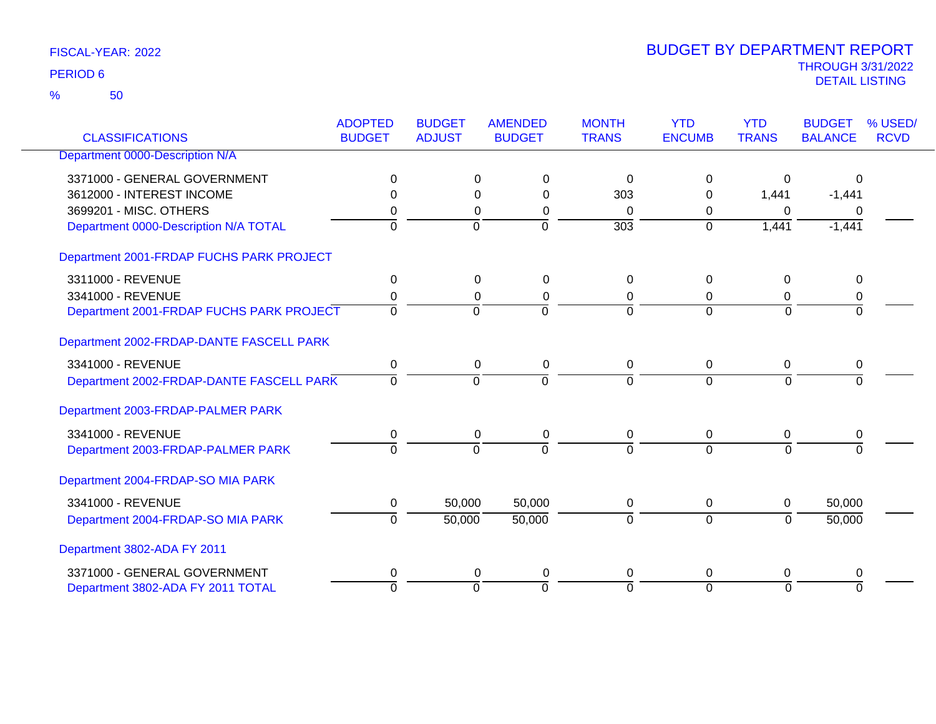50 %

| <b>CLASSIFICATIONS</b>                   | <b>ADOPTED</b><br><b>BUDGET</b> | <b>BUDGET</b><br><b>ADJUST</b> | <b>AMENDED</b><br><b>BUDGET</b> | <b>MONTH</b><br><b>TRANS</b> | <b>YTD</b><br><b>ENCUMB</b> | <b>YTD</b><br><b>TRANS</b> | <b>BUDGET</b><br><b>BALANCE</b> | % USED/<br><b>RCVD</b> |
|------------------------------------------|---------------------------------|--------------------------------|---------------------------------|------------------------------|-----------------------------|----------------------------|---------------------------------|------------------------|
| Department 0000-Description N/A          |                                 |                                |                                 |                              |                             |                            |                                 |                        |
| 3371000 - GENERAL GOVERNMENT             | 0                               | $\Omega$                       | $\Omega$                        | $\Omega$                     | $\Omega$                    | 0                          | $\Omega$                        |                        |
| 3612000 - INTEREST INCOME                | 0                               | 0                              | $\Omega$                        | 303                          | $\Omega$                    | 1,441                      | $-1,441$                        |                        |
| 3699201 - MISC. OTHERS                   | 0                               | 0                              | 0                               | $\Omega$                     | 0                           | 0                          |                                 |                        |
| Department 0000-Description N/A TOTAL    | 0                               | $\Omega$                       | $\overline{0}$                  | $\overline{303}$             | $\mathbf 0$                 | 1,441                      | $-1,441$                        |                        |
| Department 2001-FRDAP FUCHS PARK PROJECT |                                 |                                |                                 |                              |                             |                            |                                 |                        |
| 3311000 - REVENUE                        | 0                               | 0                              | 0                               | 0                            | 0                           | $\pmb{0}$                  | 0                               |                        |
| 3341000 - REVENUE                        | 0                               | 0                              | 0                               | 0                            | 0                           | 0                          | 0                               |                        |
| Department 2001-FRDAP FUCHS PARK PROJECT | 0                               | $\Omega$                       | $\mathbf 0$                     | $\Omega$                     | $\Omega$                    | $\Omega$                   | $\overline{0}$                  |                        |
| Department 2002-FRDAP-DANTE FASCELL PARK |                                 |                                |                                 |                              |                             |                            |                                 |                        |
| 3341000 - REVENUE                        | 0                               |                                | 0<br>0                          | 0                            | 0                           | 0                          | 0                               |                        |
| Department 2002-FRDAP-DANTE FASCELL PARK | $\Omega$                        | $\Omega$                       | 0                               | $\Omega$                     | $\overline{0}$              | $\Omega$                   | $\overline{0}$                  |                        |
| Department 2003-FRDAP-PALMER PARK        |                                 |                                |                                 |                              |                             |                            |                                 |                        |
| 3341000 - REVENUE                        | $\mathbf 0$                     | 0                              | 0                               | 0                            | 0                           | 0                          | 0                               |                        |
| Department 2003-FRDAP-PALMER PARK        | $\overline{0}$                  | $\overline{0}$                 | $\overline{0}$                  | $\Omega$                     | $\Omega$                    | $\Omega$                   | $\Omega$                        |                        |
| Department 2004-FRDAP-SO MIA PARK        |                                 |                                |                                 |                              |                             |                            |                                 |                        |
| 3341000 - REVENUE                        | 0                               | 50,000                         | 50,000                          | 0                            | 0                           | 0                          | 50,000                          |                        |
| Department 2004-FRDAP-SO MIA PARK        | $\Omega$                        | 50,000                         | 50,000                          | $\Omega$                     | $\overline{0}$              | $\mathbf 0$                | 50,000                          |                        |
| Department 3802-ADA FY 2011              |                                 |                                |                                 |                              |                             |                            |                                 |                        |
| 3371000 - GENERAL GOVERNMENT             | 0                               | 0                              | 0                               | 0                            | 0                           | 0                          | 0                               |                        |
| Department 3802-ADA FY 2011 TOTAL        | $\Omega$                        | $\overline{0}$                 | $\overline{0}$                  | $\Omega$                     | $\Omega$                    | $\Omega$                   | $\Omega$                        |                        |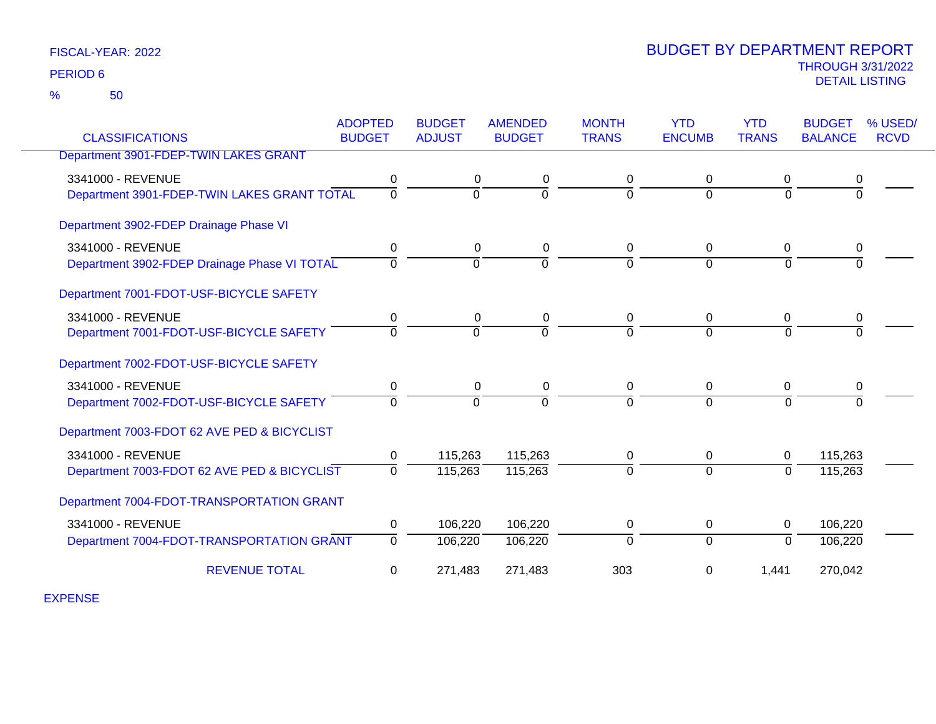50 %

# THROUGH 3/31/2022 DETAIL LISTING PERIOD <sup>6</sup> BUDGET BY DEPARTMENT REPORT

| <b>CLASSIFICATIONS</b>                       | <b>ADOPTED</b><br><b>BUDGET</b> | <b>BUDGET</b><br><b>ADJUST</b> | <b>AMENDED</b><br><b>BUDGET</b> | <b>MONTH</b><br><b>TRANS</b> | <b>YTD</b><br><b>ENCUMB</b> | <b>YTD</b><br><b>TRANS</b> | <b>BUDGET</b><br><b>BALANCE</b> | % USED/<br><b>RCVD</b> |
|----------------------------------------------|---------------------------------|--------------------------------|---------------------------------|------------------------------|-----------------------------|----------------------------|---------------------------------|------------------------|
| Department 3901-FDEP-TWIN LAKES GRANT        |                                 |                                |                                 |                              |                             |                            |                                 |                        |
|                                              |                                 |                                |                                 |                              |                             |                            |                                 |                        |
| 3341000 - REVENUE                            | 0                               | 0                              | 0                               | 0                            | 0                           | 0                          |                                 |                        |
| Department 3901-FDEP-TWIN LAKES GRANT TOTAL  | $\Omega$                        | $\overline{0}$                 | $\overline{0}$                  | $\Omega$                     | $\Omega$                    | $\Omega$                   | $\Omega$                        |                        |
| Department 3902-FDEP Drainage Phase VI       |                                 |                                |                                 |                              |                             |                            |                                 |                        |
| 3341000 - REVENUE                            | 0                               | 0                              | 0                               | $\mathbf 0$                  | 0                           | 0                          | 0                               |                        |
| Department 3902-FDEP Drainage Phase VI TOTAL | $\overline{0}$                  | $\overline{0}$                 | $\Omega$                        | $\Omega$                     | $\Omega$                    | $\mathbf 0$                | $\Omega$                        |                        |
| Department 7001-FDOT-USF-BICYCLE SAFETY      |                                 |                                |                                 |                              |                             |                            |                                 |                        |
| 3341000 - REVENUE                            | 0                               | 0                              | 0                               | $\mathbf 0$                  | $\mathbf 0$                 | 0                          | 0                               |                        |
| Department 7001-FDOT-USF-BICYCLE SAFETY      | $\Omega$                        | $\Omega$                       | $\Omega$                        | $\Omega$                     | $\Omega$                    | $\Omega$                   |                                 |                        |
| Department 7002-FDOT-USF-BICYCLE SAFETY      |                                 |                                |                                 |                              |                             |                            |                                 |                        |
| 3341000 - REVENUE                            | 0                               | 0                              | 0                               | 0                            | 0                           | 0                          | 0                               |                        |
| Department 7002-FDOT-USF-BICYCLE SAFETY      | $\Omega$                        | $\Omega$                       | $\Omega$                        | $\Omega$                     | $\Omega$                    | $\Omega$                   | $\Omega$                        |                        |
| Department 7003-FDOT 62 AVE PED & BICYCLIST  |                                 |                                |                                 |                              |                             |                            |                                 |                        |
| 3341000 - REVENUE                            | 0                               | 115,263                        | 115,263                         | 0                            | $\mathbf 0$                 | 0                          | 115,263                         |                        |
| Department 7003-FDOT 62 AVE PED & BICYCLIST  | $\Omega$                        | 115,263                        | 115,263                         | $\Omega$                     | $\Omega$                    | $\Omega$                   | 115,263                         |                        |
| Department 7004-FDOT-TRANSPORTATION GRANT    |                                 |                                |                                 |                              |                             |                            |                                 |                        |
| 3341000 - REVENUE                            | 0                               | 106,220                        | 106,220                         | 0                            | 0                           | 0                          | 106,220                         |                        |
| Department 7004-FDOT-TRANSPORTATION GRANT    | $\Omega$                        | 106,220                        | 106,220                         | $\Omega$                     | $\Omega$                    | 0                          | 106,220                         |                        |
| <b>REVENUE TOTAL</b>                         | 0                               | 271,483                        | 271,483                         | 303                          | 0                           | 1,441                      | 270,042                         |                        |

EXPENSE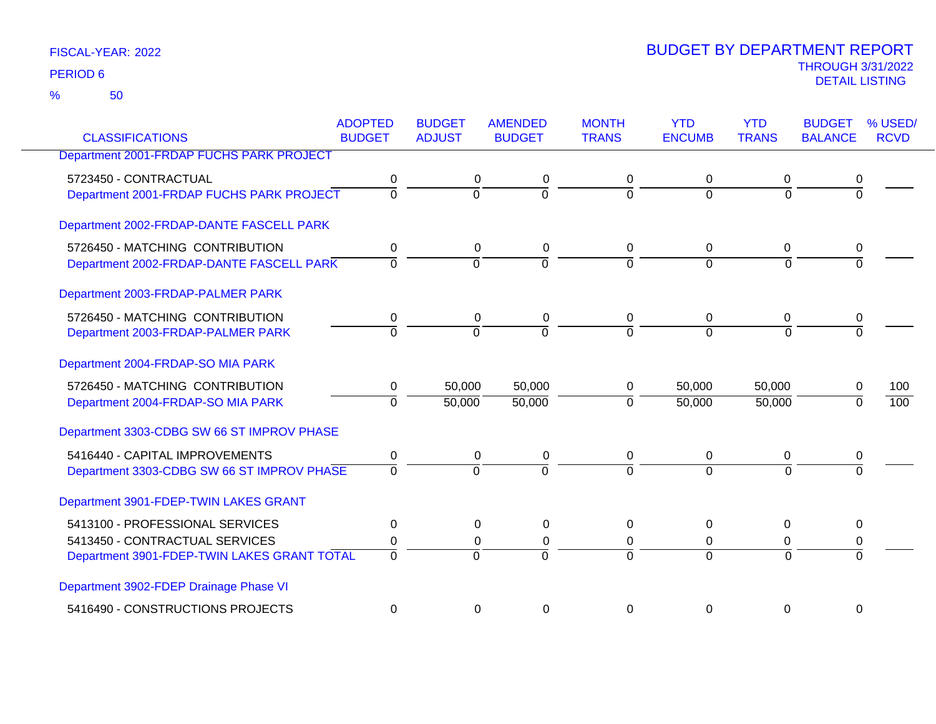50 %

| <b>CLASSIFICATIONS</b>                      | <b>ADOPTED</b><br><b>BUDGET</b> | <b>BUDGET</b><br><b>ADJUST</b> | <b>AMENDED</b><br><b>BUDGET</b> | <b>MONTH</b><br><b>TRANS</b> | <b>YTD</b><br><b>ENCUMB</b> | <b>YTD</b><br><b>TRANS</b> | <b>BUDGET</b><br><b>BALANCE</b> | % USED/<br><b>RCVD</b> |
|---------------------------------------------|---------------------------------|--------------------------------|---------------------------------|------------------------------|-----------------------------|----------------------------|---------------------------------|------------------------|
| Department 2001-FRDAP FUCHS PARK PROJECT    |                                 |                                |                                 |                              |                             |                            |                                 |                        |
|                                             |                                 |                                |                                 |                              |                             |                            |                                 |                        |
| 5723450 - CONTRACTUAL                       | 0                               | $\Omega$                       | 0                               | 0                            | $\Omega$                    | 0                          | 0                               |                        |
| Department 2001-FRDAP FUCHS PARK PROJECT    | $\overline{0}$                  | 0                              | $\Omega$                        | $\Omega$                     | $\Omega$                    | $\Omega$                   | $\overline{0}$                  |                        |
| Department 2002-FRDAP-DANTE FASCELL PARK    |                                 |                                |                                 |                              |                             |                            |                                 |                        |
| 5726450 - MATCHING CONTRIBUTION             | 0                               | 0                              | 0                               | 0                            | 0                           | 0                          | 0                               |                        |
| Department 2002-FRDAP-DANTE FASCELL PARK    | $\Omega$                        | $\Omega$                       | $\Omega$                        | 0                            | $\Omega$                    | $\Omega$                   | $\Omega$                        |                        |
| Department 2003-FRDAP-PALMER PARK           |                                 |                                |                                 |                              |                             |                            |                                 |                        |
| 5726450 - MATCHING CONTRIBUTION             | 0                               | 0                              | 0                               | 0                            | 0                           | 0                          | 0                               |                        |
| Department 2003-FRDAP-PALMER PARK           | $\overline{0}$                  | $\Omega$                       | $\overline{0}$                  | $\Omega$                     | $\Omega$                    | $\overline{0}$             | $\Omega$                        |                        |
| Department 2004-FRDAP-SO MIA PARK           |                                 |                                |                                 |                              |                             |                            |                                 |                        |
| 5726450 - MATCHING CONTRIBUTION             | 0                               | 50,000                         | 50,000                          | 0                            | 50,000                      | 50,000                     | 0                               | 100                    |
| Department 2004-FRDAP-SO MIA PARK           | $\Omega$                        | 50,000                         | 50,000                          | $\Omega$                     | 50,000                      | 50,000                     | $\Omega$                        | 100                    |
| Department 3303-CDBG SW 66 ST IMPROV PHASE  |                                 |                                |                                 |                              |                             |                            |                                 |                        |
| 5416440 - CAPITAL IMPROVEMENTS              | 0                               | $\mathbf 0$                    | 0                               | 0                            | $\mathbf 0$                 | 0                          | 0                               |                        |
| Department 3303-CDBG SW 66 ST IMPROV PHASE  | $\Omega$                        | $\Omega$                       | $\Omega$                        | $\Omega$                     | $\Omega$                    | $\Omega$                   |                                 |                        |
| Department 3901-FDEP-TWIN LAKES GRANT       |                                 |                                |                                 |                              |                             |                            |                                 |                        |
| 5413100 - PROFESSIONAL SERVICES             | 0                               | $\Omega$                       | $\Omega$                        | 0                            | $\Omega$                    | 0                          | $\Omega$                        |                        |
| 5413450 - CONTRACTUAL SERVICES              | 0                               | 0                              | 0                               | 0                            | 0                           | 0                          | 0                               |                        |
| Department 3901-FDEP-TWIN LAKES GRANT TOTAL | $\overline{0}$                  | $\Omega$                       | $\Omega$                        | $\Omega$                     | $\Omega$                    | $\overline{0}$             | $\Omega$                        |                        |
| Department 3902-FDEP Drainage Phase VI      |                                 |                                |                                 |                              |                             |                            |                                 |                        |
| 5416490 - CONSTRUCTIONS PROJECTS            | 0                               | 0                              | $\pmb{0}$                       | 0                            | 0                           | 0                          | 0                               |                        |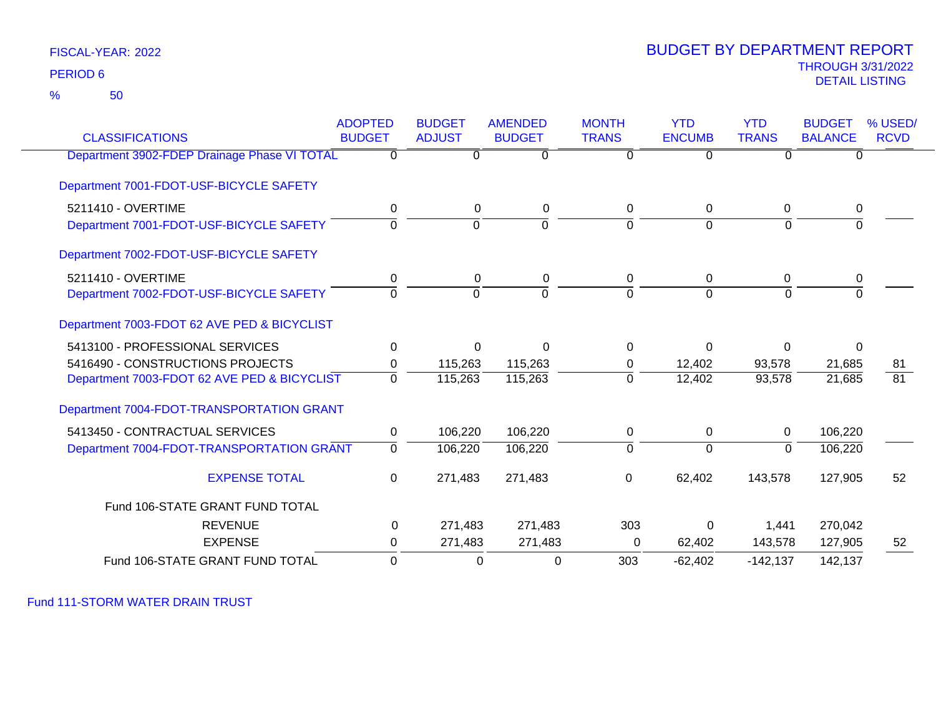50 %

# THROUGH 3/31/2022 DETAIL LISTING PERIOD <sup>6</sup> BUDGET BY DEPARTMENT REPORT

| <b>CLASSIFICATIONS</b>                       | <b>ADOPTED</b><br><b>BUDGET</b> | <b>BUDGET</b><br><b>ADJUST</b> | <b>AMENDED</b><br><b>BUDGET</b> | <b>MONTH</b><br><b>TRANS</b> | <b>YTD</b><br><b>ENCUMB</b> | <b>YTD</b><br><b>TRANS</b> | <b>BUDGET</b><br><b>BALANCE</b> | % USED/<br><b>RCVD</b> |
|----------------------------------------------|---------------------------------|--------------------------------|---------------------------------|------------------------------|-----------------------------|----------------------------|---------------------------------|------------------------|
| Department 3902-FDEP Drainage Phase VI TOTAL | $\Omega$                        | $\Omega$                       | $\Omega$                        | $\Omega$                     | $\overline{0}$              | $\Omega$                   | $\Omega$                        |                        |
| Department 7001-FDOT-USF-BICYCLE SAFETY      |                                 |                                |                                 |                              |                             |                            |                                 |                        |
| 5211410 - OVERTIME                           | 0                               | 0                              | 0                               | $\mathbf 0$                  | 0                           | $\Omega$                   | 0                               |                        |
| Department 7001-FDOT-USF-BICYCLE SAFETY      | $\mathbf{0}$                    | $\mathbf 0$                    | $\Omega$                        | $\Omega$                     | $\Omega$                    | $\Omega$                   | $\Omega$                        |                        |
| Department 7002-FDOT-USF-BICYCLE SAFETY      |                                 |                                |                                 |                              |                             |                            |                                 |                        |
| 5211410 - OVERTIME                           | 0                               | $\mathbf 0$                    | $\pmb{0}$                       | 0                            | 0                           | 0                          | $\pmb{0}$                       |                        |
| Department 7002-FDOT-USF-BICYCLE SAFETY      | $\Omega$                        | $\mathbf 0$                    | $\Omega$                        | $\Omega$                     | $\Omega$                    | $\Omega$                   | $\Omega$                        |                        |
| Department 7003-FDOT 62 AVE PED & BICYCLIST  |                                 |                                |                                 |                              |                             |                            |                                 |                        |
| 5413100 - PROFESSIONAL SERVICES              | $\mathbf{0}$                    | 0                              | $\Omega$                        | $\Omega$                     | $\Omega$                    | $\Omega$                   | 0                               |                        |
| 5416490 - CONSTRUCTIONS PROJECTS             | 0                               | 115,263                        | 115,263                         | 0                            | 12,402                      | 93,578                     | 21,685                          | 81                     |
| Department 7003-FDOT 62 AVE PED & BICYCLIST  | $\overline{0}$                  | 115,263                        | 115,263                         | $\mathbf 0$                  | 12,402                      | 93,578                     | 21,685                          | $\overline{81}$        |
| Department 7004-FDOT-TRANSPORTATION GRANT    |                                 |                                |                                 |                              |                             |                            |                                 |                        |
| 5413450 - CONTRACTUAL SERVICES               | $\mathbf 0$                     | 106,220                        | 106,220                         | 0                            | $\mathbf 0$                 | $\mathbf 0$                | 106,220                         |                        |
| Department 7004-FDOT-TRANSPORTATION GRANT    | $\overline{0}$                  | 106,220                        | 106,220                         | $\Omega$                     | $\overline{0}$              | 0                          | 106,220                         |                        |
| <b>EXPENSE TOTAL</b>                         | 0                               | 271,483                        | 271,483                         | $\mathbf 0$                  | 62,402                      | 143,578                    | 127,905                         | 52                     |
| Fund 106-STATE GRANT FUND TOTAL              |                                 |                                |                                 |                              |                             |                            |                                 |                        |
| <b>REVENUE</b>                               | $\mathbf 0$                     | 271,483                        | 271,483                         | 303                          | $\Omega$                    | 1,441                      | 270,042                         |                        |
| <b>EXPENSE</b>                               | 0                               | 271,483                        | 271,483                         | 0                            | 62,402                      | 143,578                    | 127,905                         | 52                     |
| Fund 106-STATE GRANT FUND TOTAL              | $\Omega$                        | $\Omega$                       | $\Omega$                        | 303                          | $-62,402$                   | $-142,137$                 | 142,137                         |                        |

Fund 111-STORM WATER DRAIN TRUST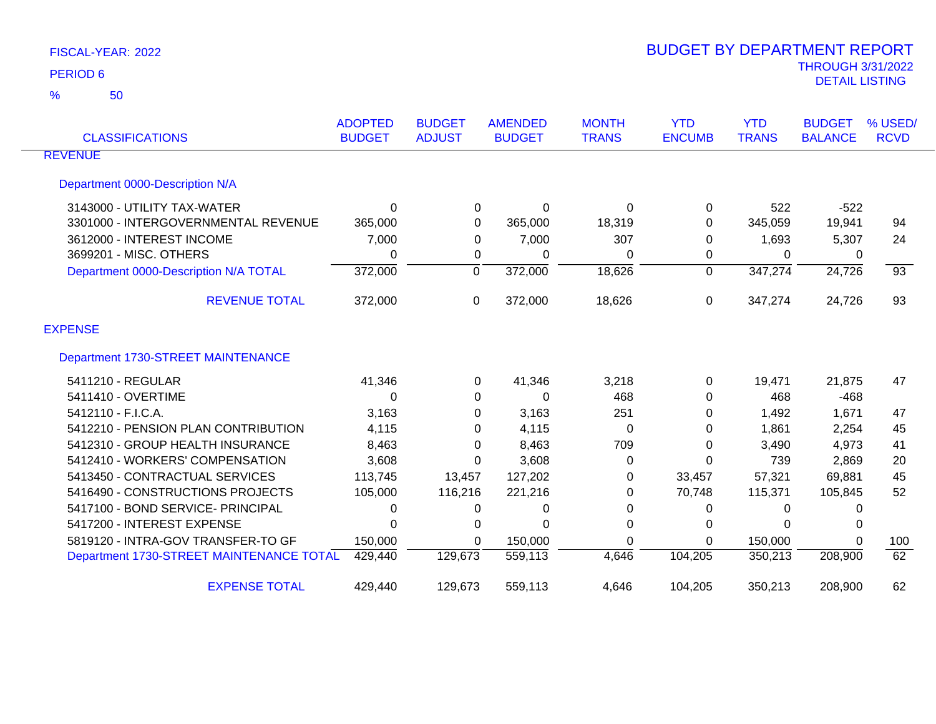| <b>CLASSIFICATIONS</b>                   | <b>ADOPTED</b><br><b>BUDGET</b> | <b>BUDGET</b><br><b>ADJUST</b> | <b>AMENDED</b><br><b>BUDGET</b> | <b>MONTH</b><br><b>TRANS</b> | <b>YTD</b><br><b>ENCUMB</b> | <b>YTD</b><br><b>TRANS</b> | <b>BUDGET</b><br><b>BALANCE</b> | % USED/<br><b>RCVD</b> |
|------------------------------------------|---------------------------------|--------------------------------|---------------------------------|------------------------------|-----------------------------|----------------------------|---------------------------------|------------------------|
| <b>REVENUE</b>                           |                                 |                                |                                 |                              |                             |                            |                                 |                        |
| Department 0000-Description N/A          |                                 |                                |                                 |                              |                             |                            |                                 |                        |
| 3143000 - UTILITY TAX-WATER              | 0                               | 0                              | $\Omega$                        | 0                            | 0                           | 522                        | $-522$                          |                        |
| 3301000 - INTERGOVERNMENTAL REVENUE      | 365,000                         | 0                              | 365,000                         | 18,319                       | $\Omega$                    | 345,059                    | 19,941                          | 94                     |
| 3612000 - INTEREST INCOME                | 7,000                           | 0                              | 7,000                           | 307                          | 0                           | 1,693                      | 5,307                           | 24                     |
| 3699201 - MISC. OTHERS                   | $\Omega$                        | 0                              | 0                               | 0                            | 0                           | 0                          | $\Omega$                        |                        |
| Department 0000-Description N/A TOTAL    | 372,000                         | $\mathbf 0$                    | 372,000                         | 18,626                       | $\overline{0}$              | 347,274                    | 24,726                          | $\overline{93}$        |
| <b>REVENUE TOTAL</b>                     | 372,000                         | 0                              | 372,000                         | 18,626                       | 0                           | 347,274                    | 24,726                          | 93                     |
| <b>EXPENSE</b>                           |                                 |                                |                                 |                              |                             |                            |                                 |                        |
| Department 1730-STREET MAINTENANCE       |                                 |                                |                                 |                              |                             |                            |                                 |                        |
| 5411210 - REGULAR                        | 41,346                          | 0                              | 41,346                          | 3,218                        | 0                           | 19,471                     | 21,875                          | 47                     |
| 5411410 - OVERTIME                       | $\Omega$                        | 0                              | 0                               | 468                          | $\Omega$                    | 468                        | $-468$                          |                        |
| 5412110 - F.I.C.A.                       | 3,163                           | 0                              | 3,163                           | 251                          | 0                           | 1,492                      | 1,671                           | 47                     |
| 5412210 - PENSION PLAN CONTRIBUTION      | 4,115                           | 0                              | 4,115                           | 0                            | 0                           | 1,861                      | 2,254                           | 45                     |
| 5412310 - GROUP HEALTH INSURANCE         | 8,463                           | 0                              | 8,463                           | 709                          | $\Omega$                    | 3,490                      | 4,973                           | 41                     |
| 5412410 - WORKERS' COMPENSATION          | 3,608                           | 0                              | 3,608                           | 0                            | 0                           | 739                        | 2,869                           | 20                     |
| 5413450 - CONTRACTUAL SERVICES           | 113,745                         | 13,457                         | 127,202                         | 0                            | 33,457                      | 57,321                     | 69,881                          | 45                     |
| 5416490 - CONSTRUCTIONS PROJECTS         | 105,000                         | 116,216                        | 221,216                         | 0                            | 70,748                      | 115,371                    | 105,845                         | 52                     |
| 5417100 - BOND SERVICE- PRINCIPAL        | 0                               | 0                              | 0                               | 0                            | 0                           | 0                          | 0                               |                        |
| 5417200 - INTEREST EXPENSE               | 0                               | 0                              | $\Omega$                        | 0                            | 0                           | 0                          | 0                               |                        |
| 5819120 - INTRA-GOV TRANSFER-TO GF       | 150,000                         | $\Omega$                       | 150,000                         | $\Omega$                     | 0                           | 150,000                    | $\Omega$                        | 100                    |
| Department 1730-STREET MAINTENANCE TOTAL | 429,440                         | 129,673                        | 559,113                         | 4,646                        | 104,205                     | 350,213                    | 208,900                         | 62                     |
| <b>EXPENSE TOTAL</b>                     | 429,440                         | 129,673                        | 559,113                         | 4,646                        | 104,205                     | 350,213                    | 208,900                         | 62                     |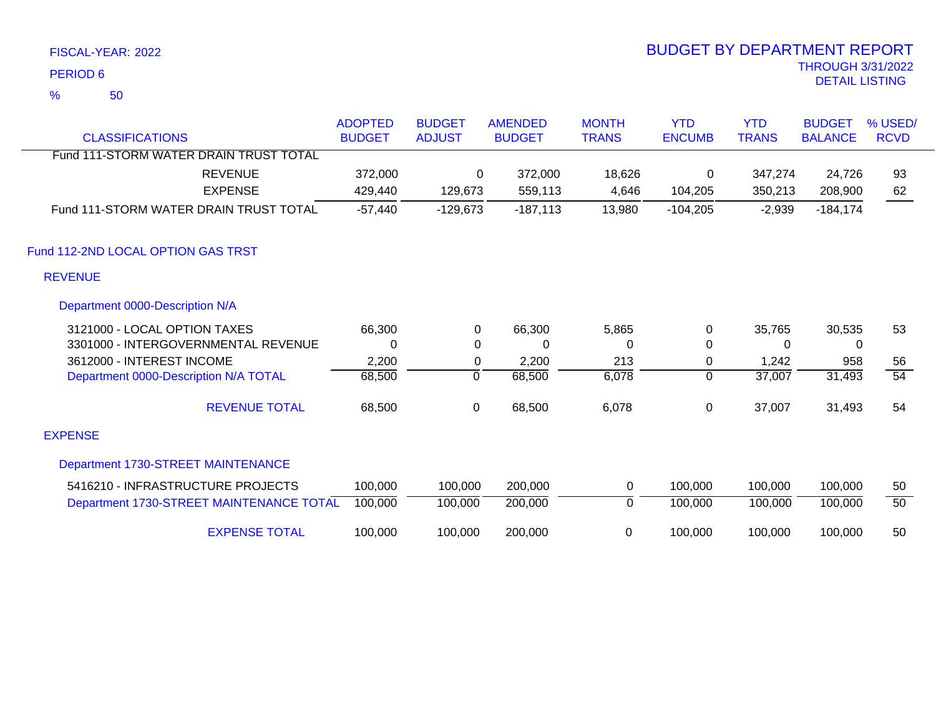50 %

|                                          | <b>ADOPTED</b> | <b>BUDGET</b> | <b>AMENDED</b> | <b>MONTH</b> | <b>YTD</b>    | <b>YTD</b>   | <b>BUDGET</b>  | % USED          |
|------------------------------------------|----------------|---------------|----------------|--------------|---------------|--------------|----------------|-----------------|
| <b>CLASSIFICATIONS</b>                   | <b>BUDGET</b>  | <b>ADJUST</b> | <b>BUDGET</b>  | <b>TRANS</b> | <b>ENCUMB</b> | <b>TRANS</b> | <b>BALANCE</b> | <b>RCVD</b>     |
| Fund 111-STORM WATER DRAIN TRUST TOTAL   |                |               |                |              |               |              |                |                 |
| <b>REVENUE</b>                           | 372,000        | 0             | 372,000        | 18,626       | 0             | 347,274      | 24,726         | 93              |
| <b>EXPENSE</b>                           | 429,440        | 129,673       | 559,113        | 4,646        | 104,205       | 350,213      | 208,900        | 62              |
| Fund 111-STORM WATER DRAIN TRUST TOTAL   | $-57,440$      | $-129,673$    | $-187,113$     | 13,980       | $-104,205$    | $-2,939$     | $-184,174$     |                 |
| Fund 112-2ND LOCAL OPTION GAS TRST       |                |               |                |              |               |              |                |                 |
| <b>REVENUE</b>                           |                |               |                |              |               |              |                |                 |
| Department 0000-Description N/A          |                |               |                |              |               |              |                |                 |
| 3121000 - LOCAL OPTION TAXES             | 66,300         | 0             | 66,300         | 5,865        | 0             | 35,765       | 30,535         | 53              |
| 3301000 - INTERGOVERNMENTAL REVENUE      | $\Omega$       | 0             | 0              | $\Omega$     | 0             | $\Omega$     | $\Omega$       |                 |
| 3612000 - INTEREST INCOME                | 2,200          | 0             | 2,200          | 213          | 0             | 1,242        | 958            | 56              |
| Department 0000-Description N/A TOTAL    | 68,500         | 0             | 68,500         | 6,078        | $\mathbf 0$   | 37,007       | 31,493         | $\overline{54}$ |
| <b>REVENUE TOTAL</b>                     | 68,500         | 0             | 68,500         | 6,078        | 0             | 37,007       | 31,493         | 54              |
| <b>EXPENSE</b>                           |                |               |                |              |               |              |                |                 |
| Department 1730-STREET MAINTENANCE       |                |               |                |              |               |              |                |                 |
| 5416210 - INFRASTRUCTURE PROJECTS        | 100,000        | 100,000       | 200,000        | 0            | 100,000       | 100,000      | 100,000        | 50              |
| Department 1730-STREET MAINTENANCE TOTAL | 100,000        | 100,000       | 200,000        | 0            | 100,000       | 100,000      | 100,000        | $\overline{50}$ |
| <b>EXPENSE TOTAL</b>                     | 100,000        | 100,000       | 200,000        | 0            | 100,000       | 100,000      | 100,000        | 50              |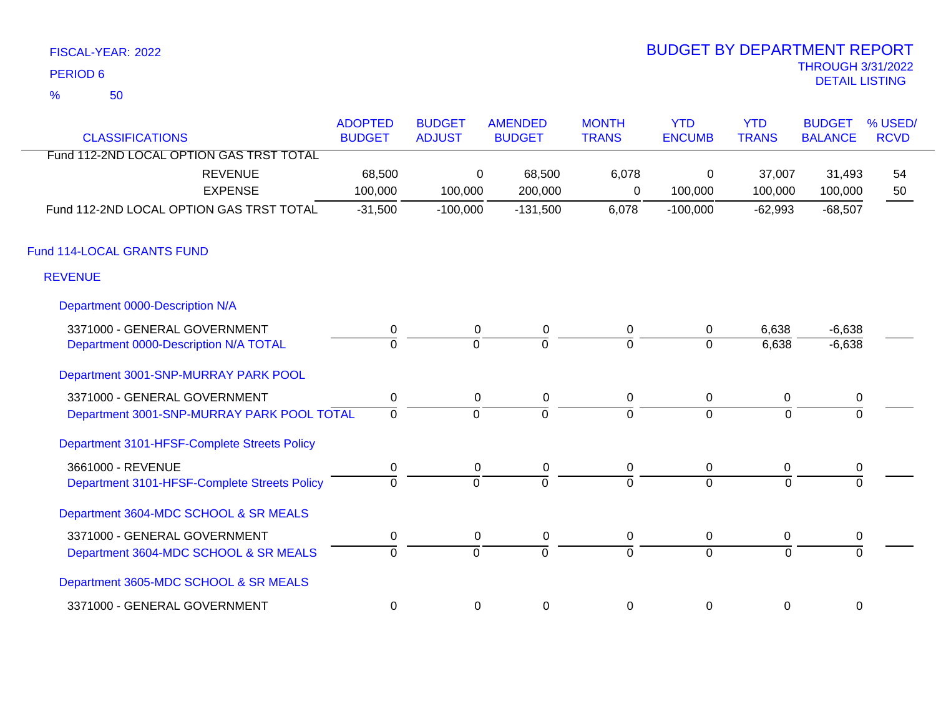50 %

| <b>CLASSIFICATIONS</b>                       | <b>ADOPTED</b><br><b>BUDGET</b> | <b>BUDGET</b><br><b>ADJUST</b> | <b>AMENDED</b><br><b>BUDGET</b> | <b>MONTH</b><br><b>TRANS</b> | <b>YTD</b><br><b>ENCUMB</b> | <b>YTD</b><br><b>TRANS</b> | <b>BUDGET</b><br><b>BALANCE</b> | % USED/<br><b>RCVD</b> |
|----------------------------------------------|---------------------------------|--------------------------------|---------------------------------|------------------------------|-----------------------------|----------------------------|---------------------------------|------------------------|
| Fund 112-2ND LOCAL OPTION GAS TRST TOTAL     |                                 |                                |                                 |                              |                             |                            |                                 |                        |
| <b>REVENUE</b><br><b>EXPENSE</b>             | 68,500<br>100,000               | $\Omega$<br>100,000            | 68,500<br>200,000               | 6,078<br>0                   | 0<br>100,000                | 37,007<br>100,000          | 31,493<br>100,000               | 54<br>50               |
| Fund 112-2ND LOCAL OPTION GAS TRST TOTAL     | $-31,500$                       | $-100,000$                     | $-131,500$                      | 6,078                        | $-100,000$                  | $-62,993$                  | $-68,507$                       |                        |
| Fund 114-LOCAL GRANTS FUND                   |                                 |                                |                                 |                              |                             |                            |                                 |                        |
| <b>REVENUE</b>                               |                                 |                                |                                 |                              |                             |                            |                                 |                        |
| Department 0000-Description N/A              |                                 |                                |                                 |                              |                             |                            |                                 |                        |
| 3371000 - GENERAL GOVERNMENT                 | $\mathbf 0$                     | 0                              | 0                               | 0                            | 0                           | 6,638                      | $-6,638$                        |                        |
| Department 0000-Description N/A TOTAL        | $\Omega$                        | $\Omega$                       | $\overline{0}$                  | $\Omega$                     | $\Omega$                    | 6,638                      | $-6,638$                        |                        |
| Department 3001-SNP-MURRAY PARK POOL         |                                 |                                |                                 |                              |                             |                            |                                 |                        |
| 3371000 - GENERAL GOVERNMENT                 | $\pmb{0}$                       | $\mathbf 0$                    | 0                               | 0                            | $\mathbf 0$                 | 0                          | 0                               |                        |
| Department 3001-SNP-MURRAY PARK POOL TOTAL   | $\mathbf 0$                     | $\Omega$                       | $\overline{0}$                  | $\Omega$                     | $\overline{0}$              | $\Omega$                   | $\Omega$                        |                        |
| Department 3101-HFSF-Complete Streets Policy |                                 |                                |                                 |                              |                             |                            |                                 |                        |
| 3661000 - REVENUE                            | $\mathbf 0$                     | $\mathbf 0$                    | $\mathbf 0$                     | $\mathbf 0$                  | $\mathbf 0$                 | 0                          | $\pmb{0}$                       |                        |
| Department 3101-HFSF-Complete Streets Policy | $\mathbf{0}$                    | $\mathbf 0$                    | $\Omega$                        | $\Omega$                     | $\mathbf 0$                 | $\Omega$                   | $\Omega$                        |                        |
| Department 3604-MDC SCHOOL & SR MEALS        |                                 |                                |                                 |                              |                             |                            |                                 |                        |
| 3371000 - GENERAL GOVERNMENT                 | 0                               | 0                              | 0                               | 0                            | $\mathbf 0$                 | 0                          | 0                               |                        |
| Department 3604-MDC SCHOOL & SR MEALS        | $\overline{0}$                  | $\overline{0}$                 | $\Omega$                        | $\overline{0}$               | $\overline{0}$              | $\overline{0}$             | $\Omega$                        |                        |
| Department 3605-MDC SCHOOL & SR MEALS        |                                 |                                |                                 |                              |                             |                            |                                 |                        |
| 3371000 - GENERAL GOVERNMENT                 | 0                               | 0                              | 0                               | 0                            | $\mathbf 0$                 | 0                          | $\mathbf 0$                     |                        |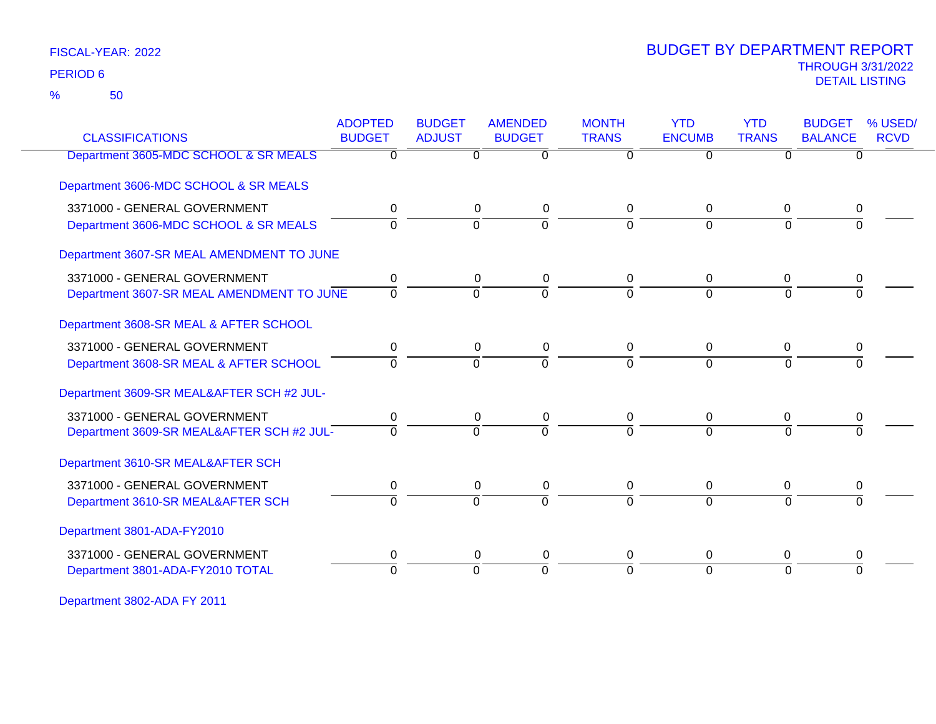50 %

# THROUGH 3/31/2022 DETAIL LISTING PERIOD <sup>6</sup> BUDGET BY DEPARTMENT REPORT

| <b>CLASSIFICATIONS</b>                    | <b>ADOPTED</b><br><b>BUDGET</b> | <b>BUDGET</b><br><b>ADJUST</b> | <b>AMENDED</b><br><b>BUDGET</b>  | <b>MONTH</b><br><b>TRANS</b> | <b>YTD</b><br><b>ENCUMB</b> | <b>YTD</b><br><b>TRANS</b> | <b>BUDGET</b><br><b>BALANCE</b> | % USED/<br><b>RCVD</b> |
|-------------------------------------------|---------------------------------|--------------------------------|----------------------------------|------------------------------|-----------------------------|----------------------------|---------------------------------|------------------------|
| Department 3605-MDC SCHOOL & SR MEALS     | $\Omega$                        |                                | $\overline{0}$<br>$\Omega$       | 0                            | $\overline{0}$              | $\Omega$                   | $\overline{0}$                  |                        |
| Department 3606-MDC SCHOOL & SR MEALS     |                                 |                                |                                  |                              |                             |                            |                                 |                        |
| 3371000 - GENERAL GOVERNMENT              | $\pmb{0}$                       |                                | 0<br>0                           | 0                            | 0                           | 0                          | 0                               |                        |
| Department 3606-MDC SCHOOL & SR MEALS     | $\Omega$                        |                                | $\Omega$<br>$\Omega$             | $\Omega$                     | $\Omega$                    | $\Omega$                   | 0                               |                        |
| Department 3607-SR MEAL AMENDMENT TO JUNE |                                 |                                |                                  |                              |                             |                            |                                 |                        |
| 3371000 - GENERAL GOVERNMENT              | 0                               |                                | 0<br>0                           | 0                            | $\Omega$                    | 0                          | 0                               |                        |
| Department 3607-SR MEAL AMENDMENT TO JUNE | $\overline{0}$                  |                                | $\overline{0}$<br>$\overline{0}$ | $\Omega$                     | $\Omega$                    | $\Omega$                   | $\Omega$                        |                        |
| Department 3608-SR MEAL & AFTER SCHOOL    |                                 |                                |                                  |                              |                             |                            |                                 |                        |
| 3371000 - GENERAL GOVERNMENT              | 0                               |                                | 0<br>0                           | 0                            | $\mathbf 0$                 | $\Omega$                   | 0                               |                        |
| Department 3608-SR MEAL & AFTER SCHOOL    | $\Omega$                        |                                | $\Omega$<br>$\Omega$             | $\Omega$                     | $\Omega$                    | $\Omega$                   |                                 |                        |
| Department 3609-SR MEAL&AFTER SCH #2 JUL- |                                 |                                |                                  |                              |                             |                            |                                 |                        |
| 3371000 - GENERAL GOVERNMENT              | 0                               |                                | 0<br>0                           | 0                            | $\mathbf{0}$                | 0                          | 0                               |                        |
| Department 3609-SR MEAL&AFTER SCH #2 JUL- | $\Omega$                        |                                | $\Omega$<br>$\Omega$             | $\Omega$                     | $\Omega$                    | $\Omega$                   | $\Omega$                        |                        |
| Department 3610-SR MEAL&AFTER SCH         |                                 |                                |                                  |                              |                             |                            |                                 |                        |
| 3371000 - GENERAL GOVERNMENT              | 0                               |                                | 0<br>0                           | 0                            | $\mathbf 0$                 | 0                          | 0                               |                        |
| Department 3610-SR MEAL&AFTER SCH         | $\Omega$                        |                                | $\overline{0}$<br>$\Omega$       | $\Omega$                     | $\overline{0}$              | $\Omega$                   |                                 |                        |
| Department 3801-ADA-FY2010                |                                 |                                |                                  |                              |                             |                            |                                 |                        |
| 3371000 - GENERAL GOVERNMENT              | 0                               |                                | 0<br>0                           | 0                            | 0                           | 0                          | 0                               |                        |
| Department 3801-ADA-FY2010 TOTAL          | $\Omega$                        |                                | $\Omega$<br>$\Omega$             | $\Omega$                     | $\Omega$                    | $\Omega$                   | $\Omega$                        |                        |

Department 3802-ADA FY 2011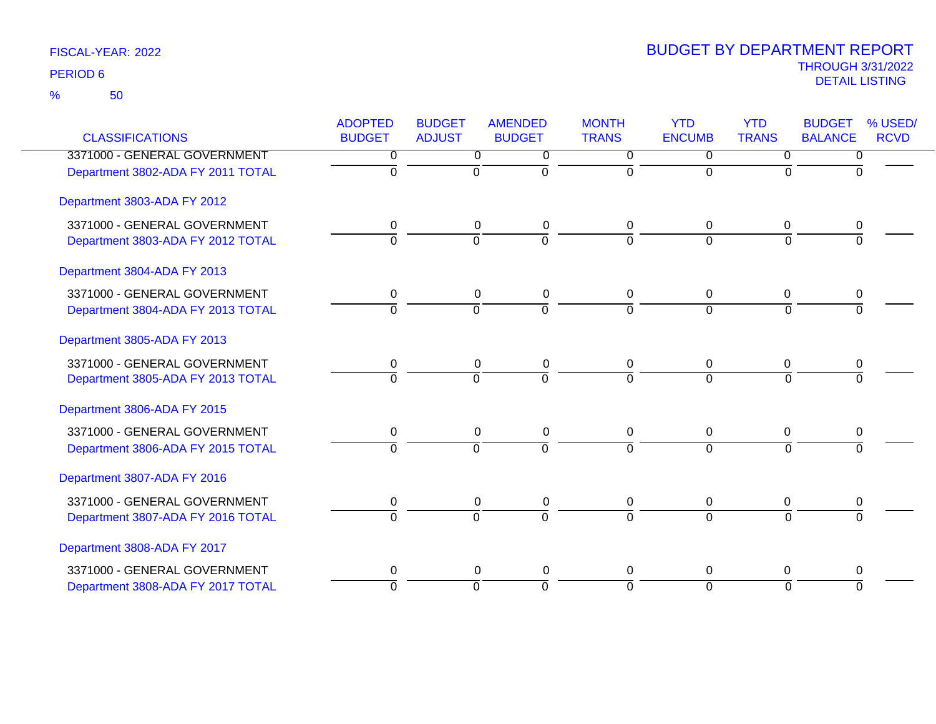50 %

| <b>CLASSIFICATIONS</b>            | <b>ADOPTED</b><br><b>BUDGET</b> | <b>BUDGET</b><br><b>ADJUST</b> | <b>AMENDED</b><br><b>BUDGET</b> | <b>MONTH</b><br><b>TRANS</b> | <b>YTD</b><br><b>ENCUMB</b> | <b>YTD</b><br><b>TRANS</b> | <b>BUDGET</b><br>% USED/<br><b>BALANCE</b><br><b>RCVD</b> |
|-----------------------------------|---------------------------------|--------------------------------|---------------------------------|------------------------------|-----------------------------|----------------------------|-----------------------------------------------------------|
| 3371000 - GENERAL GOVERNMENT      | 0                               | 0                              | 0                               | $\overline{0}$               | $\overline{0}$              | 0                          | 0                                                         |
| Department 3802-ADA FY 2011 TOTAL | 0                               | $\mathbf 0$                    | $\overline{0}$                  | $\Omega$                     | $\Omega$                    | $\Omega$                   | $\Omega$                                                  |
| Department 3803-ADA FY 2012       |                                 |                                |                                 |                              |                             |                            |                                                           |
| 3371000 - GENERAL GOVERNMENT      | 0                               | 0                              | 0                               | 0                            | $\mathbf 0$                 | 0                          | 0                                                         |
| Department 3803-ADA FY 2012 TOTAL | $\overline{0}$                  | $\overline{0}$                 | ō                               | $\Omega$                     | $\Omega$                    | $\Omega$                   | $\Omega$                                                  |
| Department 3804-ADA FY 2013       |                                 |                                |                                 |                              |                             |                            |                                                           |
| 3371000 - GENERAL GOVERNMENT      | 0                               | $\mathbf 0$                    | 0                               | $\mathbf 0$                  | $\overline{0}$              | $\mathbf 0$                | 0                                                         |
| Department 3804-ADA FY 2013 TOTAL | 0                               | $\Omega$                       | 0                               | $\Omega$                     | $\Omega$                    | $\Omega$                   |                                                           |
| Department 3805-ADA FY 2013       |                                 |                                |                                 |                              |                             |                            |                                                           |
| 3371000 - GENERAL GOVERNMENT      | 0                               | $\mathbf 0$                    | $\pmb{0}$                       | 0                            | $\mathbf 0$                 | 0                          | 0                                                         |
| Department 3805-ADA FY 2013 TOTAL | $\Omega$                        | $\Omega$                       | $\overline{0}$                  | $\Omega$                     | $\Omega$                    | $\Omega$                   |                                                           |
| Department 3806-ADA FY 2015       |                                 |                                |                                 |                              |                             |                            |                                                           |
| 3371000 - GENERAL GOVERNMENT      | 0                               | $\mathbf 0$                    | $\mathbf 0$                     | 0                            | 0                           | $\Omega$                   | 0                                                         |
| Department 3806-ADA FY 2015 TOTAL | $\overline{0}$                  | $\overline{0}$                 | $\overline{0}$                  | $\Omega$                     | $\Omega$                    | $\overline{0}$             | $\Omega$                                                  |
| Department 3807-ADA FY 2016       |                                 |                                |                                 |                              |                             |                            |                                                           |
| 3371000 - GENERAL GOVERNMENT      | 0                               | 0                              | 0                               | 0                            | $\mathbf 0$                 | 0                          | 0                                                         |
| Department 3807-ADA FY 2016 TOTAL | $\overline{0}$                  | $\Omega$                       | $\Omega$                        | $\Omega$                     | $\Omega$                    | $\Omega$                   | $\Omega$                                                  |
| Department 3808-ADA FY 2017       |                                 |                                |                                 |                              |                             |                            |                                                           |
| 3371000 - GENERAL GOVERNMENT      | 0                               | 0                              | $\mathbf 0$                     | 0                            | 0                           | 0                          | 0                                                         |
| Department 3808-ADA FY 2017 TOTAL | ō                               | $\overline{0}$                 | 0                               | $\Omega$                     | $\overline{0}$              | $\overline{0}$             | $\Omega$                                                  |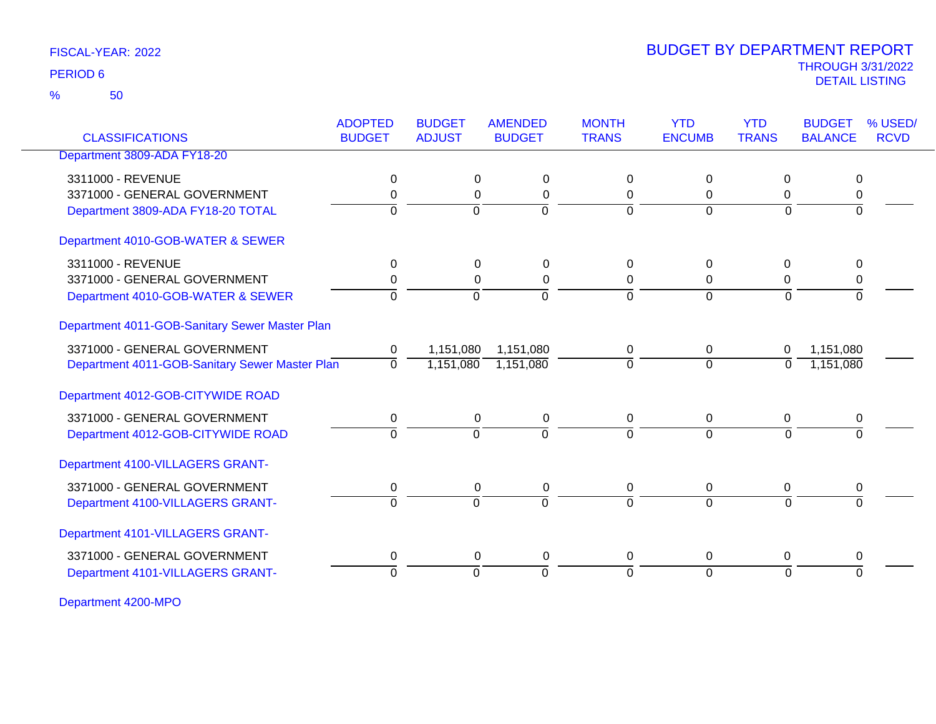50 %

# THROUGH 3/31/2022 DETAIL LISTING PERIOD <sup>6</sup> BUDGET BY DEPARTMENT REPORT

| <b>CLASSIFICATIONS</b>                         | <b>ADOPTED</b><br><b>BUDGET</b> | <b>BUDGET</b><br><b>ADJUST</b> | <b>AMENDED</b><br><b>BUDGET</b> | <b>MONTH</b><br><b>TRANS</b> | <b>YTD</b><br><b>ENCUMB</b> | <b>YTD</b><br><b>TRANS</b> | <b>BUDGET</b><br><b>BALANCE</b> | % USED/<br><b>RCVD</b> |
|------------------------------------------------|---------------------------------|--------------------------------|---------------------------------|------------------------------|-----------------------------|----------------------------|---------------------------------|------------------------|
| Department 3809-ADA FY18-20                    |                                 |                                |                                 |                              |                             |                            |                                 |                        |
| 3311000 - REVENUE                              | 0                               | $\Omega$                       | 0                               | 0                            | 0                           | 0                          | $\Omega$                        |                        |
| 3371000 - GENERAL GOVERNMENT                   | 0                               | 0                              | 0                               | 0                            | 0                           | 0                          | 0                               |                        |
| Department 3809-ADA FY18-20 TOTAL              | $\Omega$                        | $\Omega$                       | $\Omega$                        | $\Omega$                     | $\Omega$                    | $\Omega$                   | $\Omega$                        |                        |
| Department 4010-GOB-WATER & SEWER              |                                 |                                |                                 |                              |                             |                            |                                 |                        |
| 3311000 - REVENUE                              | 0                               | $\Omega$                       | 0                               | 0                            | $\Omega$                    | 0                          | 0                               |                        |
| 3371000 - GENERAL GOVERNMENT                   | 0                               | $\Omega$                       | 0                               | 0                            | $\Omega$                    | 0                          | 0                               |                        |
| Department 4010-GOB-WATER & SEWER              | $\mathbf 0$                     | $\Omega$                       | $\Omega$                        | $\Omega$                     | $\Omega$                    | $\mathbf 0$                | $\Omega$                        |                        |
| Department 4011-GOB-Sanitary Sewer Master Plan |                                 |                                |                                 |                              |                             |                            |                                 |                        |
| 3371000 - GENERAL GOVERNMENT                   | 0                               | 1,151,080                      | 1,151,080                       | 0                            | 0                           | $\mathbf 0$                | 1,151,080                       |                        |
| Department 4011-GOB-Sanitary Sewer Master Plan | $\mathbf 0$                     | 1,151,080                      | 1,151,080                       | $\Omega$                     | $\mathbf 0$                 | 0                          | 1,151,080                       |                        |
| Department 4012-GOB-CITYWIDE ROAD              |                                 |                                |                                 |                              |                             |                            |                                 |                        |
| 3371000 - GENERAL GOVERNMENT                   | 0                               | 0                              | 0                               | 0                            | 0                           | 0                          | 0                               |                        |
| Department 4012-GOB-CITYWIDE ROAD              | $\overline{0}$                  | $\Omega$                       | $\overline{0}$                  | $\Omega$                     | $\Omega$                    | $\overline{0}$             | $\Omega$                        |                        |
| Department 4100-VILLAGERS GRANT-               |                                 |                                |                                 |                              |                             |                            |                                 |                        |
| 3371000 - GENERAL GOVERNMENT                   | 0                               | 0                              | 0                               | 0                            | $\mathbf 0$                 | 0                          | 0                               |                        |
| Department 4100-VILLAGERS GRANT-               | $\Omega$                        | $\Omega$                       | $\Omega$                        | 0                            | $\Omega$                    | $\Omega$                   | $\Omega$                        |                        |
| Department 4101-VILLAGERS GRANT-               |                                 |                                |                                 |                              |                             |                            |                                 |                        |
| 3371000 - GENERAL GOVERNMENT                   | 0                               | 0                              | 0                               | 0                            | 0                           | 0                          | 0                               |                        |
| Department 4101-VILLAGERS GRANT-               | $\Omega$                        | $\overline{0}$                 | $\Omega$                        | 0                            | $\Omega$                    | $\overline{0}$             | $\Omega$                        |                        |

Department 4200-MPO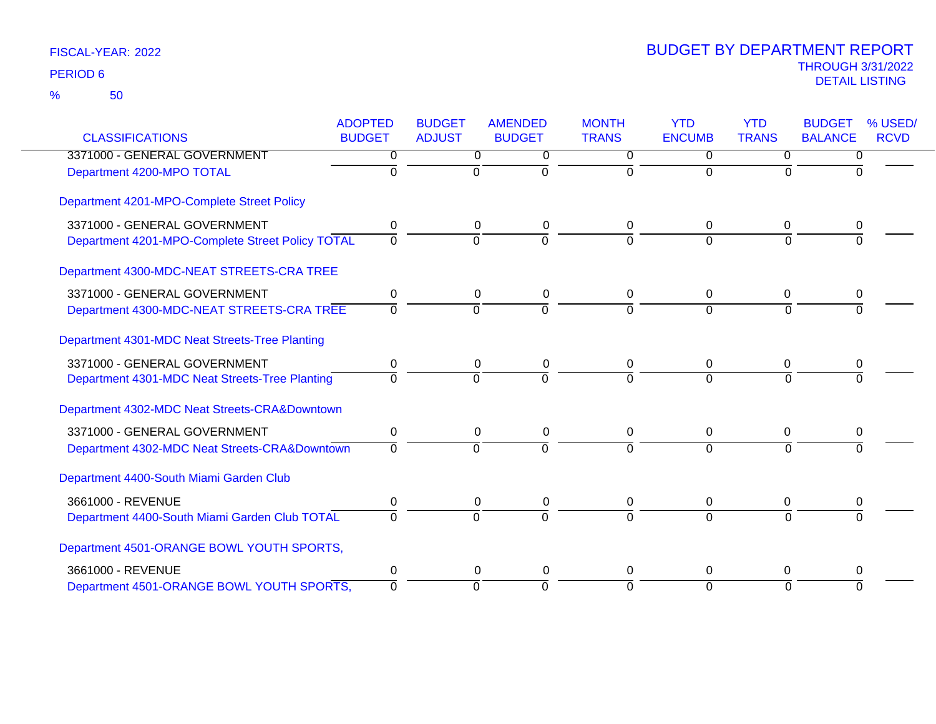50 %

| <b>CLASSIFICATIONS</b>                           | <b>ADOPTED</b><br><b>BUDGET</b> | <b>BUDGET</b><br><b>ADJUST</b> | <b>AMENDED</b><br><b>BUDGET</b> | <b>MONTH</b><br><b>TRANS</b> | <b>YTD</b><br><b>ENCUMB</b> | <b>YTD</b><br><b>TRANS</b> | <b>BUDGET</b><br>% USED/<br><b>BALANCE</b><br><b>RCVD</b> |
|--------------------------------------------------|---------------------------------|--------------------------------|---------------------------------|------------------------------|-----------------------------|----------------------------|-----------------------------------------------------------|
| 3371000 - GENERAL GOVERNMENT                     | 0                               | 0                              | 0                               | 0                            | $\Omega$                    | 0                          | 0                                                         |
| Department 4200-MPO TOTAL                        | $\mathbf 0$                     | $\mathbf 0$                    | $\mathbf 0$                     | $\Omega$                     | $\mathbf 0$                 | $\Omega$                   |                                                           |
| Department 4201-MPO-Complete Street Policy       |                                 |                                |                                 |                              |                             |                            |                                                           |
| 3371000 - GENERAL GOVERNMENT                     | 0                               | 0                              | $\mathbf 0$                     | $\Omega$                     | $\Omega$                    | 0                          | 0                                                         |
| Department 4201-MPO-Complete Street Policy TOTAL | $\overline{0}$                  | $\overline{0}$                 | $\overline{0}$                  | $\Omega$                     | $\Omega$                    | $\Omega$                   |                                                           |
| Department 4300-MDC-NEAT STREETS-CRA TREE        |                                 |                                |                                 |                              |                             |                            |                                                           |
| 3371000 - GENERAL GOVERNMENT                     | 0                               | 0                              | 0                               | 0                            | 0                           | 0                          | 0                                                         |
| Department 4300-MDC-NEAT STREETS-CRA TREE        | $\Omega$                        | $\Omega$                       | $\Omega$                        | $\Omega$                     | $\Omega$                    | $\Omega$                   | $\Omega$                                                  |
| Department 4301-MDC Neat Streets-Tree Planting   |                                 |                                |                                 |                              |                             |                            |                                                           |
| 3371000 - GENERAL GOVERNMENT                     | 0                               | 0                              | $\mathbf 0$                     | 0                            | $\Omega$                    | 0                          |                                                           |
| Department 4301-MDC Neat Streets-Tree Planting   | $\overline{0}$                  | $\overline{0}$                 | $\overline{0}$                  | $\Omega$                     | $\Omega$                    | $\Omega$                   |                                                           |
| Department 4302-MDC Neat Streets-CRA&Downtown    |                                 |                                |                                 |                              |                             |                            |                                                           |
| 3371000 - GENERAL GOVERNMENT                     | 0                               | $\mathbf 0$                    | 0                               | 0                            | 0                           | 0                          | 0                                                         |
| Department 4302-MDC Neat Streets-CRA&Downtown    | $\Omega$                        | $\mathbf 0$                    | $\Omega$                        | $\Omega$                     | $\Omega$                    | $\Omega$                   | $\Omega$                                                  |
| Department 4400-South Miami Garden Club          |                                 |                                |                                 |                              |                             |                            |                                                           |
| 3661000 - REVENUE                                | 0                               | 0                              | 0                               | 0                            | 0                           | 0                          | 0                                                         |
| Department 4400-South Miami Garden Club TOTAL    | $\Omega$                        | $\Omega$                       | $\Omega$                        | $\Omega$                     | $\Omega$                    | $\Omega$                   |                                                           |
| Department 4501-ORANGE BOWL YOUTH SPORTS,        |                                 |                                |                                 |                              |                             |                            |                                                           |
| 3661000 - REVENUE                                | 0                               | 0                              | 0                               | 0                            | 0                           | 0                          | 0                                                         |
| Department 4501-ORANGE BOWL YOUTH SPORTS,        | $\Omega$                        | $\overline{0}$                 | $\Omega$                        | $\Omega$                     | $\Omega$                    | $\Omega$                   | $\Omega$                                                  |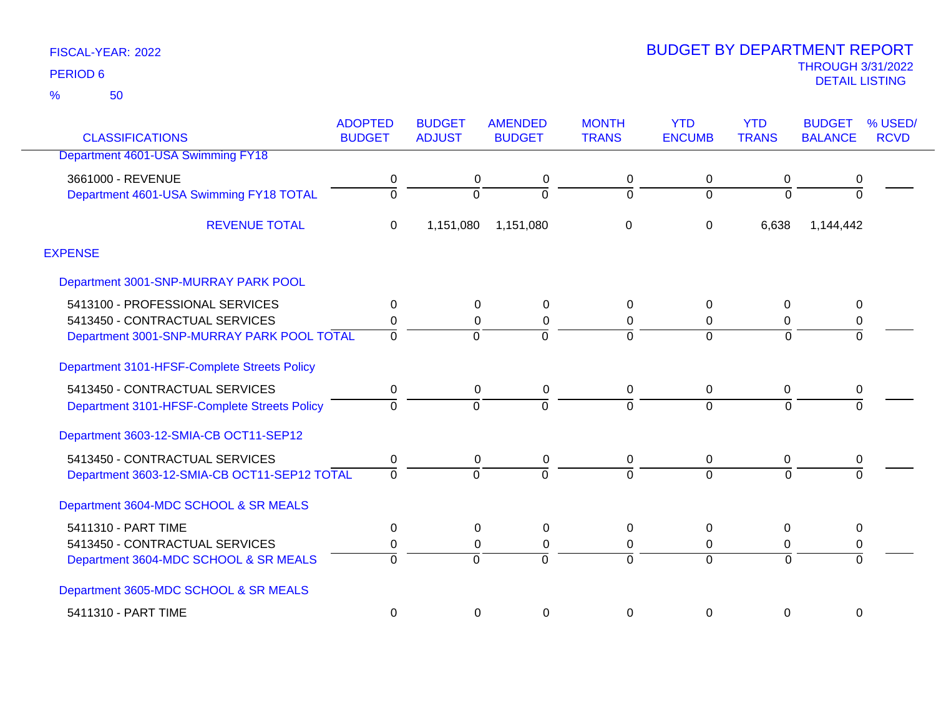50 %

| <b>CLASSIFICATIONS</b>                       | <b>ADOPTED</b><br><b>BUDGET</b> | <b>BUDGET</b><br><b>ADJUST</b> | <b>AMENDED</b><br><b>BUDGET</b> | <b>MONTH</b><br><b>TRANS</b> | <b>YTD</b><br><b>ENCUMB</b> | <b>YTD</b><br><b>TRANS</b> | <b>BUDGET</b><br><b>BALANCE</b> | % USED/<br><b>RCVD</b> |
|----------------------------------------------|---------------------------------|--------------------------------|---------------------------------|------------------------------|-----------------------------|----------------------------|---------------------------------|------------------------|
| Department 4601-USA Swimming FY18            |                                 |                                |                                 |                              |                             |                            |                                 |                        |
| 3661000 - REVENUE                            | 0                               | 0                              | 0                               | 0                            | 0                           | 0                          | 0                               |                        |
| Department 4601-USA Swimming FY18 TOTAL      | $\Omega$                        | $\Omega$                       | $\Omega$                        | ō                            | $\Omega$                    | $\mathbf 0$                | $\Omega$                        |                        |
| <b>REVENUE TOTAL</b>                         | $\Omega$                        | 1,151,080                      | 1,151,080                       | 0                            | 0                           | 6,638                      | 1,144,442                       |                        |
| <b>EXPENSE</b>                               |                                 |                                |                                 |                              |                             |                            |                                 |                        |
| Department 3001-SNP-MURRAY PARK POOL         |                                 |                                |                                 |                              |                             |                            |                                 |                        |
| 5413100 - PROFESSIONAL SERVICES              | 0                               | 0                              | $\mathbf 0$                     | 0                            | 0                           | 0                          | $\mathbf 0$                     |                        |
| 5413450 - CONTRACTUAL SERVICES               | $\Omega$                        | 0                              | 0                               | 0                            | $\Omega$                    | 0                          | $\pmb{0}$                       |                        |
| Department 3001-SNP-MURRAY PARK POOL TOTAL   | $\Omega$                        | $\overline{0}$                 | $\Omega$                        | $\overline{0}$               | $\Omega$                    | $\Omega$                   | $\overline{0}$                  |                        |
| Department 3101-HFSF-Complete Streets Policy |                                 |                                |                                 |                              |                             |                            |                                 |                        |
| 5413450 - CONTRACTUAL SERVICES               | 0                               | 0                              | 0                               | 0                            | 0                           | 0                          | $\boldsymbol{0}$                |                        |
| Department 3101-HFSF-Complete Streets Policy | $\Omega$                        | $\Omega$                       | $\Omega$                        | $\overline{0}$               | $\Omega$                    | $\Omega$                   | $\Omega$                        |                        |
| Department 3603-12-SMIA-CB OCT11-SEP12       |                                 |                                |                                 |                              |                             |                            |                                 |                        |
| 5413450 - CONTRACTUAL SERVICES               | 0                               | 0                              | $\mathbf 0$                     | $\pmb{0}$                    | 0                           | 0                          | 0                               |                        |
| Department 3603-12-SMIA-CB OCT11-SEP12 TOTAL | $\Omega$                        | $\Omega$                       | $\Omega$                        | $\Omega$                     | $\Omega$                    | $\Omega$                   | $\Omega$                        |                        |
| Department 3604-MDC SCHOOL & SR MEALS        |                                 |                                |                                 |                              |                             |                            |                                 |                        |
| 5411310 - PART TIME                          | 0                               | 0                              | 0                               | $\mathbf 0$                  | $\mathbf{0}$                | $\Omega$                   | $\mathbf 0$                     |                        |
| 5413450 - CONTRACTUAL SERVICES               | 0                               | 0                              | $\Omega$                        | 0                            | $\Omega$                    | $\Omega$                   | 0                               |                        |
| Department 3604-MDC SCHOOL & SR MEALS        | $\Omega$                        | $\Omega$                       | $\Omega$                        | $\Omega$                     | $\Omega$                    | $\Omega$                   | $\Omega$                        |                        |
| Department 3605-MDC SCHOOL & SR MEALS        |                                 |                                |                                 |                              |                             |                            |                                 |                        |
| 5411310 - PART TIME                          | $\Omega$                        | 0                              | 0                               | 0                            | 0                           | 0                          | 0                               |                        |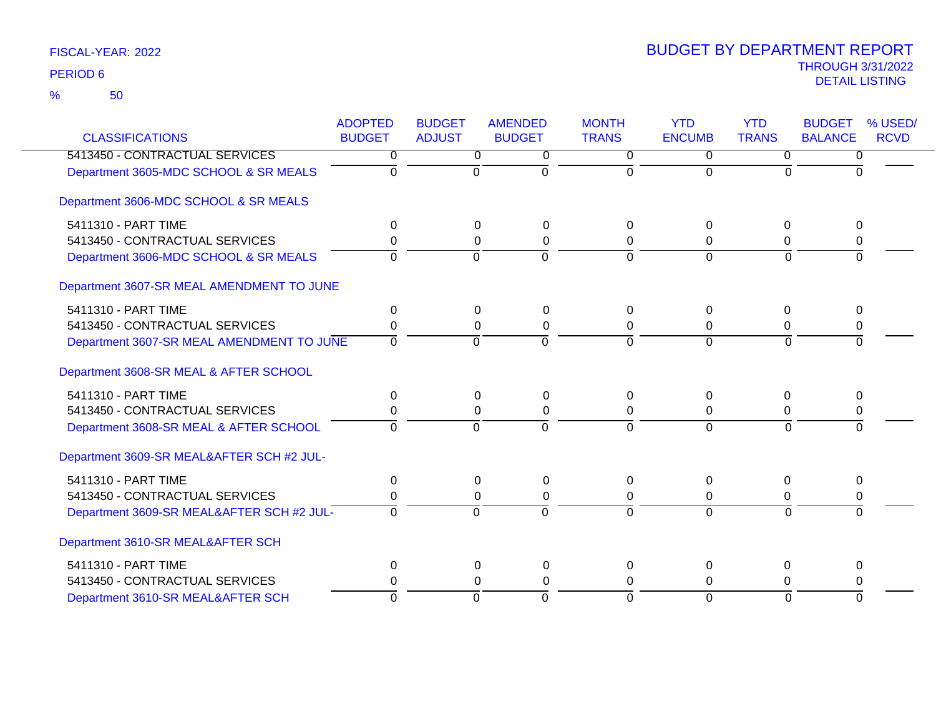50 %

| <b>CLASSIFICATIONS</b>                    | <b>ADOPTED</b><br><b>BUDGET</b> | <b>BUDGET</b><br><b>ADJUST</b> | <b>AMENDED</b><br><b>BUDGET</b> | <b>MONTH</b><br><b>TRANS</b> | <b>YTD</b><br><b>ENCUMB</b> | <b>YTD</b><br><b>TRANS</b> | <b>BUDGET</b><br><b>BALANCE</b> | % USED/<br><b>RCVD</b> |
|-------------------------------------------|---------------------------------|--------------------------------|---------------------------------|------------------------------|-----------------------------|----------------------------|---------------------------------|------------------------|
| 5413450 - CONTRACTUAL SERVICES            | 0                               | 0                              | $\overline{0}$                  | $\overline{0}$               | $\overline{0}$              | $\overline{0}$             | 0                               |                        |
| Department 3605-MDC SCHOOL & SR MEALS     | 0                               | $\mathbf 0$                    | $\overline{0}$                  | $\Omega$                     | $\Omega$                    | $\Omega$                   |                                 |                        |
| Department 3606-MDC SCHOOL & SR MEALS     |                                 |                                |                                 |                              |                             |                            |                                 |                        |
| 5411310 - PART TIME                       | 0                               | 0                              | 0                               | $\Omega$                     | $\Omega$                    | $\Omega$                   | $\Omega$                        |                        |
| 5413450 - CONTRACTUAL SERVICES            | 0                               | 0                              | 0                               | 0                            | 0                           | 0                          | 0                               |                        |
| Department 3606-MDC SCHOOL & SR MEALS     | $\Omega$                        | $\mathbf 0$                    | $\mathbf 0$                     | $\Omega$                     | $\Omega$                    | $\Omega$                   | $\Omega$                        |                        |
| Department 3607-SR MEAL AMENDMENT TO JUNE |                                 |                                |                                 |                              |                             |                            |                                 |                        |
| 5411310 - PART TIME                       | $\mathbf{0}$                    | 0                              | $\Omega$                        | $\Omega$                     | 0                           | $\Omega$                   | 0                               |                        |
| 5413450 - CONTRACTUAL SERVICES            | 0                               | $\Omega$                       | 0                               | 0                            | 0                           | 0                          | 0                               |                        |
| Department 3607-SR MEAL AMENDMENT TO JUNE | $\Omega$                        | $\mathbf 0$                    | $\mathbf 0$                     | $\Omega$                     | $\Omega$                    | $\Omega$                   | $\Omega$                        |                        |
| Department 3608-SR MEAL & AFTER SCHOOL    |                                 |                                |                                 |                              |                             |                            |                                 |                        |
| 5411310 - PART TIME                       | $\Omega$                        | 0                              | 0                               | $\Omega$                     | $\Omega$                    | 0                          | $\Omega$                        |                        |
| 5413450 - CONTRACTUAL SERVICES            | 0                               | 0                              | 0                               | 0                            | 0                           | 0                          | 0                               |                        |
| Department 3608-SR MEAL & AFTER SCHOOL    | $\Omega$                        | $\mathbf 0$                    | $\overline{0}$                  | $\Omega$                     | $\Omega$                    | $\Omega$                   | $\Omega$                        |                        |
| Department 3609-SR MEAL&AFTER SCH #2 JUL- |                                 |                                |                                 |                              |                             |                            |                                 |                        |
| 5411310 - PART TIME                       | $\Omega$                        | 0                              | $\Omega$                        | $\Omega$                     | $\Omega$                    | 0                          | 0                               |                        |
| 5413450 - CONTRACTUAL SERVICES            | 0                               | 0                              | 0                               | 0                            | $\Omega$                    | 0                          | 0                               |                        |
| Department 3609-SR MEAL&AFTER SCH #2 JUL- | $\Omega$                        | $\Omega$                       | $\overline{0}$                  | $\Omega$                     | $\overline{0}$              | $\Omega$                   | $\Omega$                        |                        |
| Department 3610-SR MEAL&AFTER SCH         |                                 |                                |                                 |                              |                             |                            |                                 |                        |
| 5411310 - PART TIME                       | 0                               | 0                              | 0                               | $\Omega$                     | 0                           | 0                          | 0                               |                        |
| 5413450 - CONTRACTUAL SERVICES            | 0                               | 0                              | 0                               | 0                            | $\Omega$                    | $\Omega$                   | 0                               |                        |
| Department 3610-SR MEAL&AFTER SCH         | $\Omega$                        | $\Omega$                       | $\Omega$                        | $\Omega$                     | $\Omega$                    | $\Omega$                   | $\Omega$                        |                        |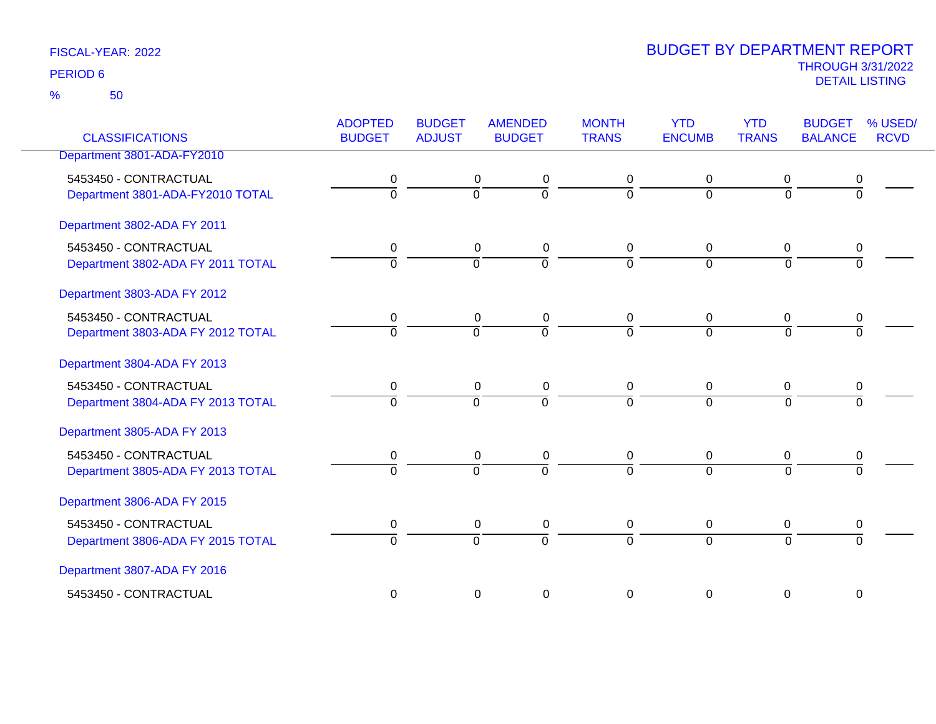50 %

| <b>CLASSIFICATIONS</b>                                     | <b>ADOPTED</b><br><b>BUDGET</b> | <b>BUDGET</b><br><b>ADJUST</b> | <b>AMENDED</b><br><b>BUDGET</b>            | <b>MONTH</b><br><b>TRANS</b> | <b>YTD</b><br><b>ENCUMB</b>      | <b>YTD</b><br><b>TRANS</b> | <b>BUDGET</b><br><b>BALANCE</b> | % USED/<br><b>RCVD</b> |
|------------------------------------------------------------|---------------------------------|--------------------------------|--------------------------------------------|------------------------------|----------------------------------|----------------------------|---------------------------------|------------------------|
| Department 3801-ADA-FY2010                                 |                                 |                                |                                            |                              |                                  |                            |                                 |                        |
| 5453450 - CONTRACTUAL<br>Department 3801-ADA-FY2010 TOTAL  | $\pmb{0}$<br>$\overline{0}$     | $\overline{0}$                 | $\mathbf 0$<br>$\pmb{0}$<br>$\overline{0}$ | 0<br>$\mathbf 0$             | 0<br>$\Omega$                    | 0<br>$\overline{0}$        | 0<br>$\overline{0}$             |                        |
| Department 3802-ADA FY 2011                                |                                 |                                |                                            |                              |                                  |                            |                                 |                        |
| 5453450 - CONTRACTUAL<br>Department 3802-ADA FY 2011 TOTAL | 0<br>$\overline{0}$             | $\Omega$                       | $\mathbf 0$<br>0<br>$\overline{0}$         | $\mathbf 0$<br>$\Omega$      | $\overline{0}$<br>$\overline{0}$ | $\mathbf 0$<br>$\Omega$    | $\mathbf 0$<br>$\Omega$         |                        |
| Department 3803-ADA FY 2012                                |                                 |                                |                                            |                              |                                  |                            |                                 |                        |
| 5453450 - CONTRACTUAL<br>Department 3803-ADA FY 2012 TOTAL | 0<br>$\Omega$                   | $\Omega$                       | $\mathbf 0$<br>$\pmb{0}$<br>$\overline{0}$ | 0<br>$\Omega$                | $\overline{0}$<br>$\Omega$       | $\mathbf 0$<br>$\Omega$    | 0<br>$\Omega$                   |                        |
| Department 3804-ADA FY 2013                                |                                 |                                |                                            |                              |                                  |                            |                                 |                        |
| 5453450 - CONTRACTUAL<br>Department 3804-ADA FY 2013 TOTAL | 0<br>$\overline{0}$             | 0                              | $\mathbf 0$<br>$\pmb{0}$<br>$\overline{0}$ | 0<br>$\mathbf 0$             | $\mathbf 0$<br>$\overline{0}$    | $\Omega$<br>$\overline{0}$ | 0<br>$\Omega$                   |                        |
| Department 3805-ADA FY 2013                                |                                 |                                |                                            |                              |                                  |                            |                                 |                        |
| 5453450 - CONTRACTUAL<br>Department 3805-ADA FY 2013 TOTAL | 0<br>$\overline{0}$             | $\overline{0}$                 | $\mathbf 0$<br>$\pmb{0}$<br>$\overline{0}$ | 0<br>$\Omega$                | $\overline{0}$<br>$\Omega$       | $\mathbf 0$<br>$\Omega$    | 0<br>$\overline{0}$             |                        |
| Department 3806-ADA FY 2015                                |                                 |                                |                                            |                              |                                  |                            |                                 |                        |
| 5453450 - CONTRACTUAL<br>Department 3806-ADA FY 2015 TOTAL | 0<br>$\overline{0}$             | $\mathbf 0$                    | $\mathbf 0$<br>$\pmb{0}$<br>$\overline{0}$ | 0<br>$\Omega$                | $\overline{0}$<br>$\overline{0}$ | $\mathbf 0$<br>$\Omega$    | 0<br>$\Omega$                   |                        |
| Department 3807-ADA FY 2016                                |                                 |                                |                                            |                              |                                  |                            |                                 |                        |
| 5453450 - CONTRACTUAL                                      | 0                               | 0                              | 0                                          | 0                            | 0                                | 0                          | $\mathbf 0$                     |                        |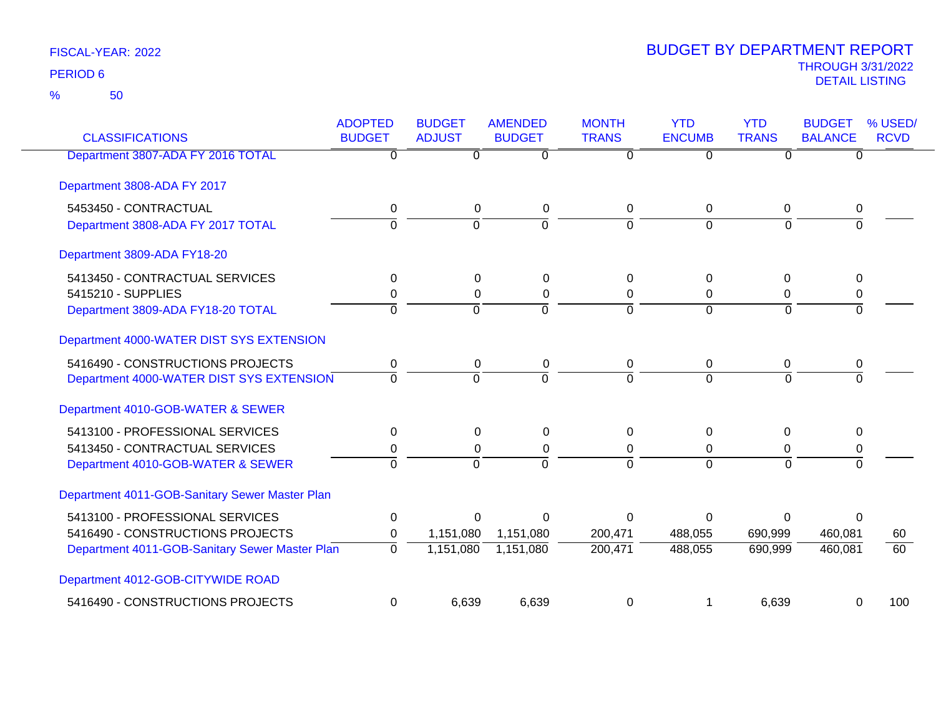50 %

| <b>CLASSIFICATIONS</b>                         | <b>ADOPTED</b><br><b>BUDGET</b> | <b>BUDGET</b><br><b>ADJUST</b> | <b>AMENDED</b><br><b>BUDGET</b> | <b>MONTH</b><br><b>TRANS</b> | <b>YTD</b><br><b>ENCUMB</b> | <b>YTD</b><br><b>TRANS</b> | <b>BUDGET</b><br><b>BALANCE</b> | % USED/<br><b>RCVD</b> |
|------------------------------------------------|---------------------------------|--------------------------------|---------------------------------|------------------------------|-----------------------------|----------------------------|---------------------------------|------------------------|
| Department 3807-ADA FY 2016 TOTAL              | 0                               | 0                              | $\overline{0}$                  | 0                            | $\overline{0}$              | $\mathbf{0}$               | $\Omega$                        |                        |
| Department 3808-ADA FY 2017                    |                                 |                                |                                 |                              |                             |                            |                                 |                        |
| 5453450 - CONTRACTUAL                          | 0                               | 0                              | $\boldsymbol{0}$                | 0                            | 0                           | 0                          | 0                               |                        |
| Department 3808-ADA FY 2017 TOTAL              | $\overline{0}$                  | $\Omega$                       | $\overline{0}$                  | $\Omega$                     | $\overline{0}$              | $\Omega$                   | $\Omega$                        |                        |
| Department 3809-ADA FY18-20                    |                                 |                                |                                 |                              |                             |                            |                                 |                        |
| 5413450 - CONTRACTUAL SERVICES                 | 0                               | 0                              | $\mathbf 0$                     | 0                            | $\Omega$                    | 0                          | $\Omega$                        |                        |
| 5415210 - SUPPLIES                             | 0                               | $\Omega$                       | 0                               | $\Omega$                     | 0                           | 0                          | 0                               |                        |
| Department 3809-ADA FY18-20 TOTAL              | $\overline{0}$                  | $\Omega$                       | $\overline{0}$                  | $\Omega$                     | $\overline{0}$              | $\Omega$                   | $\overline{0}$                  |                        |
| Department 4000-WATER DIST SYS EXTENSION       |                                 |                                |                                 |                              |                             |                            |                                 |                        |
| 5416490 - CONSTRUCTIONS PROJECTS               | 0                               | 0                              | $\mathbf 0$                     | $\mathbf 0$                  | 0                           | 0                          | 0                               |                        |
| Department 4000-WATER DIST SYS EXTENSION       | $\overline{0}$                  | $\overline{0}$                 | $\overline{0}$                  | $\Omega$                     | $\mathbf 0$                 | $\Omega$                   | 0                               |                        |
| Department 4010-GOB-WATER & SEWER              |                                 |                                |                                 |                              |                             |                            |                                 |                        |
| 5413100 - PROFESSIONAL SERVICES                | 0                               | 0                              | $\mathbf 0$                     | $\mathbf 0$                  | 0                           | $\mathbf 0$                | 0                               |                        |
| 5413450 - CONTRACTUAL SERVICES                 | 0                               | 0                              | 0                               | 0                            | 0                           | 0                          | 0                               |                        |
| Department 4010-GOB-WATER & SEWER              | $\overline{0}$                  | $\Omega$                       | $\overline{0}$                  | $\Omega$                     | $\Omega$                    | $\Omega$                   | $\overline{0}$                  |                        |
| Department 4011-GOB-Sanitary Sewer Master Plan |                                 |                                |                                 |                              |                             |                            |                                 |                        |
| 5413100 - PROFESSIONAL SERVICES                | 0                               | $\Omega$                       | $\Omega$                        | $\Omega$                     | $\Omega$                    | $\Omega$                   | $\Omega$                        |                        |
| 5416490 - CONSTRUCTIONS PROJECTS               | 0                               | 1,151,080                      | 1,151,080                       | 200,471                      | 488,055                     | 690,999                    | 460,081                         | 60                     |
| Department 4011-GOB-Sanitary Sewer Master Plan | $\overline{0}$                  | 1,151,080                      | 1,151,080                       | 200,471                      | 488,055                     | 690,999                    | 460,081                         | 60                     |
| Department 4012-GOB-CITYWIDE ROAD              |                                 |                                |                                 |                              |                             |                            |                                 |                        |
| 5416490 - CONSTRUCTIONS PROJECTS               | 0                               | 6,639                          | 6,639                           | 0                            | 1                           | 6,639                      | 0                               | 100                    |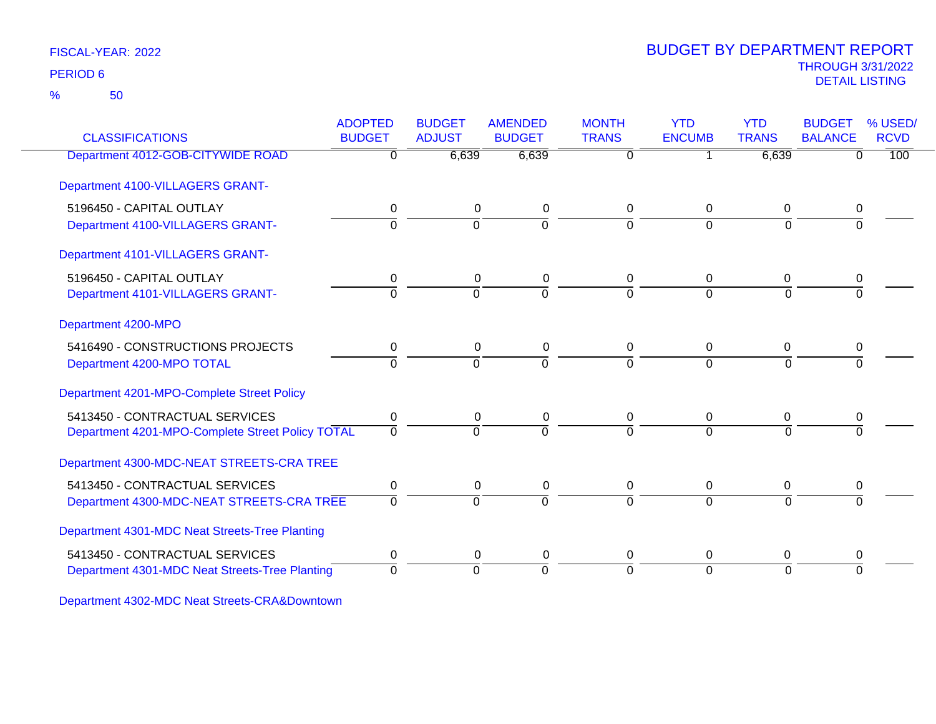50 %

# THROUGH 3/31/2022 DETAIL LISTING PERIOD <sup>6</sup> BUDGET BY DEPARTMENT REPORT

| <b>CLASSIFICATIONS</b>                           | <b>ADOPTED</b><br><b>BUDGET</b> | <b>BUDGET</b><br><b>ADJUST</b> | <b>AMENDED</b><br><b>BUDGET</b> | <b>MONTH</b><br><b>TRANS</b> | <b>YTD</b><br><b>ENCUMB</b> | <b>YTD</b><br><b>TRANS</b> | <b>BUDGET</b><br><b>BALANCE</b> | % USED/<br><b>RCVD</b> |
|--------------------------------------------------|---------------------------------|--------------------------------|---------------------------------|------------------------------|-----------------------------|----------------------------|---------------------------------|------------------------|
| Department 4012-GOB-CITYWIDE ROAD                | $\overline{0}$                  | 6,639                          | 6,639                           | $\overline{0}$               |                             | 6,639                      | $\Omega$                        | 100                    |
| Department 4100-VILLAGERS GRANT-                 |                                 |                                |                                 |                              |                             |                            |                                 |                        |
| 5196450 - CAPITAL OUTLAY                         | $\pmb{0}$                       | $\mathbf 0$                    | 0                               | 0                            | $\mathbf 0$                 | 0                          | 0                               |                        |
| Department 4100-VILLAGERS GRANT-                 | $\Omega$                        | $\Omega$                       | $\Omega$                        | $\Omega$                     | $\Omega$                    | $\Omega$                   |                                 |                        |
| Department 4101-VILLAGERS GRANT-                 |                                 |                                |                                 |                              |                             |                            |                                 |                        |
| 5196450 - CAPITAL OUTLAY                         | 0                               | 0                              | 0                               | 0                            | 0                           | 0                          |                                 |                        |
| Department 4101-VILLAGERS GRANT-                 | $\Omega$                        | $\Omega$                       | $\Omega$                        | $\Omega$                     | $\Omega$                    | $\Omega$                   | $\Omega$                        |                        |
| Department 4200-MPO                              |                                 |                                |                                 |                              |                             |                            |                                 |                        |
| 5416490 - CONSTRUCTIONS PROJECTS                 | 0                               | 0                              | 0                               | 0                            | 0                           | 0                          | 0                               |                        |
| Department 4200-MPO TOTAL                        | $\Omega$                        | $\Omega$                       | $\Omega$                        | $\Omega$                     | $\Omega$                    | $\Omega$                   |                                 |                        |
| Department 4201-MPO-Complete Street Policy       |                                 |                                |                                 |                              |                             |                            |                                 |                        |
| 5413450 - CONTRACTUAL SERVICES                   | 0                               | 0                              | 0                               | 0                            | 0                           | 0                          | 0                               |                        |
| Department 4201-MPO-Complete Street Policy TOTAL | $\overline{0}$                  | $\Omega$                       | $\overline{0}$                  | $\Omega$                     | $\Omega$                    | $\Omega$                   | $\Omega$                        |                        |
| Department 4300-MDC-NEAT STREETS-CRA TREE        |                                 |                                |                                 |                              |                             |                            |                                 |                        |
| 5413450 - CONTRACTUAL SERVICES                   | 0                               | 0                              | $\mathbf 0$                     | 0                            | $\mathbf 0$                 | 0                          | 0                               |                        |
| Department 4300-MDC-NEAT STREETS-CRA TREE        | $\Omega$                        | $\Omega$                       | $\Omega$                        | $\Omega$                     | $\Omega$                    | $\Omega$                   |                                 |                        |
| Department 4301-MDC Neat Streets-Tree Planting   |                                 |                                |                                 |                              |                             |                            |                                 |                        |
| 5413450 - CONTRACTUAL SERVICES                   | 0                               | 0                              | 0                               | 0                            | 0                           | 0                          | 0                               |                        |
| Department 4301-MDC Neat Streets-Tree Planting   | $\Omega$                        | $\overline{0}$                 | $\overline{0}$                  | $\Omega$                     | $\Omega$                    | $\Omega$                   | $\Omega$                        |                        |
|                                                  |                                 |                                |                                 |                              |                             |                            |                                 |                        |

Department 4302-MDC Neat Streets-CRA&Downtown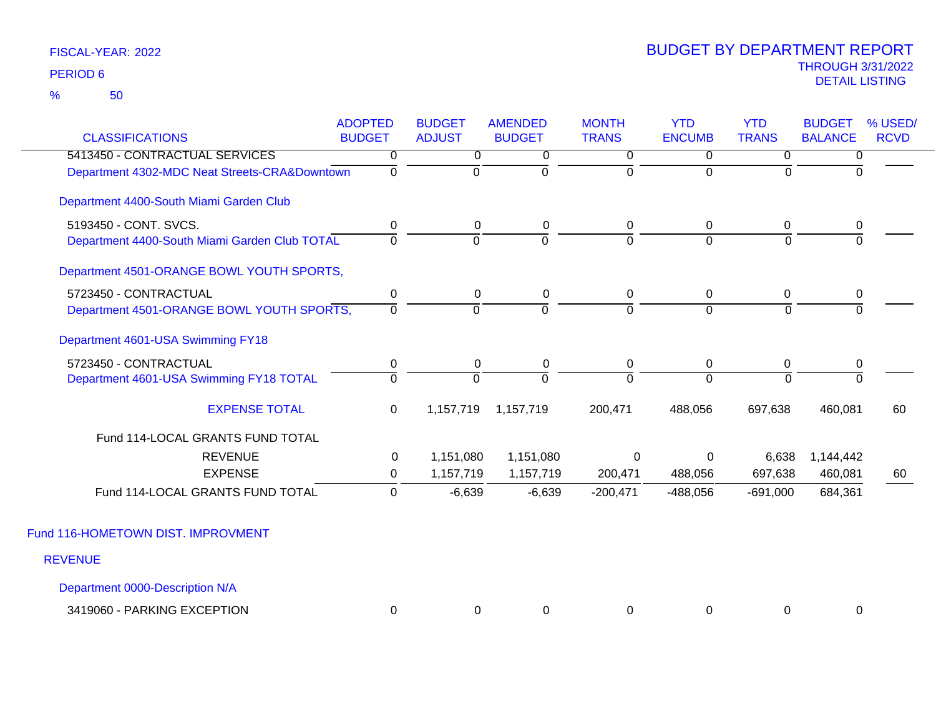| <b>CLASSIFICATIONS</b>                        | <b>ADOPTED</b><br><b>BUDGET</b> | <b>BUDGET</b><br><b>ADJUST</b> | <b>AMENDED</b><br><b>BUDGET</b> | <b>MONTH</b><br><b>TRANS</b> | <b>YTD</b><br><b>ENCUMB</b> | <b>YTD</b><br><b>TRANS</b> | <b>BUDGET</b><br><b>BALANCE</b> | % USED/<br><b>RCVD</b> |
|-----------------------------------------------|---------------------------------|--------------------------------|---------------------------------|------------------------------|-----------------------------|----------------------------|---------------------------------|------------------------|
| 5413450 - CONTRACTUAL SERVICES                | 0                               | 0                              | 0                               | 0                            | 0                           | 0                          | 0                               |                        |
| Department 4302-MDC Neat Streets-CRA&Downtown | $\Omega$                        | $\mathbf 0$                    | 0                               | ō                            | $\overline{0}$              | $\Omega$                   | $\Omega$                        |                        |
| Department 4400-South Miami Garden Club       |                                 |                                |                                 |                              |                             |                            |                                 |                        |
| 5193450 - CONT. SVCS.                         | 0                               | 0                              | 0                               | 0                            | $\mathbf 0$                 | 0                          | 0                               |                        |
| Department 4400-South Miami Garden Club TOTAL | $\overline{0}$                  | $\mathbf 0$                    | $\overline{0}$                  | $\overline{0}$               | $\mathbf 0$                 | $\overline{0}$             | 0                               |                        |
| Department 4501-ORANGE BOWL YOUTH SPORTS,     |                                 |                                |                                 |                              |                             |                            |                                 |                        |
| 5723450 - CONTRACTUAL                         | $\pmb{0}$                       | 0                              | $\mathbf 0$                     | 0                            | $\mathbf 0$                 | $\mathbf 0$                | 0                               |                        |
| Department 4501-ORANGE BOWL YOUTH SPORTS,     | $\Omega$                        | $\Omega$                       | 0                               | $\overline{0}$               | $\overline{0}$              | $\Omega$                   | $\Omega$                        |                        |
| Department 4601-USA Swimming FY18             |                                 |                                |                                 |                              |                             |                            |                                 |                        |
| 5723450 - CONTRACTUAL                         | $\pmb{0}$                       | 0                              | $\mathbf 0$                     | 0                            | 0                           | $\mathbf 0$                | $\mathbf 0$                     |                        |
| Department 4601-USA Swimming FY18 TOTAL       | $\Omega$                        | $\Omega$                       | $\Omega$                        | $\Omega$                     | $\Omega$                    | $\Omega$                   | $\Omega$                        |                        |
| <b>EXPENSE TOTAL</b>                          | 0                               | 1,157,719                      | 1,157,719                       | 200,471                      | 488,056                     | 697,638                    | 460,081                         | 60                     |
| Fund 114-LOCAL GRANTS FUND TOTAL              |                                 |                                |                                 |                              |                             |                            |                                 |                        |
| <b>REVENUE</b>                                | 0                               | 1,151,080                      | 1,151,080                       | $\mathbf 0$                  | $\mathbf 0$                 | 6,638                      | 1,144,442                       |                        |
| <b>EXPENSE</b>                                | 0                               | 1,157,719                      | 1,157,719                       | 200,471                      | 488,056                     | 697,638                    | 460,081                         | 60                     |
| Fund 114-LOCAL GRANTS FUND TOTAL              | $\Omega$                        | $-6,639$                       | $-6,639$                        | $-200,471$                   | $-488,056$                  | $-691,000$                 | 684,361                         |                        |
| Fund 116-HOMETOWN DIST. IMPROVMENT            |                                 |                                |                                 |                              |                             |                            |                                 |                        |
| <b>REVENUE</b>                                |                                 |                                |                                 |                              |                             |                            |                                 |                        |
| Department 0000-Description N/A               |                                 |                                |                                 |                              |                             |                            |                                 |                        |

| - PARKING EXCEPTION<br>3419060 - |  |  |  |  |
|----------------------------------|--|--|--|--|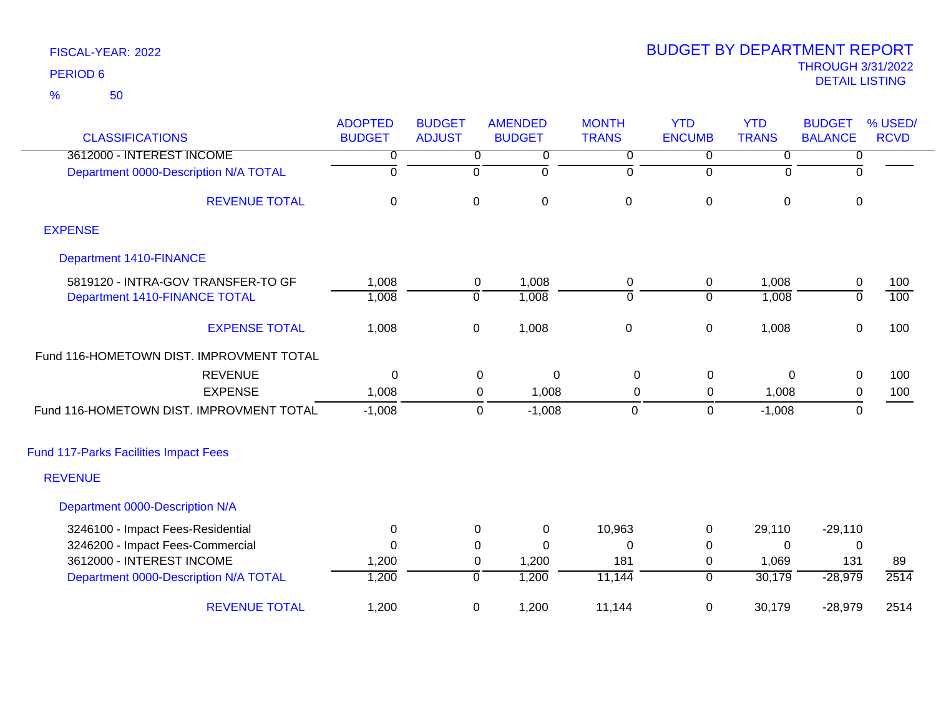50 %

| <b>CLASSIFICATIONS</b>                       | <b>ADOPTED</b><br><b>BUDGET</b> | <b>BUDGET</b><br><b>ADJUST</b> | <b>AMENDED</b><br><b>BUDGET</b> | <b>MONTH</b><br><b>TRANS</b> | <b>YTD</b><br><b>ENCUMB</b> | <b>YTD</b><br><b>TRANS</b> | <b>BUDGET</b><br><b>BALANCE</b> | % USED/<br><b>RCVD</b> |
|----------------------------------------------|---------------------------------|--------------------------------|---------------------------------|------------------------------|-----------------------------|----------------------------|---------------------------------|------------------------|
| 3612000 - INTEREST INCOME                    | $\overline{0}$                  | 0                              | 0                               | 0                            | 0                           | $\overline{0}$             | $\overline{0}$                  |                        |
| Department 0000-Description N/A TOTAL        | 0                               | $\overline{0}$                 | $\overline{0}$                  | 0                            | $\overline{0}$              | $\mathbf 0$                | $\overline{0}$                  |                        |
| <b>REVENUE TOTAL</b>                         | $\mathbf 0$                     | $\mathbf 0$                    | $\mathsf 0$                     | $\mathbf 0$                  | $\boldsymbol{0}$            | $\mathbf 0$                | 0                               |                        |
| <b>EXPENSE</b>                               |                                 |                                |                                 |                              |                             |                            |                                 |                        |
| <b>Department 1410-FINANCE</b>               |                                 |                                |                                 |                              |                             |                            |                                 |                        |
| 5819120 - INTRA-GOV TRANSFER-TO GF           | 1,008                           | 0                              | 1,008                           | $\mathbf 0$                  | 0                           | 1,008                      | 0                               | 100                    |
| <b>Department 1410-FINANCE TOTAL</b>         | 1,008                           | $\overline{0}$                 | 1,008                           | $\overline{0}$               | $\overline{0}$              | 1,008                      | $\overline{0}$                  | 100                    |
| <b>EXPENSE TOTAL</b>                         | 1,008                           | $\mathbf 0$                    | 1,008                           | $\pmb{0}$                    | $\boldsymbol{0}$            | 1,008                      | $\mathbf 0$                     | 100                    |
| Fund 116-HOMETOWN DIST. IMPROVMENT TOTAL     |                                 |                                |                                 |                              |                             |                            |                                 |                        |
| <b>REVENUE</b>                               | $\overline{0}$                  |                                | 0<br>0                          | 0                            | 0                           | $\Omega$                   | $\mathbf 0$                     | 100                    |
| <b>EXPENSE</b>                               | 1,008                           |                                | 0<br>1,008                      | 0                            | 0                           | 1,008                      | 0                               | 100                    |
| Fund 116-HOMETOWN DIST. IMPROVMENT TOTAL     | $-1,008$                        |                                | $\mathbf 0$<br>$-1,008$         | $\mathbf 0$                  | $\mathbf{0}$                | $-1,008$                   | 0                               |                        |
| <b>Fund 117-Parks Facilities Impact Fees</b> |                                 |                                |                                 |                              |                             |                            |                                 |                        |
| <b>REVENUE</b>                               |                                 |                                |                                 |                              |                             |                            |                                 |                        |
| Department 0000-Description N/A              |                                 |                                |                                 |                              |                             |                            |                                 |                        |
| 3246100 - Impact Fees-Residential            | 0                               | 0                              | 0                               | 10,963                       | $\mathbf 0$                 | 29,110                     | $-29,110$                       |                        |
| 3246200 - Impact Fees-Commercial             | $\Omega$                        | 0                              | 0                               | $\Omega$                     | 0                           | 0                          | $\mathbf 0$                     |                        |
| 3612000 - INTEREST INCOME                    | 1,200                           | $\mathbf 0$                    | 1,200                           | 181                          | $\mathbf 0$                 | 1,069                      | 131                             | 89                     |
| Department 0000-Description N/A TOTAL        | 1,200                           | $\overline{0}$                 | 1,200                           | 11,144                       | $\overline{0}$              | 30,179                     | $-28,979$                       | 2514                   |
| <b>REVENUE TOTAL</b>                         | 1,200                           | $\mathbf 0$                    | 1,200                           | 11,144                       | $\mathbf 0$                 | 30,179                     | $-28,979$                       | 2514                   |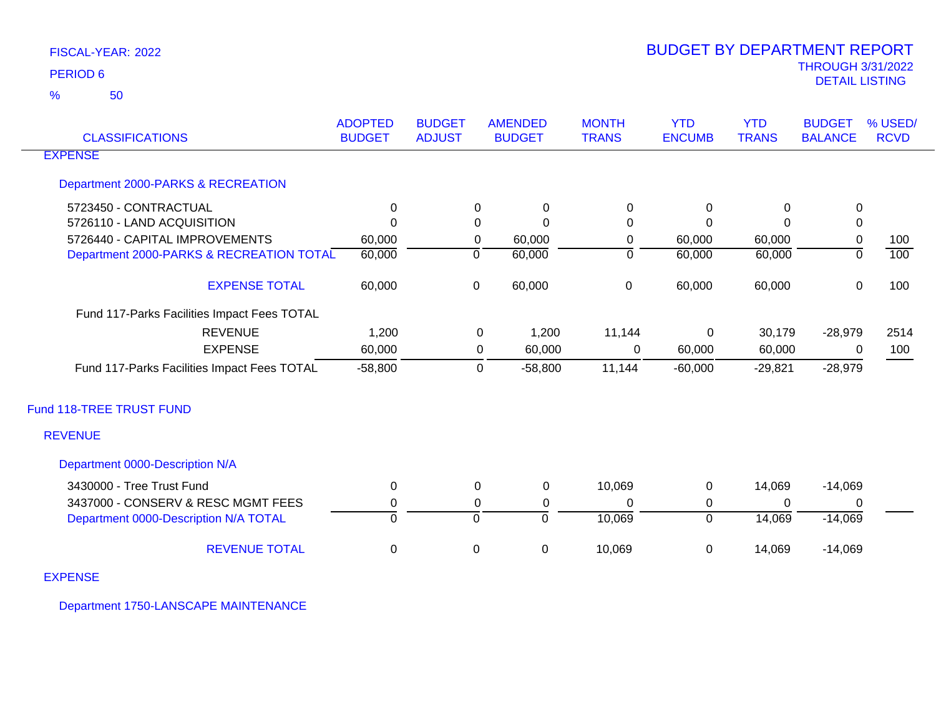50 %

| <b>CLASSIFICATIONS</b>                      | <b>ADOPTED</b><br><b>BUDGET</b> | <b>BUDGET</b><br><b>ADJUST</b> |                | <b>AMENDED</b><br><b>BUDGET</b> | <b>MONTH</b><br><b>TRANS</b> | <b>YTD</b><br><b>ENCUMB</b> | <b>YTD</b><br><b>TRANS</b> | <b>BUDGET</b><br><b>BALANCE</b> | % USED/<br><b>RCVD</b> |
|---------------------------------------------|---------------------------------|--------------------------------|----------------|---------------------------------|------------------------------|-----------------------------|----------------------------|---------------------------------|------------------------|
| <b>EXPENSE</b>                              |                                 |                                |                |                                 |                              |                             |                            |                                 |                        |
| Department 2000-PARKS & RECREATION          |                                 |                                |                |                                 |                              |                             |                            |                                 |                        |
| 5723450 - CONTRACTUAL                       | $\mathbf{0}$                    |                                | $\Omega$       | $\Omega$                        | $\Omega$                     | $\Omega$                    | 0                          | 0                               |                        |
| 5726110 - LAND ACQUISITION                  | $\Omega$                        |                                | 0              | $\Omega$                        | $\Omega$                     | $\Omega$                    | $\Omega$                   | $\pmb{0}$                       |                        |
| 5726440 - CAPITAL IMPROVEMENTS              | 60,000                          |                                | 0              | 60,000                          | 0                            | 60,000                      | 60,000                     | 0                               | 100                    |
| Department 2000-PARKS & RECREATION TOTAL    | 60,000                          |                                | $\overline{0}$ | 60,000                          | $\overline{0}$               | 60,000                      | 60,000                     | $\overline{0}$                  | 100                    |
| <b>EXPENSE TOTAL</b>                        | 60,000                          |                                | $\mathbf 0$    | 60,000                          | $\mathsf 0$                  | 60,000                      | 60,000                     | $\mathsf 0$                     | 100                    |
| Fund 117-Parks Facilities Impact Fees TOTAL |                                 |                                |                |                                 |                              |                             |                            |                                 |                        |
| <b>REVENUE</b>                              | 1,200                           |                                | 0              | 1,200                           | 11,144                       | 0                           | 30,179                     | $-28,979$                       | 2514                   |
| <b>EXPENSE</b>                              | 60,000                          |                                | 0              | 60,000                          | 0                            | 60,000                      | 60,000                     | 0                               | 100                    |
| Fund 117-Parks Facilities Impact Fees TOTAL | $-58,800$                       |                                | 0              | $-58,800$                       | 11,144                       | $-60,000$                   | $-29,821$                  | $-28,979$                       |                        |
| Fund 118-TREE TRUST FUND                    |                                 |                                |                |                                 |                              |                             |                            |                                 |                        |
| <b>REVENUE</b>                              |                                 |                                |                |                                 |                              |                             |                            |                                 |                        |
| Department 0000-Description N/A             |                                 |                                |                |                                 |                              |                             |                            |                                 |                        |
| 3430000 - Tree Trust Fund                   | 0                               |                                | 0              | 0                               | 10,069                       | 0                           | 14,069                     | $-14,069$                       |                        |
| 3437000 - CONSERV & RESC MGMT FEES          | 0                               |                                | 0              | 0                               | 0                            | 0                           | $\Omega$                   | 0                               |                        |
| Department 0000-Description N/A TOTAL       | $\Omega$                        |                                | $\Omega$       | $\overline{0}$                  | 10,069                       | $\overline{0}$              | 14,069                     | $-14,069$                       |                        |
| <b>REVENUE TOTAL</b>                        | $\mathbf 0$                     |                                | 0              | $\pmb{0}$                       | 10,069                       | 0                           | 14,069                     | $-14,069$                       |                        |
| <b>EXPENSE</b>                              |                                 |                                |                |                                 |                              |                             |                            |                                 |                        |

Department 1750-LANSCAPE MAINTENANCE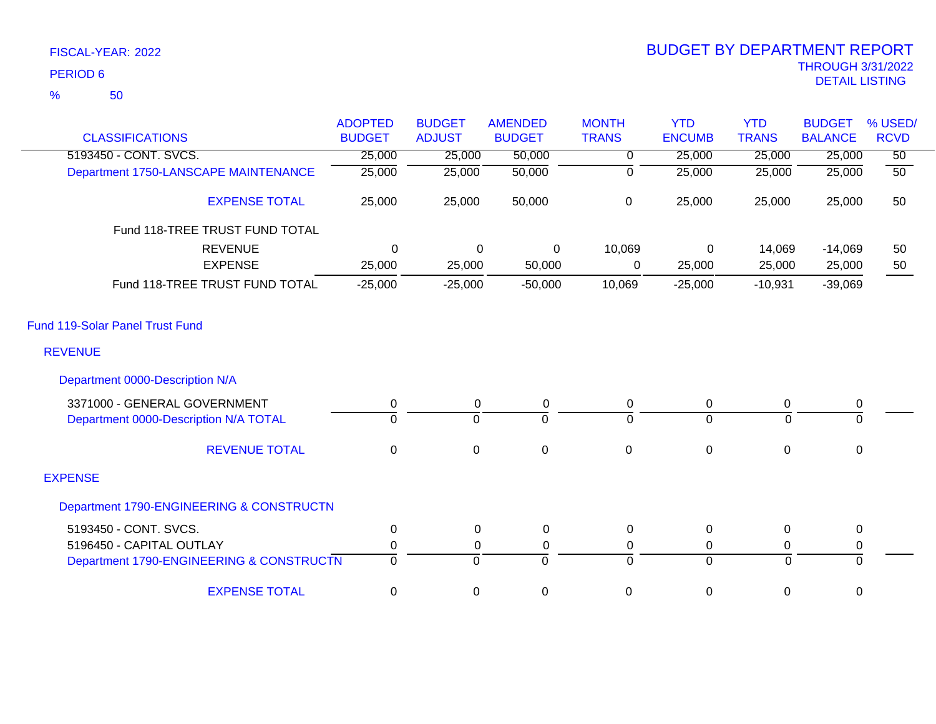|                                          | <b>ADOPTED</b> | <b>BUDGET</b> | <b>AMENDED</b> | <b>MONTH</b>   | <b>YTD</b>     | <b>YTD</b>   | <b>BUDGET</b>  | % USED/     |
|------------------------------------------|----------------|---------------|----------------|----------------|----------------|--------------|----------------|-------------|
| <b>CLASSIFICATIONS</b>                   | <b>BUDGET</b>  | <b>ADJUST</b> | <b>BUDGET</b>  | <b>TRANS</b>   | <b>ENCUMB</b>  | <b>TRANS</b> | <b>BALANCE</b> | <b>RCVD</b> |
| 5193450 - CONT. SVCS.                    | 25,000         | 25,000        | 50,000         | 0              | 25,000         | 25,000       | 25,000         | 50          |
| Department 1750-LANSCAPE MAINTENANCE     | 25,000         | 25,000        | 50,000         | 0              | 25,000         | 25,000       | 25,000         | 50          |
| <b>EXPENSE TOTAL</b>                     | 25,000         | 25,000        | 50,000         | 0              | 25,000         | 25,000       | 25,000         | 50          |
| Fund 118-TREE TRUST FUND TOTAL           |                |               |                |                |                |              |                |             |
| <b>REVENUE</b>                           | 0              |               | 0<br>0         | 10,069         | $\mathbf 0$    | 14,069       | $-14,069$      | 50          |
| <b>EXPENSE</b>                           | 25,000         | 25,000        | 50,000         | 0              | 25,000         | 25,000       | 25,000         | 50          |
| Fund 118-TREE TRUST FUND TOTAL           | $-25,000$      | $-25,000$     | $-50,000$      | 10,069         | $-25,000$      | $-10,931$    | $-39,069$      |             |
| <b>Fund 119-Solar Panel Trust Fund</b>   |                |               |                |                |                |              |                |             |
| <b>REVENUE</b>                           |                |               |                |                |                |              |                |             |
| Department 0000-Description N/A          |                |               |                |                |                |              |                |             |
| 3371000 - GENERAL GOVERNMENT             | 0              | 0             | 0              | 0              | $\mathbf 0$    | 0            | $\pmb{0}$      |             |
| Department 0000-Description N/A TOTAL    | $\Omega$       | $\mathbf 0$   | $\Omega$       | $\Omega$       | $\mathbf 0$    | $\Omega$     | $\Omega$       |             |
| <b>REVENUE TOTAL</b>                     | 0              | $\mathbf 0$   | $\mathbf 0$    | $\pmb{0}$      | $\pmb{0}$      | $\mathbf 0$  | $\mathsf 0$    |             |
| <b>EXPENSE</b>                           |                |               |                |                |                |              |                |             |
| Department 1790-ENGINEERING & CONSTRUCTN |                |               |                |                |                |              |                |             |
| 5193450 - CONT. SVCS.                    | 0              | 0             | 0              | $\pmb{0}$      | $\mathbf 0$    | $\mathbf 0$  | 0              |             |
| 5196450 - CAPITAL OUTLAY                 | 0              | 0             | 0              | 0              | $\mathbf 0$    | 0            | 0              |             |
| Department 1790-ENGINEERING & CONSTRUCTN | $\mathbf 0$    | $\mathbf 0$   | $\overline{0}$ | $\overline{0}$ | $\overline{0}$ | $\mathbf 0$  | $\Omega$       |             |
| <b>EXPENSE TOTAL</b>                     | 0              | 0             | 0              | 0              | 0              | 0            | 0              |             |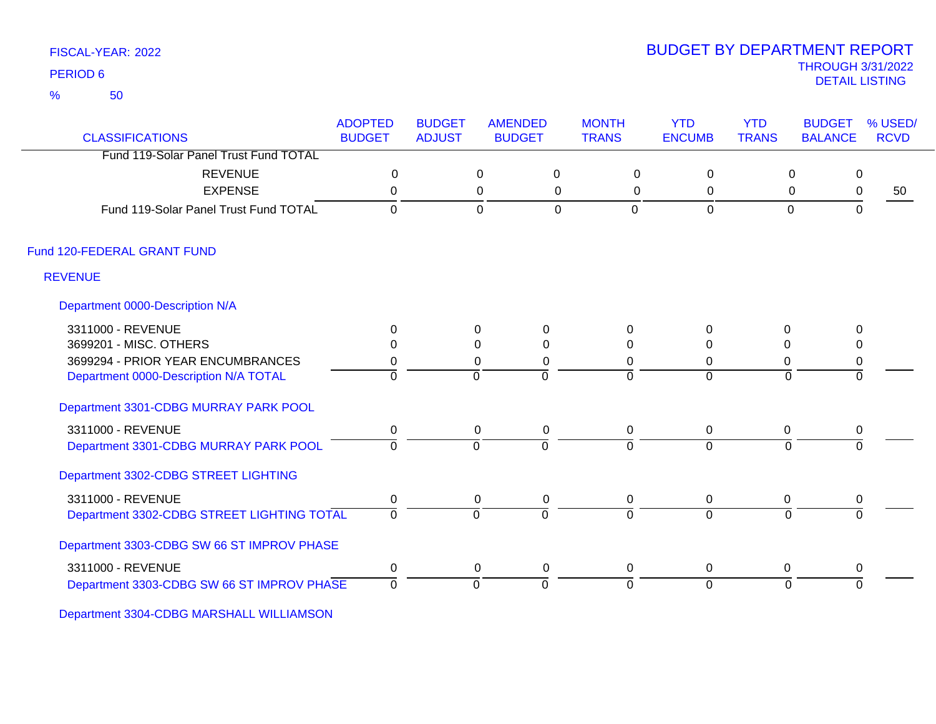50 %

# THROUGH 3/31/2022 DETAIL LISTING PERIOD <sup>6</sup> BUDGET BY DEPARTMENT REPORT

| <b>CLASSIFICATIONS</b>                     | <b>ADOPTED</b><br><b>BUDGET</b> | <b>BUDGET</b><br><b>ADJUST</b> | <b>AMENDED</b><br><b>BUDGET</b> |                | <b>MONTH</b><br><b>TRANS</b> | <b>YTD</b><br><b>ENCUMB</b> | <b>YTD</b><br><b>TRANS</b> | <b>BUDGET</b><br><b>BALANCE</b> | % USED/<br><b>RCVD</b> |
|--------------------------------------------|---------------------------------|--------------------------------|---------------------------------|----------------|------------------------------|-----------------------------|----------------------------|---------------------------------|------------------------|
| Fund 119-Solar Panel Trust Fund TOTAL      |                                 |                                |                                 |                |                              |                             |                            |                                 |                        |
| <b>REVENUE</b>                             | $\Omega$                        |                                | $\Omega$                        | 0              | 0                            | 0                           |                            | $\mathbf 0$<br>$\mathbf 0$      |                        |
| <b>EXPENSE</b>                             | $\mathbf 0$                     |                                | 0                               | 0              | $\mathbf 0$                  | 0                           |                            | $\mathbf 0$<br>$\pmb{0}$        | 50                     |
| Fund 119-Solar Panel Trust Fund TOTAL      | $\Omega$                        |                                | $\mathbf 0$                     | $\overline{0}$ | 0                            | $\overline{0}$              |                            | $\mathbf{0}$<br>$\mathbf 0$     |                        |
| Fund 120-FEDERAL GRANT FUND                |                                 |                                |                                 |                |                              |                             |                            |                                 |                        |
| <b>REVENUE</b>                             |                                 |                                |                                 |                |                              |                             |                            |                                 |                        |
| Department 0000-Description N/A            |                                 |                                |                                 |                |                              |                             |                            |                                 |                        |
| 3311000 - REVENUE                          | $\mathbf{0}$                    |                                | $\mathbf 0$<br>0                |                | 0                            | 0                           | 0                          | 0                               |                        |
| 3699201 - MISC. OTHERS                     | 0                               | $\Omega$                       | $\mathbf 0$                     |                | 0                            | 0                           | $\Omega$                   | 0                               |                        |
| 3699294 - PRIOR YEAR ENCUMBRANCES          | 0                               |                                | 0<br>0                          |                | 0                            | 0                           | 0                          | $\mathbf 0$                     |                        |
| Department 0000-Description N/A TOTAL      | $\overline{0}$                  | $\mathbf 0$                    | $\Omega$                        |                | $\Omega$                     | $\Omega$                    | $\overline{0}$             | $\Omega$                        |                        |
| Department 3301-CDBG MURRAY PARK POOL      |                                 |                                |                                 |                |                              |                             |                            |                                 |                        |
| 3311000 - REVENUE                          | $\mathbf 0$                     |                                | $\mathbf 0$<br>0                |                | 0                            | $\mathbf 0$                 | 0                          | 0                               |                        |
| Department 3301-CDBG MURRAY PARK POOL      | $\Omega$                        | $\Omega$                       | $\Omega$                        |                | $\Omega$                     | $\overline{0}$              | $\Omega$                   | $\Omega$                        |                        |
| Department 3302-CDBG STREET LIGHTING       |                                 |                                |                                 |                |                              |                             |                            |                                 |                        |
| 3311000 - REVENUE                          | $\mathbf 0$                     |                                | $\mathbf 0$<br>0                |                | 0                            | $\mathbf 0$                 | 0                          | $\mathbf 0$                     |                        |
| Department 3302-CDBG STREET LIGHTING TOTAL | $\mathbf 0$                     | $\Omega$                       | $\Omega$                        |                | $\Omega$                     | $\Omega$                    | $\Omega$                   | $\Omega$                        |                        |
| Department 3303-CDBG SW 66 ST IMPROV PHASE |                                 |                                |                                 |                |                              |                             |                            |                                 |                        |
| 3311000 - REVENUE                          | 0                               |                                | 0<br>0                          |                | 0                            | 0                           | 0                          | 0                               |                        |
| Department 3303-CDBG SW 66 ST IMPROV PHASE | $\mathbf 0$                     | $\mathbf 0$                    | $\overline{0}$                  |                | $\Omega$                     | $\Omega$                    | $\Omega$                   | $\Omega$                        |                        |

Department 3304-CDBG MARSHALL WILLIAMSON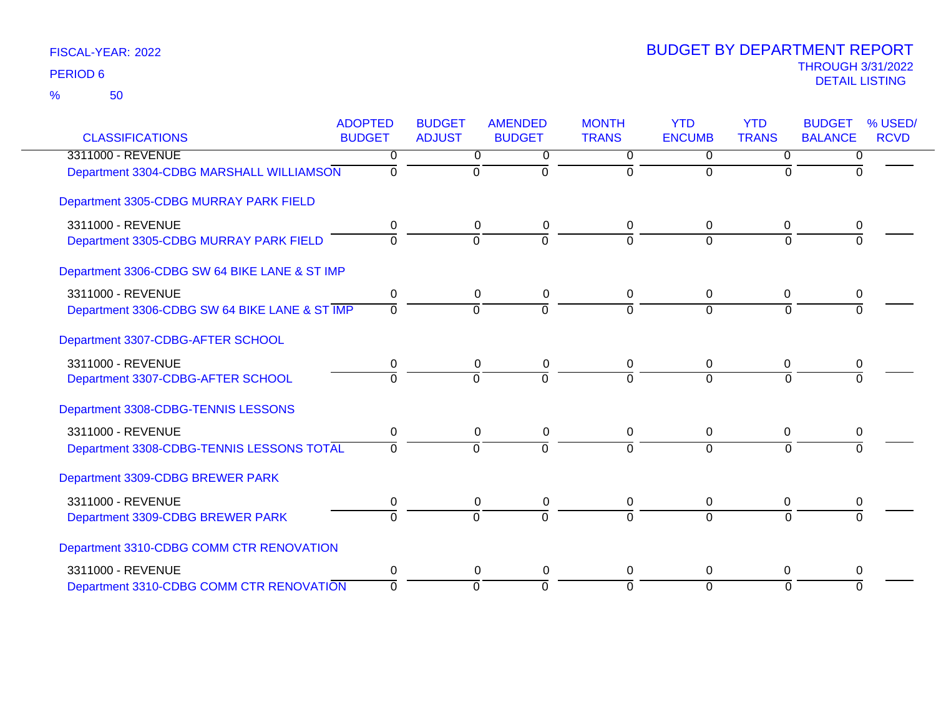50 %

| <b>CLASSIFICATIONS</b>                        | <b>ADOPTED</b><br><b>BUDGET</b> | <b>BUDGET</b><br><b>ADJUST</b> | <b>AMENDED</b><br><b>BUDGET</b> | <b>MONTH</b><br><b>TRANS</b> | <b>YTD</b><br><b>ENCUMB</b> | <b>YTD</b><br><b>TRANS</b> | <b>BUDGET</b><br><b>BALANCE</b> | % USED/<br><b>RCVD</b> |
|-----------------------------------------------|---------------------------------|--------------------------------|---------------------------------|------------------------------|-----------------------------|----------------------------|---------------------------------|------------------------|
| 3311000 - REVENUE                             | $\Omega$                        | 0                              | 0                               | $\overline{0}$               | 0                           | $\Omega$                   | 0                               |                        |
| Department 3304-CDBG MARSHALL WILLIAMSON      | $\Omega$                        | $\Omega$                       | 0                               | 0                            | $\Omega$                    | $\Omega$                   |                                 |                        |
| Department 3305-CDBG MURRAY PARK FIELD        |                                 |                                |                                 |                              |                             |                            |                                 |                        |
| 3311000 - REVENUE                             | 0                               | 0                              | 0                               | 0                            | $\mathbf{0}$                | 0                          | 0                               |                        |
| Department 3305-CDBG MURRAY PARK FIELD        | $\Omega$                        | $\Omega$                       | $\Omega$                        | $\Omega$                     | $\Omega$                    | $\Omega$                   |                                 |                        |
| Department 3306-CDBG SW 64 BIKE LANE & ST IMP |                                 |                                |                                 |                              |                             |                            |                                 |                        |
| 3311000 - REVENUE                             | 0                               | 0                              | 0                               | 0                            | $\mathbf 0$                 | 0                          | 0                               |                        |
| Department 3306-CDBG SW 64 BIKE LANE & ST IMP | $\overline{0}$                  | $\Omega$                       | $\overline{0}$                  | $\Omega$                     | $\Omega$                    | $\Omega$                   |                                 |                        |
| Department 3307-CDBG-AFTER SCHOOL             |                                 |                                |                                 |                              |                             |                            |                                 |                        |
| 3311000 - REVENUE                             | 0                               | 0                              | 0                               | 0                            | 0                           | 0                          |                                 |                        |
| Department 3307-CDBG-AFTER SCHOOL             | $\Omega$                        | $\Omega$                       | $\Omega$                        | 0                            | $\Omega$                    | $\Omega$                   |                                 |                        |
| Department 3308-CDBG-TENNIS LESSONS           |                                 |                                |                                 |                              |                             |                            |                                 |                        |
| 3311000 - REVENUE                             | 0                               | 0                              | 0                               | 0                            | 0                           | 0                          | 0                               |                        |
| Department 3308-CDBG-TENNIS LESSONS TOTAL     | $\Omega$                        | $\Omega$                       | $\overline{0}$                  | $\Omega$                     | $\Omega$                    | $\Omega$                   | $\Omega$                        |                        |
| Department 3309-CDBG BREWER PARK              |                                 |                                |                                 |                              |                             |                            |                                 |                        |
| 3311000 - REVENUE                             | 0                               | 0                              | 0                               | 0                            | 0                           | 0                          | 0                               |                        |
| Department 3309-CDBG BREWER PARK              | $\Omega$                        | $\Omega$                       | $\Omega$                        | 0                            | 0                           | $\Omega$                   |                                 |                        |
| Department 3310-CDBG COMM CTR RENOVATION      |                                 |                                |                                 |                              |                             |                            |                                 |                        |
| 3311000 - REVENUE                             | 0                               | $\Omega$                       | 0                               | $\Omega$                     | $\Omega$                    | $\Omega$                   | 0                               |                        |
| Department 3310-CDBG COMM CTR RENOVATION      | $\overline{0}$                  | $\overline{0}$                 | $\Omega$                        | $\Omega$                     | $\Omega$                    | $\Omega$                   | $\Omega$                        |                        |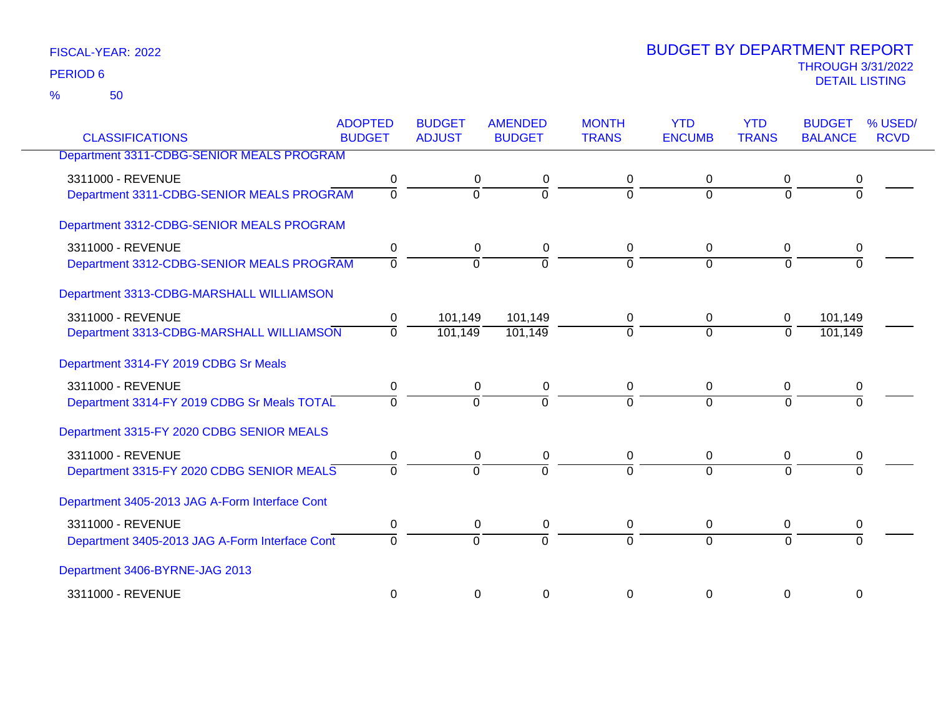50 %

| <b>CLASSIFICATIONS</b>                         | <b>ADOPTED</b><br><b>BUDGET</b> | <b>BUDGET</b><br><b>ADJUST</b> | <b>AMENDED</b><br><b>BUDGET</b> | <b>MONTH</b><br><b>TRANS</b> | <b>YTD</b><br><b>ENCUMB</b> | <b>YTD</b><br><b>TRANS</b> | <b>BUDGET</b><br><b>BALANCE</b> | % USED/<br><b>RCVD</b> |
|------------------------------------------------|---------------------------------|--------------------------------|---------------------------------|------------------------------|-----------------------------|----------------------------|---------------------------------|------------------------|
| Department 3311-CDBG-SENIOR MEALS PROGRAM      |                                 |                                |                                 |                              |                             |                            |                                 |                        |
|                                                |                                 |                                |                                 |                              |                             |                            |                                 |                        |
| 3311000 - REVENUE                              | 0                               | 0                              | 0                               | 0                            | 0                           | 0                          | 0                               |                        |
| Department 3311-CDBG-SENIOR MEALS PROGRAM      | $\overline{0}$                  | $\overline{0}$                 | $\overline{0}$                  | 0                            | $\overline{0}$              | $\Omega$                   | $\Omega$                        |                        |
| Department 3312-CDBG-SENIOR MEALS PROGRAM      |                                 |                                |                                 |                              |                             |                            |                                 |                        |
| 3311000 - REVENUE                              | 0                               | 0                              | 0                               | 0                            | $\mathbf 0$                 | 0                          | 0                               |                        |
| Department 3312-CDBG-SENIOR MEALS PROGRAM      | $\Omega$                        | $\Omega$                       | $\Omega$                        | 0                            | 0                           | $\Omega$                   |                                 |                        |
| Department 3313-CDBG-MARSHALL WILLIAMSON       |                                 |                                |                                 |                              |                             |                            |                                 |                        |
| 3311000 - REVENUE                              | 0                               | 101,149                        | 101,149                         | 0                            | $\mathbf 0$                 | 0                          | 101,149                         |                        |
| Department 3313-CDBG-MARSHALL WILLIAMSON       | $\overline{0}$                  | 101,149                        | 101,149                         | $\Omega$                     | $\overline{0}$              | $\overline{0}$             | 101,149                         |                        |
| Department 3314-FY 2019 CDBG Sr Meals          |                                 |                                |                                 |                              |                             |                            |                                 |                        |
| 3311000 - REVENUE                              | 0                               | 0                              | 0                               | 0                            | 0                           | 0                          |                                 |                        |
| Department 3314-FY 2019 CDBG Sr Meals TOTAL    | $\Omega$                        | $\Omega$                       | $\Omega$                        | $\Omega$                     | $\Omega$                    | $\overline{0}$             | $\Omega$                        |                        |
| Department 3315-FY 2020 CDBG SENIOR MEALS      |                                 |                                |                                 |                              |                             |                            |                                 |                        |
| 3311000 - REVENUE                              | 0                               | 0                              | 0                               | 0                            | $\mathbf{0}$                | 0                          |                                 |                        |
| Department 3315-FY 2020 CDBG SENIOR MEALS      | $\Omega$                        | $\Omega$                       | $\overline{0}$                  | $\Omega$                     | $\Omega$                    | $\Omega$                   | $\Omega$                        |                        |
| Department 3405-2013 JAG A-Form Interface Cont |                                 |                                |                                 |                              |                             |                            |                                 |                        |
| 3311000 - REVENUE                              | 0                               | 0                              | 0                               | 0                            | $\mathbf 0$                 | 0                          | 0                               |                        |
| Department 3405-2013 JAG A-Form Interface Cont | $\Omega$                        | $\Omega$                       | $\Omega$                        | $\Omega$                     | $\Omega$                    | $\Omega$                   | $\Omega$                        |                        |
| Department 3406-BYRNE-JAG 2013                 |                                 |                                |                                 |                              |                             |                            |                                 |                        |
| 3311000 - REVENUE                              | 0                               | 0                              | 0                               | 0                            | 0                           | 0                          | 0                               |                        |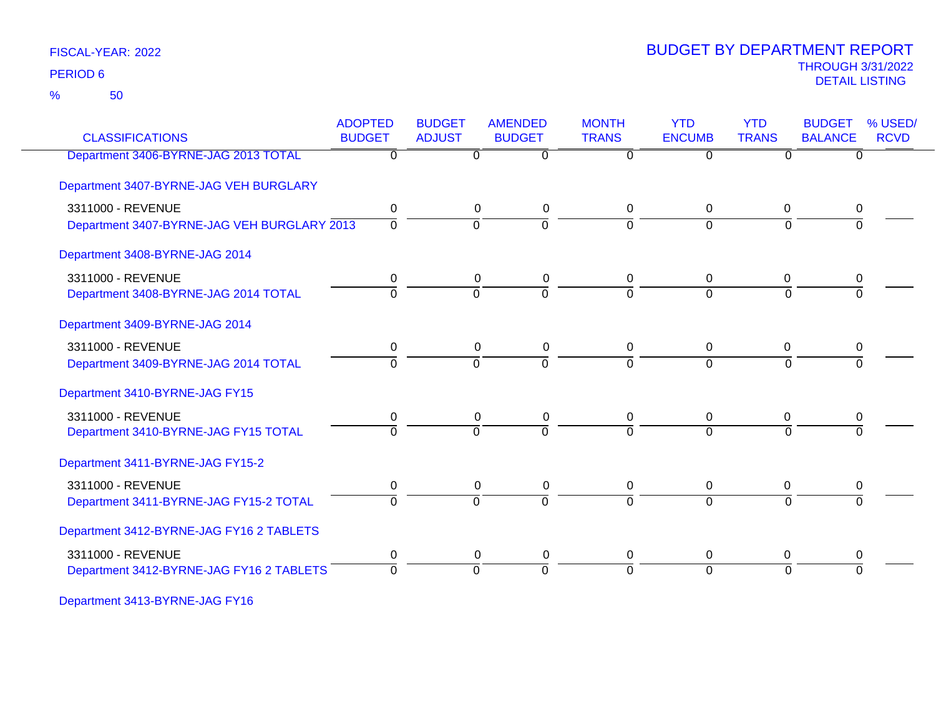50 %

# THROUGH 3/31/2022 DETAIL LISTING PERIOD <sup>6</sup> BUDGET BY DEPARTMENT REPORT

| <b>CLASSIFICATIONS</b>                      | <b>ADOPTED</b><br><b>BUDGET</b> | <b>BUDGET</b><br><b>ADJUST</b> | <b>AMENDED</b><br><b>BUDGET</b> | <b>MONTH</b><br><b>TRANS</b> | <b>YTD</b><br><b>ENCUMB</b> | <b>YTD</b><br><b>TRANS</b> | <b>BUDGET</b><br><b>BALANCE</b> | % USED/<br><b>RCVD</b> |
|---------------------------------------------|---------------------------------|--------------------------------|---------------------------------|------------------------------|-----------------------------|----------------------------|---------------------------------|------------------------|
| Department 3406-BYRNE-JAG 2013 TOTAL        | 0                               | $\Omega$                       | $\overline{0}$                  | 0                            | $\Omega$                    | $\overline{0}$             | $\mathbf{0}$                    |                        |
| Department 3407-BYRNE-JAG VEH BURGLARY      |                                 |                                |                                 |                              |                             |                            |                                 |                        |
| 3311000 - REVENUE                           | 0                               | 0                              | $\boldsymbol{0}$                | 0                            | 0                           | 0                          | 0                               |                        |
| Department 3407-BYRNE-JAG VEH BURGLARY 2013 | $\Omega$                        | $\Omega$                       | $\Omega$                        | $\Omega$                     | $\Omega$                    | $\Omega$                   | $\Omega$                        |                        |
| Department 3408-BYRNE-JAG 2014              |                                 |                                |                                 |                              |                             |                            |                                 |                        |
| 3311000 - REVENUE                           | 0                               | 0                              | 0                               | 0                            | 0                           | 0                          | 0                               |                        |
| Department 3408-BYRNE-JAG 2014 TOTAL        | 0                               | 0                              | $\overline{0}$                  | $\Omega$                     | $\Omega$                    | $\Omega$                   | $\Omega$                        |                        |
| Department 3409-BYRNE-JAG 2014              |                                 |                                |                                 |                              |                             |                            |                                 |                        |
| 3311000 - REVENUE                           | 0                               | 0                              | 0                               | 0                            | 0                           | 0                          | 0                               |                        |
| Department 3409-BYRNE-JAG 2014 TOTAL        | $\Omega$                        | $\Omega$                       | $\Omega$                        | $\Omega$                     | $\Omega$                    | $\Omega$                   | $\Omega$                        |                        |
| Department 3410-BYRNE-JAG FY15              |                                 |                                |                                 |                              |                             |                            |                                 |                        |
| 3311000 - REVENUE                           | 0                               | 0                              | 0                               | 0                            | 0                           | 0                          | 0                               |                        |
| Department 3410-BYRNE-JAG FY15 TOTAL        | $\overline{0}$                  | $\overline{0}$                 | $\overline{0}$                  | $\Omega$                     | $\overline{0}$              | $\Omega$                   | $\Omega$                        |                        |
| Department 3411-BYRNE-JAG FY15-2            |                                 |                                |                                 |                              |                             |                            |                                 |                        |
| 3311000 - REVENUE                           | 0                               | 0                              | 0                               | $\mathbf 0$                  | 0                           | 0                          | 0                               |                        |
| Department 3411-BYRNE-JAG FY15-2 TOTAL      | $\Omega$                        | $\Omega$                       | $\overline{0}$                  | $\Omega$                     | $\Omega$                    | $\Omega$                   | $\Omega$                        |                        |
| Department 3412-BYRNE-JAG FY16 2 TABLETS    |                                 |                                |                                 |                              |                             |                            |                                 |                        |
| 3311000 - REVENUE                           | 0                               | $\pmb{0}$                      | 0                               | 0                            | 0                           | 0                          | 0                               |                        |
| Department 3412-BYRNE-JAG FY16 2 TABLETS    | $\Omega$                        | $\mathbf 0$                    | $\Omega$                        | $\Omega$                     | $\overline{0}$              | $\Omega$                   | $\Omega$                        |                        |

Department 3413-BYRNE-JAG FY16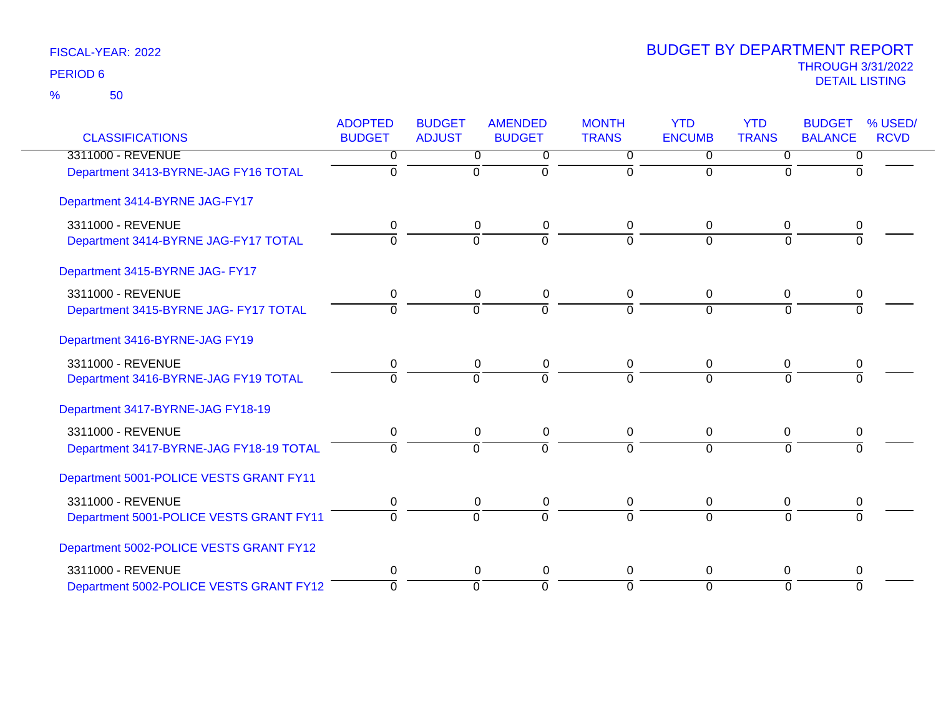| <b>CLASSIFICATIONS</b>                  | <b>ADOPTED</b><br><b>BUDGET</b> | <b>BUDGET</b><br><b>ADJUST</b> | <b>AMENDED</b><br><b>BUDGET</b> | <b>MONTH</b><br><b>TRANS</b> | <b>YTD</b><br><b>ENCUMB</b> | <b>YTD</b><br><b>TRANS</b> | <b>BUDGET</b><br><b>BALANCE</b> | % USED/<br><b>RCVD</b> |
|-----------------------------------------|---------------------------------|--------------------------------|---------------------------------|------------------------------|-----------------------------|----------------------------|---------------------------------|------------------------|
| 3311000 - REVENUE                       | 0                               | 0                              | 0                               | 0                            | $\mathbf 0$                 | $\mathbf 0$                | 0                               |                        |
| Department 3413-BYRNE-JAG FY16 TOTAL    | $\mathbf 0$                     | $\mathbf 0$                    | $\Omega$                        | $\Omega$                     | $\overline{0}$              | $\Omega$                   | $\Omega$                        |                        |
| Department 3414-BYRNE JAG-FY17          |                                 |                                |                                 |                              |                             |                            |                                 |                        |
| 3311000 - REVENUE                       | 0                               | $\mathbf 0$                    | $\pmb{0}$                       | 0                            | 0                           | 0                          | $\pmb{0}$                       |                        |
| Department 3414-BYRNE JAG-FY17 TOTAL    | $\mathbf 0$                     | $\mathbf 0$                    | $\overline{0}$                  | $\Omega$                     | $\Omega$                    | $\overline{0}$             | $\Omega$                        |                        |
| Department 3415-BYRNE JAG- FY17         |                                 |                                |                                 |                              |                             |                            |                                 |                        |
| 3311000 - REVENUE                       | 0                               | 0                              | 0                               | $\mathbf 0$                  | 0                           | $\mathbf 0$                | 0                               |                        |
| Department 3415-BYRNE JAG- FY17 TOTAL   | $\Omega$                        | $\Omega$                       | $\overline{0}$                  | $\Omega$                     | $\Omega$                    | $\Omega$                   | $\Omega$                        |                        |
| Department 3416-BYRNE-JAG FY19          |                                 |                                |                                 |                              |                             |                            |                                 |                        |
| 3311000 - REVENUE                       | 0                               | 0                              | $\pmb{0}$                       | 0                            | 0                           | $\mathbf 0$                | 0                               |                        |
| Department 3416-BYRNE-JAG FY19 TOTAL    | $\overline{0}$                  | $\overline{0}$                 | $\overline{0}$                  | $\Omega$                     | $\Omega$                    | $\Omega$                   |                                 |                        |
| Department 3417-BYRNE-JAG FY18-19       |                                 |                                |                                 |                              |                             |                            |                                 |                        |
| 3311000 - REVENUE                       | 0                               | $\mathbf 0$                    | $\pmb{0}$                       | 0                            | 0                           | 0                          | 0                               |                        |
| Department 3417-BYRNE-JAG FY18-19 TOTAL | $\Omega$                        | $\mathbf 0$                    | $\Omega$                        | $\Omega$                     | $\Omega$                    | $\Omega$                   | $\Omega$                        |                        |
| Department 5001-POLICE VESTS GRANT FY11 |                                 |                                |                                 |                              |                             |                            |                                 |                        |
| 3311000 - REVENUE                       | 0                               | $\mathbf 0$                    | 0                               | 0                            | $\mathbf 0$                 | 0                          | 0                               |                        |
| Department 5001-POLICE VESTS GRANT FY11 | $\overline{0}$                  | $\overline{0}$                 | $\overline{0}$                  | $\Omega$                     | $\Omega$                    | $\overline{0}$             | $\overline{0}$                  |                        |
| Department 5002-POLICE VESTS GRANT FY12 |                                 |                                |                                 |                              |                             |                            |                                 |                        |
| 3311000 - REVENUE                       | 0                               | 0                              | 0                               | 0                            | 0                           | $\Omega$                   | 0                               |                        |
| Department 5002-POLICE VESTS GRANT FY12 | $\Omega$                        | $\overline{0}$                 | $\Omega$                        | $\Omega$                     | $\overline{0}$              | $\Omega$                   | $\Omega$                        |                        |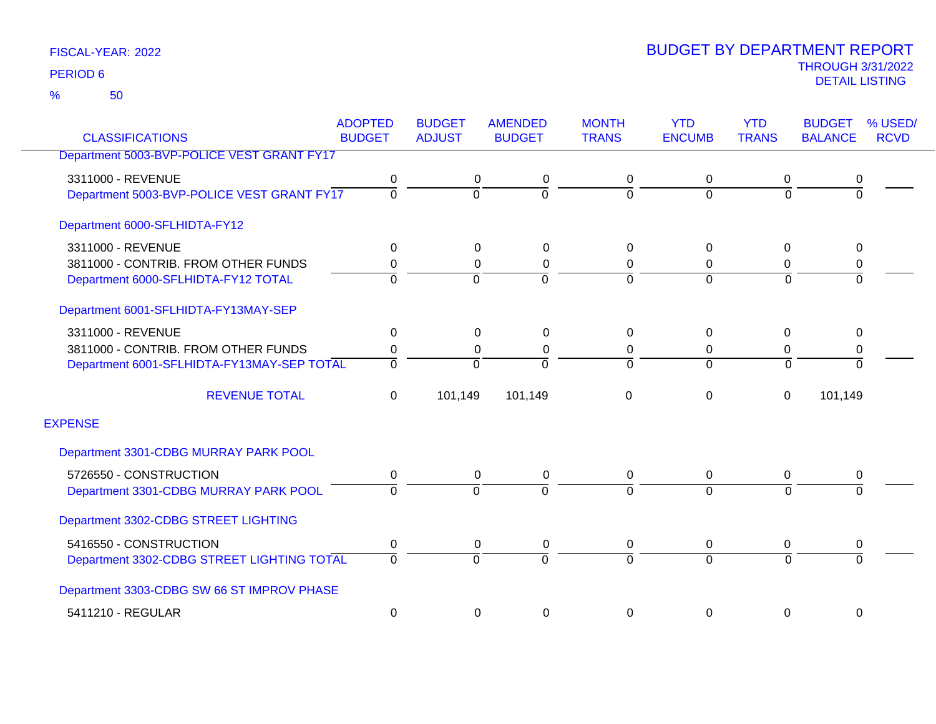50 %

|                                            | <b>ADOPTED</b> | <b>BUDGET</b>  | <b>AMENDED</b> | <b>MONTH</b>   | <b>YTD</b>     | <b>YTD</b>     | <b>BUDGET</b>  | % USED/     |
|--------------------------------------------|----------------|----------------|----------------|----------------|----------------|----------------|----------------|-------------|
| <b>CLASSIFICATIONS</b>                     | <b>BUDGET</b>  | <b>ADJUST</b>  | <b>BUDGET</b>  | <b>TRANS</b>   | <b>ENCUMB</b>  | <b>TRANS</b>   | <b>BALANCE</b> | <b>RCVD</b> |
| Department 5003-BVP-POLICE VEST GRANT FY17 |                |                |                |                |                |                |                |             |
| 3311000 - REVENUE                          | 0              | 0              | 0              | 0              | 0              | 0              | 0              |             |
| Department 5003-BVP-POLICE VEST GRANT FY17 | $\overline{0}$ | $\overline{0}$ | $\Omega$       | $\overline{0}$ | $\Omega$       | $\Omega$       | $\overline{0}$ |             |
| Department 6000-SFLHIDTA-FY12              |                |                |                |                |                |                |                |             |
| 3311000 - REVENUE                          | 0              | 0              | 0              | $\mathbf 0$    | $\mathbf{0}$   | $\Omega$       | 0              |             |
| 3811000 - CONTRIB. FROM OTHER FUNDS        | 0              | 0              | 0              | $\mathbf 0$    | 0              | 0              | 0              |             |
| Department 6000-SFLHIDTA-FY12 TOTAL        | $\overline{0}$ | $\mathbf 0$    | $\Omega$       | $\overline{0}$ | $\overline{0}$ | $\overline{0}$ | $\overline{0}$ |             |
| Department 6001-SFLHIDTA-FY13MAY-SEP       |                |                |                |                |                |                |                |             |
| 3311000 - REVENUE                          | 0              | $\mathbf 0$    | 0              | $\mathbf 0$    | $\mathbf{0}$   | $\Omega$       | 0              |             |
| 3811000 - CONTRIB. FROM OTHER FUNDS        | 0              | 0              | 0              | $\mathbf 0$    | 0              | 0              | 0              |             |
| Department 6001-SFLHIDTA-FY13MAY-SEP TOTAL | $\overline{0}$ | $\overline{0}$ | $\overline{0}$ | $\overline{0}$ | $\Omega$       | $\Omega$       | $\Omega$       |             |
| <b>REVENUE TOTAL</b>                       | 0              | 101,149        | 101,149        | $\mathbf 0$    | $\mathbf{0}$   | 0              | 101,149        |             |
| <b>EXPENSE</b>                             |                |                |                |                |                |                |                |             |
| Department 3301-CDBG MURRAY PARK POOL      |                |                |                |                |                |                |                |             |
| 5726550 - CONSTRUCTION                     | 0              | 0              | 0              | 0              | $\mathbf{0}$   | 0              | 0              |             |
| Department 3301-CDBG MURRAY PARK POOL      | 0              | $\Omega$       | $\Omega$       | $\Omega$       | $\overline{0}$ | $\Omega$       | $\Omega$       |             |
| Department 3302-CDBG STREET LIGHTING       |                |                |                |                |                |                |                |             |
| 5416550 - CONSTRUCTION                     | 0              | 0              | 0              | 0              | 0              | 0              | 0              |             |
| Department 3302-CDBG STREET LIGHTING TOTAL | $\overline{0}$ | $\overline{0}$ | $\overline{0}$ | $\overline{0}$ | $\overline{0}$ | $\overline{0}$ | $\Omega$       |             |
| Department 3303-CDBG SW 66 ST IMPROV PHASE |                |                |                |                |                |                |                |             |
| 5411210 - REGULAR                          | 0              | 0              | 0              | 0              | $\Omega$       | $\Omega$       | $\Omega$       |             |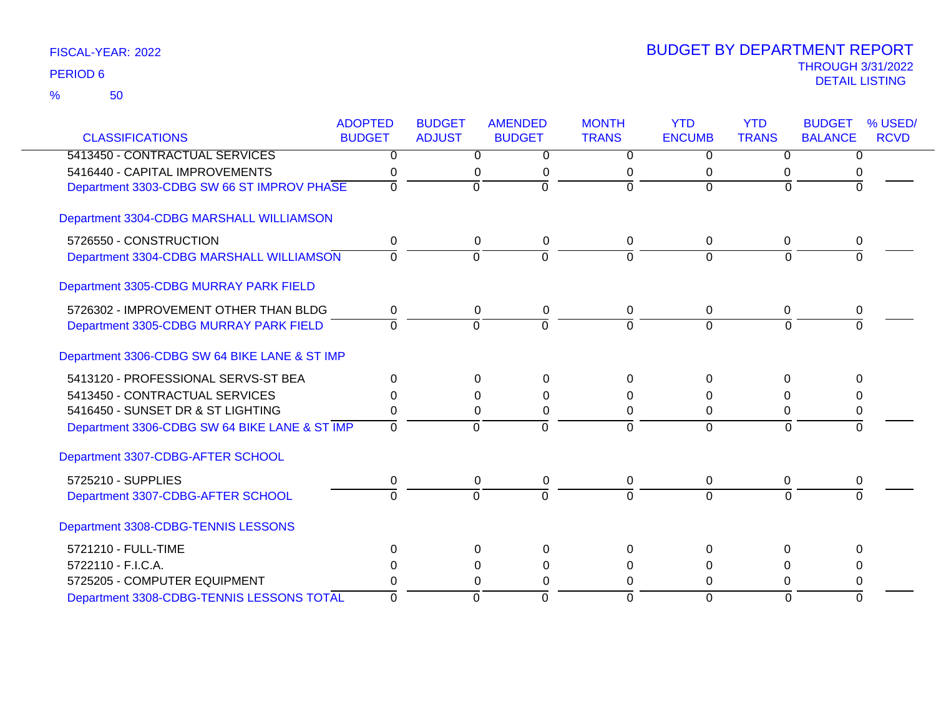|                                               | <b>ADOPTED</b> | <b>BUDGET</b>  | <b>AMENDED</b> | <b>MONTH</b> | <b>YTD</b>     | <b>YTD</b>   | <b>BUDGET</b>  | % USED/     |
|-----------------------------------------------|----------------|----------------|----------------|--------------|----------------|--------------|----------------|-------------|
| <b>CLASSIFICATIONS</b>                        | <b>BUDGET</b>  | <b>ADJUST</b>  | <b>BUDGET</b>  | <b>TRANS</b> | <b>ENCUMB</b>  | <b>TRANS</b> | <b>BALANCE</b> | <b>RCVD</b> |
| 5413450 - CONTRACTUAL SERVICES                | 0              | $\Omega$       | 0              | $\Omega$     | $\Omega$       | $\Omega$     | $\Omega$       |             |
| 5416440 - CAPITAL IMPROVEMENTS                | 0              | 0              | 0              | 0            | 0              | 0            | 0              |             |
| Department 3303-CDBG SW 66 ST IMPROV PHASE    | $\Omega$       | $\Omega$       | $\Omega$       | $\Omega$     | $\Omega$       | $\Omega$     | $\Omega$       |             |
| Department 3304-CDBG MARSHALL WILLIAMSON      |                |                |                |              |                |              |                |             |
| 5726550 - CONSTRUCTION                        | 0              | $\mathbf 0$    | $\pmb{0}$      | 0            | 0              | 0            | 0              |             |
| Department 3304-CDBG MARSHALL WILLIAMSON      | $\Omega$       | $\mathbf 0$    | $\Omega$       | $\Omega$     | $\Omega$       | $\Omega$     | $\Omega$       |             |
| Department 3305-CDBG MURRAY PARK FIELD        |                |                |                |              |                |              |                |             |
| 5726302 - IMPROVEMENT OTHER THAN BLDG         | 0              | 0              | 0              | $\Omega$     | 0              | 0            | 0              |             |
| Department 3305-CDBG MURRAY PARK FIELD        | $\overline{0}$ | $\overline{0}$ | $\overline{0}$ | $\Omega$     | $\overline{0}$ | $\Omega$     | $\Omega$       |             |
| Department 3306-CDBG SW 64 BIKE LANE & ST IMP |                |                |                |              |                |              |                |             |
| 5413120 - PROFESSIONAL SERVS-ST BEA           | $\overline{0}$ | $\Omega$       | $\Omega$       | $\Omega$     | $\Omega$       | $\Omega$     | $\Omega$       |             |
| 5413450 - CONTRACTUAL SERVICES                | 0              | 0              | $\Omega$       | $\Omega$     | 0              | $\Omega$     | U              |             |
| 5416450 - SUNSET DR & ST LIGHTING             | 0              | 0              | 0              | 0            | 0              | 0            | 0              |             |
| Department 3306-CDBG SW 64 BIKE LANE & ST IMP | $\overline{0}$ | $\overline{0}$ | $\mathbf 0$    | $\mathbf 0$  | $\Omega$       | $\mathbf 0$  | $\Omega$       |             |
| Department 3307-CDBG-AFTER SCHOOL             |                |                |                |              |                |              |                |             |
| 5725210 - SUPPLIES                            | 0              | $\mathbf 0$    | 0              | 0            | 0              | 0            | 0              |             |
| Department 3307-CDBG-AFTER SCHOOL             | $\Omega$       | $\Omega$       | $\Omega$       | $\Omega$     | $\Omega$       | $\Omega$     | $\Omega$       |             |
| Department 3308-CDBG-TENNIS LESSONS           |                |                |                |              |                |              |                |             |
| 5721210 - FULL-TIME                           | 0              | $\Omega$       | $\Omega$       | $\Omega$     | $\Omega$       | $\Omega$     | $\Omega$       |             |
| 5722110 - F.I.C.A.                            | 0              |                | 0<br>0         | 0            | 0              | 0            | 0              |             |
| 5725205 - COMPUTER EQUIPMENT                  | 0              | 0              | $\Omega$       | $\Omega$     | $\Omega$       | 0            | 0              |             |
| Department 3308-CDBG-TENNIS LESSONS TOTAL     | $\Omega$       | $\mathbf 0$    | $\Omega$       | $\Omega$     | $\Omega$       | $\Omega$     | $\Omega$       |             |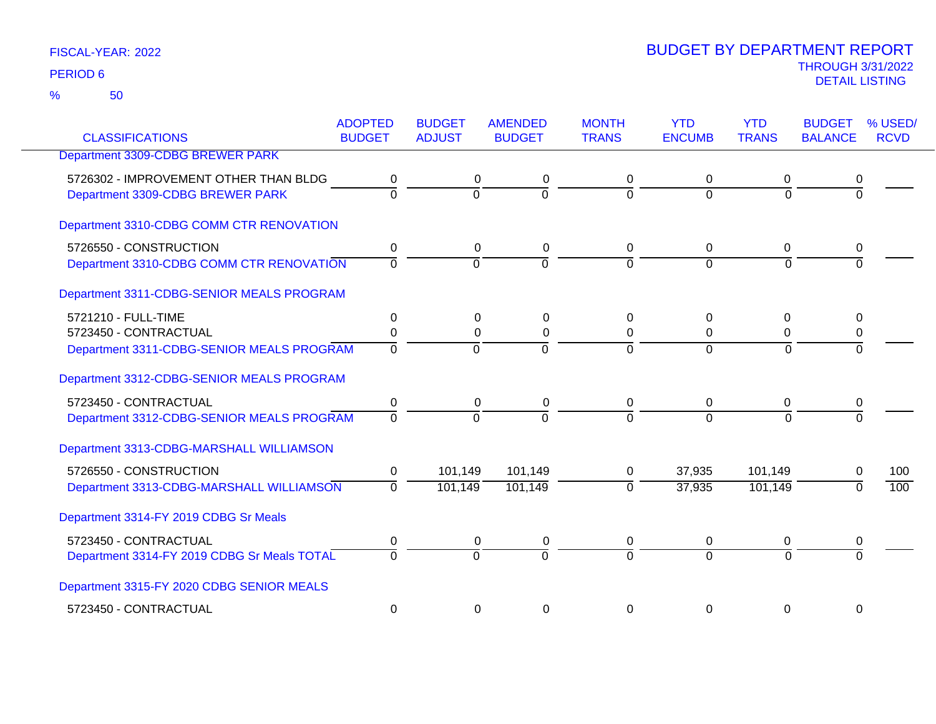50 %

|                                             | <b>ADOPTED</b><br><b>BUDGET</b> | <b>BUDGET</b><br><b>ADJUST</b> | <b>AMENDED</b><br><b>BUDGET</b> | <b>MONTH</b><br><b>TRANS</b> | <b>YTD</b><br><b>ENCUMB</b> | <b>YTD</b><br><b>TRANS</b> | <b>BUDGET</b><br><b>BALANCE</b> | % USED/<br><b>RCVD</b> |
|---------------------------------------------|---------------------------------|--------------------------------|---------------------------------|------------------------------|-----------------------------|----------------------------|---------------------------------|------------------------|
| <b>CLASSIFICATIONS</b>                      |                                 |                                |                                 |                              |                             |                            |                                 |                        |
| Department 3309-CDBG BREWER PARK            |                                 |                                |                                 |                              |                             |                            |                                 |                        |
| 5726302 - IMPROVEMENT OTHER THAN BLDG       | 0                               | 0                              | 0                               | 0                            | 0                           | 0                          | 0                               |                        |
| Department 3309-CDBG BREWER PARK            | $\overline{0}$                  | $\overline{0}$                 | $\overline{0}$                  | $\Omega$                     | $\Omega$                    | $\Omega$                   | $\overline{0}$                  |                        |
| Department 3310-CDBG COMM CTR RENOVATION    |                                 |                                |                                 |                              |                             |                            |                                 |                        |
| 5726550 - CONSTRUCTION                      | 0                               | 0                              | 0                               | 0                            | 0                           | 0                          | 0                               |                        |
| Department 3310-CDBG COMM CTR RENOVATION    | $\overline{0}$                  | $\overline{0}$                 | $\overline{0}$                  | $\Omega$                     | $\Omega$                    | $\overline{0}$             | $\Omega$                        |                        |
| Department 3311-CDBG-SENIOR MEALS PROGRAM   |                                 |                                |                                 |                              |                             |                            |                                 |                        |
| 5721210 - FULL-TIME                         | 0                               | 0                              | 0                               | 0                            | $\Omega$                    | 0                          | 0                               |                        |
| 5723450 - CONTRACTUAL                       | 0                               | 0                              | 0                               | 0                            | 0                           | 0                          | 0                               |                        |
| Department 3311-CDBG-SENIOR MEALS PROGRAM   | $\Omega$                        | $\Omega$                       | $\overline{0}$                  | $\Omega$                     | $\Omega$                    | $\overline{0}$             | $\Omega$                        |                        |
| Department 3312-CDBG-SENIOR MEALS PROGRAM   |                                 |                                |                                 |                              |                             |                            |                                 |                        |
| 5723450 - CONTRACTUAL                       | 0                               | $\pmb{0}$                      | 0                               | $\mathbf 0$                  | $\mathbf 0$                 | $\mathbf 0$                | 0                               |                        |
| Department 3312-CDBG-SENIOR MEALS PROGRAM   | $\overline{0}$                  | $\Omega$                       | $\Omega$                        | $\Omega$                     | $\Omega$                    | $\Omega$                   | $\Omega$                        |                        |
| Department 3313-CDBG-MARSHALL WILLIAMSON    |                                 |                                |                                 |                              |                             |                            |                                 |                        |
| 5726550 - CONSTRUCTION                      | 0                               | 101,149                        | 101,149                         | 0                            | 37,935                      | 101,149                    | 0                               | 100                    |
| Department 3313-CDBG-MARSHALL WILLIAMSON    | 0                               | 101,149                        | 101,149                         | 0                            | 37,935                      | 101,149                    | $\Omega$                        | 100                    |
| Department 3314-FY 2019 CDBG Sr Meals       |                                 |                                |                                 |                              |                             |                            |                                 |                        |
| 5723450 - CONTRACTUAL                       |                                 | 0                              | 0                               | 0                            | $\Omega$                    | 0                          | 0                               |                        |
| Department 3314-FY 2019 CDBG Sr Meals TOTAL | $\overline{0}$                  | $\overline{0}$                 | $\overline{0}$                  | $\Omega$                     | $\Omega$                    | $\overline{0}$             | 0                               |                        |
| Department 3315-FY 2020 CDBG SENIOR MEALS   |                                 |                                |                                 |                              |                             |                            |                                 |                        |
| 5723450 - CONTRACTUAL                       | 0                               | 0                              | 0                               | 0                            | 0                           | 0                          | 0                               |                        |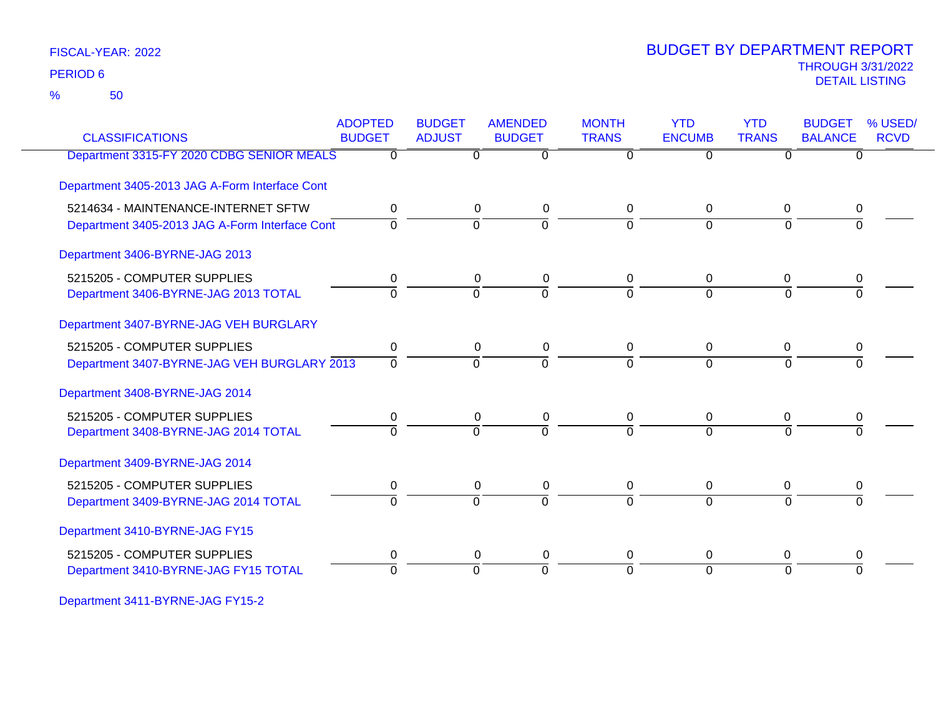50 %

# THROUGH 3/31/2022 DETAIL LISTING PERIOD <sup>6</sup> BUDGET BY DEPARTMENT REPORT

| <b>CLASSIFICATIONS</b>                         | <b>ADOPTED</b><br><b>BUDGET</b> | <b>BUDGET</b><br><b>ADJUST</b> | <b>AMENDED</b><br><b>BUDGET</b> | <b>MONTH</b><br><b>TRANS</b> | <b>YTD</b><br><b>ENCUMB</b> | <b>YTD</b><br><b>TRANS</b> | <b>BUDGET</b><br><b>BALANCE</b> | % USED/<br><b>RCVD</b> |
|------------------------------------------------|---------------------------------|--------------------------------|---------------------------------|------------------------------|-----------------------------|----------------------------|---------------------------------|------------------------|
| Department 3315-FY 2020 CDBG SENIOR MEALS      | $\Omega$                        | 0                              | $\overline{0}$                  | $\Omega$                     | $\overline{0}$              | $\Omega$                   | $\overline{0}$                  |                        |
| Department 3405-2013 JAG A-Form Interface Cont |                                 |                                |                                 |                              |                             |                            |                                 |                        |
| 5214634 - MAINTENANCE-INTERNET SFTW            | 0                               | 0                              | 0                               | 0                            | $\Omega$                    | 0                          | 0                               |                        |
| Department 3405-2013 JAG A-Form Interface Cont | $\Omega$                        | $\Omega$                       | $\overline{0}$                  | $\Omega$                     | $\Omega$                    | $\Omega$                   | $\Omega$                        |                        |
| Department 3406-BYRNE-JAG 2013                 |                                 |                                |                                 |                              |                             |                            |                                 |                        |
| 5215205 - COMPUTER SUPPLIES                    | 0                               | 0                              | 0                               | 0                            | 0                           | 0                          | 0                               |                        |
| Department 3406-BYRNE-JAG 2013 TOTAL           | 0                               | $\Omega$                       | $\overline{0}$                  | $\Omega$                     | $\Omega$                    | $\Omega$                   | $\Omega$                        |                        |
| Department 3407-BYRNE-JAG VEH BURGLARY         |                                 |                                |                                 |                              |                             |                            |                                 |                        |
| 5215205 - COMPUTER SUPPLIES                    | 0                               | 0                              | 0                               | 0                            | $\mathbf 0$                 | 0                          | 0                               |                        |
| Department 3407-BYRNE-JAG VEH BURGLARY 2013    | $\overline{0}$                  | $\Omega$                       | $\overline{0}$                  | $\Omega$                     | $\Omega$                    | $\overline{0}$             | $\Omega$                        |                        |
| Department 3408-BYRNE-JAG 2014                 |                                 |                                |                                 |                              |                             |                            |                                 |                        |
| 5215205 - COMPUTER SUPPLIES                    |                                 | 0                              | 0                               | 0                            | $\mathbf{0}$                | 0                          | 0                               |                        |
| Department 3408-BYRNE-JAG 2014 TOTAL           | $\Omega$                        | $\Omega$                       | $\overline{0}$                  | $\Omega$                     | $\Omega$                    | $\Omega$                   |                                 |                        |
| Department 3409-BYRNE-JAG 2014                 |                                 |                                |                                 |                              |                             |                            |                                 |                        |
| 5215205 - COMPUTER SUPPLIES                    | 0                               | 0                              | 0                               | 0                            | $\mathbf 0$                 | 0                          | 0                               |                        |
| Department 3409-BYRNE-JAG 2014 TOTAL           | $\Omega$                        | $\Omega$                       | $\Omega$                        | $\Omega$                     | $\Omega$                    | $\Omega$                   | $\Omega$                        |                        |
| Department 3410-BYRNE-JAG FY15                 |                                 |                                |                                 |                              |                             |                            |                                 |                        |
| 5215205 - COMPUTER SUPPLIES                    | 0                               | $\mathbf 0$                    | 0                               | 0                            | $\mathbf 0$                 | 0                          | $\mathbf 0$                     |                        |
| Department 3410-BYRNE-JAG FY15 TOTAL           | $\Omega$                        | $\overline{0}$                 | $\Omega$                        | $\Omega$                     | $\Omega$                    | $\Omega$                   | $\Omega$                        |                        |
|                                                |                                 |                                |                                 |                              |                             |                            |                                 |                        |

Department 3411-BYRNE-JAG FY15-2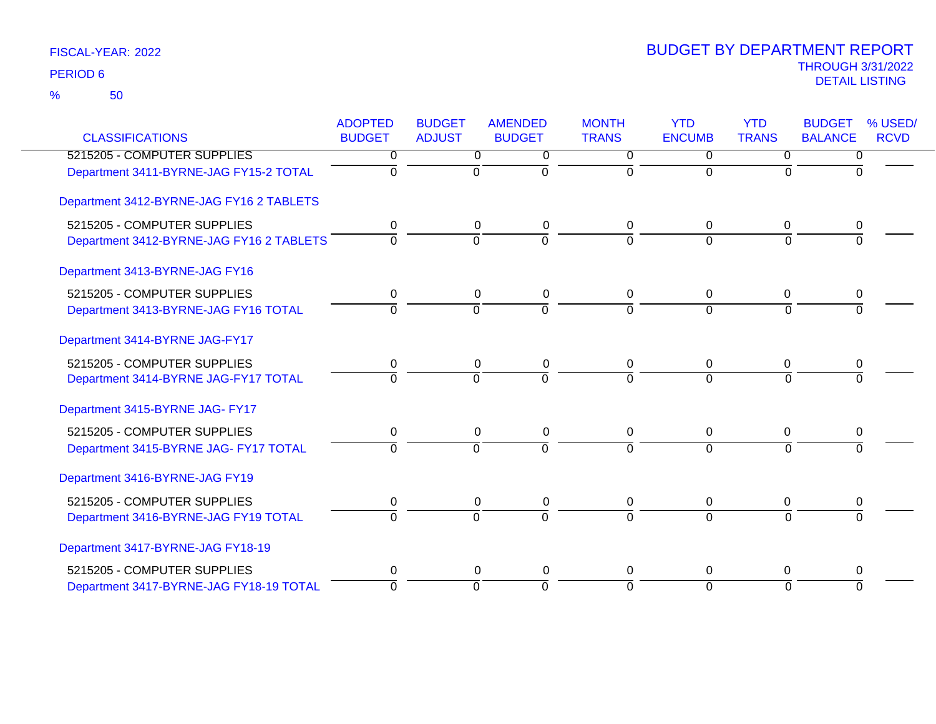50 %

| <b>CLASSIFICATIONS</b>                   | <b>ADOPTED</b><br><b>BUDGET</b> | <b>BUDGET</b><br><b>ADJUST</b> | <b>AMENDED</b><br><b>BUDGET</b> | <b>MONTH</b><br><b>TRANS</b> | <b>YTD</b><br><b>ENCUMB</b> | <b>YTD</b><br><b>TRANS</b> | <b>BUDGET</b><br><b>BALANCE</b> | % USED/<br><b>RCVD</b> |
|------------------------------------------|---------------------------------|--------------------------------|---------------------------------|------------------------------|-----------------------------|----------------------------|---------------------------------|------------------------|
| 5215205 - COMPUTER SUPPLIES              | $\overline{0}$                  | $\overline{0}$                 | 0                               | $\overline{0}$               | $\overline{0}$              | $\overline{0}$             | $\overline{0}$                  |                        |
| Department 3411-BYRNE-JAG FY15-2 TOTAL   | 0                               | $\Omega$                       | 0                               | 0                            | $\Omega$                    | $\Omega$                   |                                 |                        |
| Department 3412-BYRNE-JAG FY16 2 TABLETS |                                 |                                |                                 |                              |                             |                            |                                 |                        |
| 5215205 - COMPUTER SUPPLIES              | 0                               | $\Omega$                       | 0                               | 0                            | 0                           | 0                          |                                 |                        |
| Department 3412-BYRNE-JAG FY16 2 TABLETS | $\mathbf 0$                     | $\Omega$                       | $\Omega$                        | $\Omega$                     | $\Omega$                    | $\Omega$                   |                                 |                        |
| Department 3413-BYRNE-JAG FY16           |                                 |                                |                                 |                              |                             |                            |                                 |                        |
| 5215205 - COMPUTER SUPPLIES              | 0                               | 0                              | 0                               | 0                            | $\mathbf{0}$                | 0                          | 0                               |                        |
| Department 3413-BYRNE-JAG FY16 TOTAL     | $\Omega$                        | $\Omega$                       | $\overline{0}$                  | 0                            | $\overline{0}$              | $\Omega$                   |                                 |                        |
| Department 3414-BYRNE JAG-FY17           |                                 |                                |                                 |                              |                             |                            |                                 |                        |
| 5215205 - COMPUTER SUPPLIES              | 0                               | 0                              | 0                               | 0                            | 0                           | 0                          | 0                               |                        |
| Department 3414-BYRNE JAG-FY17 TOTAL     | $\Omega$                        | $\Omega$                       | $\overline{0}$                  | 0                            | $\Omega$                    | $\Omega$                   |                                 |                        |
| Department 3415-BYRNE JAG- FY17          |                                 |                                |                                 |                              |                             |                            |                                 |                        |
| 5215205 - COMPUTER SUPPLIES              | 0                               | 0                              | 0                               | 0                            | 0                           | 0                          | 0                               |                        |
| Department 3415-BYRNE JAG- FY17 TOTAL    | $\Omega$                        | $\Omega$                       | $\Omega$                        | $\Omega$                     | $\Omega$                    | $\Omega$                   |                                 |                        |
| Department 3416-BYRNE-JAG FY19           |                                 |                                |                                 |                              |                             |                            |                                 |                        |
| 5215205 - COMPUTER SUPPLIES              | 0                               | 0                              | 0                               | 0                            | $\mathbf 0$                 | 0                          | 0                               |                        |
| Department 3416-BYRNE-JAG FY19 TOTAL     | 0                               | $\Omega$                       | $\Omega$                        | 0                            | $\Omega$                    | $\Omega$                   |                                 |                        |
| Department 3417-BYRNE-JAG FY18-19        |                                 |                                |                                 |                              |                             |                            |                                 |                        |
| 5215205 - COMPUTER SUPPLIES              | 0                               | 0                              | 0                               | 0                            | $\mathbf 0$                 | 0                          | 0                               |                        |
| Department 3417-BYRNE-JAG FY18-19 TOTAL  | $\Omega$                        | $\Omega$                       | $\Omega$                        | $\Omega$                     | $\overline{0}$              | $\Omega$                   | $\Omega$                        |                        |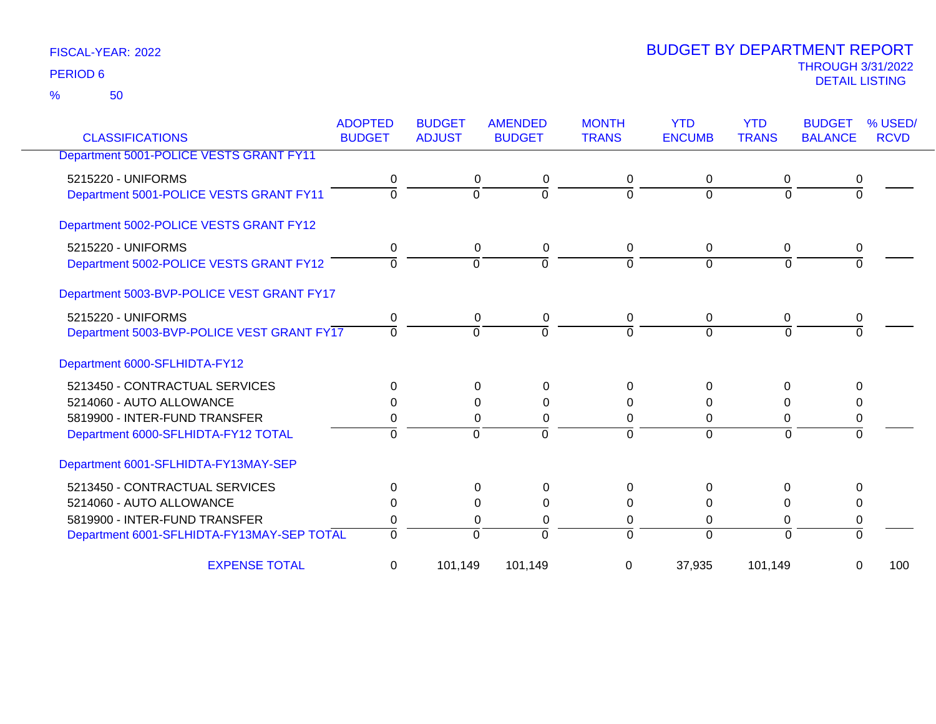50 %

| <b>CLASSIFICATIONS</b>                     | <b>ADOPTED</b><br><b>BUDGET</b> | <b>BUDGET</b><br><b>ADJUST</b> | <b>AMENDED</b><br><b>BUDGET</b> | <b>MONTH</b><br><b>TRANS</b> | <b>YTD</b><br><b>ENCUMB</b> | <b>YTD</b><br><b>TRANS</b> | <b>BUDGET</b><br><b>BALANCE</b> | % USED/<br><b>RCVD</b> |
|--------------------------------------------|---------------------------------|--------------------------------|---------------------------------|------------------------------|-----------------------------|----------------------------|---------------------------------|------------------------|
| Department 5001-POLICE VESTS GRANT FY11    |                                 |                                |                                 |                              |                             |                            |                                 |                        |
| 5215220 - UNIFORMS                         | 0                               | 0                              | 0                               | 0                            | $\mathbf 0$                 | 0                          | 0                               |                        |
| Department 5001-POLICE VESTS GRANT FY11    | $\Omega$                        | $\Omega$                       | $\Omega$                        | $\Omega$                     | $\Omega$                    | $\Omega$                   | $\Omega$                        |                        |
| Department 5002-POLICE VESTS GRANT FY12    |                                 |                                |                                 |                              |                             |                            |                                 |                        |
| 5215220 - UNIFORMS                         | 0                               | 0                              | 0                               | 0                            | $\mathbf 0$                 | 0                          | 0                               |                        |
| Department 5002-POLICE VESTS GRANT FY12    | $\Omega$                        | $\Omega$                       | $\Omega$                        | $\Omega$                     | $\Omega$                    | $\Omega$                   | $\Omega$                        |                        |
| Department 5003-BVP-POLICE VEST GRANT FY17 |                                 |                                |                                 |                              |                             |                            |                                 |                        |
| 5215220 - UNIFORMS                         | 0                               | 0                              | 0                               | 0                            | $\mathbf 0$                 | 0                          | 0                               |                        |
| Department 5003-BVP-POLICE VEST GRANT FY17 | $\Omega$                        | $\Omega$                       | $\Omega$                        | 0                            | $\Omega$                    | $\Omega$                   | $\Omega$                        |                        |
| Department 6000-SFLHIDTA-FY12              |                                 |                                |                                 |                              |                             |                            |                                 |                        |
| 5213450 - CONTRACTUAL SERVICES             | $\Omega$                        | $\Omega$                       | $\Omega$                        | 0                            | $\Omega$                    | $\Omega$                   | $\Omega$                        |                        |
| 5214060 - AUTO ALLOWANCE                   | 0                               | 0                              | $\Omega$                        | 0                            | 0                           | 0                          | 0                               |                        |
| 5819900 - INTER-FUND TRANSFER              |                                 | 0                              | 0                               | 0                            | 0                           | 0                          | 0                               |                        |
| Department 6000-SFLHIDTA-FY12 TOTAL        | $\Omega$                        | 0                              | $\Omega$                        | $\Omega$                     | $\Omega$                    | $\overline{0}$             | $\overline{0}$                  |                        |
| Department 6001-SFLHIDTA-FY13MAY-SEP       |                                 |                                |                                 |                              |                             |                            |                                 |                        |
| 5213450 - CONTRACTUAL SERVICES             | 0                               | 0                              | $\Omega$                        | 0                            | $\Omega$                    | $\Omega$                   | $\Omega$                        |                        |
| 5214060 - AUTO ALLOWANCE                   | 0                               | 0                              | $\Omega$                        | 0                            | $\Omega$                    | 0                          | 0                               |                        |
| 5819900 - INTER-FUND TRANSFER              | 0                               | 0                              | 0                               | 0                            | $\mathbf 0$                 | 0                          | 0                               |                        |
| Department 6001-SFLHIDTA-FY13MAY-SEP TOTAL | $\Omega$                        | $\Omega$                       | $\Omega$                        | $\Omega$                     | $\Omega$                    | $\Omega$                   | $\Omega$                        |                        |
| <b>EXPENSE TOTAL</b>                       | 0                               | 101,149                        | 101,149                         | $\mathbf 0$                  | 37,935                      | 101,149                    | 0                               | 100                    |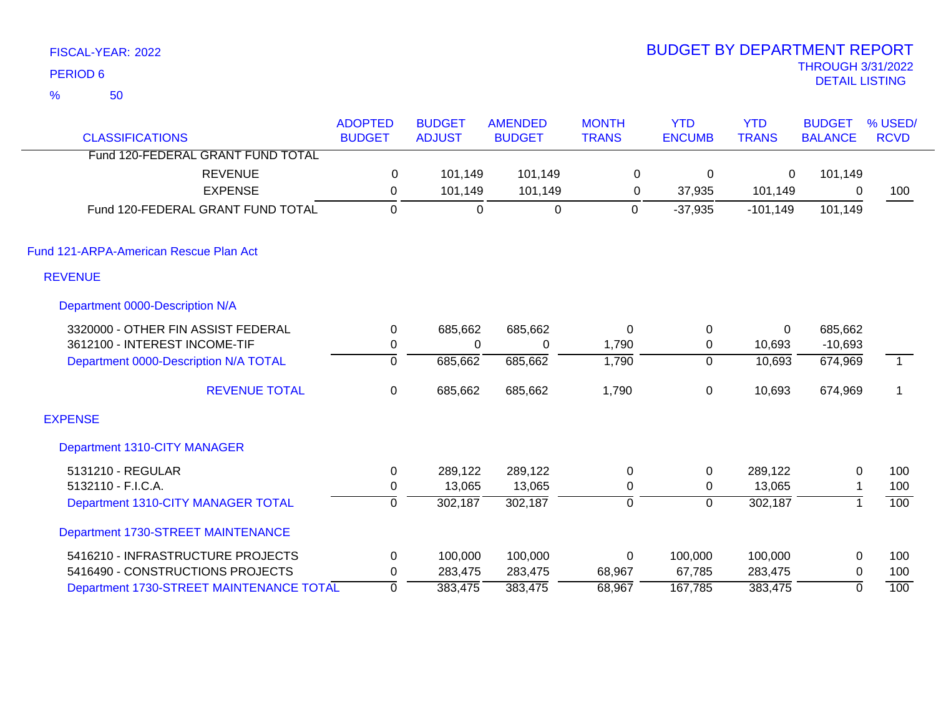|                | FISCAL-YEAR: 2022                      |                                 |                                |                                 |                              | <b>BUDGET BY DEPARTMENT REPORT</b> |                            |                                                   |                        |
|----------------|----------------------------------------|---------------------------------|--------------------------------|---------------------------------|------------------------------|------------------------------------|----------------------------|---------------------------------------------------|------------------------|
|                | PERIOD <sub>6</sub>                    |                                 |                                |                                 |                              |                                    |                            | <b>THROUGH 3/31/2022</b><br><b>DETAIL LISTING</b> |                        |
| %              | 50                                     |                                 |                                |                                 |                              |                                    |                            |                                                   |                        |
|                | <b>CLASSIFICATIONS</b>                 | <b>ADOPTED</b><br><b>BUDGET</b> | <b>BUDGET</b><br><b>ADJUST</b> | <b>AMENDED</b><br><b>BUDGET</b> | <b>MONTH</b><br><b>TRANS</b> | <b>YTD</b><br><b>ENCUMB</b>        | <b>YTD</b><br><b>TRANS</b> | <b>BUDGET</b><br><b>BALANCE</b>                   | % USED/<br><b>RCVD</b> |
|                | Fund 120-FEDERAL GRANT FUND TOTAL      |                                 |                                |                                 |                              |                                    |                            |                                                   |                        |
|                | <b>REVENUE</b>                         | $\pmb{0}$                       | 101,149                        | 101,149                         | $\mathbf 0$                  | 0                                  | 0                          | 101,149                                           |                        |
|                | <b>EXPENSE</b>                         | $\mathbf 0$                     | 101,149                        | 101,149                         | 0                            | 37,935                             | 101,149                    | 0                                                 | 100                    |
|                | Fund 120-FEDERAL GRANT FUND TOTAL      | 0                               | 0                              | 0                               | $\mathbf 0$                  | $-37,935$                          | $-101,149$                 | 101,149                                           |                        |
|                | Fund 121-ARPA-American Rescue Plan Act |                                 |                                |                                 |                              |                                    |                            |                                                   |                        |
| <b>REVENUE</b> |                                        |                                 |                                |                                 |                              |                                    |                            |                                                   |                        |
|                | Department 0000-Description N/A        |                                 |                                |                                 |                              |                                    |                            |                                                   |                        |
|                | 3320000 - OTHER FIN ASSIST FEDERAL     | 0                               | 685,662                        | 685,662                         | 0                            | 0                                  | 0                          | 685,662                                           |                        |
|                | 3612100 - INTEREST INCOME-TIF          | $\pmb{0}$                       | 0                              | $\Omega$                        | 1,790                        | $\mathbf 0$                        | 10,693                     | $-10,693$                                         |                        |
|                | Department 0000-Description N/A TOTAL  | $\overline{0}$                  | 685,662                        | 685,662                         | 1,790                        | 0                                  | 10,693                     | 674,969                                           | $\overline{1}$         |
|                | <b>REVENUE TOTAL</b>                   | $\mathbf 0$                     | 685,662                        | 685,662                         | 1,790                        | $\mathbf 0$                        | 10,693                     | 674,969                                           | $\mathbf 1$            |
| <b>EXPENSE</b> |                                        |                                 |                                |                                 |                              |                                    |                            |                                                   |                        |
|                | Department 1310-CITY MANAGER           |                                 |                                |                                 |                              |                                    |                            |                                                   |                        |
|                | 5131210 - REGULAR                      | 0                               | 289,122                        | 289,122                         | 0                            | 0                                  | 289,122                    | 0                                                 | 100                    |
|                | 5132110 - F.I.C.A.                     | 0                               | 13,065                         | 13,065                          | 0                            | 0                                  | 13,065                     | 1                                                 | 100                    |

Department 1730-STREET MAINTENANCE

| 5416210 - INFRASTRUCTURE PROJECTS        | 100.000 | 100.000 |        | 100,000 | 100,000 | 100 |
|------------------------------------------|---------|---------|--------|---------|---------|-----|
| 5416490 - CONSTRUCTIONS PROJECTS         | 283.475 | 283.475 | 68.967 | 67.785  | 283.475 | 100 |
| Department 1730-STREET MAINTENANCE TOTAL | 383.475 | 383.475 | 68.967 | 167.785 | 383.475 | 100 |

Department 1310-CITY MANAGER TOTAL  $\overline{0}$  302,187 302,187 0 0 302,187 1 100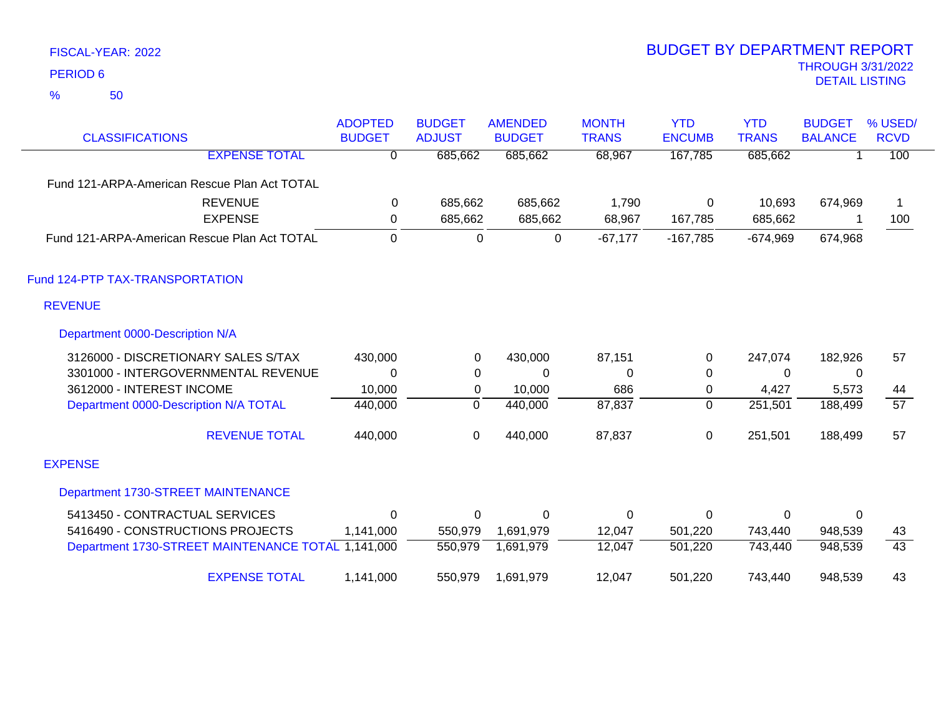50 %

# THROUGH 3/31/2022<br>DETAIL LISTING DETAIL LISTING PERIOD <sup>6</sup> BUDGET BY DEPARTMENT REPORT

| <b>CLASSIFICATIONS</b>                             | <b>ADOPTED</b><br><b>BUDGET</b> | <b>BUDGET</b><br><b>ADJUST</b> | <b>AMENDED</b><br><b>BUDGET</b> | <b>MONTH</b><br><b>TRANS</b> | <b>YTD</b><br><b>ENCUMB</b> | <b>YTD</b><br><b>TRANS</b> | <b>BUDGET</b><br><b>BALANCE</b> | % USED/<br><b>RCVD</b> |
|----------------------------------------------------|---------------------------------|--------------------------------|---------------------------------|------------------------------|-----------------------------|----------------------------|---------------------------------|------------------------|
| <b>EXPENSE TOTAL</b>                               | $\overline{0}$                  | 685,662                        | 685,662                         | 68,967                       | 167,785                     | 685,662                    |                                 | $\overline{100}$       |
| Fund 121-ARPA-American Rescue Plan Act TOTAL       |                                 |                                |                                 |                              |                             |                            |                                 |                        |
| <b>REVENUE</b>                                     | $\mathbf 0$                     | 685,662                        | 685,662                         | 1,790                        | 0                           | 10,693                     | 674,969                         |                        |
| <b>EXPENSE</b>                                     | $\mathbf 0$                     | 685,662                        | 685,662                         | 68,967                       | 167,785                     | 685,662                    |                                 | 100                    |
| Fund 121-ARPA-American Rescue Plan Act TOTAL       | $\mathbf 0$                     | 0                              | $\mathbf 0$                     | $-67,177$                    | $-167,785$                  | $-674,969$                 | 674,968                         |                        |
| Fund 124-PTP TAX-TRANSPORTATION                    |                                 |                                |                                 |                              |                             |                            |                                 |                        |
| <b>REVENUE</b>                                     |                                 |                                |                                 |                              |                             |                            |                                 |                        |
| Department 0000-Description N/A                    |                                 |                                |                                 |                              |                             |                            |                                 |                        |
| 3126000 - DISCRETIONARY SALES S/TAX                | 430,000                         | $\mathbf 0$                    | 430,000                         | 87,151                       | $\mathbf 0$                 | 247,074                    | 182,926                         | 57                     |
| 3301000 - INTERGOVERNMENTAL REVENUE                | $\Omega$                        | 0                              | $\Omega$                        | $\Omega$                     | $\Omega$                    | $\Omega$                   | $\mathbf{0}$                    |                        |
| 3612000 - INTEREST INCOME                          | 10,000                          | 0                              | 10,000                          | 686                          | 0                           | 4,427                      | 5,573                           | 44                     |
| Department 0000-Description N/A TOTAL              | 440,000                         | 0                              | 440,000                         | 87,837                       | $\Omega$                    | 251,501                    | 188,499                         | $\overline{57}$        |
| <b>REVENUE TOTAL</b>                               | 440,000                         | 0                              | 440,000                         | 87,837                       | 0                           | 251,501                    | 188,499                         | 57                     |
| <b>EXPENSE</b>                                     |                                 |                                |                                 |                              |                             |                            |                                 |                        |
| Department 1730-STREET MAINTENANCE                 |                                 |                                |                                 |                              |                             |                            |                                 |                        |
| 5413450 - CONTRACTUAL SERVICES                     | $\Omega$                        | 0                              | $\mathbf 0$                     | 0                            | 0                           | 0                          | 0                               |                        |
| 5416490 - CONSTRUCTIONS PROJECTS                   | 1,141,000                       | 550,979                        | 1,691,979                       | 12,047                       | 501,220                     | 743,440                    | 948,539                         | 43                     |
| Department 1730-STREET MAINTENANCE TOTAL 1,141,000 |                                 | 550,979                        | 1,691,979                       | 12,047                       | 501,220                     | 743,440                    | 948,539                         | $\overline{43}$        |
| <b>EXPENSE TOTAL</b>                               | 1,141,000                       | 550,979                        | 1,691,979                       | 12,047                       | 501,220                     | 743,440                    | 948,539                         | 43                     |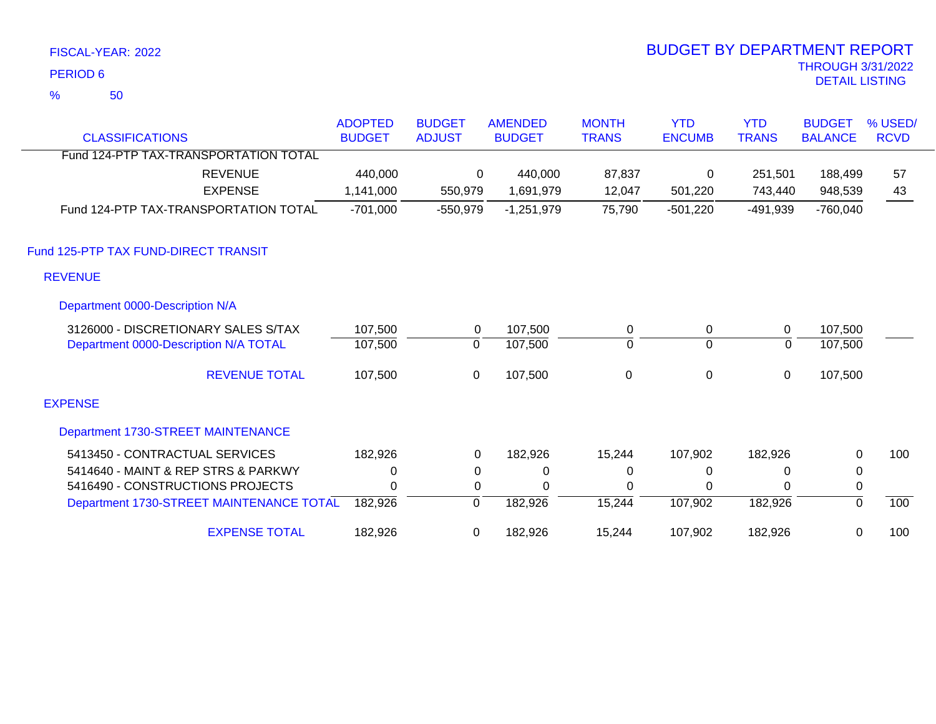50 %

| <b>CLASSIFICATIONS</b>                   | <b>ADOPTED</b><br><b>BUDGET</b> | <b>BUDGET</b><br><b>ADJUST</b> | <b>AMENDED</b><br><b>BUDGET</b> | <b>MONTH</b><br><b>TRANS</b> | <b>YTD</b><br><b>ENCUMB</b> | <b>YTD</b><br><b>TRANS</b> | <b>BUDGET</b><br><b>BALANCE</b> | % USED/<br><b>RCVD</b> |
|------------------------------------------|---------------------------------|--------------------------------|---------------------------------|------------------------------|-----------------------------|----------------------------|---------------------------------|------------------------|
| Fund 124-PTP TAX-TRANSPORTATION TOTAL    |                                 |                                |                                 |                              |                             |                            |                                 |                        |
| <b>REVENUE</b>                           | 440,000                         | 0                              | 440,000                         | 87,837                       | 0                           | 251,501                    | 188,499                         | 57                     |
| <b>EXPENSE</b>                           | 1,141,000                       | 550,979                        | 1,691,979                       | 12,047                       | 501,220                     | 743,440                    | 948,539                         | 43                     |
| Fund 124-PTP TAX-TRANSPORTATION TOTAL    | $-701,000$                      | $-550,979$                     | $-1,251,979$                    | 75,790                       | $-501,220$                  | -491,939                   | $-760,040$                      |                        |
| Fund 125-PTP TAX FUND-DIRECT TRANSIT     |                                 |                                |                                 |                              |                             |                            |                                 |                        |
| <b>REVENUE</b>                           |                                 |                                |                                 |                              |                             |                            |                                 |                        |
| Department 0000-Description N/A          |                                 |                                |                                 |                              |                             |                            |                                 |                        |
| 3126000 - DISCRETIONARY SALES S/TAX      | 107,500                         | 0                              | 107,500                         | 0                            | 0                           | 0                          | 107,500                         |                        |
| Department 0000-Description N/A TOTAL    | 107,500                         | $\mathbf 0$                    | 107,500                         | $\mathbf 0$                  | $\overline{0}$              | $\mathbf 0$                | 107,500                         |                        |
| <b>REVENUE TOTAL</b>                     | 107,500                         | 0                              | 107,500                         | $\mathbf 0$                  | 0                           | $\mathbf 0$                | 107,500                         |                        |
| <b>EXPENSE</b>                           |                                 |                                |                                 |                              |                             |                            |                                 |                        |
| Department 1730-STREET MAINTENANCE       |                                 |                                |                                 |                              |                             |                            |                                 |                        |
| 5413450 - CONTRACTUAL SERVICES           | 182,926                         | $\mathbf 0$                    | 182,926                         | 15,244                       | 107,902                     | 182,926                    | $\mathbf 0$                     | 100                    |
| 5414640 - MAINT & REP STRS & PARKWY      | 0                               | 0                              | 0                               | 0                            | 0                           | $\Omega$                   | $\mathbf 0$                     |                        |
| 5416490 - CONSTRUCTIONS PROJECTS         | 0                               | 0                              | 0                               | 0                            | 0                           | 0                          | 0                               |                        |
| Department 1730-STREET MAINTENANCE TOTAL | 182,926                         | 0                              | 182,926                         | 15,244                       | 107,902                     | 182,926                    | $\mathbf{0}$                    | 100                    |
| <b>EXPENSE TOTAL</b>                     | 182,926                         | 0                              | 182,926                         | 15,244                       | 107,902                     | 182,926                    | 0                               | 100                    |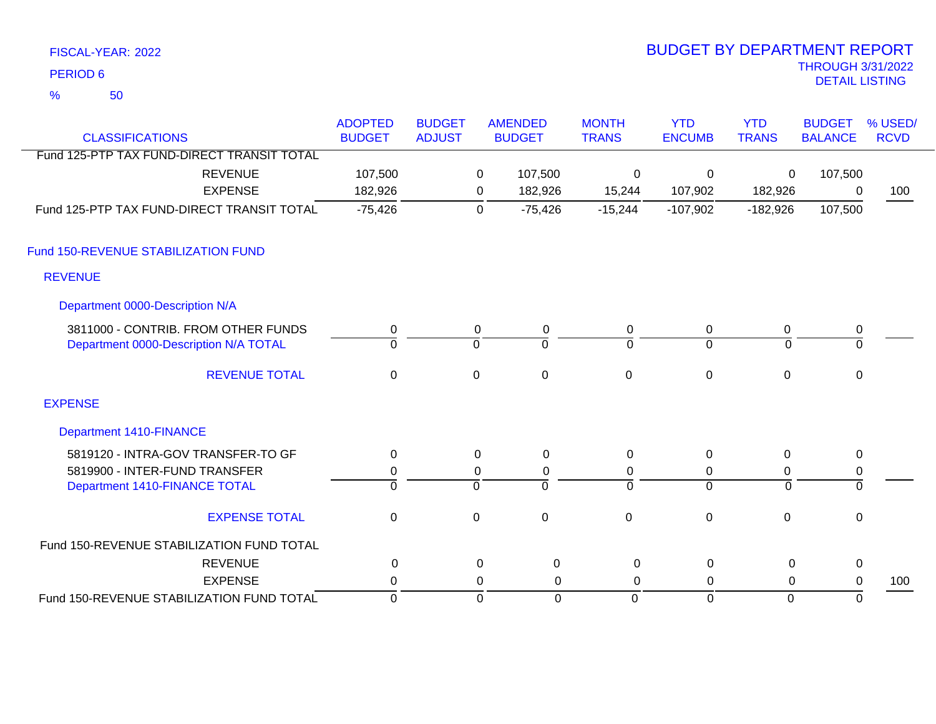50 %

| <b>CLASSIFICATIONS</b>                     | <b>ADOPTED</b><br><b>BUDGET</b> | <b>BUDGET</b><br><b>ADJUST</b> |             | <b>AMENDED</b><br><b>BUDGET</b> | <b>MONTH</b><br><b>TRANS</b> | <b>YTD</b><br><b>ENCUMB</b> | <b>YTD</b><br><b>TRANS</b> | <b>BUDGET</b><br><b>BALANCE</b> | % USED/<br><b>RCVD</b> |
|--------------------------------------------|---------------------------------|--------------------------------|-------------|---------------------------------|------------------------------|-----------------------------|----------------------------|---------------------------------|------------------------|
| Fund 125-PTP TAX FUND-DIRECT TRANSIT TOTAL |                                 |                                |             |                                 |                              |                             |                            |                                 |                        |
| <b>REVENUE</b>                             | 107,500                         |                                | 0           | 107,500                         | $\mathbf 0$                  | $\mathbf{0}$                | 0                          | 107,500                         |                        |
| <b>EXPENSE</b>                             | 182,926                         |                                | 0           | 182,926                         | 15,244                       | 107,902                     | 182,926                    | 0                               | 100                    |
| Fund 125-PTP TAX FUND-DIRECT TRANSIT TOTAL | $-75,426$                       |                                | $\mathbf 0$ | $-75,426$                       | $-15,244$                    | $-107,902$                  | $-182,926$                 | 107,500                         |                        |
| Fund 150-REVENUE STABILIZATION FUND        |                                 |                                |             |                                 |                              |                             |                            |                                 |                        |
| <b>REVENUE</b>                             |                                 |                                |             |                                 |                              |                             |                            |                                 |                        |
| Department 0000-Description N/A            |                                 |                                |             |                                 |                              |                             |                            |                                 |                        |
| 3811000 - CONTRIB. FROM OTHER FUNDS        | 0                               |                                | 0           | 0                               | $\mathbf 0$                  | 0                           | 0                          | $\pmb{0}$                       |                        |
| Department 0000-Description N/A TOTAL      | $\Omega$                        |                                | $\mathbf 0$ | $\Omega$                        | $\Omega$                     | $\mathbf 0$                 | $\Omega$                   | $\mathbf 0$                     |                        |
| <b>REVENUE TOTAL</b>                       | $\pmb{0}$                       |                                | $\mathbf 0$ | $\mathbf 0$                     | $\mathbf 0$                  | $\mathbf 0$                 | $\mathbf 0$                | $\mathbf 0$                     |                        |
| <b>EXPENSE</b>                             |                                 |                                |             |                                 |                              |                             |                            |                                 |                        |
| <b>Department 1410-FINANCE</b>             |                                 |                                |             |                                 |                              |                             |                            |                                 |                        |
| 5819120 - INTRA-GOV TRANSFER-TO GF         | 0                               |                                | 0           | $\pmb{0}$                       | 0                            | 0                           | $\mathbf 0$                | $\mathbf 0$                     |                        |
| 5819900 - INTER-FUND TRANSFER              | 0                               |                                | 0           | 0                               | 0                            | 0                           | 0                          | 0                               |                        |
| Department 1410-FINANCE TOTAL              | $\overline{0}$                  |                                | ō           | $\Omega$                        | $\Omega$                     | $\overline{0}$              | $\overline{0}$             | $\overline{0}$                  |                        |
| <b>EXPENSE TOTAL</b>                       | $\mathbf 0$                     |                                | $\mathbf 0$ | $\mathbf 0$                     | $\mathbf 0$                  | $\mathbf 0$                 | $\mathbf 0$                | 0                               |                        |
| Fund 150-REVENUE STABILIZATION FUND TOTAL  |                                 |                                |             |                                 |                              |                             |                            |                                 |                        |
| <b>REVENUE</b>                             | 0                               |                                | 0           | 0                               | 0                            | $\Omega$                    | 0                          | 0                               |                        |
| <b>EXPENSE</b>                             | 0                               |                                | 0           | 0                               | $\Omega$                     | 0                           | 0                          | 0                               | 100                    |
| Fund 150-REVENUE STABILIZATION FUND TOTAL  | $\mathbf 0$                     |                                | $\mathbf 0$ | $\Omega$                        | $\overline{0}$               | $\mathbf 0$                 | $\overline{0}$             | $\mathbf 0$                     |                        |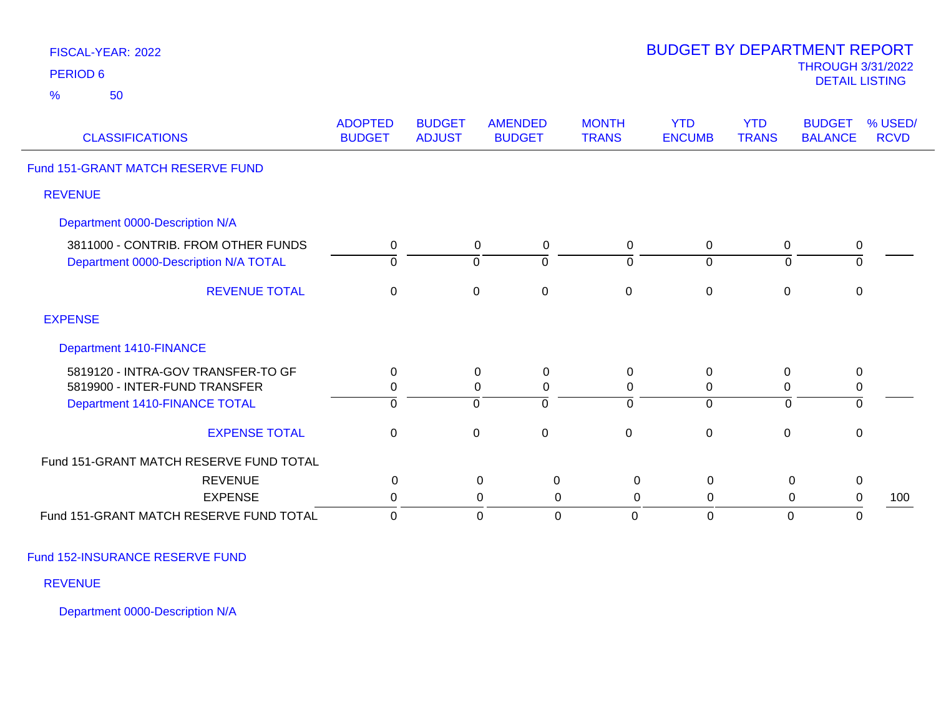| FISCAL-YEAR: 2022<br>PERIOD <sub>6</sub>                                     |                                 |                                |                  |                          |                              | <b>BUDGET BY DEPARTMENT REPORT</b> |                            | <b>THROUGH 3/31/2022</b><br><b>DETAIL LISTING</b> |                        |
|------------------------------------------------------------------------------|---------------------------------|--------------------------------|------------------|--------------------------|------------------------------|------------------------------------|----------------------------|---------------------------------------------------|------------------------|
| 50<br>$\frac{9}{6}$                                                          |                                 |                                |                  |                          |                              |                                    |                            |                                                   |                        |
| <b>CLASSIFICATIONS</b>                                                       | <b>ADOPTED</b><br><b>BUDGET</b> | <b>BUDGET</b><br><b>ADJUST</b> | <b>AMENDED</b>   | <b>BUDGET</b>            | <b>MONTH</b><br><b>TRANS</b> | <b>YTD</b><br><b>ENCUMB</b>        | <b>YTD</b><br><b>TRANS</b> | <b>BUDGET</b><br><b>BALANCE</b>                   | % USED/<br><b>RCVD</b> |
| Fund 151-GRANT MATCH RESERVE FUND                                            |                                 |                                |                  |                          |                              |                                    |                            |                                                   |                        |
| <b>REVENUE</b>                                                               |                                 |                                |                  |                          |                              |                                    |                            |                                                   |                        |
| Department 0000-Description N/A                                              |                                 |                                |                  |                          |                              |                                    |                            |                                                   |                        |
| 3811000 - CONTRIB. FROM OTHER FUNDS<br>Department 0000-Description N/A TOTAL | $\mathbf 0$<br>$\Omega$         |                                | 0<br>$\mathbf 0$ | $\pmb{0}$<br>$\mathbf 0$ | $\mathbf 0$<br>$\mathbf 0$   | 0<br>$\mathbf 0$                   | $\mathbf 0$<br>$\mathbf 0$ | 0<br>$\overline{0}$                               |                        |
| <b>REVENUE TOTAL</b>                                                         | $\mathbf 0$                     |                                | $\mathbf 0$      | $\pmb{0}$                | $\pmb{0}$                    | $\mathbf 0$                        | $\pmb{0}$                  | $\mathsf 0$                                       |                        |
| <b>EXPENSE</b>                                                               |                                 |                                |                  |                          |                              |                                    |                            |                                                   |                        |
| <b>Department 1410-FINANCE</b>                                               |                                 |                                |                  |                          |                              |                                    |                            |                                                   |                        |
| 5819120 - INTRA-GOV TRANSFER-TO GF                                           | $\mathbf 0$                     |                                | 0                | 0                        | 0                            | 0                                  | 0                          | 0                                                 |                        |
| 5819900 - INTER-FUND TRANSFER                                                | $\mathbf 0$                     |                                | 0                | $\boldsymbol{0}$         | $\mathbf 0$                  | $\mathbf 0$                        | $\mathbf 0$                | $\pmb{0}$                                         |                        |
| Department 1410-FINANCE TOTAL                                                | $\mathbf 0$                     |                                | $\mathbf 0$      | $\mathbf 0$              | $\mathbf 0$                  | $\mathbf 0$                        | $\mathbf 0$                | $\overline{0}$                                    |                        |
| <b>EXPENSE TOTAL</b>                                                         | $\mathbf 0$                     |                                | $\mathbf 0$      | $\pmb{0}$                | $\pmb{0}$                    | $\mathbf 0$                        | $\pmb{0}$                  | $\mathsf 0$                                       |                        |
| Fund 151-GRANT MATCH RESERVE FUND TOTAL                                      |                                 |                                |                  |                          |                              |                                    |                            |                                                   |                        |
| <b>REVENUE</b>                                                               | 0                               |                                | $\mathbf 0$      | $\mathbf 0$              | 0                            | $\mathbf 0$                        | 0                          | $\mathbf 0$                                       |                        |
| <b>EXPENSE</b>                                                               | $\mathbf 0$                     |                                | 0                | $\mathbf 0$              | 0                            | $\mathbf 0$                        | 0                          | $\mathbf 0$                                       | 100                    |
| Fund 151-GRANT MATCH RESERVE FUND TOTAL                                      | $\mathbf 0$                     |                                | $\mathbf 0$      | $\overline{0}$           | $\Omega$                     | $\mathbf 0$                        | $\overline{0}$             | $\mathbf 0$                                       |                        |

Fund 152-INSURANCE RESERVE FUND

REVENUE

Department 0000-Description N/A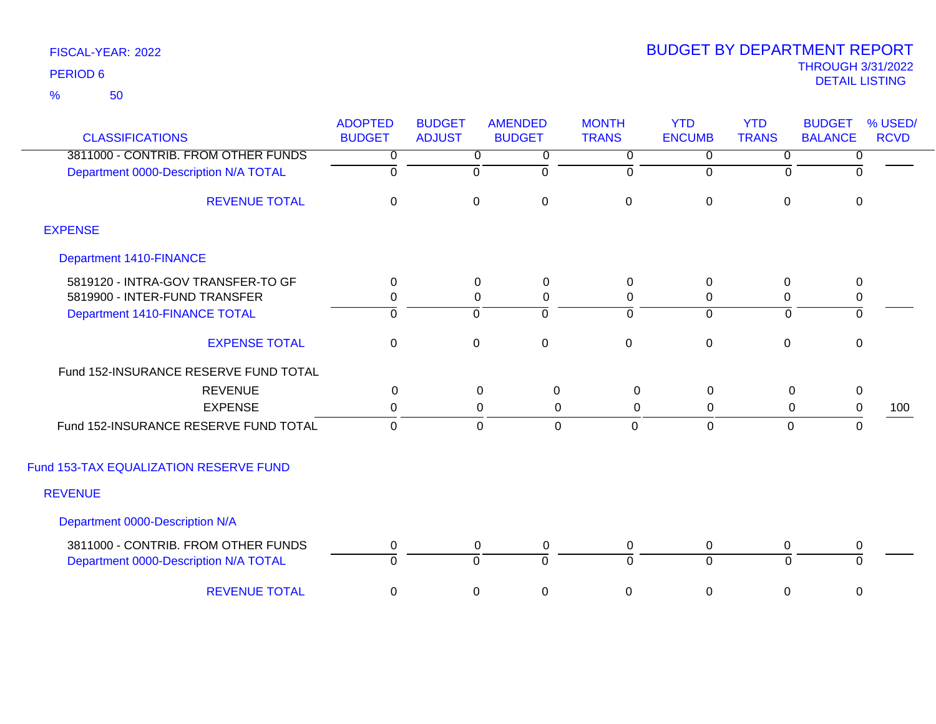50 %

| <b>CLASSIFICATIONS</b>                                                       | <b>ADOPTED</b><br><b>BUDGET</b> | <b>BUDGET</b><br><b>ADJUST</b> | <b>AMENDED</b><br><b>BUDGET</b> | <b>MONTH</b><br><b>TRANS</b> | <b>YTD</b><br><b>ENCUMB</b> | <b>YTD</b><br><b>TRANS</b> | <b>BUDGET</b><br><b>BALANCE</b> | % USED/<br><b>RCVD</b> |
|------------------------------------------------------------------------------|---------------------------------|--------------------------------|---------------------------------|------------------------------|-----------------------------|----------------------------|---------------------------------|------------------------|
| 3811000 - CONTRIB. FROM OTHER FUNDS                                          | 0                               | $\overline{0}$                 | $\overline{0}$                  | 0                            | $\overline{0}$              | $\overline{0}$             | 0                               |                        |
| Department 0000-Description N/A TOTAL                                        | $\overline{0}$                  | $\overline{0}$                 | $\mathbf 0$                     | $\overline{0}$               | $\Omega$                    | $\Omega$                   | $\Omega$                        |                        |
| <b>REVENUE TOTAL</b>                                                         | 0                               | $\mathbf 0$                    | $\mathsf 0$                     | $\pmb{0}$                    | $\pmb{0}$                   | $\mathbf 0$                | $\mathbf 0$                     |                        |
| <b>EXPENSE</b>                                                               |                                 |                                |                                 |                              |                             |                            |                                 |                        |
| <b>Department 1410-FINANCE</b>                                               |                                 |                                |                                 |                              |                             |                            |                                 |                        |
| 5819120 - INTRA-GOV TRANSFER-TO GF                                           | 0                               | 0                              | $\mathbf 0$                     | $\mathbf 0$                  | $\pmb{0}$                   | 0                          | $\mathbf 0$                     |                        |
| 5819900 - INTER-FUND TRANSFER                                                | 0                               | 0                              | 0                               | 0                            | 0                           | 0                          | $\mathbf 0$                     |                        |
| Department 1410-FINANCE TOTAL                                                | $\overline{0}$                  | $\mathbf 0$                    | $\overline{0}$                  | $\mathbf 0$                  | $\overline{0}$              | $\mathbf 0$                | $\mathbf 0$                     |                        |
| <b>EXPENSE TOTAL</b>                                                         | $\mathbf 0$                     | $\mathbf 0$                    | $\mathbf 0$                     | $\pmb{0}$                    | $\mathbf 0$                 | $\mathbf 0$                | $\mathbf 0$                     |                        |
| Fund 152-INSURANCE RESERVE FUND TOTAL                                        |                                 |                                |                                 |                              |                             |                            |                                 |                        |
| <b>REVENUE</b>                                                               | $\Omega$                        |                                | $\mathbf 0$<br>0                | $\mathsf 0$                  | $\mathsf 0$                 | $\mathbf 0$                | $\mathbf 0$                     |                        |
| <b>EXPENSE</b>                                                               | 0                               |                                | 0<br>0                          | $\mathbf 0$                  | 0                           | 0                          | 0                               | 100                    |
| Fund 152-INSURANCE RESERVE FUND TOTAL                                        | $\mathbf 0$                     |                                | $\mathbf 0$<br>$\mathbf 0$      | $\mathbf 0$                  | $\mathbf{0}$                | 0                          | $\mathbf 0$                     |                        |
| Fund 153-TAX EQUALIZATION RESERVE FUND                                       |                                 |                                |                                 |                              |                             |                            |                                 |                        |
| <b>REVENUE</b>                                                               |                                 |                                |                                 |                              |                             |                            |                                 |                        |
| Department 0000-Description N/A                                              |                                 |                                |                                 |                              |                             |                            |                                 |                        |
| 3811000 - CONTRIB. FROM OTHER FUNDS<br>Department 0000-Description N/A TOTAL | 0<br>$\Omega$                   | 0<br>$\Omega$                  | 0<br>$\overline{0}$             | $\mathbf 0$<br>$\Omega$      | 0<br>$\Omega$               | $\mathbf 0$<br>$\Omega$    | 0<br>$\Omega$                   |                        |
| <b>REVENUE TOTAL</b>                                                         | $\boldsymbol{0}$                | 0                              | $\pmb{0}$                       | $\pmb{0}$                    | $\boldsymbol{0}$            | $\mathbf 0$                | 0                               |                        |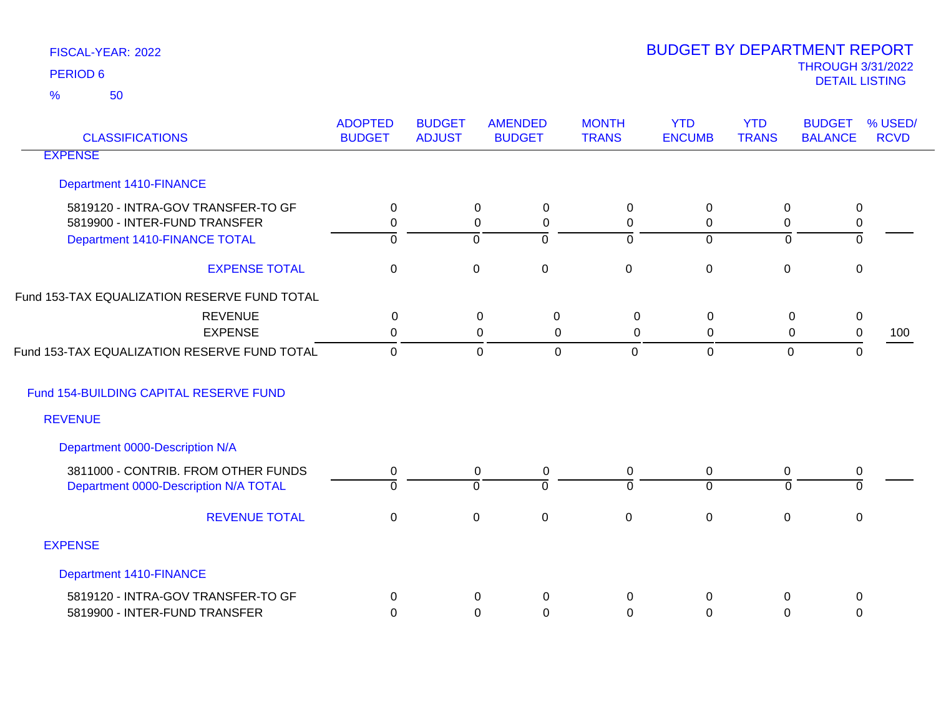50 %

| <b>CLASSIFICATIONS</b>                                                                               | <b>ADOPTED</b><br><b>BUDGET</b> | <b>BUDGET</b><br><b>ADJUST</b> | <b>AMENDED</b><br><b>BUDGET</b>                                              | <b>MONTH</b><br><b>TRANS</b> | <b>YTD</b><br><b>ENCUMB</b> | <b>YTD</b><br><b>TRANS</b> | <b>BUDGET</b><br><b>BALANCE</b> | % USED/<br><b>RCVD</b> |
|------------------------------------------------------------------------------------------------------|---------------------------------|--------------------------------|------------------------------------------------------------------------------|------------------------------|-----------------------------|----------------------------|---------------------------------|------------------------|
| <b>EXPENSE</b>                                                                                       |                                 |                                |                                                                              |                              |                             |                            |                                 |                        |
| <b>Department 1410-FINANCE</b>                                                                       |                                 |                                |                                                                              |                              |                             |                            |                                 |                        |
| 5819120 - INTRA-GOV TRANSFER-TO GF<br>5819900 - INTER-FUND TRANSFER<br>Department 1410-FINANCE TOTAL | 0<br>0<br>$\overline{0}$        |                                | $\mathbf 0$<br>0<br>$\mathbf 0$<br>$\mathbf 0$<br>$\overline{0}$<br>$\Omega$ | 0<br>$\Omega$<br>$\Omega$    | 0<br>0<br>$\overline{0}$    | 0<br>0<br>$\overline{0}$   | 0<br>0<br>0                     |                        |
| <b>EXPENSE TOTAL</b>                                                                                 | $\mathbf 0$                     |                                | $\mathbf 0$<br>$\mathbf 0$                                                   | $\mathbf 0$                  | $\mathbf 0$                 | $\mathbf 0$                | 0                               |                        |
| Fund 153-TAX EQUALIZATION RESERVE FUND TOTAL                                                         |                                 |                                |                                                                              |                              |                             |                            |                                 |                        |
| <b>REVENUE</b><br><b>EXPENSE</b>                                                                     | 0<br>0                          |                                | $\mathbf 0$<br>0<br>0<br>0                                                   | 0<br>0                       | $\mathbf 0$<br>0            | 0<br>0                     | $\pmb{0}$<br>0                  | 100                    |
| Fund 153-TAX EQUALIZATION RESERVE FUND TOTAL                                                         | $\mathbf 0$                     |                                | $\mathbf 0$<br>$\mathbf 0$                                                   | $\mathbf 0$                  | $\mathbf 0$                 | $\overline{0}$             | 0                               |                        |
| Fund 154-BUILDING CAPITAL RESERVE FUND                                                               |                                 |                                |                                                                              |                              |                             |                            |                                 |                        |
| <b>REVENUE</b>                                                                                       |                                 |                                |                                                                              |                              |                             |                            |                                 |                        |
| Department 0000-Description N/A                                                                      |                                 |                                |                                                                              |                              |                             |                            |                                 |                        |
| 3811000 - CONTRIB. FROM OTHER FUNDS<br>Department 0000-Description N/A TOTAL                         | 0<br>$\mathbf 0$                |                                | $\mathbf 0$<br>0<br>$\overline{0}$<br>$\Omega$                               | 0<br>$\Omega$                | $\mathbf 0$<br>$\mathbf{0}$ | 0<br>$\Omega$              | 0<br>$\Omega$                   |                        |
| <b>REVENUE TOTAL</b>                                                                                 | $\mathbf 0$                     |                                | $\mathbf 0$<br>$\pmb{0}$                                                     | $\mathbf 0$                  | $\mathbf 0$                 | $\pmb{0}$                  | 0                               |                        |
| <b>EXPENSE</b>                                                                                       |                                 |                                |                                                                              |                              |                             |                            |                                 |                        |
| <b>Department 1410-FINANCE</b>                                                                       |                                 |                                |                                                                              |                              |                             |                            |                                 |                        |
| 5819120 - INTRA-GOV TRANSFER-TO GF<br>5819900 - INTER-FUND TRANSFER                                  | $\Omega$<br>0                   |                                | 0<br>0<br>0<br>0                                                             | 0<br>0                       | $\Omega$<br>0               | 0<br>0                     | 0<br>0                          |                        |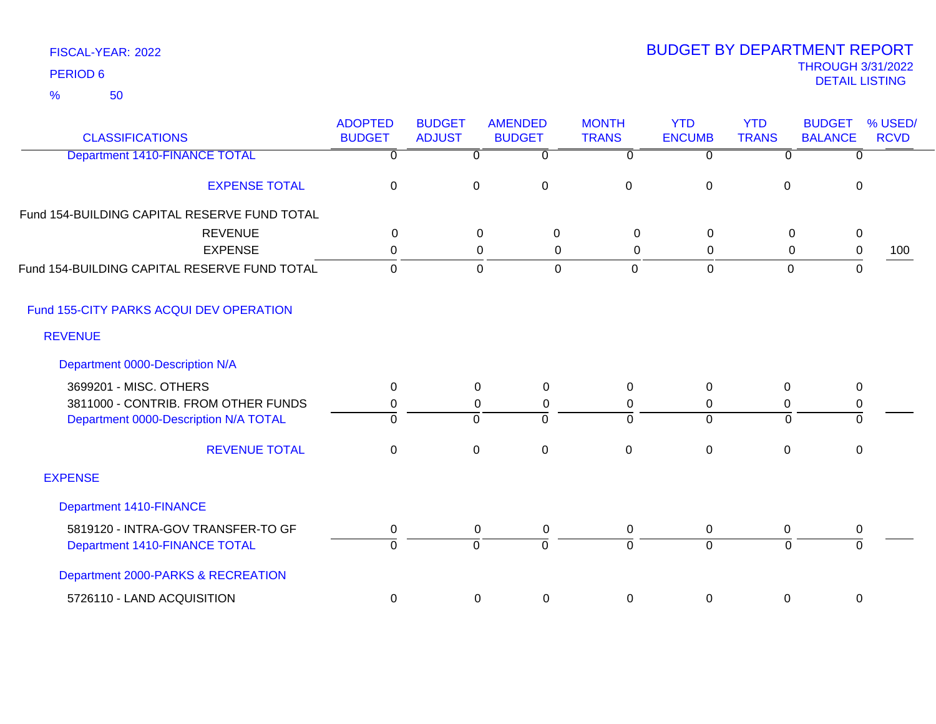| FISCAL-YEAR: 2022 |
|-------------------|
| <b>PERIOD 6</b>   |

| <b>CLASSIFICATIONS</b>                       | <b>ADOPTED</b><br><b>BUDGET</b> | <b>BUDGET</b><br><b>ADJUST</b> | <b>AMENDED</b><br><b>BUDGET</b> | <b>MONTH</b><br><b>TRANS</b> | <b>YTD</b><br><b>ENCUMB</b> | <b>YTD</b><br><b>TRANS</b> | <b>BUDGET</b><br><b>BALANCE</b> | % USED/<br><b>RCVD</b> |
|----------------------------------------------|---------------------------------|--------------------------------|---------------------------------|------------------------------|-----------------------------|----------------------------|---------------------------------|------------------------|
| <b>Department 1410-FINANCE TOTAL</b>         | ᠊ᠦ                              | 0                              | $\overline{0}$                  | $\overline{0}$               | $\overline{0}$              | $\overline{0}$             | $\overline{0}$                  |                        |
| <b>EXPENSE TOTAL</b>                         | $\mathbf 0$                     | 0                              | $\mathbf 0$                     | $\overline{0}$               | $\mathbf 0$                 | 0                          | $\Omega$                        |                        |
| Fund 154-BUILDING CAPITAL RESERVE FUND TOTAL |                                 |                                |                                 |                              |                             |                            |                                 |                        |
| <b>REVENUE</b>                               | 0                               | 0                              | $\mathbf{0}$                    | 0                            | $\Omega$                    | 0                          | 0                               |                        |
| <b>EXPENSE</b>                               | 0                               |                                | 0<br>$\overline{0}$             | 0                            | 0                           | 0                          | 0                               | 100                    |
| Fund 154-BUILDING CAPITAL RESERVE FUND TOTAL | 0                               |                                | $\overline{0}$<br>$\mathbf 0$   | $\overline{0}$               | $\mathbf 0$                 | $\overline{0}$             | 0                               |                        |
| Fund 155-CITY PARKS ACQUI DEV OPERATION      |                                 |                                |                                 |                              |                             |                            |                                 |                        |
| <b>REVENUE</b>                               |                                 |                                |                                 |                              |                             |                            |                                 |                        |
| Department 0000-Description N/A              |                                 |                                |                                 |                              |                             |                            |                                 |                        |
| 3699201 - MISC. OTHERS                       | 0                               | $\mathsf 0$                    | 0                               | 0                            | $\mathbf 0$                 | $\mathbf 0$                | 0                               |                        |
| 3811000 - CONTRIB. FROM OTHER FUNDS          | 0                               | $\mathbf 0$                    | 0                               | 0                            | 0                           | 0                          | 0                               |                        |
| Department 0000-Description N/A TOTAL        | $\Omega$                        | $\Omega$                       | $\Omega$                        | $\Omega$                     | $\overline{0}$              | $\mathbf 0$                | $\mathbf 0$                     |                        |
| <b>REVENUE TOTAL</b>                         | 0                               | 0                              | $\mathbf 0$                     | $\overline{0}$               | $\mathbf 0$                 | 0                          | 0                               |                        |
| <b>EXPENSE</b>                               |                                 |                                |                                 |                              |                             |                            |                                 |                        |
| Department 1410-FINANCE                      |                                 |                                |                                 |                              |                             |                            |                                 |                        |
| 5819120 - INTRA-GOV TRANSFER-TO GF           | 0                               | 0                              | 0                               | 0                            | $\mathbf 0$                 | $\mathbf 0$                | 0                               |                        |
| Department 1410-FINANCE TOTAL                | $\overline{0}$                  | $\overline{0}$                 | $\Omega$                        | $\Omega$                     | $\overline{0}$              | $\mathbf 0$                | $\mathbf 0$                     |                        |
| Department 2000-PARKS & RECREATION           |                                 |                                |                                 |                              |                             |                            |                                 |                        |
| 5726110 - LAND ACQUISITION                   | 0                               | $\mathbf 0$                    | 0                               | 0                            | $\mathbf 0$                 | 0                          | 0                               |                        |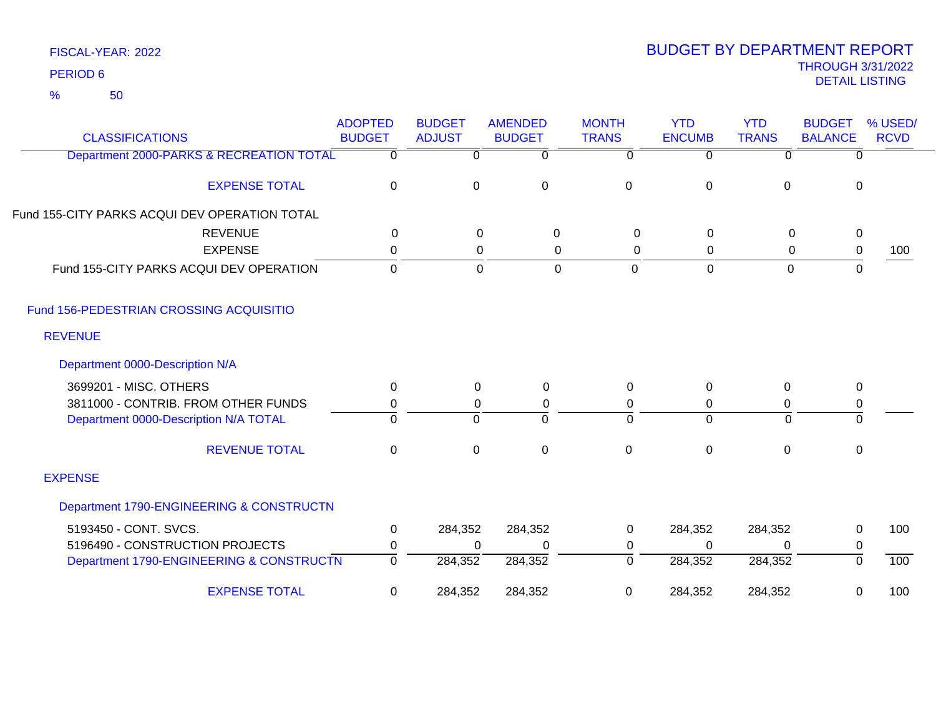50 %

| <b>CLASSIFICATIONS</b>                        | <b>ADOPTED</b><br><b>BUDGET</b> | <b>BUDGET</b><br><b>ADJUST</b> | <b>AMENDED</b><br><b>BUDGET</b> | <b>MONTH</b><br><b>TRANS</b> | <b>YTD</b><br><b>ENCUMB</b> | <b>YTD</b><br><b>TRANS</b> | <b>BUDGET</b><br><b>BALANCE</b> | % USED<br><b>RCVD</b> |
|-----------------------------------------------|---------------------------------|--------------------------------|---------------------------------|------------------------------|-----------------------------|----------------------------|---------------------------------|-----------------------|
| Department 2000-PARKS & RECREATION TOTAL      | 0                               | $\overline{0}$                 | $\mathbf 0$                     | $\Omega$                     | $\overline{0}$              | 0                          | 0                               |                       |
| <b>EXPENSE TOTAL</b>                          | $\mathbf 0$                     | $\mathbf 0$                    | $\mathbf 0$                     | $\mathbf 0$                  | $\mathbf 0$                 | $\mathbf 0$                | $\mathbf 0$                     |                       |
| Fund 155-CITY PARKS ACQUI DEV OPERATION TOTAL |                                 |                                |                                 |                              |                             |                            |                                 |                       |
| <b>REVENUE</b>                                | $\mathbf{0}$                    | $\Omega$                       | 0                               | $\Omega$                     | 0                           | 0                          | 0                               |                       |
| <b>EXPENSE</b>                                | 0                               | 0                              | 0                               | 0                            | 0                           | 0                          | $\pmb{0}$                       | 100                   |
| Fund 155-CITY PARKS ACQUI DEV OPERATION       | $\mathbf 0$                     | $\overline{0}$                 | 0                               | $\mathbf 0$                  | $\mathbf 0$                 | $\mathbf 0$                | $\pmb{0}$                       |                       |
| Fund 156-PEDESTRIAN CROSSING ACQUISITIO       |                                 |                                |                                 |                              |                             |                            |                                 |                       |
| <b>REVENUE</b>                                |                                 |                                |                                 |                              |                             |                            |                                 |                       |
| Department 0000-Description N/A               |                                 |                                |                                 |                              |                             |                            |                                 |                       |
| 3699201 - MISC. OTHERS                        | 0                               | 0                              | 0                               | 0                            | $\Omega$                    | 0                          | $\mathbf 0$                     |                       |
| 3811000 - CONTRIB. FROM OTHER FUNDS           | 0                               | 0                              | $\mathbf 0$                     | 0                            | 0                           | 0                          | $\pmb{0}$                       |                       |
| Department 0000-Description N/A TOTAL         | $\Omega$                        | $\overline{0}$                 | $\Omega$                        | $\Omega$                     | $\mathbf 0$                 | $\mathbf 0$                | 0                               |                       |
| <b>REVENUE TOTAL</b>                          | $\pmb{0}$                       | $\mathbf 0$                    | $\mathbf 0$                     | $\mathbf 0$                  | $\mathbf 0$                 | $\pmb{0}$                  | $\pmb{0}$                       |                       |
| <b>EXPENSE</b>                                |                                 |                                |                                 |                              |                             |                            |                                 |                       |
| Department 1790-ENGINEERING & CONSTRUCTN      |                                 |                                |                                 |                              |                             |                            |                                 |                       |
| 5193450 - CONT. SVCS.                         | 0                               | 284,352                        | 284,352                         | 0                            | 284,352                     | 284,352                    | $\pmb{0}$                       | 100                   |
| 5196490 - CONSTRUCTION PROJECTS               | 0                               | $\Omega$                       | $\Omega$                        | 0                            | $\Omega$                    | $\Omega$                   | $\pmb{0}$                       |                       |
| Department 1790-ENGINEERING & CONSTRUCTN      | $\overline{0}$                  | 284,352                        | 284,352                         | 0                            | 284,352                     | 284,352                    | $\overline{\mathfrak{o}}$       | 100                   |
| <b>EXPENSE TOTAL</b>                          | $\mathbf 0$                     | 284,352                        | 284,352                         | 0                            | 284,352                     | 284,352                    | 0                               | 100                   |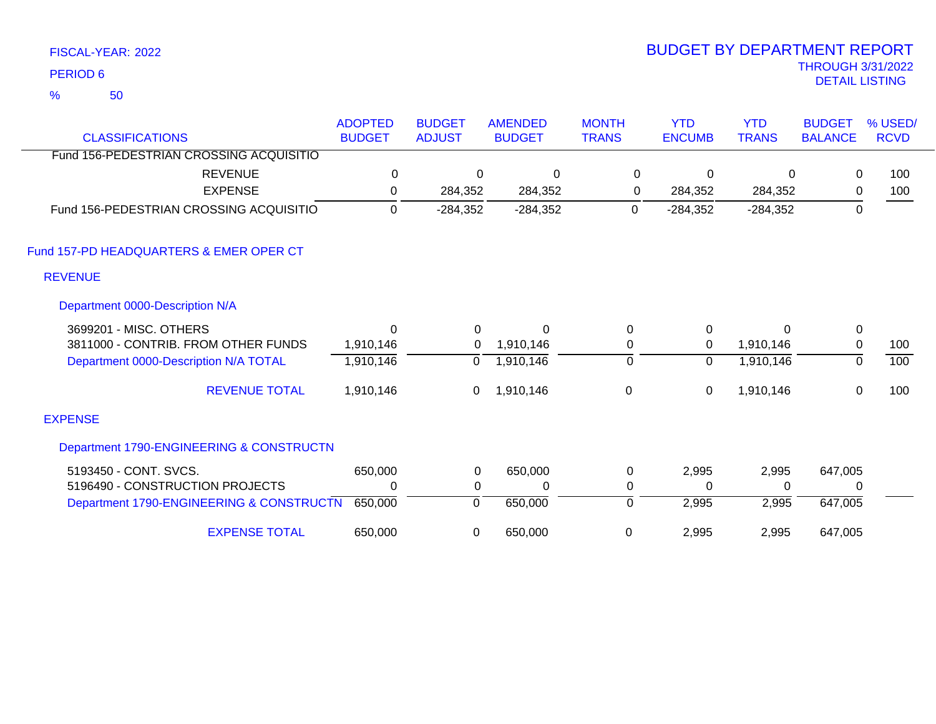50 %

| <b>CLASSIFICATIONS</b>                   | <b>ADOPTED</b><br><b>BUDGET</b> | <b>BUDGET</b><br><b>ADJUST</b> | <b>AMENDED</b><br><b>BUDGET</b> | <b>MONTH</b><br><b>TRANS</b> | <b>YTD</b><br><b>ENCUMB</b> | <b>YTD</b><br><b>TRANS</b> | <b>BUDGET</b><br><b>BALANCE</b> | % USED/<br><b>RCVD</b> |
|------------------------------------------|---------------------------------|--------------------------------|---------------------------------|------------------------------|-----------------------------|----------------------------|---------------------------------|------------------------|
| Fund 156-PEDESTRIAN CROSSING ACQUISITIO  |                                 |                                |                                 |                              |                             |                            |                                 |                        |
| <b>REVENUE</b>                           | 0                               | 0                              | $\mathbf 0$                     | $\mathbf 0$                  | 0                           | 0                          | $\mathbf 0$                     | 100                    |
| <b>EXPENSE</b>                           | 0                               | 284,352                        | 284,352                         | 0                            | 284,352                     | 284,352                    | 0                               | 100                    |
| Fund 156-PEDESTRIAN CROSSING ACQUISITIO  | $\mathbf{0}$                    | $-284,352$                     | $-284,352$                      | 0                            | $-284,352$                  | $-284,352$                 | $\overline{0}$                  |                        |
| Fund 157-PD HEADQUARTERS & EMER OPER CT  |                                 |                                |                                 |                              |                             |                            |                                 |                        |
| <b>REVENUE</b>                           |                                 |                                |                                 |                              |                             |                            |                                 |                        |
| Department 0000-Description N/A          |                                 |                                |                                 |                              |                             |                            |                                 |                        |
| 3699201 - MISC. OTHERS                   | $\Omega$                        | 0                              | $\Omega$                        | 0                            | 0                           | 0                          | $\mathbf 0$                     |                        |
| 3811000 - CONTRIB. FROM OTHER FUNDS      | 1,910,146                       | 0                              | 1,910,146                       | 0                            | $\mathbf 0$                 | 1,910,146                  | $\pmb{0}$                       | 100                    |
| Department 0000-Description N/A TOTAL    | 1,910,146                       | 0                              | 1,910,146                       | 0                            | 0                           | 1,910,146                  | 0                               | 100                    |
| <b>REVENUE TOTAL</b>                     | 1,910,146                       | 0                              | 1,910,146                       | $\mathbf 0$                  | $\mathbf 0$                 | 1,910,146                  | 0                               | 100                    |
| <b>EXPENSE</b>                           |                                 |                                |                                 |                              |                             |                            |                                 |                        |
| Department 1790-ENGINEERING & CONSTRUCTN |                                 |                                |                                 |                              |                             |                            |                                 |                        |
| 5193450 - CONT. SVCS.                    | 650,000                         | 0                              | 650,000                         | 0                            | 2,995                       | 2,995                      | 647,005                         |                        |
| 5196490 - CONSTRUCTION PROJECTS          | 0                               | 0                              | 0                               | 0                            | 0                           | 0                          | 0                               |                        |
| Department 1790-ENGINEERING & CONSTRUCTN | 650,000                         | 0                              | 650,000                         | $\mathbf 0$                  | 2,995                       | 2,995                      | 647,005                         |                        |
| <b>EXPENSE TOTAL</b>                     | 650,000                         | 0                              | 650,000                         | 0                            | 2,995                       | 2,995                      | 647,005                         |                        |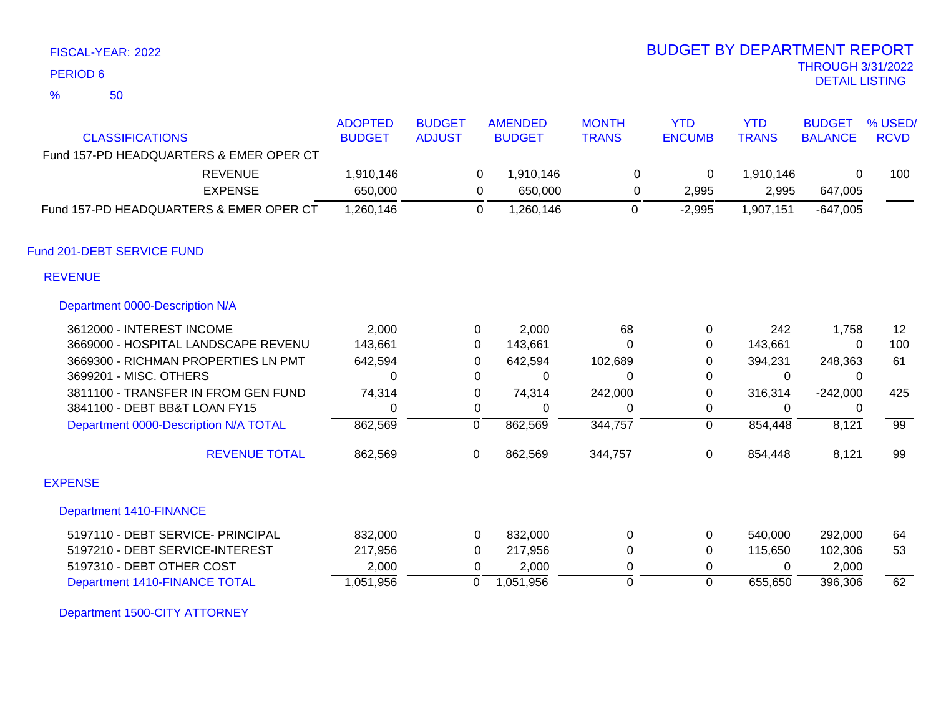50 %

# THROUGH 3/31/2022 DETAIL LISTING PERIOD <sup>6</sup> BUDGET BY DEPARTMENT REPORT

| <b>CLASSIFICATIONS</b>                  | <b>ADOPTED</b><br><b>BUDGET</b> | <b>BUDGET</b><br><b>ADJUST</b> | <b>AMENDED</b><br><b>BUDGET</b> | <b>MONTH</b><br><b>TRANS</b> | <b>YTD</b><br><b>ENCUMB</b> | <b>YTD</b><br><b>TRANS</b> | <b>BUDGET</b><br><b>BALANCE</b> | % USED/<br><b>RCVD</b> |
|-----------------------------------------|---------------------------------|--------------------------------|---------------------------------|------------------------------|-----------------------------|----------------------------|---------------------------------|------------------------|
| Fund 157-PD HEADQUARTERS & EMER OPER CT |                                 |                                |                                 |                              |                             |                            |                                 |                        |
| <b>REVENUE</b>                          | 1,910,146                       |                                | 1,910,146<br>0                  | $\mathbf 0$                  | 0                           | 1,910,146                  | $\mathbf{0}$                    | 100                    |
| <b>EXPENSE</b>                          | 650,000                         |                                | 650,000<br>0                    | 0                            | 2,995                       | 2,995                      | 647,005                         |                        |
| Fund 157-PD HEADQUARTERS & EMER OPER CT | 1,260,146                       |                                | 1,260,146<br>0                  | 0                            | $-2,995$                    | 1,907,151                  | $-647,005$                      |                        |
| Fund 201-DEBT SERVICE FUND              |                                 |                                |                                 |                              |                             |                            |                                 |                        |
| <b>REVENUE</b>                          |                                 |                                |                                 |                              |                             |                            |                                 |                        |
| Department 0000-Description N/A         |                                 |                                |                                 |                              |                             |                            |                                 |                        |
| 3612000 - INTEREST INCOME               | 2,000                           | $\mathbf 0$                    | 2,000                           | 68                           | 0                           | 242                        | 1,758                           | 12                     |
| 3669000 - HOSPITAL LANDSCAPE REVENU     | 143,661                         | 0                              | 143,661                         | 0                            | 0                           | 143,661                    | $\mathbf{0}$                    | 100                    |
| 3669300 - RICHMAN PROPERTIES LN PMT     | 642,594                         | 0                              | 642,594                         | 102,689                      | 0                           | 394,231                    | 248,363                         | 61                     |
| 3699201 - MISC. OTHERS                  | $\Omega$                        | 0                              | 0                               | 0                            | 0                           | 0                          | 0                               |                        |
| 3811100 - TRANSFER IN FROM GEN FUND     | 74,314                          | 0                              | 74,314                          | 242,000                      | 0                           | 316,314                    | $-242,000$                      | 425                    |
| 3841100 - DEBT BB&T LOAN FY15           | $\Omega$                        | 0                              | 0                               | 0                            | 0                           | $\Omega$                   | 0                               |                        |
| Department 0000-Description N/A TOTAL   | 862,569                         | 0                              | 862,569                         | 344,757                      | $\overline{0}$              | 854,448                    | 8,121                           | $\overline{99}$        |
| <b>REVENUE TOTAL</b>                    | 862,569                         | $\pmb{0}$                      | 862,569                         | 344,757                      | $\mathbf 0$                 | 854,448                    | 8,121                           | 99                     |
| <b>EXPENSE</b>                          |                                 |                                |                                 |                              |                             |                            |                                 |                        |
| <b>Department 1410-FINANCE</b>          |                                 |                                |                                 |                              |                             |                            |                                 |                        |
| 5197110 - DEBT SERVICE- PRINCIPAL       | 832,000                         | 0                              | 832,000                         | 0                            | 0                           | 540,000                    | 292,000                         | 64                     |
| 5197210 - DEBT SERVICE-INTEREST         | 217,956                         | $\mathbf{0}$                   | 217,956                         | 0                            | 0                           | 115,650                    | 102,306                         | 53                     |
| 5197310 - DEBT OTHER COST               | 2,000                           | $\Omega$                       | 2,000                           | 0                            | 0                           | $\Omega$                   | 2,000                           |                        |
| Department 1410-FINANCE TOTAL           | 1,051,956                       | 0                              | 1,051,956                       | $\overline{0}$               | 0                           | 655,650                    | 396,306                         | 62                     |

Department 1500-CITY ATTORNEY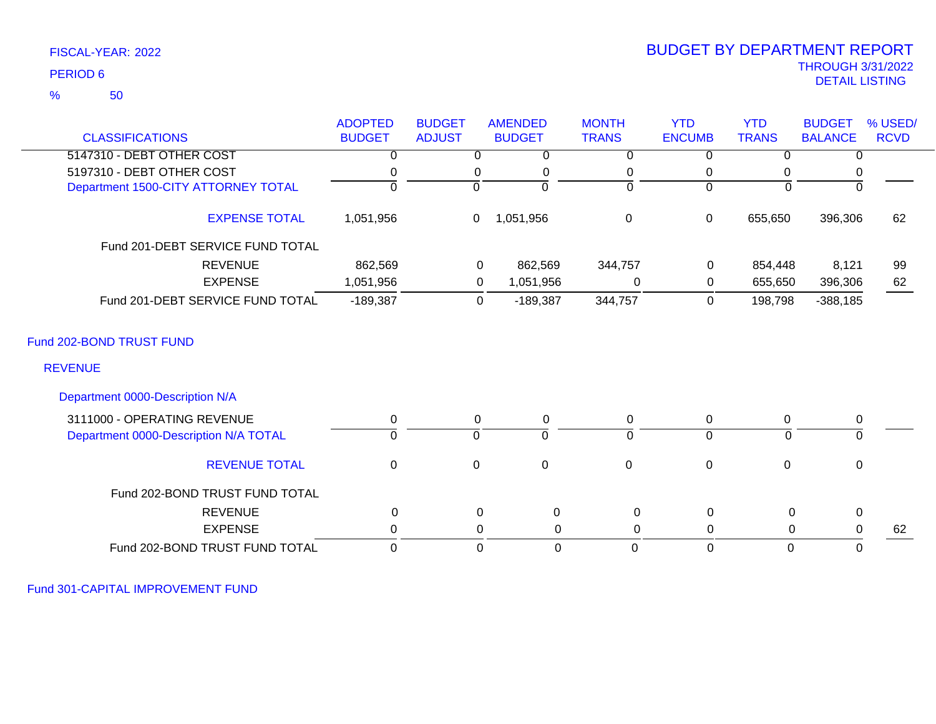### 50 %

# THROUGH 3/31/2022 DETAIL LISTING PERIOD <sup>6</sup> BUDGET BY DEPARTMENT REPORT

| <b>CLASSIFICATIONS</b>                | <b>ADOPTED</b><br><b>BUDGET</b> | <b>BUDGET</b><br><b>ADJUST</b> | <b>AMENDED</b><br><b>BUDGET</b> |              | <b>MONTH</b><br><b>TRANS</b> | <b>YTD</b><br><b>ENCUMB</b> | <b>YTD</b><br><b>TRANS</b> | <b>BUDGET</b><br><b>BALANCE</b> | % USED/<br><b>RCVD</b> |
|---------------------------------------|---------------------------------|--------------------------------|---------------------------------|--------------|------------------------------|-----------------------------|----------------------------|---------------------------------|------------------------|
| 5147310 - DEBT OTHER COST             | $\Omega$                        |                                | $\Omega$                        | $\Omega$     | $\Omega$                     | 0                           | $\mathbf{0}$               | $\Omega$                        |                        |
| 5197310 - DEBT OTHER COST             | $\Omega$                        |                                | 0                               | 0            | 0                            | 0                           | 0                          | 0                               |                        |
| Department 1500-CITY ATTORNEY TOTAL   | $\mathbf 0$                     | 0                              |                                 | ō            | $\overline{0}$               | $\Omega$                    | $\mathbf 0$                | $\Omega$                        |                        |
| <b>EXPENSE TOTAL</b>                  | 1,051,956                       | $\mathbf 0$                    | 1,051,956                       |              | $\pmb{0}$                    | 0                           | 655,650                    | 396,306                         | 62                     |
| Fund 201-DEBT SERVICE FUND TOTAL      |                                 |                                |                                 |              |                              |                             |                            |                                 |                        |
| <b>REVENUE</b>                        | 862,569                         |                                | 0                               | 862,569      | 344,757                      | $\overline{0}$              | 854,448                    | 8,121                           | 99                     |
| <b>EXPENSE</b>                        | 1,051,956                       |                                | 0                               | 1,051,956    | 0                            | 0                           | 655,650                    | 396,306                         | 62                     |
| Fund 201-DEBT SERVICE FUND TOTAL      | $-189,387$                      |                                | $\mathbf 0$                     | $-189,387$   | 344,757                      | $\mathbf 0$                 | 198,798                    | $-388,185$                      |                        |
| Fund 202-BOND TRUST FUND              |                                 |                                |                                 |              |                              |                             |                            |                                 |                        |
| <b>REVENUE</b>                        |                                 |                                |                                 |              |                              |                             |                            |                                 |                        |
| Department 0000-Description N/A       |                                 |                                |                                 |              |                              |                             |                            |                                 |                        |
| 3111000 - OPERATING REVENUE           | 0                               |                                | 0                               | 0            | 0                            | 0                           | $\mathbf 0$                | $\pmb{0}$                       |                        |
| Department 0000-Description N/A TOTAL | $\overline{0}$                  | $\mathbf 0$                    |                                 | $\mathbf{0}$ | $\overline{0}$               | $\mathbf 0$                 | $\Omega$                   | $\mathbf 0$                     |                        |
| <b>REVENUE TOTAL</b>                  | $\mathbf 0$                     | $\mathbf 0$                    |                                 | $\mathbf 0$  | $\mathbf 0$                  | $\mathbf 0$                 | $\mathbf{0}$               | $\mathbf 0$                     |                        |
| Fund 202-BOND TRUST FUND TOTAL        |                                 |                                |                                 |              |                              |                             |                            |                                 |                        |
| <b>REVENUE</b>                        | $\mathbf 0$                     |                                | $\mathbf 0$                     | $\pmb{0}$    | $\mathbf 0$                  | $\mathbf 0$                 | $\mathbf 0$                | $\mathbf 0$                     |                        |
| <b>EXPENSE</b>                        | $\pmb{0}$                       |                                | 0                               | $\pmb{0}$    | 0                            | $\mathbf 0$                 | 0                          | $\pmb{0}$                       | 62                     |
| Fund 202-BOND TRUST FUND TOTAL        | $\mathbf 0$                     |                                | $\mathbf 0$                     | $\mathbf 0$  | $\mathbf 0$                  | $\mathbf 0$                 | $\mathbf 0$                | $\mathbf 0$                     |                        |

Fund 301-CAPITAL IMPROVEMENT FUND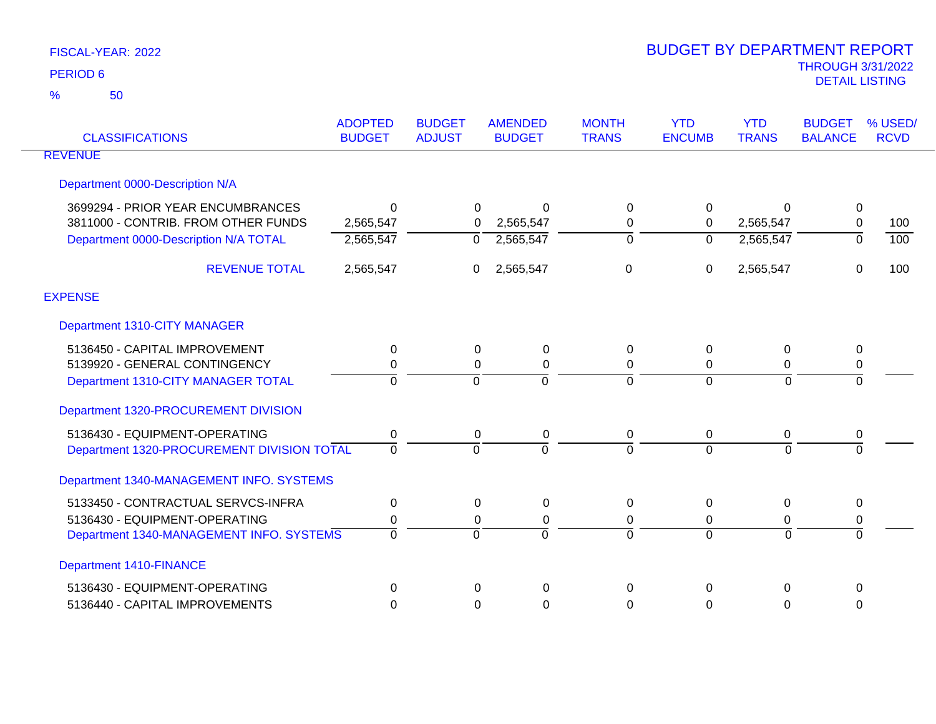50 %

| <b>CLASSIFICATIONS</b>                     | <b>ADOPTED</b><br><b>BUDGET</b> | <b>BUDGET</b><br><b>ADJUST</b> | <b>AMENDED</b><br><b>BUDGET</b> | <b>MONTH</b><br><b>TRANS</b> | <b>YTD</b><br><b>ENCUMB</b> | <b>YTD</b><br><b>TRANS</b> | <b>BUDGET</b><br><b>BALANCE</b> | % USED/<br><b>RCVD</b> |
|--------------------------------------------|---------------------------------|--------------------------------|---------------------------------|------------------------------|-----------------------------|----------------------------|---------------------------------|------------------------|
| <b>REVENUE</b>                             |                                 |                                |                                 |                              |                             |                            |                                 |                        |
| Department 0000-Description N/A            |                                 |                                |                                 |                              |                             |                            |                                 |                        |
| 3699294 - PRIOR YEAR ENCUMBRANCES          | 0                               | 0                              | 0                               | 0                            | $\Omega$                    | $\Omega$                   | 0                               |                        |
| 3811000 - CONTRIB. FROM OTHER FUNDS        | 2,565,547                       | $\Omega$                       | 2,565,547                       | 0                            | 0                           | 2,565,547                  | $\pmb{0}$                       | 100                    |
| Department 0000-Description N/A TOTAL      | 2,565,547                       | $\Omega$                       | 2,565,547                       | $\Omega$                     | $\Omega$                    | 2,565,547                  | $\mathbf{0}$                    | $\overline{100}$       |
| <b>REVENUE TOTAL</b>                       | 2,565,547                       | $\Omega$                       | 2,565,547                       | 0                            | 0                           | 2,565,547                  | $\mathbf 0$                     | 100                    |
| <b>EXPENSE</b>                             |                                 |                                |                                 |                              |                             |                            |                                 |                        |
| <b>Department 1310-CITY MANAGER</b>        |                                 |                                |                                 |                              |                             |                            |                                 |                        |
| 5136450 - CAPITAL IMPROVEMENT              | 0                               | 0                              | 0                               | 0                            | $\Omega$                    | 0                          | 0                               |                        |
| 5139920 - GENERAL CONTINGENCY              | 0                               | 0                              | 0                               | 0                            | 0                           | 0                          | 0                               |                        |
| Department 1310-CITY MANAGER TOTAL         | $\Omega$                        | $\Omega$                       | $\Omega$                        | $\Omega$                     | $\overline{0}$              | $\overline{0}$             | $\overline{0}$                  |                        |
| Department 1320-PROCUREMENT DIVISION       |                                 |                                |                                 |                              |                             |                            |                                 |                        |
| 5136430 - EQUIPMENT-OPERATING              | 0                               | 0                              | 0                               | 0                            | 0                           | 0                          | 0                               |                        |
| Department 1320-PROCUREMENT DIVISION TOTAL | $\Omega$                        | $\Omega$                       | $\Omega$                        | $\overline{0}$               | $\Omega$                    | $\Omega$                   | $\Omega$                        |                        |
| Department 1340-MANAGEMENT INFO. SYSTEMS   |                                 |                                |                                 |                              |                             |                            |                                 |                        |
| 5133450 - CONTRACTUAL SERVCS-INFRA         | $\Omega$                        | 0                              | $\mathbf{0}$                    | 0                            | $\Omega$                    | $\Omega$                   | $\mathbf{0}$                    |                        |
| 5136430 - EQUIPMENT-OPERATING              | 0                               | 0                              | 0                               | 0                            | 0                           | 0                          | 0                               |                        |
| Department 1340-MANAGEMENT INFO. SYSTEMS   | $\Omega$                        | $\Omega$                       | $\Omega$                        | $\mathbf 0$                  | $\Omega$                    | $\Omega$                   | $\Omega$                        |                        |
| <b>Department 1410-FINANCE</b>             |                                 |                                |                                 |                              |                             |                            |                                 |                        |
| 5136430 - EQUIPMENT-OPERATING              | $\Omega$                        | 0                              | $\Omega$                        | 0                            | 0                           | $\Omega$                   | $\Omega$                        |                        |
| 5136440 - CAPITAL IMPROVEMENTS             | $\Omega$                        | 0                              | $\Omega$                        | 0                            | 0                           | 0                          | $\mathbf{0}$                    |                        |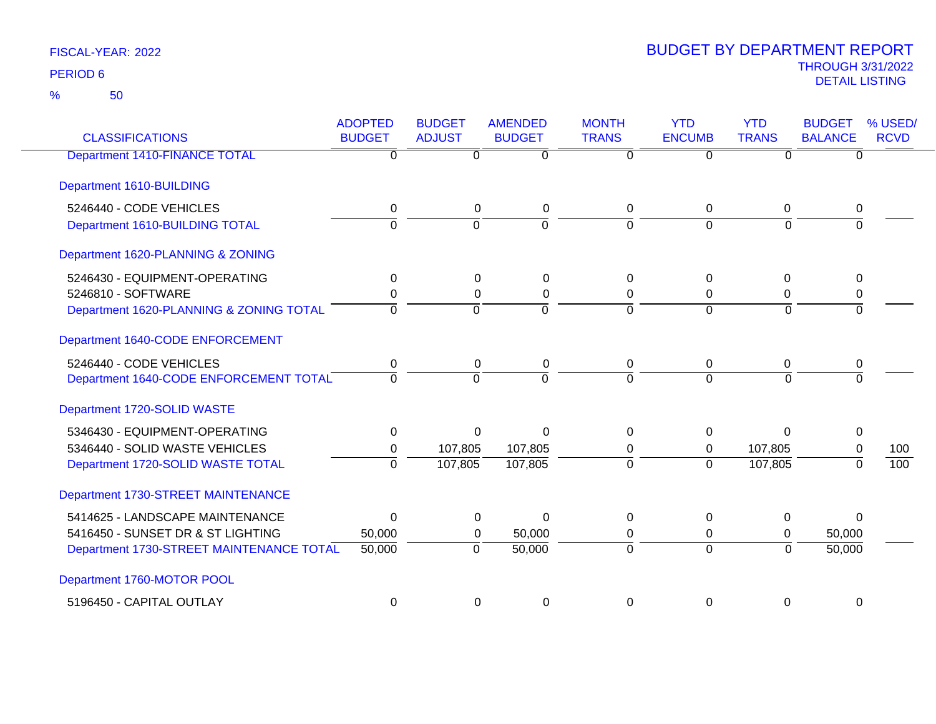50 %

| <b>CLASSIFICATIONS</b>                   | <b>ADOPTED</b><br><b>BUDGET</b> | <b>BUDGET</b><br><b>ADJUST</b> | <b>AMENDED</b><br><b>BUDGET</b> | <b>MONTH</b><br><b>TRANS</b> | <b>YTD</b><br><b>ENCUMB</b> | <b>YTD</b><br><b>TRANS</b> | <b>BUDGET</b><br><b>BALANCE</b> | % USED/<br><b>RCVD</b> |
|------------------------------------------|---------------------------------|--------------------------------|---------------------------------|------------------------------|-----------------------------|----------------------------|---------------------------------|------------------------|
| <b>Department 1410-FINANCE TOTAL</b>     | $\Omega$                        | 0                              | 0                               | $\Omega$                     | U                           | 0                          | O                               |                        |
| Department 1610-BUILDING                 |                                 |                                |                                 |                              |                             |                            |                                 |                        |
| 5246440 - CODE VEHICLES                  | 0                               | 0                              | 0                               | 0                            | $\mathbf 0$                 | 0                          | 0                               |                        |
| Department 1610-BUILDING TOTAL           | $\mathbf 0$                     | $\Omega$                       | $\Omega$                        | $\Omega$                     | $\Omega$                    | $\Omega$                   | $\Omega$                        |                        |
| Department 1620-PLANNING & ZONING        |                                 |                                |                                 |                              |                             |                            |                                 |                        |
| 5246430 - EQUIPMENT-OPERATING            | 0                               | $\Omega$                       | 0                               | 0                            | $\mathbf{0}$                | $\Omega$                   | $\Omega$                        |                        |
| 5246810 - SOFTWARE                       | 0                               | $\Omega$                       | 0                               | 0                            | $\Omega$                    | 0                          | 0                               |                        |
| Department 1620-PLANNING & ZONING TOTAL  | $\Omega$                        | $\Omega$                       | $\Omega$                        | 0                            | $\overline{0}$              | $\Omega$                   | $\Omega$                        |                        |
| Department 1640-CODE ENFORCEMENT         |                                 |                                |                                 |                              |                             |                            |                                 |                        |
| 5246440 - CODE VEHICLES                  | 0                               | 0                              | 0                               | 0                            | 0                           | 0                          | 0                               |                        |
| Department 1640-CODE ENFORCEMENT TOTAL   | $\Omega$                        | $\Omega$                       | 0                               | $\mathbf 0$                  | $\Omega$                    | $\Omega$                   | $\Omega$                        |                        |
| Department 1720-SOLID WASTE              |                                 |                                |                                 |                              |                             |                            |                                 |                        |
| 5346430 - EQUIPMENT-OPERATING            | $\Omega$                        | $\Omega$                       | $\Omega$                        | $\Omega$                     | $\Omega$                    | $\Omega$                   | 0                               |                        |
| 5346440 - SOLID WASTE VEHICLES           | 0                               | 107,805                        | 107,805                         | 0                            | 0                           | 107,805                    | $\mathbf 0$                     | 100                    |
| Department 1720-SOLID WASTE TOTAL        | $\Omega$                        | 107,805                        | 107,805                         | $\Omega$                     | $\Omega$                    | 107,805                    | $\Omega$                        | 100                    |
| Department 1730-STREET MAINTENANCE       |                                 |                                |                                 |                              |                             |                            |                                 |                        |
| 5414625 - LANDSCAPE MAINTENANCE          | $\mathbf 0$                     | $\Omega$                       | $\Omega$                        | 0                            | $\mathbf{0}$                | 0                          | $\Omega$                        |                        |
| 5416450 - SUNSET DR & ST LIGHTING        | 50,000                          | $\Omega$                       | 50,000                          | 0                            | $\mathbf 0$                 | $\Omega$                   | 50,000                          |                        |
| Department 1730-STREET MAINTENANCE TOTAL | 50,000                          | $\overline{0}$                 | 50,000                          | $\overline{0}$               | $\overline{0}$              | $\overline{0}$             | 50,000                          |                        |
| Department 1760-MOTOR POOL               |                                 |                                |                                 |                              |                             |                            |                                 |                        |
| 5196450 - CAPITAL OUTLAY                 | $\mathbf 0$                     | 0                              | 0                               | 0                            | 0                           | $\mathbf 0$                | 0                               |                        |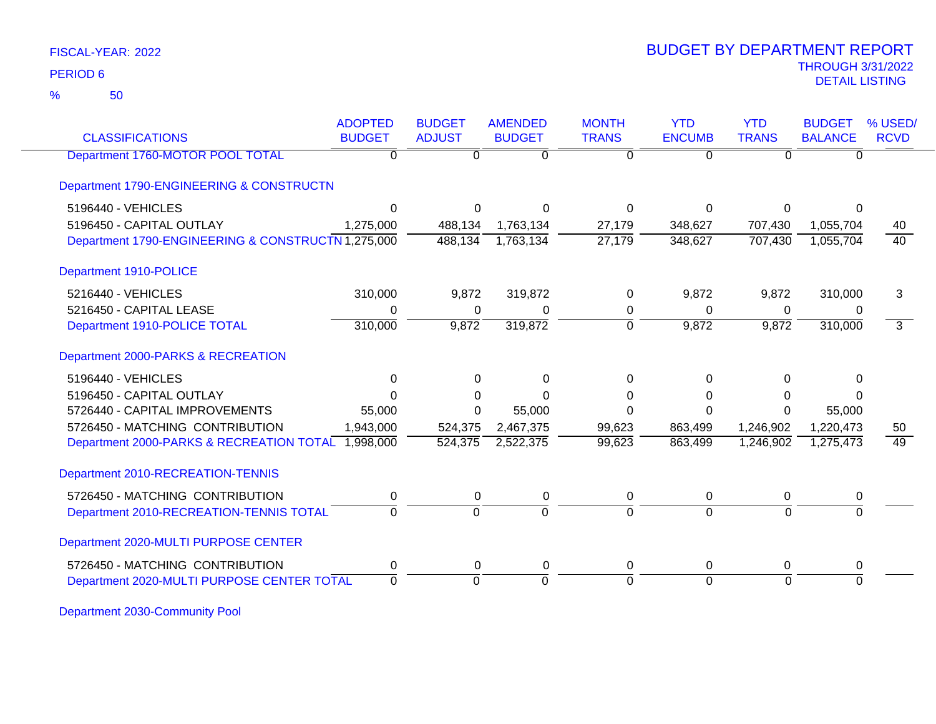50 %

# THROUGH 3/31/2022 DETAIL LISTING PERIOD <sup>6</sup> BUDGET BY DEPARTMENT REPORT

| <b>CLASSIFICATIONS</b>                             | <b>ADOPTED</b><br><b>BUDGET</b> | <b>BUDGET</b><br><b>ADJUST</b> | <b>AMENDED</b><br><b>BUDGET</b> | <b>MONTH</b><br><b>TRANS</b> | <b>YTD</b><br><b>ENCUMB</b> | <b>YTD</b><br><b>TRANS</b> | <b>BUDGET</b><br><b>BALANCE</b> | % USED/<br><b>RCVD</b> |
|----------------------------------------------------|---------------------------------|--------------------------------|---------------------------------|------------------------------|-----------------------------|----------------------------|---------------------------------|------------------------|
| Department 1760-MOTOR POOL TOTAL                   | 0                               | 0                              | $\overline{0}$                  | $\Omega$                     | $\overline{0}$              | $\Omega$                   | $\Omega$                        |                        |
| Department 1790-ENGINEERING & CONSTRUCTN           |                                 |                                |                                 |                              |                             |                            |                                 |                        |
| 5196440 - VEHICLES                                 | $\Omega$                        | $\Omega$                       | ∩                               | 0                            | $\Omega$                    | $\Omega$                   | 0                               |                        |
| 5196450 - CAPITAL OUTLAY                           | 1,275,000                       | 488,134                        | 1,763,134                       | 27,179                       | 348,627                     | 707,430                    | 1,055,704                       | 40                     |
| Department 1790-ENGINEERING & CONSTRUCTN 1,275,000 |                                 | 488,134                        | 1,763,134                       | 27,179                       | 348,627                     | 707,430                    | 1,055,704                       | $\overline{40}$        |
| Department 1910-POLICE                             |                                 |                                |                                 |                              |                             |                            |                                 |                        |
| 5216440 - VEHICLES                                 | 310,000                         | 9,872                          | 319,872                         | 0                            | 9,872                       | 9,872                      | 310,000                         | 3                      |
| 5216450 - CAPITAL LEASE                            | 0                               | 0                              | 0                               | 0                            | $\mathbf 0$                 | 0                          | 0                               |                        |
| Department 1910-POLICE TOTAL                       | 310,000                         | 9,872                          | 319,872                         | $\Omega$                     | 9,872                       | 9,872                      | 310,000                         | $\overline{3}$         |
| Department 2000-PARKS & RECREATION                 |                                 |                                |                                 |                              |                             |                            |                                 |                        |
| 5196440 - VEHICLES                                 | $\Omega$                        | 0                              | $\Omega$                        | $\Omega$                     | $\Omega$                    | $\Omega$                   | $\Omega$                        |                        |
| 5196450 - CAPITAL OUTLAY                           | $\Omega$                        | 0                              | <sup>0</sup>                    | 0                            | $\Omega$                    | $\Omega$                   | $\Omega$                        |                        |
| 5726440 - CAPITAL IMPROVEMENTS                     | 55,000                          | $\Omega$                       | 55,000                          | 0                            | $\Omega$                    | $\Omega$                   | 55,000                          |                        |
| 5726450 - MATCHING CONTRIBUTION                    | 1,943,000                       | 524,375                        | 2,467,375                       | 99,623                       | 863,499                     | 1,246,902                  | 1,220,473                       | 50                     |
| Department 2000-PARKS & RECREATION TOTAL 1,998,000 |                                 | 524,375                        | 2,522,375                       | 99,623                       | 863,499                     | 1,246,902                  | 1,275,473                       | 49                     |
| Department 2010-RECREATION-TENNIS                  |                                 |                                |                                 |                              |                             |                            |                                 |                        |
| 5726450 - MATCHING CONTRIBUTION                    | 0                               | $\Omega$                       | 0                               | 0                            | $\mathbf{0}$                | 0                          | 0                               |                        |
| Department 2010-RECREATION-TENNIS TOTAL            | 0                               | 0                              | $\Omega$                        | 0                            | $\Omega$                    | $\Omega$                   | $\Omega$                        |                        |
| Department 2020-MULTI PURPOSE CENTER               |                                 |                                |                                 |                              |                             |                            |                                 |                        |
| 5726450 - MATCHING CONTRIBUTION                    | 0                               | 0                              | 0                               | 0                            | 0                           | 0                          | 0                               |                        |
| Department 2020-MULTI PURPOSE CENTER TOTAL         | $\Omega$                        | 0                              | $\Omega$                        | $\Omega$                     | $\Omega$                    | $\Omega$                   | $\Omega$                        |                        |

Department 2030-Community Pool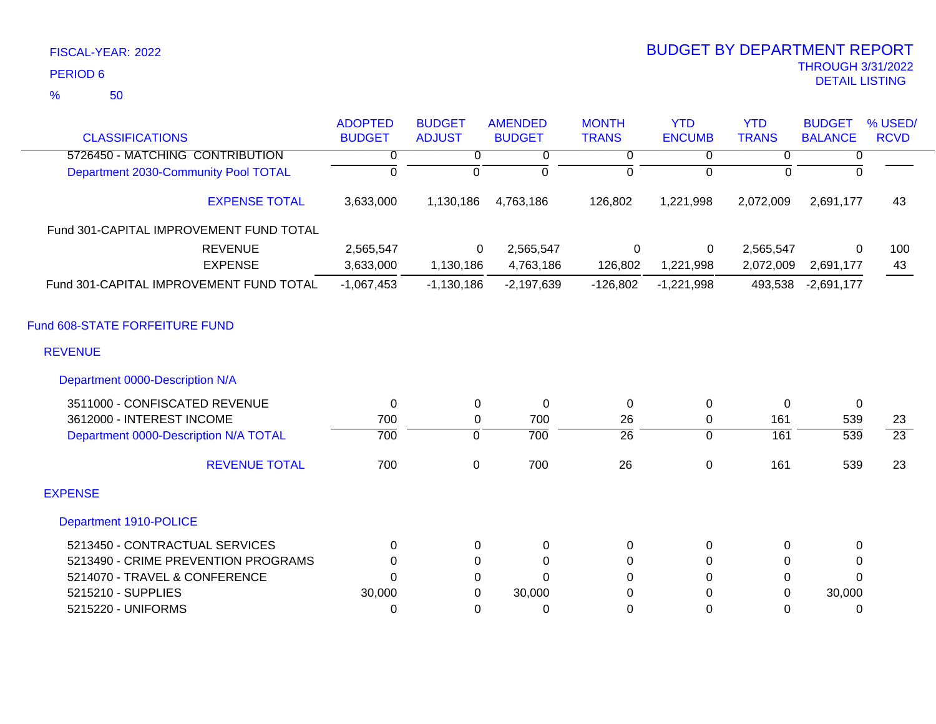50 %

| <b>CLASSIFICATIONS</b>                  | <b>ADOPTED</b><br><b>BUDGET</b> | <b>BUDGET</b><br><b>ADJUST</b> | <b>AMENDED</b><br><b>BUDGET</b> | <b>MONTH</b><br><b>TRANS</b> | <b>YTD</b><br><b>ENCUMB</b> | <b>YTD</b><br><b>TRANS</b> | <b>BUDGET</b><br><b>BALANCE</b> | % USED/<br><b>RCVD</b> |
|-----------------------------------------|---------------------------------|--------------------------------|---------------------------------|------------------------------|-----------------------------|----------------------------|---------------------------------|------------------------|
| 5726450 - MATCHING CONTRIBUTION         |                                 |                                |                                 |                              |                             |                            |                                 |                        |
|                                         | 0                               | 0                              | 0                               | 0                            | 0                           | 0                          | 0                               |                        |
| Department 2030-Community Pool TOTAL    | ō                               | $\overline{0}$                 | $\Omega$                        | ō                            | $\Omega$                    | $\Omega$                   | $\Omega$                        |                        |
| <b>EXPENSE TOTAL</b>                    | 3,633,000                       | 1,130,186                      | 4,763,186                       | 126,802                      | 1,221,998                   | 2,072,009                  | 2,691,177                       | 43                     |
| Fund 301-CAPITAL IMPROVEMENT FUND TOTAL |                                 |                                |                                 |                              |                             |                            |                                 |                        |
| <b>REVENUE</b>                          | 2,565,547                       | 0                              | 2,565,547                       | 0                            | 0                           | 2,565,547                  | 0                               | 100                    |
| <b>EXPENSE</b>                          | 3,633,000                       | 1,130,186                      | 4,763,186                       | 126,802                      | 1,221,998                   | 2,072,009                  | 2,691,177                       | 43                     |
| Fund 301-CAPITAL IMPROVEMENT FUND TOTAL | $-1,067,453$                    | $-1,130,186$                   | $-2,197,639$                    | $-126,802$                   | $-1,221,998$                | 493,538                    | $-2,691,177$                    |                        |
| Fund 608-STATE FORFEITURE FUND          |                                 |                                |                                 |                              |                             |                            |                                 |                        |
| <b>REVENUE</b>                          |                                 |                                |                                 |                              |                             |                            |                                 |                        |
| Department 0000-Description N/A         |                                 |                                |                                 |                              |                             |                            |                                 |                        |
| 3511000 - CONFISCATED REVENUE           | 0                               | 0                              | $\mathbf 0$                     | 0                            | 0                           | $\Omega$                   | $\mathbf 0$                     |                        |
| 3612000 - INTEREST INCOME               | 700                             | 0                              | 700                             | 26                           | 0                           | 161                        | 539                             | 23                     |
| Department 0000-Description N/A TOTAL   | 700                             | $\overline{0}$                 | 700                             | $\overline{26}$              | $\mathbf 0$                 | 161                        | $\overline{539}$                | $\overline{23}$        |
| <b>REVENUE TOTAL</b>                    | 700                             | $\mathbf 0$                    | 700                             | 26                           | 0                           | 161                        | 539                             | 23                     |
| <b>EXPENSE</b>                          |                                 |                                |                                 |                              |                             |                            |                                 |                        |
| <b>Department 1910-POLICE</b>           |                                 |                                |                                 |                              |                             |                            |                                 |                        |
| 5213450 - CONTRACTUAL SERVICES          | 0                               | 0                              | $\pmb{0}$                       | 0                            | 0                           | 0                          | $\mathbf 0$                     |                        |
| 5213490 - CRIME PREVENTION PROGRAMS     | $\Omega$                        | 0                              | $\Omega$                        | $\Omega$                     | $\Omega$                    | $\Omega$                   | 0                               |                        |
| 5214070 - TRAVEL & CONFERENCE           | $\Omega$                        | 0                              | $\Omega$                        | 0                            | 0                           | 0                          | 0                               |                        |
| 5215210 - SUPPLIES                      | 30,000                          | 0                              | 30,000                          | 0                            | 0                           | 0                          | 30,000                          |                        |
| 5215220 - UNIFORMS                      | 0                               | 0                              | 0                               | 0                            | 0                           | 0                          | 0                               |                        |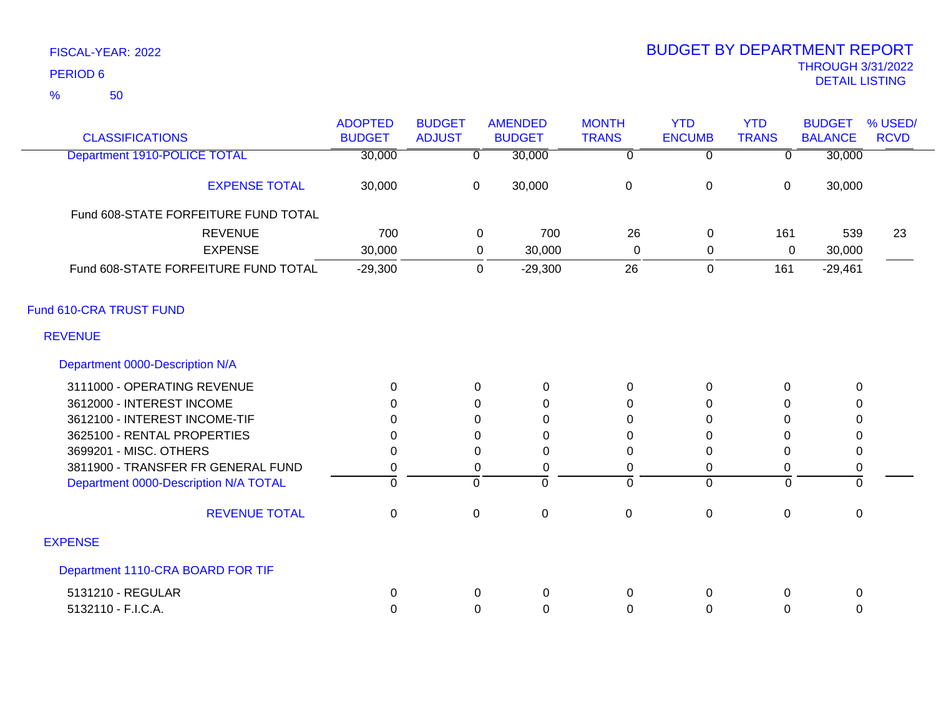50 %

| <b>CLASSIFICATIONS</b>                | <b>ADOPTED</b><br><b>BUDGET</b> | <b>BUDGET</b><br><b>ADJUST</b> | <b>AMENDED</b><br><b>BUDGET</b> | <b>MONTH</b><br><b>TRANS</b> | <b>YTD</b><br><b>ENCUMB</b> | <b>YTD</b><br><b>TRANS</b> | <b>BUDGET</b><br><b>BALANCE</b> | % USED/<br><b>RCVD</b> |
|---------------------------------------|---------------------------------|--------------------------------|---------------------------------|------------------------------|-----------------------------|----------------------------|---------------------------------|------------------------|
| <b>Department 1910-POLICE TOTAL</b>   | 30,000                          | $\overline{0}$                 | 30,000                          | $\overline{0}$               | $\overline{0}$              | $\overline{0}$             | 30,000                          |                        |
| <b>EXPENSE TOTAL</b>                  | 30,000                          | $\mathsf 0$                    | 30,000                          | $\mathbf 0$                  | 0                           | $\boldsymbol{0}$           | 30,000                          |                        |
| Fund 608-STATE FORFEITURE FUND TOTAL  |                                 |                                |                                 |                              |                             |                            |                                 |                        |
| <b>REVENUE</b>                        | 700                             |                                | 700<br>0                        | 26                           | 0                           | 161                        | 539                             | 23                     |
| <b>EXPENSE</b>                        | 30,000                          |                                | 30,000<br>$\mathbf 0$           | 0                            | 0                           | 0                          | 30,000                          |                        |
| Fund 608-STATE FORFEITURE FUND TOTAL  | $-29,300$                       |                                | $\mathbf 0$<br>$-29,300$        | 26                           | $\mathbf 0$                 | 161                        | $-29,461$                       |                        |
| Fund 610-CRA TRUST FUND               |                                 |                                |                                 |                              |                             |                            |                                 |                        |
| <b>REVENUE</b>                        |                                 |                                |                                 |                              |                             |                            |                                 |                        |
| Department 0000-Description N/A       |                                 |                                |                                 |                              |                             |                            |                                 |                        |
| 3111000 - OPERATING REVENUE           | $\Omega$                        | $\Omega$                       | 0                               | 0                            | 0                           | $\Omega$                   | 0                               |                        |
| 3612000 - INTEREST INCOME             | 0                               | 0                              | 0                               | 0                            | 0                           | 0                          | 0                               |                        |
| 3612100 - INTEREST INCOME-TIF         | 0                               | 0                              | 0                               | 0                            | 0                           | 0                          | 0                               |                        |
| 3625100 - RENTAL PROPERTIES           | 0                               | 0                              | 0                               | 0                            | $\Omega$                    | $\mathbf 0$                | $\mathbf 0$                     |                        |
| 3699201 - MISC. OTHERS                | $\Omega$                        | $\Omega$                       | 0                               | $\Omega$                     | $\Omega$                    | 0                          | $\mathbf 0$                     |                        |
| 3811900 - TRANSFER FR GENERAL FUND    | 0                               | 0                              | 0                               | 0                            | 0                           | 0                          | $\pmb{0}$                       |                        |
| Department 0000-Description N/A TOTAL | $\overline{0}$                  | $\overline{0}$                 | $\overline{0}$                  | $\overline{0}$               | $\Omega$                    | $\Omega$                   | $\overline{0}$                  |                        |
| <b>REVENUE TOTAL</b>                  | 0                               | $\boldsymbol{0}$               | $\pmb{0}$                       | $\mathbf 0$                  | 0                           | $\mathbf 0$                | $\pmb{0}$                       |                        |
| <b>EXPENSE</b>                        |                                 |                                |                                 |                              |                             |                            |                                 |                        |
| Department 1110-CRA BOARD FOR TIF     |                                 |                                |                                 |                              |                             |                            |                                 |                        |
| 5131210 - REGULAR                     | 0                               | 0                              | 0                               | 0                            | 0                           | $\Omega$                   | 0                               |                        |
| 5132110 - F.I.C.A.                    | 0                               | $\Omega$                       | $\overline{0}$                  | $\mathbf 0$                  | $\Omega$                    | 0                          | 0                               |                        |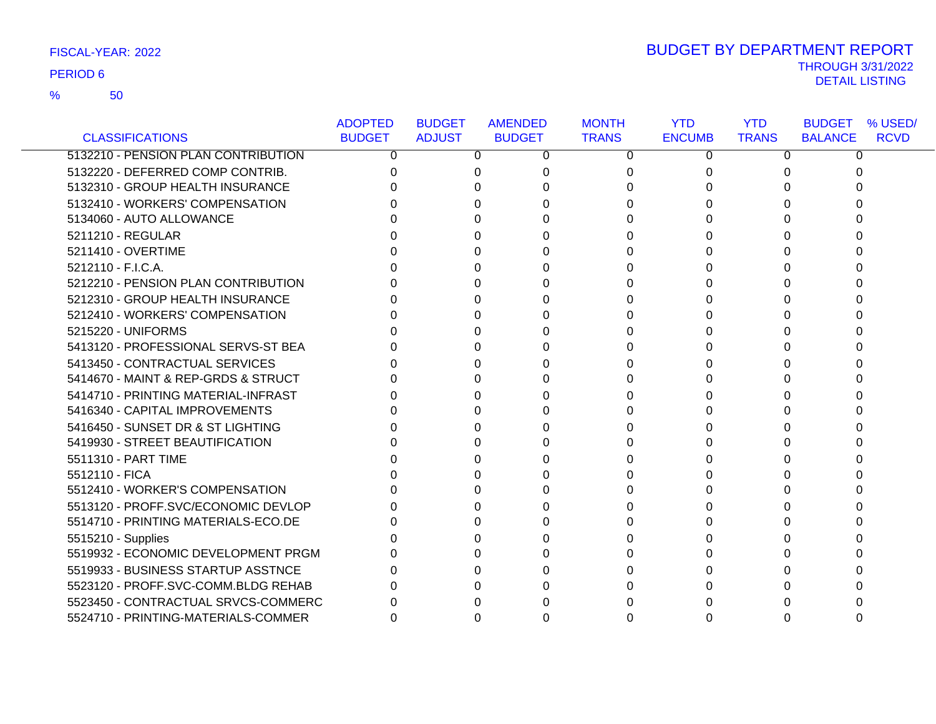50 %

|                                     | <b>ADOPTED</b> | <b>BUDGET</b> | <b>AMENDED</b> | <b>MONTH</b> | <b>YTD</b>    | <b>YTD</b>   | <b>BUDGET</b><br>% USED/      |
|-------------------------------------|----------------|---------------|----------------|--------------|---------------|--------------|-------------------------------|
| <b>CLASSIFICATIONS</b>              | <b>BUDGET</b>  | <b>ADJUST</b> | <b>BUDGET</b>  | <b>TRANS</b> | <b>ENCUMB</b> | <b>TRANS</b> | <b>RCVD</b><br><b>BALANCE</b> |
| 5132210 - PENSION PLAN CONTRIBUTION | $\Omega$       | 0             | 0              | $\Omega$     | 0             | 0            | 0                             |
| 5132220 - DEFERRED COMP CONTRIB.    |                | 0             | 0              | 0            |               |              |                               |
| 5132310 - GROUP HEALTH INSURANCE    |                |               |                | $\Omega$     |               |              |                               |
| 5132410 - WORKERS' COMPENSATION     |                |               |                | $\Omega$     |               |              |                               |
| 5134060 - AUTO ALLOWANCE            |                |               |                | 0            |               |              |                               |
| 5211210 - REGULAR                   |                |               | 0              | 0            |               |              |                               |
| 5211410 - OVERTIME                  |                |               |                | 0            |               |              |                               |
| 5212110 - F.I.C.A.                  |                |               |                | 0            |               |              |                               |
| 5212210 - PENSION PLAN CONTRIBUTION |                |               |                | 0            |               |              |                               |
| 5212310 - GROUP HEALTH INSURANCE    |                |               |                | 0            |               |              |                               |
| 5212410 - WORKERS' COMPENSATION     |                |               | <sup>0</sup>   | 0            |               |              |                               |
| 5215220 - UNIFORMS                  |                |               | O              | $\Omega$     |               |              |                               |
| 5413120 - PROFESSIONAL SERVS-ST BEA |                |               |                | 0            |               |              |                               |
| 5413450 - CONTRACTUAL SERVICES      |                |               |                | 0            |               |              |                               |
| 5414670 - MAINT & REP-GRDS & STRUCT |                |               |                | $\Omega$     |               |              |                               |
| 5414710 - PRINTING MATERIAL-INFRAST |                |               |                | 0            |               |              |                               |
| 5416340 - CAPITAL IMPROVEMENTS      |                |               | <sup>0</sup>   | 0            |               |              |                               |
| 5416450 - SUNSET DR & ST LIGHTING   |                |               |                | 0            |               |              |                               |
| 5419930 - STREET BEAUTIFICATION     |                |               |                | 0            |               |              |                               |
| 5511310 - PART TIME                 |                |               |                | 0            |               |              |                               |
| 5512110 - FICA                      |                |               |                | $\Omega$     |               |              |                               |
| 5512410 - WORKER'S COMPENSATION     |                |               |                | 0            |               |              |                               |
| 5513120 - PROFF.SVC/ECONOMIC DEVLOP |                |               |                | 0            |               |              |                               |
| 5514710 - PRINTING MATERIALS-ECO.DE |                |               |                | $\Omega$     |               |              |                               |
| 5515210 - Supplies                  |                |               |                | 0            |               |              |                               |
| 5519932 - ECONOMIC DEVELOPMENT PRGM |                |               |                | 0            |               |              |                               |
| 5519933 - BUSINESS STARTUP ASSTNCE  |                |               |                | 0            |               |              |                               |
| 5523120 - PROFF.SVC-COMM.BLDG REHAB |                |               |                | 0            |               |              |                               |
| 5523450 - CONTRACTUAL SRVCS-COMMERC |                |               |                | 0            |               |              |                               |
| 5524710 - PRINTING-MATERIALS-COMMER |                |               | 0              | 0            |               |              |                               |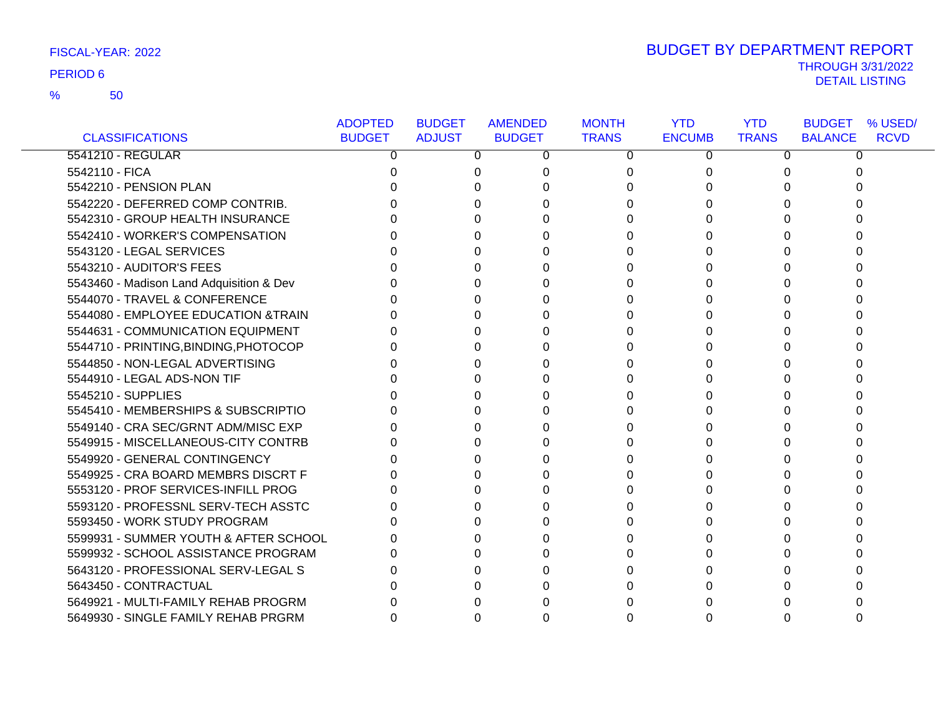50 %

|                                          | <b>ADOPTED</b> | <b>BUDGET</b> | <b>AMENDED</b> | <b>MONTH</b> | <b>YTD</b>    | <b>YTD</b>   | <b>BUDGET</b><br>% USED/      |
|------------------------------------------|----------------|---------------|----------------|--------------|---------------|--------------|-------------------------------|
| <b>CLASSIFICATIONS</b>                   | <b>BUDGET</b>  | <b>ADJUST</b> | <b>BUDGET</b>  | <b>TRANS</b> | <b>ENCUMB</b> | <b>TRANS</b> | <b>RCVD</b><br><b>BALANCE</b> |
| 5541210 - REGULAR                        | 0              | 0             | 0              | $\mathbf{0}$ | 0             | $\Omega$     | 0                             |
| 5542110 - FICA                           |                | 0             | 0              | 0            | 0             |              |                               |
| 5542210 - PENSION PLAN                   |                |               |                | 0            |               |              |                               |
| 5542220 - DEFERRED COMP CONTRIB.         |                |               |                | 0            |               |              |                               |
| 5542310 - GROUP HEALTH INSURANCE         |                | O             | <sup>0</sup>   | 0            |               |              |                               |
| 5542410 - WORKER'S COMPENSATION          |                |               | <sup>0</sup>   | 0            |               |              |                               |
| 5543120 - LEGAL SERVICES                 |                |               |                | 0            |               |              |                               |
| 5543210 - AUDITOR'S FEES                 |                |               | O              | $\Omega$     |               |              |                               |
| 5543460 - Madison Land Adquisition & Dev |                |               | O              | $\Omega$     |               |              |                               |
| 5544070 - TRAVEL & CONFERENCE            |                |               |                | 0            |               |              |                               |
| 5544080 - EMPLOYEE EDUCATION &TRAIN      |                | 0             | 0              | 0            |               |              |                               |
| 5544631 - COMMUNICATION EQUIPMENT        |                |               | O              | 0            |               |              |                               |
| 5544710 - PRINTING, BINDING, PHOTOCOP    |                |               |                | 0            |               |              |                               |
| 5544850 - NON-LEGAL ADVERTISING          |                |               |                | 0            |               |              |                               |
| 5544910 - LEGAL ADS-NON TIF              |                |               |                | $\Omega$     |               |              |                               |
| 5545210 - SUPPLIES                       |                |               | 0              | 0            |               |              |                               |
| 5545410 - MEMBERSHIPS & SUBSCRIPTIO      |                |               | <sup>0</sup>   | 0            |               |              |                               |
| 5549140 - CRA SEC/GRNT ADM/MISC EXP      |                |               | 0              | 0            |               |              |                               |
| 5549915 - MISCELLANEOUS-CITY CONTRB      |                |               |                | 0            |               |              |                               |
| 5549920 - GENERAL CONTINGENCY            |                |               |                | 0            |               |              |                               |
| 5549925 - CRA BOARD MEMBRS DISCRT F      |                |               |                | 0            |               |              |                               |
| 5553120 - PROF SERVICES-INFILL PROG      |                |               | 0              | 0            |               |              |                               |
| 5593120 - PROFESSNL SERV-TECH ASSTC      |                | 0             | 0              | 0            |               |              |                               |
| 5593450 - WORK STUDY PROGRAM             |                |               | U              | $\Omega$     |               |              |                               |
| 5599931 - SUMMER YOUTH & AFTER SCHOOL    |                | ი             |                | 0            |               |              |                               |
| 5599932 - SCHOOL ASSISTANCE PROGRAM      |                |               |                | 0            |               |              |                               |
| 5643120 - PROFESSIONAL SERV-LEGAL S      |                |               |                | 0            |               |              |                               |
| 5643450 - CONTRACTUAL                    |                |               |                | 0            |               |              |                               |
| 5649921 - MULTI-FAMILY REHAB PROGRM      |                |               |                | <sup>0</sup> |               |              |                               |
| 5649930 - SINGLE FAMILY REHAB PRGRM      | 0              | 0             | 0              | 0            | O             |              |                               |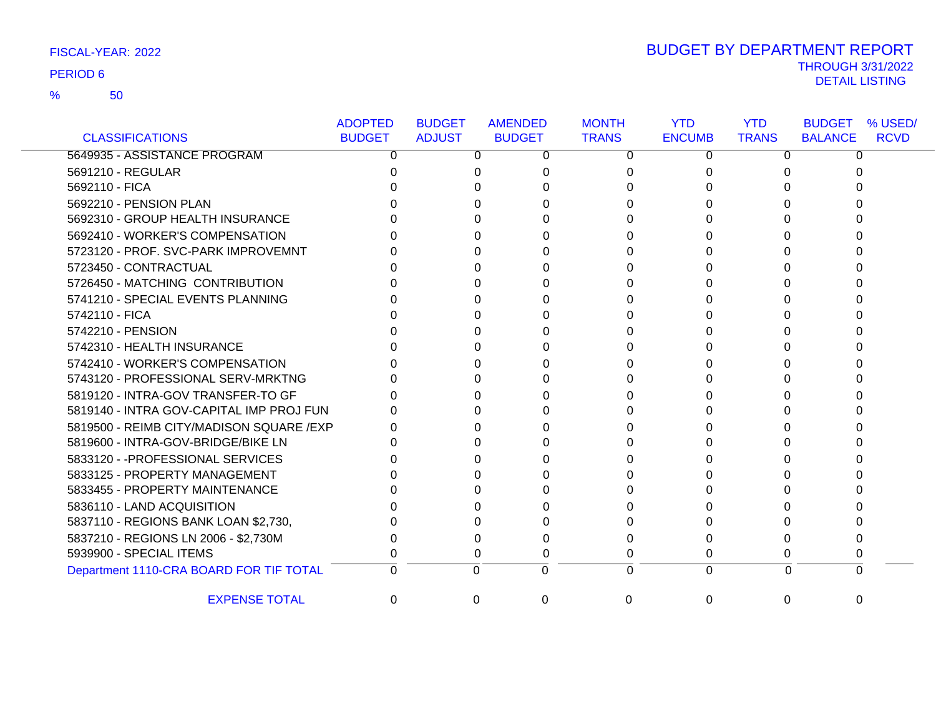50 %

|                                          | <b>ADOPTED</b> | <b>BUDGET</b> | <b>AMENDED</b> | <b>MONTH</b> | <b>YTD</b>    | <b>YTD</b>   | <b>BUDGET</b><br>% USED/      |
|------------------------------------------|----------------|---------------|----------------|--------------|---------------|--------------|-------------------------------|
| <b>CLASSIFICATIONS</b>                   | <b>BUDGET</b>  | <b>ADJUST</b> | <b>BUDGET</b>  | <b>TRANS</b> | <b>ENCUMB</b> | <b>TRANS</b> | <b>BALANCE</b><br><b>RCVD</b> |
| 5649935 - ASSISTANCE PROGRAM             | 0              | 0             | 0              | 0            | 0             | 0            |                               |
| 5691210 - REGULAR                        |                |               |                | 0            |               |              |                               |
| 5692110 - FICA                           |                |               |                |              |               |              |                               |
| 5692210 - PENSION PLAN                   |                |               |                |              |               |              |                               |
| 5692310 - GROUP HEALTH INSURANCE         |                |               |                |              |               |              |                               |
| 5692410 - WORKER'S COMPENSATION          |                |               |                | O            |               |              |                               |
| 5723120 - PROF. SVC-PARK IMPROVEMNT      |                |               |                |              |               |              |                               |
| 5723450 - CONTRACTUAL                    |                |               |                |              |               |              |                               |
| 5726450 - MATCHING CONTRIBUTION          |                |               |                |              |               |              |                               |
| 5741210 - SPECIAL EVENTS PLANNING        |                |               |                |              |               |              |                               |
| 5742110 - FICA                           |                |               |                |              |               |              |                               |
| 5742210 - PENSION                        |                |               |                |              |               |              |                               |
| 5742310 - HEALTH INSURANCE               |                |               |                | 0            |               |              |                               |
| 5742410 - WORKER'S COMPENSATION          |                |               |                | U            |               |              |                               |
| 5743120 - PROFESSIONAL SERV-MRKTNG       |                |               |                |              |               |              |                               |
| 5819120 - INTRA-GOV TRANSFER-TO GF       |                |               |                |              |               |              |                               |
| 5819140 - INTRA GOV-CAPITAL IMP PROJ FUN |                |               |                |              |               |              |                               |
| 5819500 - REIMB CITY/MADISON SQUARE /EXP |                |               |                | 0            |               |              |                               |
| 5819600 - INTRA-GOV-BRIDGE/BIKE LN       |                |               |                |              |               |              |                               |
| 5833120 - - PROFESSIONAL SERVICES        |                |               |                |              |               |              |                               |
| 5833125 - PROPERTY MANAGEMENT            |                |               |                |              |               |              |                               |
| 5833455 - PROPERTY MAINTENANCE           |                |               |                |              |               |              |                               |
| 5836110 - LAND ACQUISITION               |                |               |                |              |               |              |                               |
| 5837110 - REGIONS BANK LOAN \$2,730,     |                |               |                |              |               |              |                               |
| 5837210 - REGIONS LN 2006 - \$2,730M     |                |               |                |              |               |              |                               |
| 5939900 - SPECIAL ITEMS                  |                |               |                |              | 0             |              |                               |
| Department 1110-CRA BOARD FOR TIF TOTAL  | O              | $\Omega$      | 0              | 0            | 0             | 0            | O                             |
| <b>EXPENSE TOTAL</b>                     | 0              | $\Omega$      | $\Omega$       | 0            | 0             | $\Omega$     | 0                             |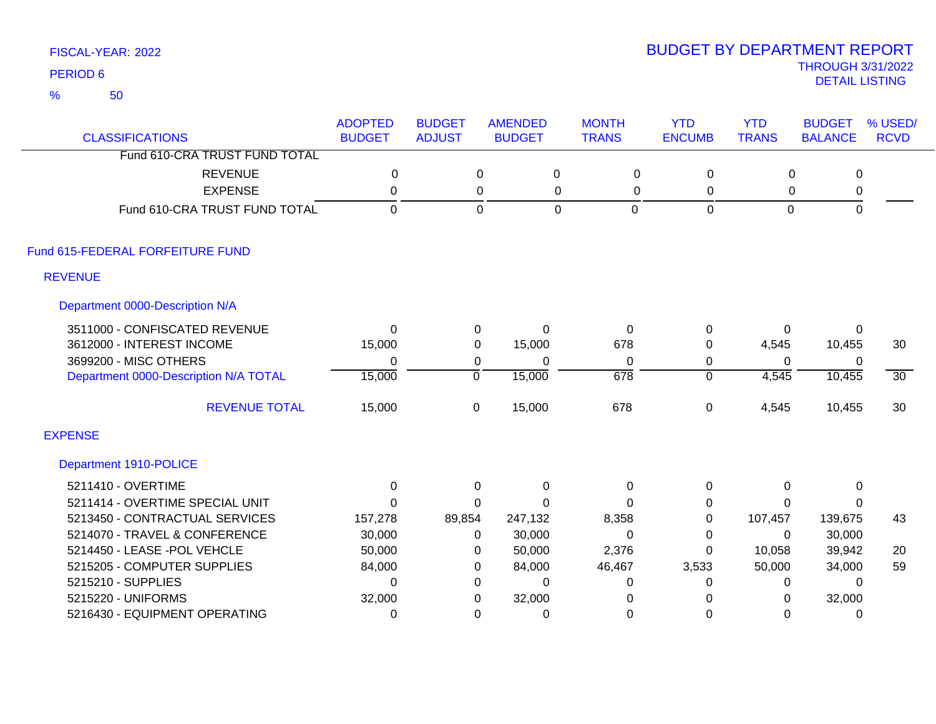50 %

| <b>CLASSIFICATIONS</b>                | <b>ADOPTED</b><br><b>BUDGET</b> | <b>BUDGET</b><br><b>ADJUST</b> | <b>AMENDED</b><br><b>BUDGET</b> | <b>MONTH</b><br><b>TRANS</b> | <b>YTD</b><br><b>ENCUMB</b> | <b>YTD</b><br><b>TRANS</b> | <b>BUDGET</b><br><b>BALANCE</b> | % USED/<br><b>RCVD</b> |
|---------------------------------------|---------------------------------|--------------------------------|---------------------------------|------------------------------|-----------------------------|----------------------------|---------------------------------|------------------------|
| Fund 610-CRA TRUST FUND TOTAL         |                                 |                                |                                 |                              |                             |                            |                                 |                        |
|                                       |                                 |                                |                                 |                              |                             |                            |                                 |                        |
| <b>REVENUE</b>                        | $\pmb{0}$                       | $\mathbf 0$                    | $\boldsymbol{0}$                | $\mathbf 0$                  | 0                           | $\mathbf 0$                | $\mathbf 0$                     |                        |
| <b>EXPENSE</b>                        | $\mathbf 0$                     | 0                              | 0                               | 0                            | 0                           | 0                          | 0                               |                        |
| Fund 610-CRA TRUST FUND TOTAL         | $\mathbf 0$                     | $\overline{0}$                 | $\mathbf 0$                     | $\overline{0}$               | $\Omega$                    | $\mathbf{0}$               | $\mathbf 0$                     |                        |
| Fund 615-FEDERAL FORFEITURE FUND      |                                 |                                |                                 |                              |                             |                            |                                 |                        |
| <b>REVENUE</b>                        |                                 |                                |                                 |                              |                             |                            |                                 |                        |
| Department 0000-Description N/A       |                                 |                                |                                 |                              |                             |                            |                                 |                        |
| 3511000 - CONFISCATED REVENUE         | $\Omega$                        | 0                              | $\Omega$                        | $\Omega$                     | $\Omega$                    | 0                          | 0                               |                        |
| 3612000 - INTEREST INCOME             | 15,000                          | 0                              | 15,000                          | 678                          | 0                           | 4,545                      | 10,455                          | 30                     |
| 3699200 - MISC OTHERS                 | 0                               | 0                              | 0                               | 0                            | 0                           | 0                          | 0                               |                        |
| Department 0000-Description N/A TOTAL | 15,000                          | $\overline{0}$                 | 15,000                          | $\overline{678}$             | $\overline{0}$              | 4,545                      | 10,455                          | $\overline{30}$        |
| <b>REVENUE TOTAL</b>                  | 15,000                          | 0                              | 15,000                          | 678                          | $\mathbf 0$                 | 4,545                      | 10,455                          | 30                     |
| <b>EXPENSE</b>                        |                                 |                                |                                 |                              |                             |                            |                                 |                        |
| <b>Department 1910-POLICE</b>         |                                 |                                |                                 |                              |                             |                            |                                 |                        |
| 5211410 - OVERTIME                    | $\mathbf 0$                     | 0                              | 0                               | $\pmb{0}$                    | 0                           | $\mathbf 0$                | $\mathbf 0$                     |                        |
| 5211414 - OVERTIME SPECIAL UNIT       | $\Omega$                        | 0                              | $\Omega$                        | $\Omega$                     | $\Omega$                    | 0                          | $\Omega$                        |                        |
| 5213450 - CONTRACTUAL SERVICES        | 157,278                         | 89,854                         | 247,132                         | 8,358                        | 0                           | 107,457                    | 139,675                         | 43                     |
| 5214070 - TRAVEL & CONFERENCE         | 30,000                          | 0                              | 30,000                          | 0                            | 0                           | 0                          | 30,000                          |                        |
| 5214450 - LEASE -POL VEHCLE           | 50,000                          | 0                              | 50,000                          | 2,376                        | 0                           | 10,058                     | 39,942                          | 20                     |
| 5215205 - COMPUTER SUPPLIES           | 84,000                          | 0                              | 84,000                          | 46,467                       | 3,533                       | 50,000                     | 34,000                          | 59                     |
| 5215210 - SUPPLIES                    | $\Omega$                        | 0                              | 0                               | 0                            | 0                           | 0                          | $\Omega$                        |                        |
| 5215220 - UNIFORMS                    | 32,000                          | 0                              | 32,000                          | 0                            | 0                           | 0                          | 32,000                          |                        |
| 5216430 - EQUIPMENT OPERATING         | $\mathbf 0$                     | 0                              | 0                               | $\boldsymbol{0}$             | 0                           | $\Omega$                   | 0                               |                        |